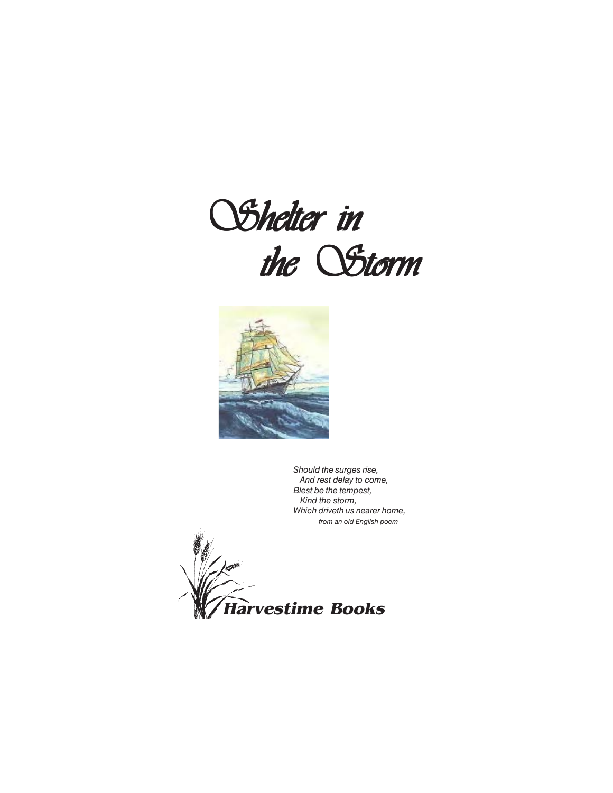



*Should the surges rise, And rest delay to come, Blest be the tempest, Kind the storm, Which driveth us nearer home, — from an old English poem*

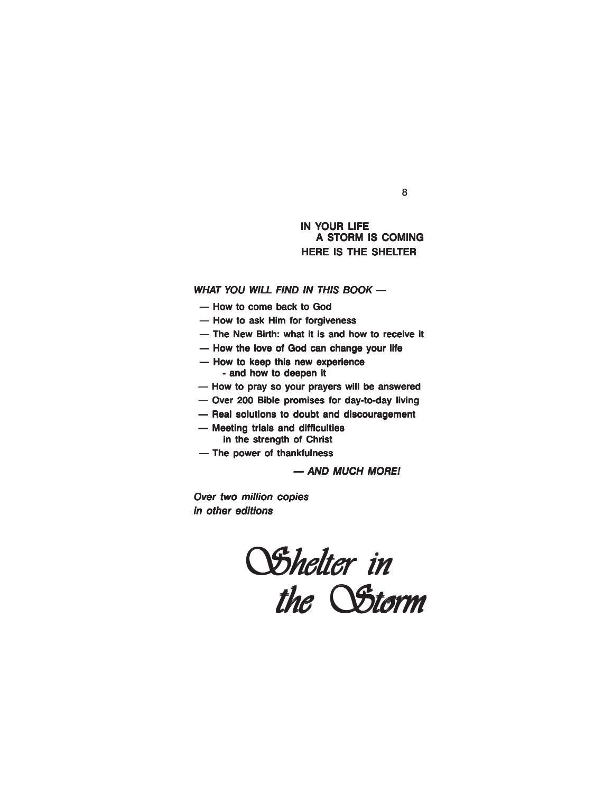# IN YOUR LIFE A STORM IS COMING HERE IS THE SHELTER

#### *WHAT YOU WILL FIND IN THIS BOOK —*

- How to come back to God
- How to ask Him for forgiveness
- $-$  The New Birth: what it is and how to receive it
- How the love of God can change your life
- How to keep this new experience - and how to deepen it
- How to pray so your prayers will be answered
- Over 200 Bible promises for day-to-day living
- Real solutions to doubt and discouragement
- Meeting trials and difficulties in the strength of Christ
- The power of thankfulness

#### *— AND MUCH MORE! — AND MORE!*

*Over two million copies in other editions*

*Shelter in Shelter in*

*the Storm he Storm Storm*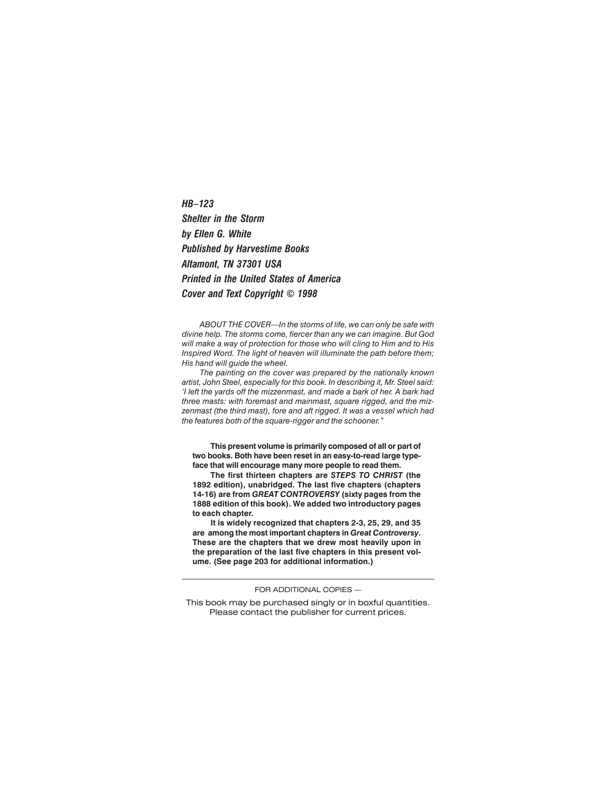*HB–123 Shelter in the Storm by Ellen G. White Published by Harvestime Books Altamont, TN 37301 USA Printed in the United States of America Cover and Text Copyright © 1998*

*ABOUT THE COVER—In the storms of life, we can only be safe with divine help. The storms come, fiercer than any we can imagine. But God will make a way of protection for those who will cling to Him and to His Inspired Word. The light of heaven will illuminate the path before them; His hand will guide the wheel.*

*The painting on the cover was prepared by the nationally known artist, John Steel, especially for this book. In describing it, Mr. Steel said: 'I left the yards off the mizzenmast, and made a bark of her. A bark had three masts: with foremast and mainmast, square rigged, and the mizzenmast (the third mast), fore and aft rigged. It was a vessel which had the features both of the square-rigger and the schooner."*

**This present volume is primarily composed of all or part of two books. Both have been reset in an easy-to-read large typeface that will encourage many more people to read them.**

**The first thirteen chapters are** *STEPS TO CHRIST* **(the 1892 edition), unabridged. The last five chapters (chapters 14-16) are from** *GREAT CONTROVERSY* **(sixty pages from the 1888 edition of this book). We added two introductory pages to each chapter.**

**It is widely recognized that chapters 2-3, 25, 29, and 35 are among the most important chapters in** *Great Controversy***. These are the chapters that we drew most heavily upon in the preparation of the last five chapters in this present volume. (See page 203 for additional information.)**

#### FOR ADDITIONAL COPIES —

This book may be purchased singly or in boxful quantities. Please contact the publisher for current prices.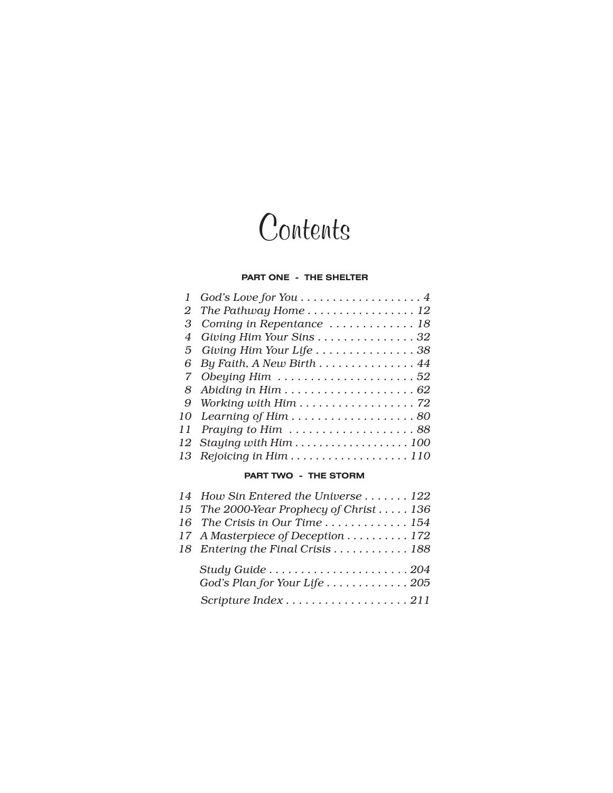# **Contents**

# **PART ONE - THE SHELTER**

| 1 God's Love for You  4                                          |
|------------------------------------------------------------------|
| 2 The Pathway Home  12                                           |
| 3 Coming in Repentance  18                                       |
| 4 Giving Him Your Sins 32                                        |
| 5 Giving Him Your Life 38                                        |
| 6 By Faith, A New Birth $\ldots \ldots \ldots \ldots 44$         |
| 7 Obeying Him $\ldots \ldots \ldots \ldots \ldots \ldots 52$     |
|                                                                  |
| 9 Working with Him 72                                            |
| 10 Learning of Him 80                                            |
| 11 Praying to Him $\ldots \ldots \ldots \ldots \ldots \ldots 88$ |
|                                                                  |
| 13 Rejoicing in Him  110                                         |
|                                                                  |

# **PART TWO - THE STORM**

| 14 How Sin Entered the Universe  122                        |
|-------------------------------------------------------------|
| 15 The 2000-Year Prophecy of Christ  136                    |
| 16 The Crisis in Our Time 154                               |
| 17 A Masterpiece of Deception 172                           |
| 18 Entering the Final Crisis  188                           |
| Study Guide $\ldots \ldots \ldots \ldots \ldots \ldots 204$ |
| God's Plan for Your Life  205                               |
| Scripture Index211                                          |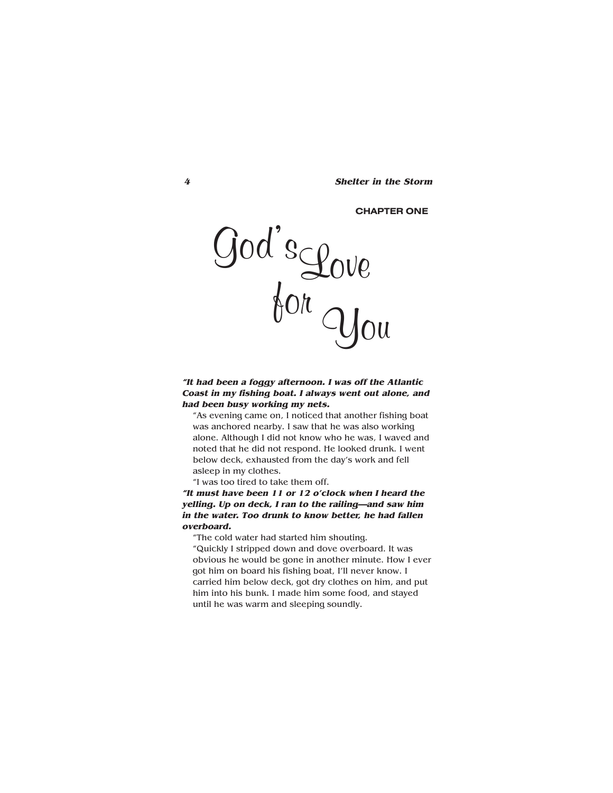

#### **"It had been a foggy afternoon. I was off the Atlantic Coast in my fishing boat. I always went out alone, and had been busy working my nets.**

"As evening came on, I noticed that another fishing boat was anchored nearby. I saw that he was also working alone. Although I did not know who he was, I waved and noted that he did not respond. He looked drunk. I went below deck, exhausted from the day's work and fell asleep in my clothes.

"I was too tired to take them off.

# **"It must have been 11 or 12 o'clock when I heard the yelling. Up on deck, I ran to the railing—and saw him in the water. Too drunk to know better, he had fallen overboard.**

"The cold water had started him shouting.

"Quickly I stripped down and dove overboard. It was obvious he would be gone in another minute. How I ever got him on board his fishing boat, I'll never know. I carried him below deck, got dry clothes on him, and put him into his bunk. I made him some food, and stayed until he was warm and sleeping soundly.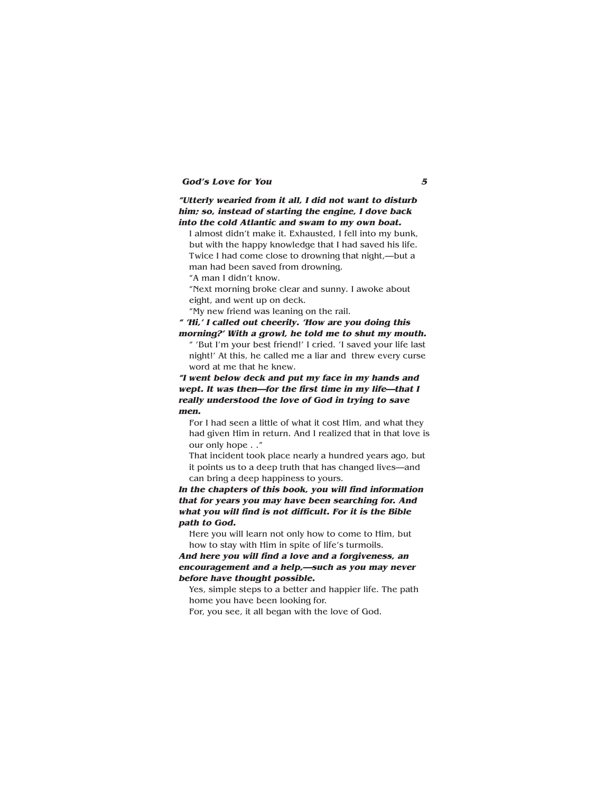#### **"Utterly wearied from it all, I did not want to disturb him; so, instead of starting the engine, I dove back into the cold Atlantic and swam to my own boat.**

I almost didn't make it. Exhausted, I fell into my bunk, but with the happy knowledge that I had saved his life. Twice I had come close to drowning that night,—but a man had been saved from drowning.

"A man I didn't know.

"Next morning broke clear and sunny. I awoke about eight, and went up on deck.

"My new friend was leaning on the rail.

**" 'Hi,' I called out cheerily. 'How are you doing this morning?' With a growl, he told me to shut my mouth.**

" 'But I'm your best friend!' I cried. 'I saved your life last night!' At this, he called me a liar and threw every curse word at me that he knew.

#### **"I went below deck and put my face in my hands and wept. It was then—for the first time in my life—that I really understood the love of God in trying to save men.**

For I had seen a little of what it cost Him, and what they had given Him in return. And I realized that in that love is our only hope . ."

That incident took place nearly a hundred years ago, but it points us to a deep truth that has changed lives—and can bring a deep happiness to yours.

# **In the chapters of this book, you will find information that for years you may have been searching for. And what you will find is not difficult. For it is the Bible path to God.**

Here you will learn not only how to come to Him, but how to stay with Him in spite of life's turmoils.

### **And here you will find a love and a forgiveness, an encouragement and a help,—such as you may never before have thought possible.**

Yes, simple steps to a better and happier life. The path home you have been looking for.

For, you see, it all began with the love of God.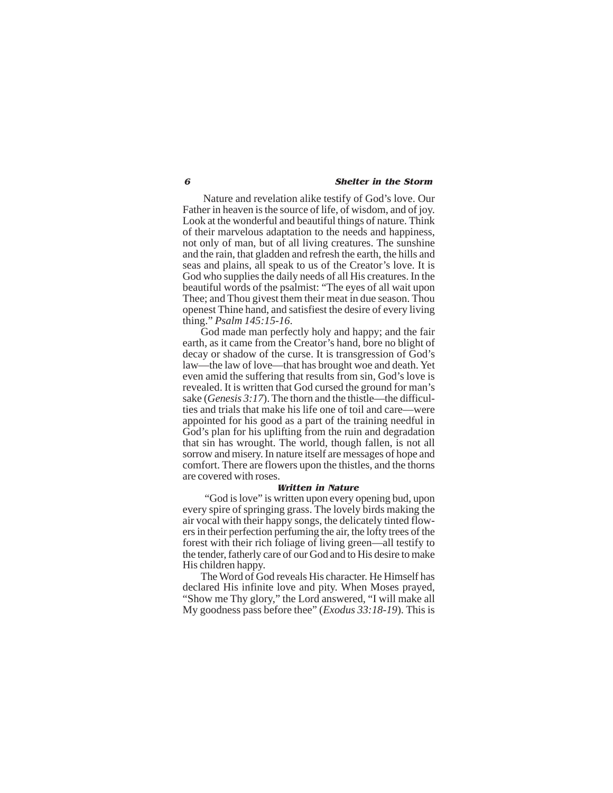Nature and revelation alike testify of God's love. Our Father in heaven is the source of life, of wisdom, and of joy. Look at the wonderful and beautiful things of nature. Think of their marvelous adaptation to the needs and happiness, not only of man, but of all living creatures. The sunshine and the rain, that gladden and refresh the earth, the hills and seas and plains, all speak to us of the Creator's love. It is God who supplies the daily needs of all His creatures. In the beautiful words of the psalmist: "The eyes of all wait upon Thee; and Thou givest them their meat in due season. Thou openest Thine hand, and satisfiest the desire of every living thing." *Psalm 145:15-16*.

God made man perfectly holy and happy; and the fair earth, as it came from the Creator's hand, bore no blight of decay or shadow of the curse. It is transgression of God's law—the law of love—that has brought woe and death. Yet even amid the suffering that results from sin, God's love is revealed. It is written that God cursed the ground for man's sake (*Genesis 3:17*). The thorn and the thistle—the difficulties and trials that make his life one of toil and care—were appointed for his good as a part of the training needful in God's plan for his uplifting from the ruin and degradation that sin has wrought. The world, though fallen, is not all sorrow and misery. In nature itself are messages of hope and comfort. There are flowers upon the thistles, and the thorns are covered with roses.

#### **Written in Nature**

 "God is love" is written upon every opening bud, upon every spire of springing grass. The lovely birds making the air vocal with their happy songs, the delicately tinted flowers in their perfection perfuming the air, the lofty trees of the forest with their rich foliage of living green—all testify to the tender, fatherly care of our God and to His desire to make His children happy.

The Word of God reveals His character. He Himself has declared His infinite love and pity. When Moses prayed, "Show me Thy glory," the Lord answered, "I will make all My goodness pass before thee" (*Exodus 33:18-19*). This is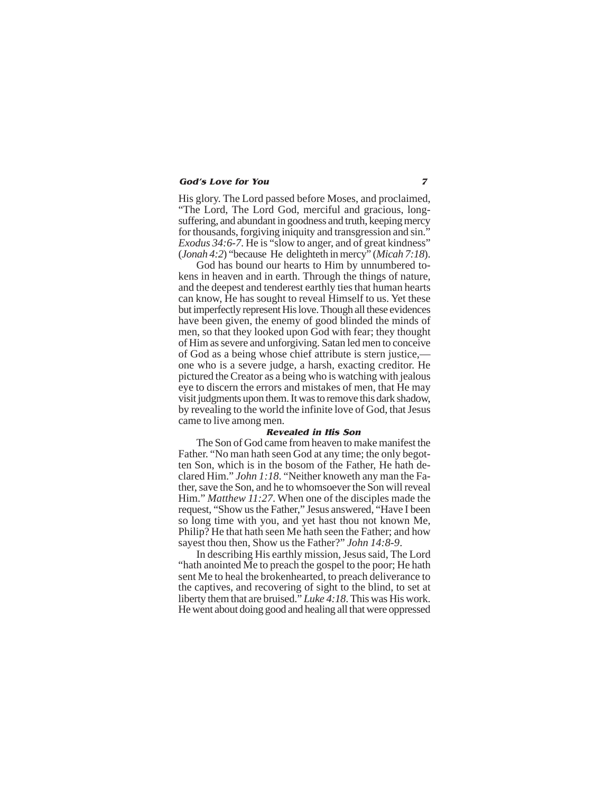#### **God's Love for You**

His glory. The Lord passed before Moses, and proclaimed, "The Lord, The Lord God, merciful and gracious, longsuffering, and abundant in goodness and truth, keeping mercy for thousands, forgiving iniquity and transgression and sin." *Exodus 34:6-7.* He is "slow to anger, and of great kindness" (*Jonah 4:2*) "because He delighteth in mercy" (*Micah 7:18*).

God has bound our hearts to Him by unnumbered tokens in heaven and in earth. Through the things of nature, and the deepest and tenderest earthly ties that human hearts can know, He has sought to reveal Himself to us. Yet these but imperfectly represent His love. Though all these evidences have been given, the enemy of good blinded the minds of men, so that they looked upon God with fear; they thought of Him as severe and unforgiving. Satan led men to conceive of God as a being whose chief attribute is stern justice, one who is a severe judge, a harsh, exacting creditor. He pictured the Creator as a being who is watching with jealous eye to discern the errors and mistakes of men, that He may visit judgments upon them. It was to remove this dark shadow, by revealing to the world the infinite love of God, that Jesus came to live among men.

#### **Revealed in His Son**

The Son of God came from heaven to make manifest the Father. "No man hath seen God at any time; the only begotten Son, which is in the bosom of the Father, He hath declared Him." *John 1:18*. "Neither knoweth any man the Father, save the Son, and he to whomsoever the Son will reveal Him." *Matthew 11:27*. When one of the disciples made the request, "Show us the Father," Jesus answered, "Have I been so long time with you, and yet hast thou not known Me, Philip? He that hath seen Me hath seen the Father; and how sayest thou then, Show us the Father?" *John 14:8-9*.

In describing His earthly mission, Jesus said, The Lord "hath anointed Me to preach the gospel to the poor; He hath sent Me to heal the brokenhearted, to preach deliverance to the captives, and recovering of sight to the blind, to set at liberty them that are bruised." *Luke 4:18*. This was His work. He went about doing good and healing all that were oppressed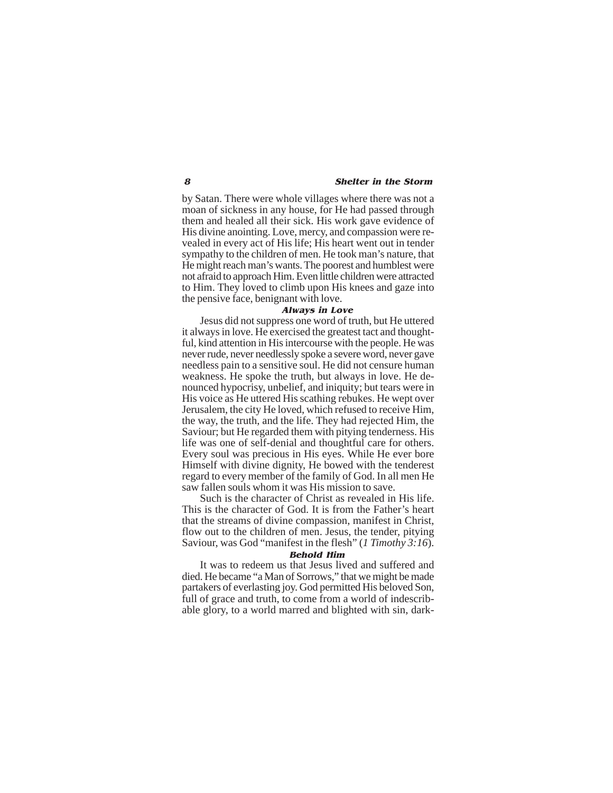by Satan. There were whole villages where there was not a moan of sickness in any house, for He had passed through them and healed all their sick. His work gave evidence of His divine anointing. Love, mercy, and compassion were revealed in every act of His life; His heart went out in tender sympathy to the children of men. He took man's nature, that He might reach man's wants. The poorest and humblest were not afraid to approach Him. Even little children were attracted to Him. They loved to climb upon His knees and gaze into the pensive face, benignant with love.

# **Always in Love**

Jesus did not suppress one word of truth, but He uttered it always in love. He exercised the greatest tact and thoughtful, kind attention in His intercourse with the people. He was never rude, never needlessly spoke a severe word, never gave needless pain to a sensitive soul. He did not censure human weakness. He spoke the truth, but always in love. He denounced hypocrisy, unbelief, and iniquity; but tears were in His voice as He uttered His scathing rebukes. He wept over Jerusalem, the city He loved, which refused to receive Him, the way, the truth, and the life. They had rejected Him, the Saviour; but He regarded them with pitying tenderness. His life was one of self-denial and thoughtful care for others. Every soul was precious in His eyes. While He ever bore Himself with divine dignity, He bowed with the tenderest regard to every member of the family of God. In all men He saw fallen souls whom it was His mission to save.

Such is the character of Christ as revealed in His life. This is the character of God. It is from the Father's heart that the streams of divine compassion, manifest in Christ, flow out to the children of men. Jesus, the tender, pitying Saviour, was God "manifest in the flesh" (*1 Timothy 3:16*).

#### **Behold Him**

It was to redeem us that Jesus lived and suffered and died. He became "a Man of Sorrows," that we might be made partakers of everlasting joy. God permitted His beloved Son, full of grace and truth, to come from a world of indescribable glory, to a world marred and blighted with sin, dark-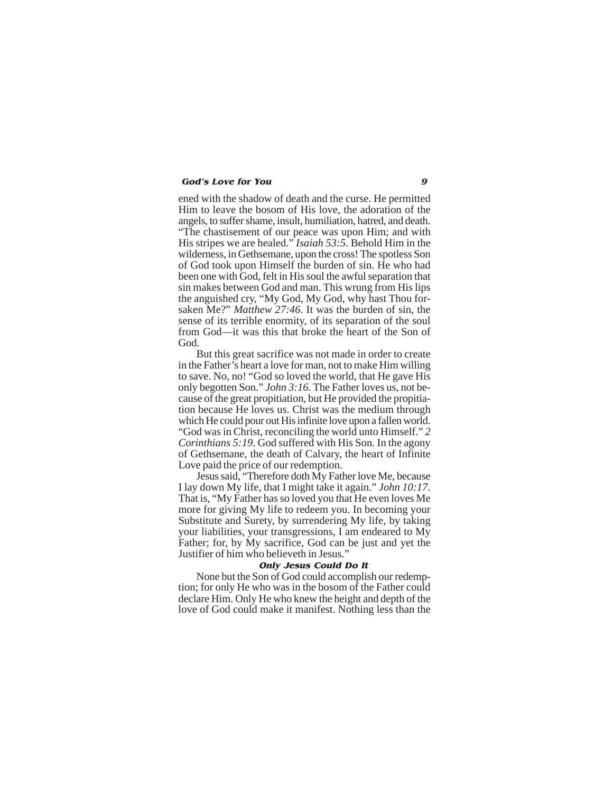#### **God's Love for You**

ened with the shadow of death and the curse. He permitted Him to leave the bosom of His love, the adoration of the angels, to suffer shame, insult, humiliation, hatred, and death. "The chastisement of our peace was upon Him; and with His stripes we are healed." *Isaiah 53:5*. Behold Him in the wilderness, in Gethsemane, upon the cross! The spotless Son of God took upon Himself the burden of sin. He who had been one with God, felt in His soul the awful separation that sin makes between God and man. This wrung from His lips the anguished cry, "My God, My God, why hast Thou forsaken Me?" *Matthew 27:46*. It was the burden of sin, the sense of its terrible enormity, of its separation of the soul from God—it was this that broke the heart of the Son of God.

But this great sacrifice was not made in order to create in the Father's heart a love for man, not to make Him willing to save. No, no! "God so loved the world, that He gave His only begotten Son." *John 3:16*. The Father loves us, not because of the great propitiation, but He provided the propitiation because He loves us. Christ was the medium through which He could pour out His infinite love upon a fallen world. "God was in Christ, reconciling the world unto Himself." *2 Corinthians 5:19*. God suffered with His Son. In the agony of Gethsemane, the death of Calvary, the heart of Infinite Love paid the price of our redemption.

Jesus said, "Therefore doth My Father love Me, because I lay down My life, that I might take it again." *John 10:17*. That is, "My Father has so loved you that He even loves Me more for giving My life to redeem you. In becoming your Substitute and Surety, by surrendering My life, by taking your liabilities, your transgressions, I am endeared to My Father; for, by My sacrifice, God can be just and yet the Justifier of him who believeth in Jesus."

### **Only Jesus Could Do It**

None but the Son of God could accomplish our redemption; for only He who was in the bosom of the Father could declare Him. Only He who knew the height and depth of the love of God could make it manifest. Nothing less than the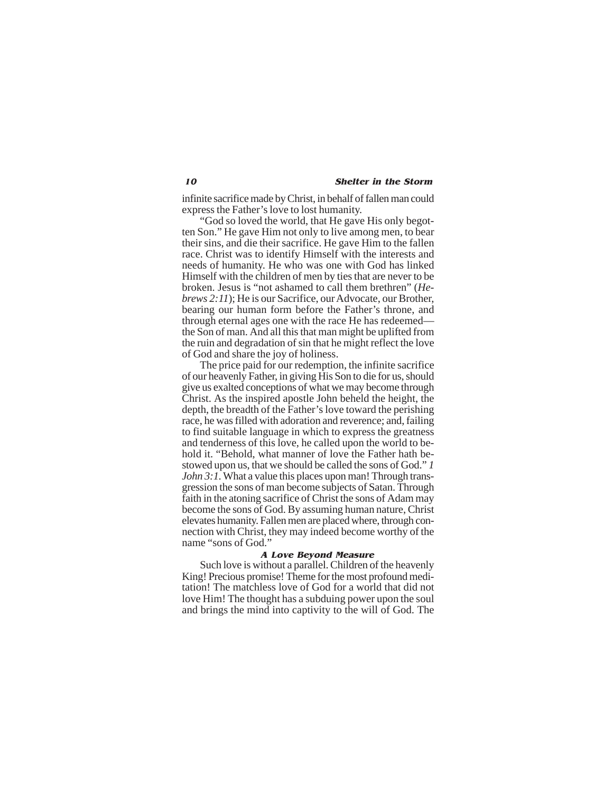infinite sacrifice made by Christ, in behalf of fallen man could express the Father's love to lost humanity.

"God so loved the world, that He gave His only begotten Son." He gave Him not only to live among men, to bear their sins, and die their sacrifice. He gave Him to the fallen race. Christ was to identify Himself with the interests and needs of humanity. He who was one with God has linked Himself with the children of men by ties that are never to be broken. Jesus is "not ashamed to call them brethren" (*Hebrews 2:11*); He is our Sacrifice, our Advocate, our Brother, bearing our human form before the Father's throne, and through eternal ages one with the race He has redeemed the Son of man. And all this that man might be uplifted from the ruin and degradation of sin that he might reflect the love of God and share the joy of holiness.

The price paid for our redemption, the infinite sacrifice of our heavenly Father, in giving His Son to die for us, should give us exalted conceptions of what we may become through Christ. As the inspired apostle John beheld the height, the depth, the breadth of the Father's love toward the perishing race, he was filled with adoration and reverence; and, failing to find suitable language in which to express the greatness and tenderness of this love, he called upon the world to behold it. "Behold, what manner of love the Father hath bestowed upon us, that we should be called the sons of God." *1 John 3:1*. What a value this places upon man! Through transgression the sons of man become subjects of Satan. Through faith in the atoning sacrifice of Christ the sons of Adam may become the sons of God. By assuming human nature, Christ elevates humanity. Fallen men are placed where, through connection with Christ, they may indeed become worthy of the name "sons of God."

#### **A Love Beyond Measure**

Such love is without a parallel. Children of the heavenly King! Precious promise! Theme for the most profound meditation! The matchless love of God for a world that did not love Him! The thought has a subduing power upon the soul and brings the mind into captivity to the will of God. The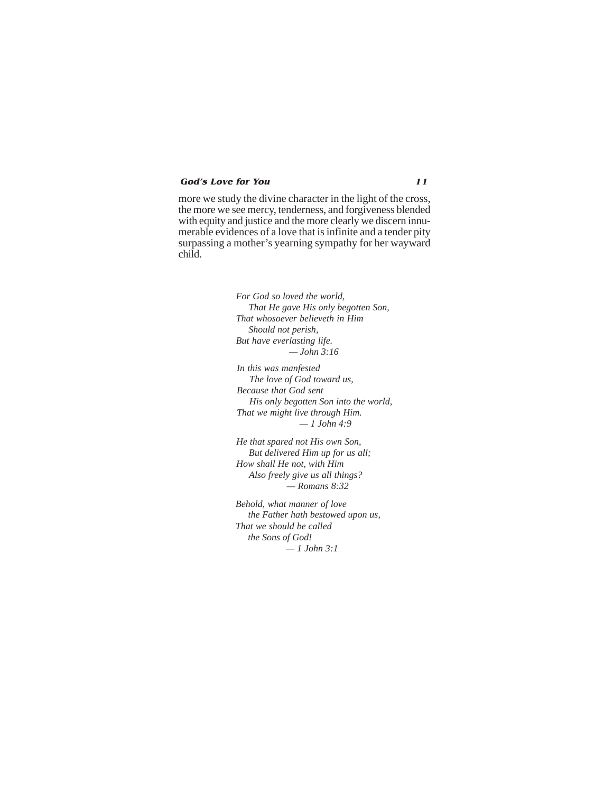#### **God's Love for You**

more we study the divine character in the light of the cross, the more we see mercy, tenderness, and forgiveness blended with equity and justice and the more clearly we discern innumerable evidences of a love that is infinite and a tender pity surpassing a mother's yearning sympathy for her wayward child.

> *For God so loved the world, That He gave His only begotten Son, That whosoever believeth in Him Should not perish, But have everlasting life. — John 3:16*

*In this was manfested The love of God toward us, Because that God sent His only begotten Son into the world, That we might live through Him. — 1 John 4:9*

*He that spared not His own Son, But delivered Him up for us all; How shall He not, with Him Also freely give us all things? — Romans 8:32*

*Behold, what manner of love the Father hath bestowed upon us, That we should be called the Sons of God! — 1 John 3:1*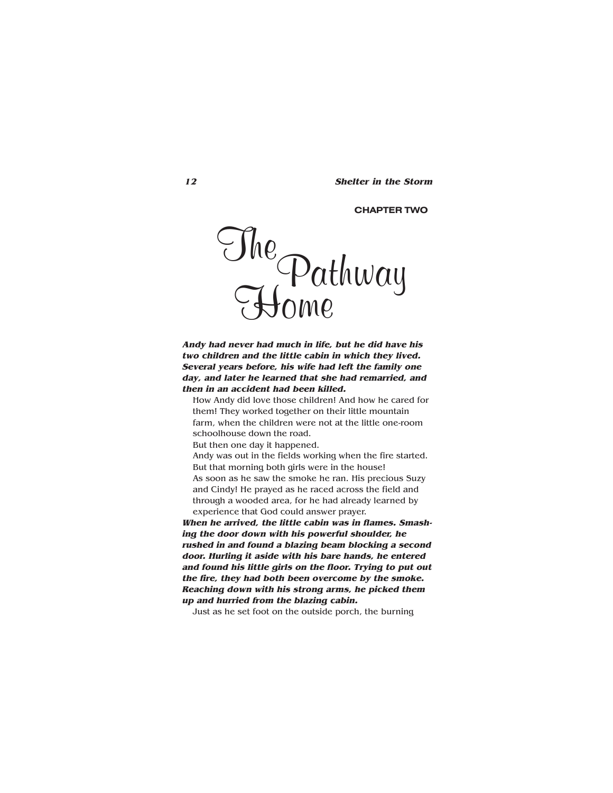**CHAPTER TWO**



**Andy had never had much in life, but he did have his two children and the little cabin in which they lived. Several years before, his wife had left the family one day, and later he learned that she had remarried, and then in an accident had been killed.**

How Andy did love those children! And how he cared for them! They worked together on their little mountain farm, when the children were not at the little one-room schoolhouse down the road.

But then one day it happened.

Andy was out in the fields working when the fire started. But that morning both girls were in the house! As soon as he saw the smoke he ran. His precious Suzy and Cindy! He prayed as he raced across the field and through a wooded area, for he had already learned by experience that God could answer prayer.

**When he arrived, the little cabin was in flames. Smashing the door down with his powerful shoulder, he rushed in and found a blazing beam blocking a second door. Hurling it aside with his bare hands, he entered and found his little girls on the floor. Trying to put out the fire, they had both been overcome by the smoke. Reaching down with his strong arms, he picked them up and hurried from the blazing cabin.**

Just as he set foot on the outside porch, the burning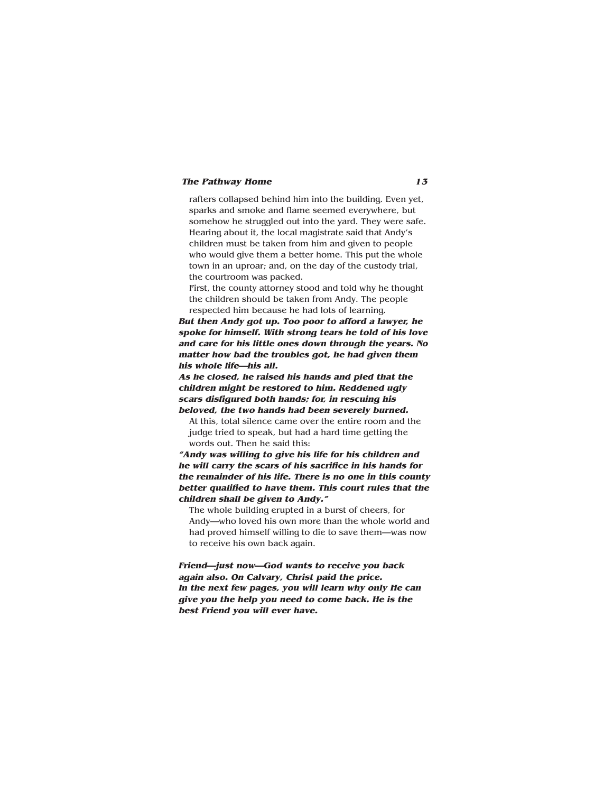#### **The Pathway Home 13**

rafters collapsed behind him into the building. Even yet, sparks and smoke and flame seemed everywhere, but somehow he struggled out into the yard. They were safe. Hearing about it, the local magistrate said that Andy's children must be taken from him and given to people who would give them a better home. This put the whole town in an uproar; and, on the day of the custody trial, the courtroom was packed.

First, the county attorney stood and told why he thought the children should be taken from Andy. The people respected him because he had lots of learning.

**But then Andy got up. Too poor to afford a lawyer, he spoke for himself. With strong tears he told of his love and care for his little ones down through the years. No matter how bad the troubles got, he had given them his whole life—his all.**

**As he closed, he raised his hands and pled that the children might be restored to him. Reddened ugly scars disfigured both hands; for, in rescuing his beloved, the two hands had been severely burned.**

At this, total silence came over the entire room and the judge tried to speak, but had a hard time getting the words out. Then he said this:

**"Andy was willing to give his life for his children and he will carry the scars of his sacrifice in his hands for the remainder of his life. There is no one in this county better qualified to have them. This court rules that the children shall be given to Andy."**

The whole building erupted in a burst of cheers, for Andy—who loved his own more than the whole world and had proved himself willing to die to save them—was now to receive his own back again.

**Friend—just now—God wants to receive you back again also. On Calvary, Christ paid the price. In the next few pages, you will learn why only He can give you the help you need to come back. He is the best Friend you will ever have.**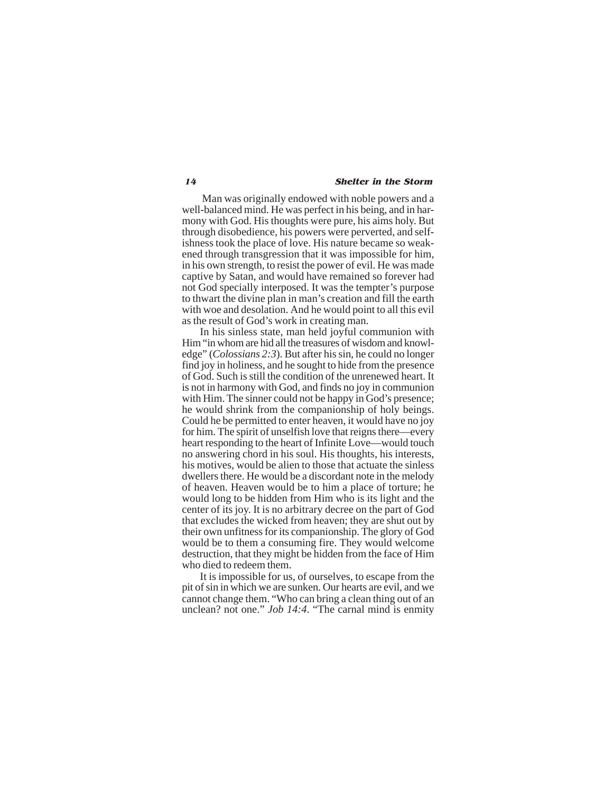Man was originally endowed with noble powers and a well-balanced mind. He was perfect in his being, and in harmony with God. His thoughts were pure, his aims holy. But through disobedience, his powers were perverted, and selfishness took the place of love. His nature became so weakened through transgression that it was impossible for him, in his own strength, to resist the power of evil. He was made captive by Satan, and would have remained so forever had not God specially interposed. It was the tempter's purpose to thwart the divine plan in man's creation and fill the earth with woe and desolation. And he would point to all this evil as the result of God's work in creating man.

In his sinless state, man held joyful communion with Him "in whom are hid all the treasures of wisdom and knowledge" (*Colossians 2:3*). But after his sin, he could no longer find joy in holiness, and he sought to hide from the presence of God. Such is still the condition of the unrenewed heart. It is not in harmony with God, and finds no joy in communion with Him. The sinner could not be happy in God's presence; he would shrink from the companionship of holy beings. Could he be permitted to enter heaven, it would have no joy for him. The spirit of unselfish love that reigns there—every heart responding to the heart of Infinite Love—would touch no answering chord in his soul. His thoughts, his interests, his motives, would be alien to those that actuate the sinless dwellers there. He would be a discordant note in the melody of heaven. Heaven would be to him a place of torture; he would long to be hidden from Him who is its light and the center of its joy. It is no arbitrary decree on the part of God that excludes the wicked from heaven; they are shut out by their own unfitness for its companionship. The glory of God would be to them a consuming fire. They would welcome destruction, that they might be hidden from the face of Him who died to redeem them.

It is impossible for us, of ourselves, to escape from the pit of sin in which we are sunken. Our hearts are evil, and we cannot change them. "Who can bring a clean thing out of an unclean? not one." *Job 14:4*. "The carnal mind is enmity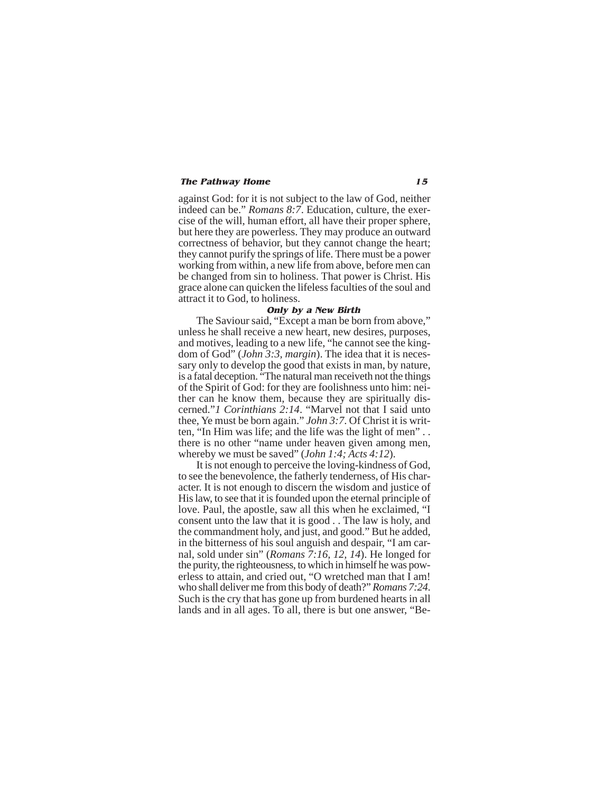against God: for it is not subject to the law of God, neither indeed can be." *Romans 8:7*. Education, culture, the exercise of the will, human effort, all have their proper sphere, but here they are powerless. They may produce an outward correctness of behavior, but they cannot change the heart; they cannot purify the springs of life. There must be a power working from within, a new life from above, before men can be changed from sin to holiness. That power is Christ. His grace alone can quicken the lifeless faculties of the soul and attract it to God, to holiness.

# **Only by a New Birth**

The Saviour said, "Except a man be born from above," unless he shall receive a new heart, new desires, purposes, and motives, leading to a new life, "he cannot see the kingdom of God" (*John 3:3, margin*). The idea that it is necessary only to develop the good that exists in man, by nature, is a fatal deception. "The natural man receiveth not the things of the Spirit of God: for they are foolishness unto him: neither can he know them, because they are spiritually discerned."*1 Corinthians 2:14*. "Marvel not that I said unto thee, Ye must be born again." *John 3:7*. Of Christ it is written, "In Him was life; and the life was the light of men" . . there is no other "name under heaven given among men, whereby we must be saved" (*John 1:4; Acts 4:12*).

It is not enough to perceive the loving-kindness of God, to see the benevolence, the fatherly tenderness, of His character. It is not enough to discern the wisdom and justice of His law, to see that it is founded upon the eternal principle of love. Paul, the apostle, saw all this when he exclaimed, "I consent unto the law that it is good . . The law is holy, and the commandment holy, and just, and good." But he added, in the bitterness of his soul anguish and despair, "I am carnal, sold under sin" (*Romans 7:16, 12, 14*). He longed for the purity, the righteousness, to which in himself he was powerless to attain, and cried out, "O wretched man that  $\overline{I}$  am! who shall deliver me from this body of death?" *Romans 7:24*. Such is the cry that has gone up from burdened hearts in all lands and in all ages. To all, there is but one answer, "Be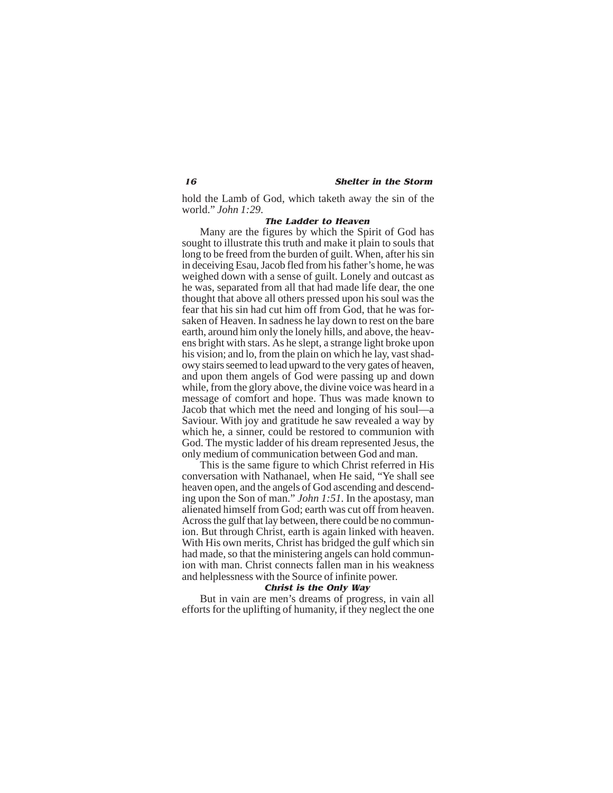hold the Lamb of God, which taketh away the sin of the world." *John 1:29*.

#### **The Ladder to Heaven**

Many are the figures by which the Spirit of God has sought to illustrate this truth and make it plain to souls that long to be freed from the burden of guilt. When, after his sin in deceiving Esau, Jacob fled from his father's home, he was weighed down with a sense of guilt. Lonely and outcast as he was, separated from all that had made life dear, the one thought that above all others pressed upon his soul was the fear that his sin had cut him off from God, that he was forsaken of Heaven. In sadness he lay down to rest on the bare earth, around him only the lonely hills, and above, the heavens bright with stars. As he slept, a strange light broke upon his vision; and lo, from the plain on which he lay, vast shadowy stairs seemed to lead upward to the very gates of heaven, and upon them angels of God were passing up and down while, from the glory above, the divine voice was heard in a message of comfort and hope. Thus was made known to Jacob that which met the need and longing of his soul—a Saviour. With joy and gratitude he saw revealed a way by which he, a sinner, could be restored to communion with God. The mystic ladder of his dream represented Jesus, the only medium of communication between God and man.

This is the same figure to which Christ referred in His conversation with Nathanael, when He said, "Ye shall see heaven open, and the angels of God ascending and descending upon the Son of man." *John 1:51*. In the apostasy, man alienated himself from God; earth was cut off from heaven. Across the gulf that lay between, there could be no communion. But through Christ, earth is again linked with heaven. With His own merits, Christ has bridged the gulf which sin had made, so that the ministering angels can hold communion with man. Christ connects fallen man in his weakness and helplessness with the Source of infinite power.

#### **Christ is the Only Way**

But in vain are men's dreams of progress, in vain all efforts for the uplifting of humanity, if they neglect the one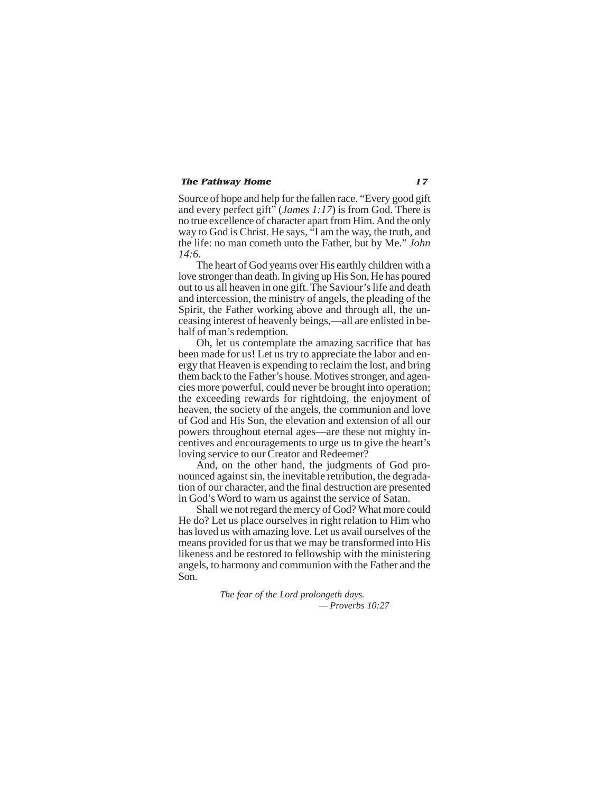#### **The Pathway Home**

Source of hope and help for the fallen race. "Every good gift and every perfect gift" (*James 1:17*) is from God. There is no true excellence of character apart from Him. And the only way to God is Christ. He says, "I am the way, the truth, and the life: no man cometh unto the Father, but by Me." *John 14:6.*

The heart of God yearns over His earthly children with a love stronger than death. In giving up His Son, He has poured out to us all heaven in one gift. The Saviour's life and death and intercession, the ministry of angels, the pleading of the Spirit, the Father working above and through all, the unceasing interest of heavenly beings,—all are enlisted in behalf of man's redemption.

Oh, let us contemplate the amazing sacrifice that has been made for us! Let us try to appreciate the labor and energy that Heaven is expending to reclaim the lost, and bring them back to the Father's house. Motives stronger, and agencies more powerful, could never be brought into operation; the exceeding rewards for rightdoing, the enjoyment of heaven, the society of the angels, the communion and love of God and His Son, the elevation and extension of all our powers throughout eternal ages—are these not mighty incentives and encouragements to urge us to give the heart's loving service to our Creator and Redeemer?

And, on the other hand, the judgments of God pronounced against sin, the inevitable retribution, the degradation of our character, and the final destruction are presented in God's Word to warn us against the service of Satan.

Shall we not regard the mercy of God? What more could He do? Let us place ourselves in right relation to Him who has loved us with amazing love. Let us avail ourselves of the means provided for us that we may be transformed into His likeness and be restored to fellowship with the ministering angels, to harmony and communion with the Father and the Son.

> *The fear of the Lord prolongeth days. — Proverbs 10:27*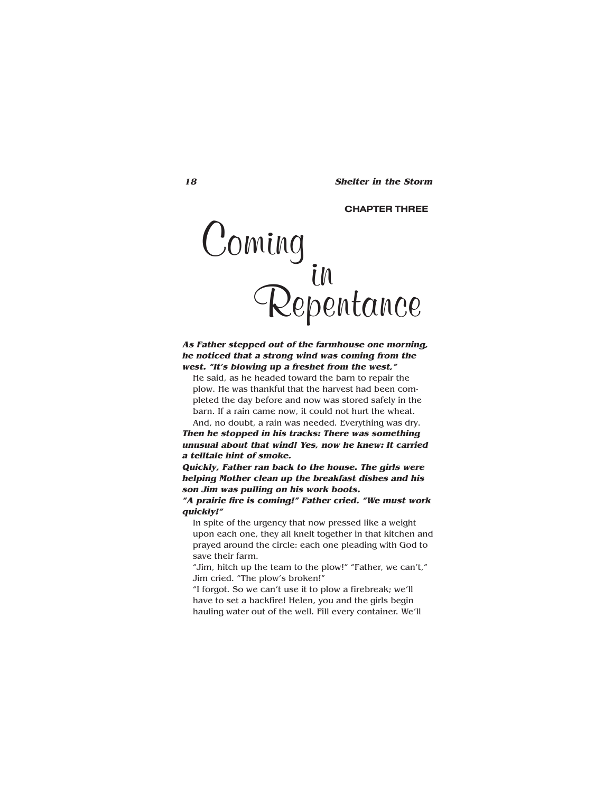#### **CHAPTER THREE**

# **Coming in Repentance**

**As Father stepped out of the farmhouse one morning, he noticed that a strong wind was coming from the west. "It's blowing up a freshet from the west,"**

He said, as he headed toward the barn to repair the plow. He was thankful that the harvest had been completed the day before and now was stored safely in the barn. If a rain came now, it could not hurt the wheat.

And, no doubt, a rain was needed. Everything was dry. **Then he stopped in his tracks: There was something unusual about that wind! Yes, now he knew: It carried a telltale hint of smoke.**

**Quickly, Father ran back to the house. The girls were helping Mother clean up the breakfast dishes and his son Jim was pulling on his work boots.**

**"A prairie fire is coming!" Father cried. "We must work quickly!"**

In spite of the urgency that now pressed like a weight upon each one, they all knelt together in that kitchen and prayed around the circle: each one pleading with God to save their farm.

"Jim, hitch up the team to the plow!" "Father, we can't," Jim cried. "The plow's broken!"

"I forgot. So we can't use it to plow a firebreak; we'll have to set a backfire! Helen, you and the girls begin hauling water out of the well. Fill every container. We'll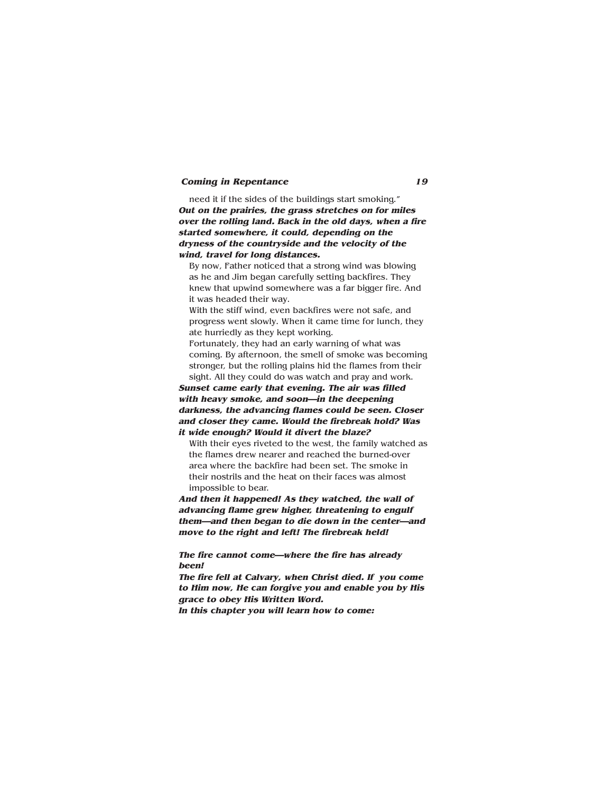#### *Coming in Repentance* 19

need it if the sides of the buildings start smoking." **Out on the prairies, the grass stretches on for miles over the rolling land. Back in the old days, when a fire started somewhere, it could, depending on the dryness of the countryside and the velocity of the wind, travel for long distances.**

By now, Father noticed that a strong wind was blowing as he and Jim began carefully setting backfires. They knew that upwind somewhere was a far bigger fire. And it was headed their way.

With the stiff wind, even backfires were not safe, and progress went slowly. When it came time for lunch, they ate hurriedly as they kept working.

Fortunately, they had an early warning of what was coming. By afternoon, the smell of smoke was becoming stronger, but the rolling plains hid the flames from their sight. All they could do was watch and pray and work.

# **Sunset came early that evening. The air was filled with heavy smoke, and soon—in the deepening darkness, the advancing flames could be seen. Closer and closer they came. Would the firebreak hold? Was it wide enough? Would it divert the blaze?**

With their eyes riveted to the west, the family watched as the flames drew nearer and reached the burned-over area where the backfire had been set. The smoke in their nostrils and the heat on their faces was almost impossible to bear.

**And then it happened! As they watched, the wall of advancing flame grew higher, threatening to engulf them—and then began to die down in the center—and move to the right and left! The firebreak held!**

**The fire cannot come—where the fire has already been!**

**The fire fell at Calvary, when Christ died. If you come to Him now, He can forgive you and enable you by His grace to obey His Written Word.**

**In this chapter you will learn how to come:**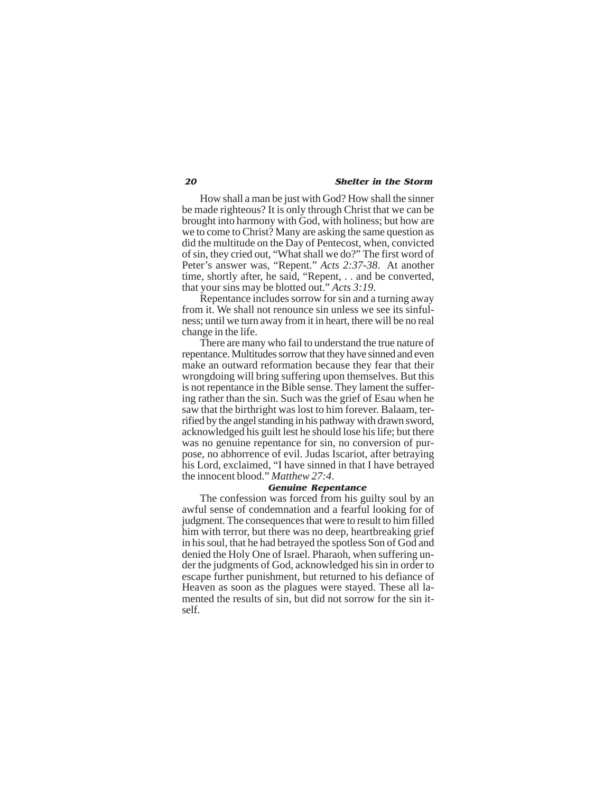How shall a man be just with God? How shall the sinner be made righteous? It is only through Christ that we can be brought into harmony with God, with holiness; but how are we to come to Christ? Many are asking the same question as did the multitude on the Day of Pentecost, when, convicted of sin, they cried out, "What shall we do?" The first word of Peter's answer was, "Repent." *Acts 2:37-38*. At another time, shortly after, he said, "Repent, . . and be converted, that your sins may be blotted out." *Acts 3:19*.

Repentance includes sorrow for sin and a turning away from it. We shall not renounce sin unless we see its sinfulness; until we turn away from it in heart, there will be no real change in the life.

There are many who fail to understand the true nature of repentance. Multitudes sorrow that they have sinned and even make an outward reformation because they fear that their wrongdoing will bring suffering upon themselves. But this is not repentance in the Bible sense. They lament the suffering rather than the sin. Such was the grief of Esau when he saw that the birthright was lost to him forever. Balaam, terrified by the angel standing in his pathway with drawn sword, acknowledged his guilt lest he should lose his life; but there was no genuine repentance for sin, no conversion of purpose, no abhorrence of evil. Judas Iscariot, after betraying his Lord, exclaimed, "I have sinned in that I have betrayed the innocent blood." *Matthew 27:4*.

# **Genuine Repentance**

The confession was forced from his guilty soul by an awful sense of condemnation and a fearful looking for of judgment. The consequences that were to result to him filled him with terror, but there was no deep, heartbreaking grief in his soul, that he had betrayed the spotless Son of God and denied the Holy One of Israel. Pharaoh, when suffering under the judgments of God, acknowledged his sin in order to escape further punishment, but returned to his defiance of Heaven as soon as the plagues were stayed. These all lamented the results of sin, but did not sorrow for the sin itself.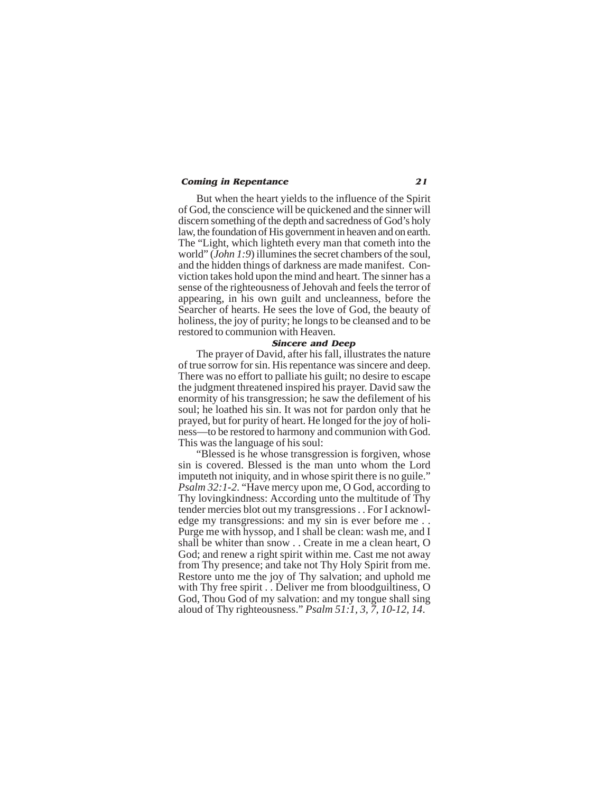#### **Coming in Repentance**

But when the heart yields to the influence of the Spirit of God, the conscience will be quickened and the sinner will discern something of the depth and sacredness of God's holy law, the foundation of His government in heaven and on earth. The "Light, which lighteth every man that cometh into the world" (*John 1:9*) illumines the secret chambers of the soul, and the hidden things of darkness are made manifest. Conviction takes hold upon the mind and heart. The sinner has a sense of the righteousness of Jehovah and feels the terror of appearing, in his own guilt and uncleanness, before the Searcher of hearts. He sees the love of God, the beauty of holiness, the joy of purity; he longs to be cleansed and to be restored to communion with Heaven.

#### **Sincere and Deep**

The prayer of David, after his fall, illustrates the nature of true sorrow for sin. His repentance was sincere and deep. There was no effort to palliate his guilt; no desire to escape the judgment threatened inspired his prayer. David saw the enormity of his transgression; he saw the defilement of his soul; he loathed his sin. It was not for pardon only that he prayed, but for purity of heart. He longed for the joy of holiness—to be restored to harmony and communion with God. This was the language of his soul:

"Blessed is he whose transgression is forgiven, whose sin is covered. Blessed is the man unto whom the Lord imputeth not iniquity, and in whose spirit there is no guile." *Psalm 32:1-2*. "Have mercy upon me, O God, according to Thy lovingkindness: According unto the multitude of Thy tender mercies blot out my transgressions . . For I acknowledge my transgressions: and my sin is ever before me . . Purge me with hyssop, and I shall be clean: wash me, and I shall be whiter than snow . . Create in me a clean heart, O God; and renew a right spirit within me. Cast me not away from Thy presence; and take not Thy Holy Spirit from me. Restore unto me the joy of Thy salvation; and uphold me with Thy free spirit . . Deliver me from bloodguiltiness, O God, Thou God of my salvation: and my tongue shall sing aloud of Thy righteousness." *Psalm 51:1, 3, 7, 10-12, 14*.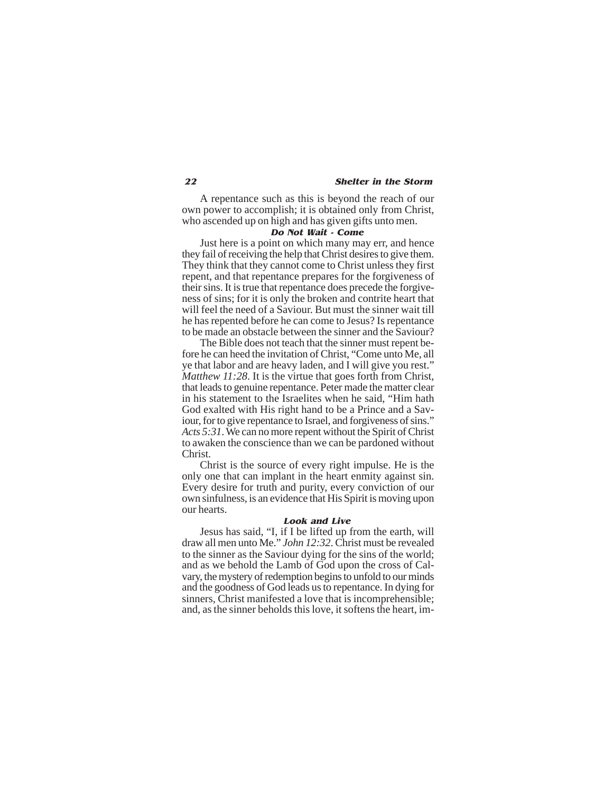A repentance such as this is beyond the reach of our own power to accomplish; it is obtained only from Christ, who ascended up on high and has given gifts unto men.

# **Do Not Wait - Come**

Just here is a point on which many may err, and hence they fail of receiving the help that Christ desires to give them. They think that they cannot come to Christ unless they first repent, and that repentance prepares for the forgiveness of their sins. It is true that repentance does precede the forgiveness of sins; for it is only the broken and contrite heart that will feel the need of a Saviour. But must the sinner wait till he has repented before he can come to Jesus? Is repentance to be made an obstacle between the sinner and the Saviour?

The Bible does not teach that the sinner must repent before he can heed the invitation of Christ, "Come unto Me, all ye that labor and are heavy laden, and I will give you rest." *Matthew 11:28*. It is the virtue that goes forth from Christ, that leads to genuine repentance. Peter made the matter clear in his statement to the Israelites when he said, "Him hath God exalted with His right hand to be a Prince and a Saviour, for to give repentance to Israel, and forgiveness of sins." *Acts 5:31*. We can no more repent without the Spirit of Christ to awaken the conscience than we can be pardoned without Christ.

Christ is the source of every right impulse. He is the only one that can implant in the heart enmity against sin. Every desire for truth and purity, every conviction of our own sinfulness, is an evidence that His Spirit is moving upon our hearts.

# **Look and Live**

Jesus has said, "I, if I be lifted up from the earth, will draw all men unto Me." *John 12:32*. Christ must be revealed to the sinner as the Saviour dying for the sins of the world; and as we behold the Lamb of God upon the cross of Calvary, the mystery of redemption begins to unfold to our minds and the goodness of God leads us to repentance. In dying for sinners, Christ manifested a love that is incomprehensible; and, as the sinner beholds this love, it softens the heart, im-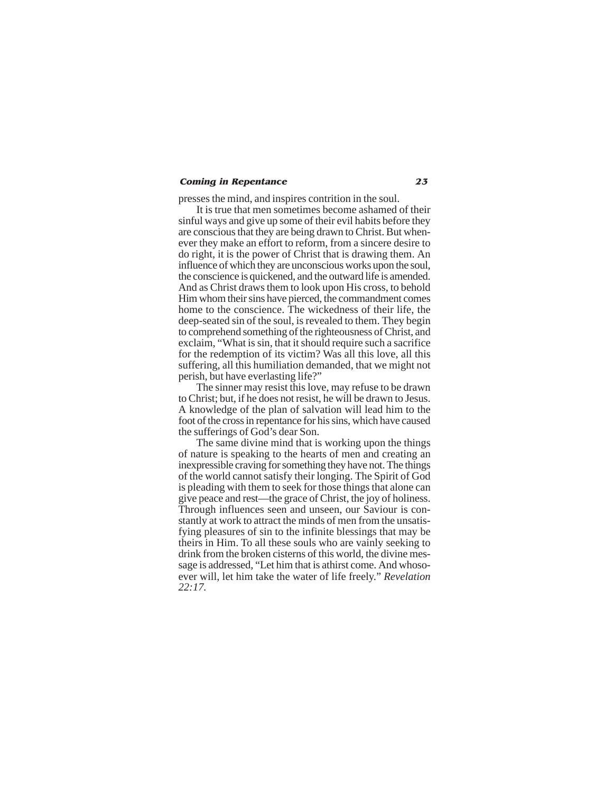#### **Coming in Repentance**

presses the mind, and inspires contrition in the soul.

It is true that men sometimes become ashamed of their sinful ways and give up some of their evil habits before they are conscious that they are being drawn to Christ. But whenever they make an effort to reform, from a sincere desire to do right, it is the power of Christ that is drawing them. An influence of which they are unconscious works upon the soul, the conscience is quickened, and the outward life is amended. And as Christ draws them to look upon His cross, to behold Him whom their sins have pierced, the commandment comes home to the conscience. The wickedness of their life, the deep-seated sin of the soul, is revealed to them. They begin to comprehend something of the righteousness of Christ, and exclaim, "What is sin, that it should require such a sacrifice for the redemption of its victim? Was all this love, all this suffering, all this humiliation demanded, that we might not perish, but have everlasting life?"

The sinner may resist this love, may refuse to be drawn to Christ; but, if he does not resist, he will be drawn to Jesus. A knowledge of the plan of salvation will lead him to the foot of the cross in repentance for his sins, which have caused the sufferings of God's dear Son.

The same divine mind that is working upon the things of nature is speaking to the hearts of men and creating an inexpressible craving for something they have not. The things of the world cannot satisfy their longing. The Spirit of God is pleading with them to seek for those things that alone can give peace and rest—the grace of Christ, the joy of holiness. Through influences seen and unseen, our Saviour is constantly at work to attract the minds of men from the unsatisfying pleasures of sin to the infinite blessings that may be theirs in Him. To all these souls who are vainly seeking to drink from the broken cisterns of this world, the divine message is addressed, "Let him that is athirst come. And whosoever will, let him take the water of life freely." *Revelation 22:17.*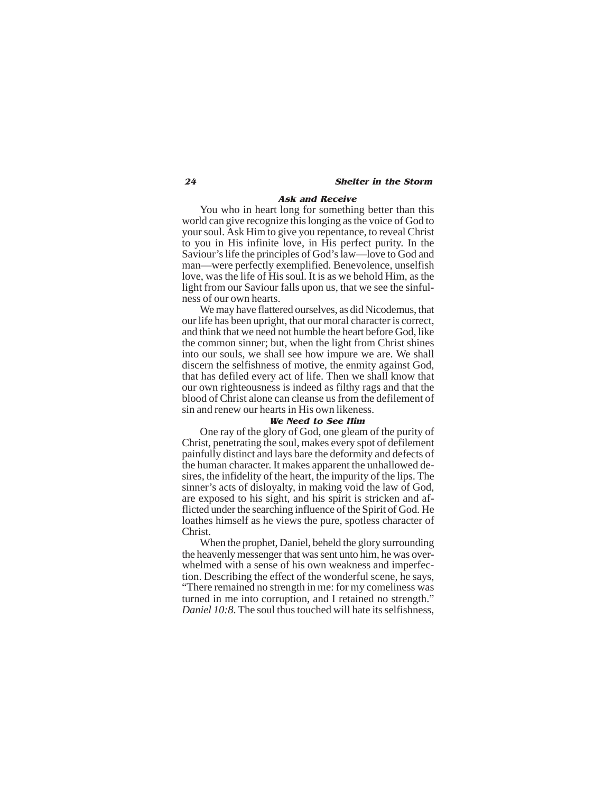#### **Ask and Receive**

You who in heart long for something better than this world can give recognize this longing as the voice of God to your soul. Ask Him to give you repentance, to reveal Christ to you in His infinite love, in His perfect purity. In the Saviour's life the principles of God's law—love to God and man—were perfectly exemplified. Benevolence, unselfish love, was the life of His soul. It is as we behold Him, as the light from our Saviour falls upon us, that we see the sinfulness of our own hearts.

We may have flattered ourselves, as did Nicodemus, that our life has been upright, that our moral character is correct, and think that we need not humble the heart before God, like the common sinner; but, when the light from Christ shines into our souls, we shall see how impure we are. We shall discern the selfishness of motive, the enmity against God, that has defiled every act of life. Then we shall know that our own righteousness is indeed as filthy rags and that the blood of Christ alone can cleanse us from the defilement of sin and renew our hearts in His own likeness.

#### **We Need to See Him**

One ray of the glory of God, one gleam of the purity of Christ, penetrating the soul, makes every spot of defilement painfully distinct and lays bare the deformity and defects of the human character. It makes apparent the unhallowed desires, the infidelity of the heart, the impurity of the lips. The sinner's acts of disloyalty, in making void the law of God, are exposed to his sight, and his spirit is stricken and afflicted under the searching influence of the Spirit of God. He loathes himself as he views the pure, spotless character of Christ.

When the prophet, Daniel, beheld the glory surrounding the heavenly messenger that was sent unto him, he was overwhelmed with a sense of his own weakness and imperfection. Describing the effect of the wonderful scene, he says, "There remained no strength in me: for my comeliness was turned in me into corruption, and I retained no strength." *Daniel 10:8*. The soul thus touched will hate its selfishness,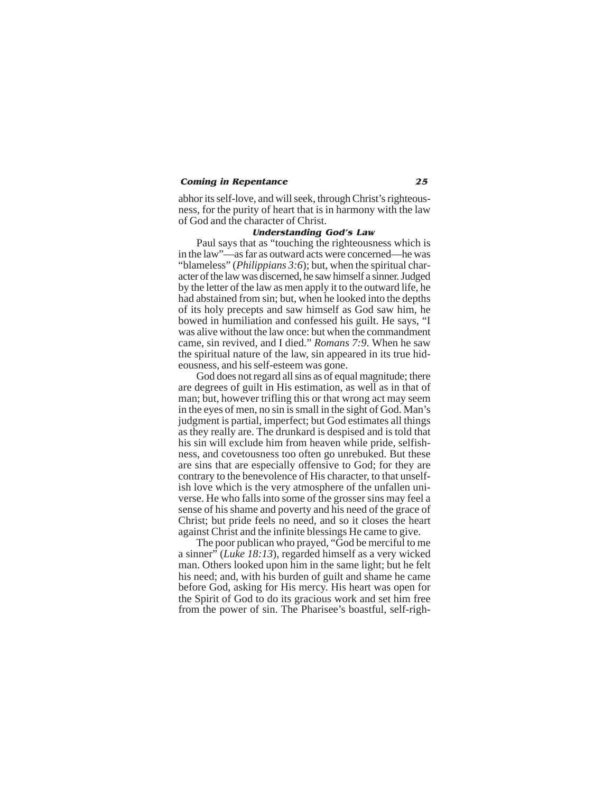abhor its self-love, and will seek, through Christ's righteousness, for the purity of heart that is in harmony with the law of God and the character of Christ.

# **Understanding God's Law**

Paul says that as "touching the righteousness which is in the law"—as far as outward acts were concerned—he was "blameless" (*Philippians 3:6*); but, when the spiritual character of the law was discerned, he saw himself a sinner. Judged by the letter of the law as men apply it to the outward life, he had abstained from sin; but, when he looked into the depths of its holy precepts and saw himself as God saw him, he bowed in humiliation and confessed his guilt. He says, "I was alive without the law once: but when the commandment came, sin revived, and I died." *Romans 7:9*. When he saw the spiritual nature of the law, sin appeared in its true hideousness, and his self-esteem was gone.

God does not regard all sins as of equal magnitude; there are degrees of guilt in His estimation, as well as in that of man; but, however trifling this or that wrong act may seem in the eyes of men, no sin is small in the sight of God. Man's judgment is partial, imperfect; but God estimates all things as they really are. The drunkard is despised and is told that his sin will exclude him from heaven while pride, selfishness, and covetousness too often go unrebuked. But these are sins that are especially offensive to God; for they are contrary to the benevolence of His character, to that unselfish love which is the very atmosphere of the unfallen universe. He who falls into some of the grosser sins may feel a sense of his shame and poverty and his need of the grace of Christ; but pride feels no need, and so it closes the heart against Christ and the infinite blessings He came to give.

The poor publican who prayed, "God be merciful to me a sinner" (*Luke 18:13*), regarded himself as a very wicked man. Others looked upon him in the same light; but he felt his need; and, with his burden of guilt and shame he came before God, asking for His mercy. His heart was open for the Spirit of God to do its gracious work and set him free from the power of sin. The Pharisee's boastful, self-righ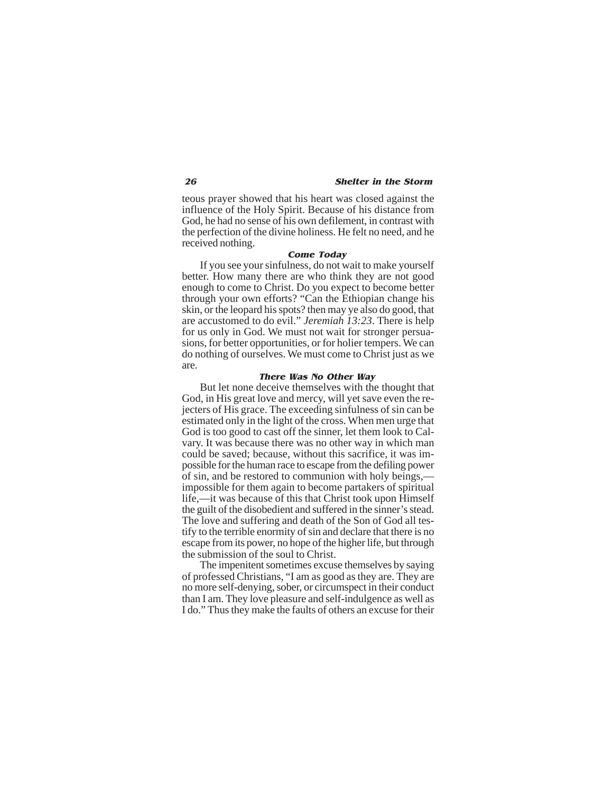teous prayer showed that his heart was closed against the influence of the Holy Spirit. Because of his distance from God, he had no sense of his own defilement, in contrast with the perfection of the divine holiness. He felt no need, and he received nothing.

#### **Come Today**

If you see your sinfulness, do not wait to make yourself better. How many there are who think they are not good enough to come to Christ. Do you expect to become better through your own efforts? "Can the Ethiopian change his skin, or the leopard his spots? then may ye also do good, that are accustomed to do evil." *Jeremiah 13:23*. There is help for us only in God. We must not wait for stronger persuasions, for better opportunities, or for holier tempers. We can do nothing of ourselves. We must come to Christ just as we are.

#### **There Was No Other Way**

But let none deceive themselves with the thought that God, in His great love and mercy, will yet save even the rejecters of His grace. The exceeding sinfulness of sin can be estimated only in the light of the cross. When men urge that God is too good to cast off the sinner, let them look to Calvary. It was because there was no other way in which man could be saved; because, without this sacrifice, it was impossible for the human race to escape from the defiling power of sin, and be restored to communion with holy beings, impossible for them again to become partakers of spiritual life,—it was because of this that Christ took upon Himself the guilt of the disobedient and suffered in the sinner's stead. The love and suffering and death of the Son of God all testify to the terrible enormity of sin and declare that there is no escape from its power, no hope of the higher life, but through the submission of the soul to Christ.

The impenitent sometimes excuse themselves by saying of professed Christians, "I am as good as they are. They are no more self-denying, sober, or circumspect in their conduct than I am. They love pleasure and self-indulgence as well as I do." Thus they make the faults of others an excuse for their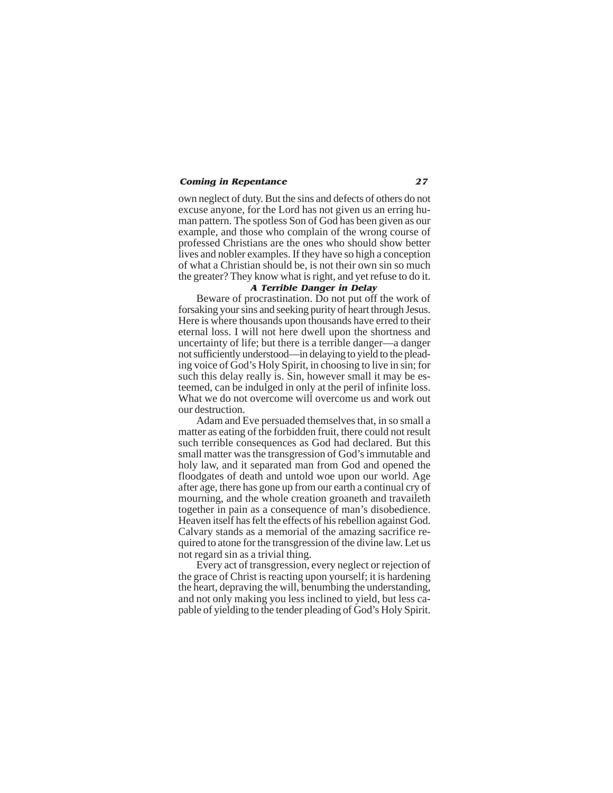#### **Coming in Repentance**

own neglect of duty. But the sins and defects of others do not excuse anyone, for the Lord has not given us an erring human pattern. The spotless Son of God has been given as our example, and those who complain of the wrong course of professed Christians are the ones who should show better lives and nobler examples. If they have so high a conception of what a Christian should be, is not their own sin so much the greater? They know what is right, and yet refuse to do it.

# **A Terrible Danger in Delay**

Beware of procrastination. Do not put off the work of forsaking your sins and seeking purity of heart through Jesus. Here is where thousands upon thousands have erred to their eternal loss. I will not here dwell upon the shortness and uncertainty of life; but there is a terrible danger—a danger not sufficiently understood—in delaying to yield to the pleading voice of God's Holy Spirit, in choosing to live in sin; for such this delay really is. Sin, however small it may be esteemed, can be indulged in only at the peril of infinite loss. What we do not overcome will overcome us and work out our destruction.

Adam and Eve persuaded themselves that, in so small a matter as eating of the forbidden fruit, there could not result such terrible consequences as God had declared. But this small matter was the transgression of God's immutable and holy law, and it separated man from God and opened the floodgates of death and untold woe upon our world. Age after age, there has gone up from our earth a continual cry of mourning, and the whole creation groaneth and travaileth together in pain as a consequence of man's disobedience. Heaven itself has felt the effects of his rebellion against God. Calvary stands as a memorial of the amazing sacrifice required to atone for the transgression of the divine law. Let us not regard sin as a trivial thing.

Every act of transgression, every neglect or rejection of the grace of Christ is reacting upon yourself; it is hardening the heart, depraving the will, benumbing the understanding, and not only making you less inclined to yield, but less capable of yielding to the tender pleading of God's Holy Spirit.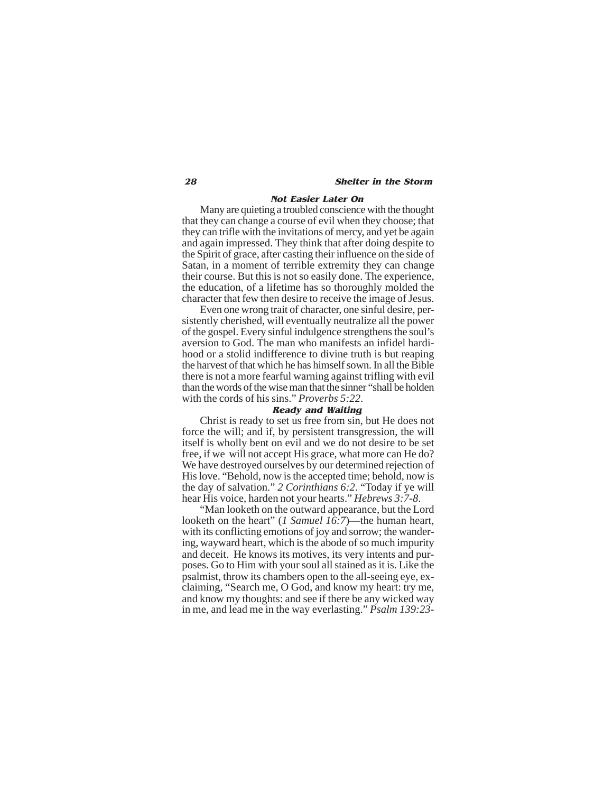#### **Not Easier Later On**

Many are quieting a troubled conscience with the thought that they can change a course of evil when they choose; that they can trifle with the invitations of mercy, and yet be again and again impressed. They think that after doing despite to the Spirit of grace, after casting their influence on the side of Satan, in a moment of terrible extremity they can change their course. But this is not so easily done. The experience, the education, of a lifetime has so thoroughly molded the character that few then desire to receive the image of Jesus.

Even one wrong trait of character, one sinful desire, persistently cherished, will eventually neutralize all the power of the gospel. Every sinful indulgence strengthens the soul's aversion to God. The man who manifests an infidel hardihood or a stolid indifference to divine truth is but reaping the harvest of that which he has himself sown. In all the Bible there is not a more fearful warning against trifling with evil than the words of the wise man that the sinner "shall be holden with the cords of his sins." *Proverbs 5:22*.

#### **Ready and Waiting**

Christ is ready to set us free from sin, but He does not force the will; and if, by persistent transgression, the will itself is wholly bent on evil and we do not desire to be set free, if we will not accept His grace, what more can He do? We have destroyed ourselves by our determined rejection of His love. "Behold, now is the accepted time; behold, now is the day of salvation." *2 Corinthians 6:2*. "Today if ye will hear His voice, harden not your hearts." *Hebrews 3:7-8*.

"Man looketh on the outward appearance, but the Lord looketh on the heart" (*1 Samuel 16:7*)—the human heart, with its conflicting emotions of joy and sorrow; the wandering, wayward heart, which is the abode of so much impurity and deceit. He knows its motives, its very intents and purposes. Go to Him with your soul all stained as it is. Like the psalmist, throw its chambers open to the all-seeing eye, exclaiming, "Search me, O God, and know my heart: try me, and know my thoughts: and see if there be any wicked way in me, and lead me in the way everlasting." *Psalm 139:23-*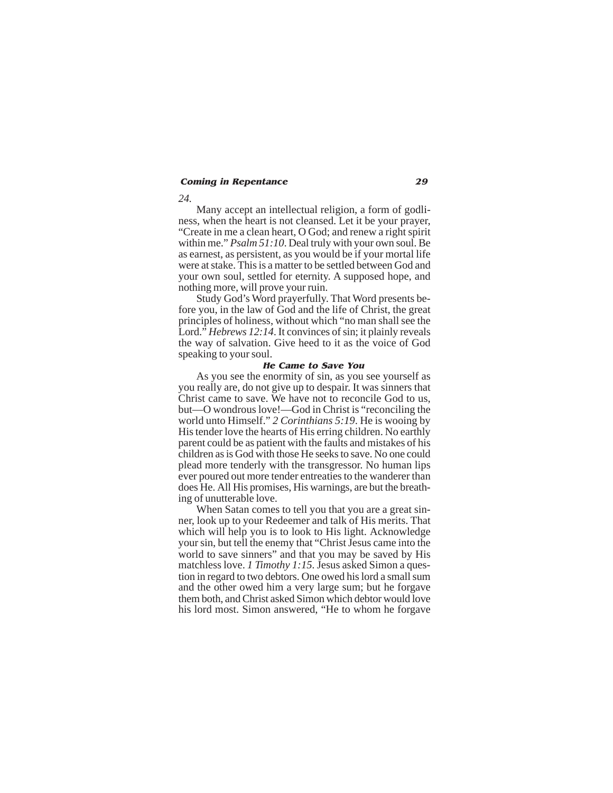#### **Coming in Repentance**

*24.*

Many accept an intellectual religion, a form of godliness, when the heart is not cleansed. Let it be your prayer, "Create in me a clean heart, O God; and renew a right spirit within me." *Psalm 51:10*. Deal truly with your own soul. Be as earnest, as persistent, as you would be if your mortal life were at stake. This is a matter to be settled between God and your own soul, settled for eternity. A supposed hope, and nothing more, will prove your ruin.

Study God's Word prayerfully. That Word presents before you, in the law of God and the life of Christ, the great principles of holiness, without which "no man shall see the Lord." *Hebrews 12:14*. It convinces of sin; it plainly reveals the way of salvation. Give heed to it as the voice of God speaking to your soul.

#### **He Came to Save You**

As you see the enormity of sin, as you see yourself as you really are, do not give up to despair. It was sinners that Christ came to save. We have not to reconcile God to us, but—O wondrous love!—God in Christ is "reconciling the world unto Himself." *2 Corinthians 5:19*. He is wooing by His tender love the hearts of His erring children. No earthly parent could be as patient with the faults and mistakes of his children as is God with those He seeks to save. No one could plead more tenderly with the transgressor. No human lips ever poured out more tender entreaties to the wanderer than does He. All His promises, His warnings, are but the breathing of unutterable love.

When Satan comes to tell you that you are a great sinner, look up to your Redeemer and talk of His merits. That which will help you is to look to His light. Acknowledge your sin, but tell the enemy that "Christ Jesus came into the world to save sinners" and that you may be saved by His matchless love. *1 Timothy 1:15.* Jesus asked Simon a question in regard to two debtors. One owed his lord a small sum and the other owed him a very large sum; but he forgave them both, and Christ asked Simon which debtor would love his lord most. Simon answered, "He to whom he forgave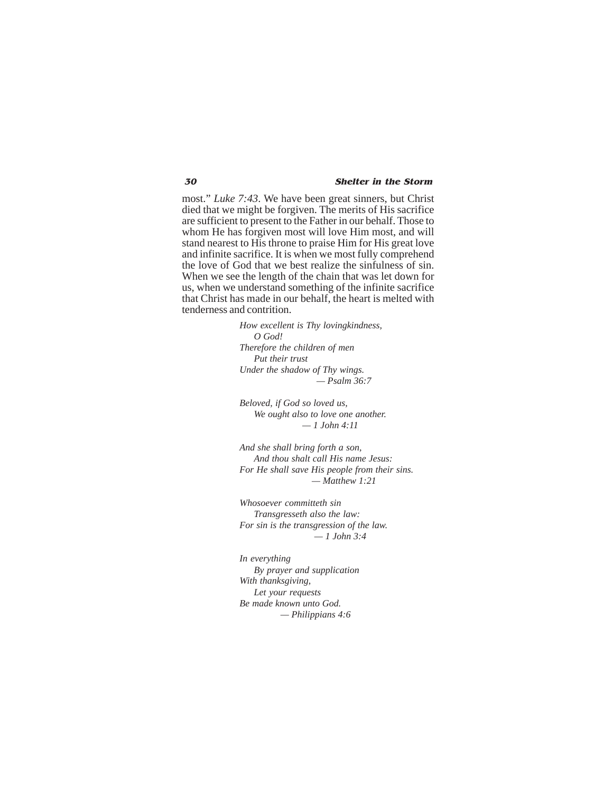most." *Luke 7:43*. We have been great sinners, but Christ died that we might be forgiven. The merits of His sacrifice are sufficient to present to the Father in our behalf. Those to whom He has forgiven most will love Him most, and will stand nearest to His throne to praise Him for His great love and infinite sacrifice. It is when we most fully comprehend the love of God that we best realize the sinfulness of sin. When we see the length of the chain that was let down for us, when we understand something of the infinite sacrifice that Christ has made in our behalf, the heart is melted with tenderness and contrition.

> *How excellent is Thy lovingkindness, O God! Therefore the children of men Put their trust Under the shadow of Thy wings. — Psalm 36:7*

*Beloved, if God so loved us, We ought also to love one another. — 1 John 4:11*

*And she shall bring forth a son, And thou shalt call His name Jesus: For He shall save His people from their sins. — Matthew 1:21*

*Whosoever committeth sin Transgresseth also the law: For sin is the transgression of the law. — 1 John 3:4*

*In everything By prayer and supplication With thanksgiving, Let your requests Be made known unto God. — Philippians 4:6*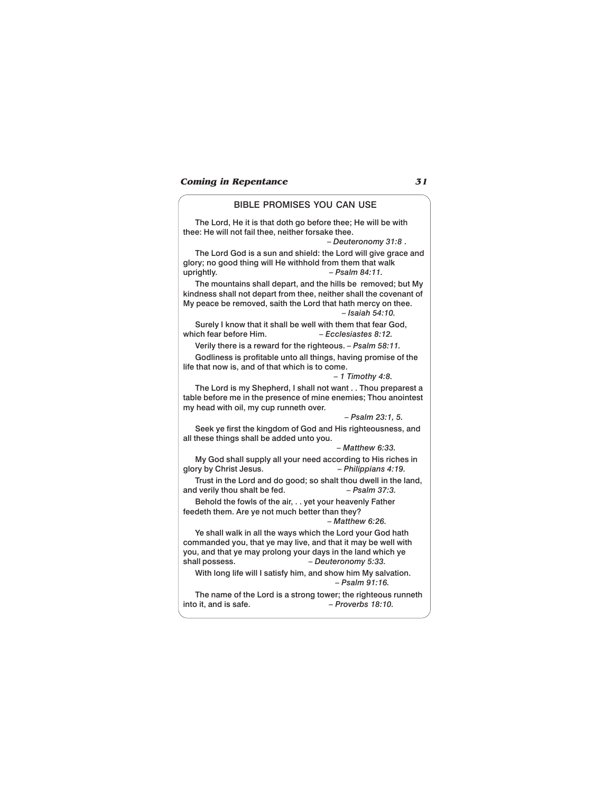# BIBLE PROMISES YOU CAN USE

The Lord, He it is that doth go before thee; He will be with thee: He will not fail thee, neither forsake thee.

*– Deuteronomy 31:8* .

The Lord God is a sun and shield: the Lord will give grace and glory; no good thing will He withhold from them that walk uprightly. *– Psalm 84:11.*

The mountains shall depart, and the hills be removed; but My kindness shall not depart from thee, neither shall the covenant of My peace be removed, saith the Lord that hath mercy on thee.

 *– Isaiah 54:10.*

Surely I know that it shall be well with them that fear God, which fear before Him. *– Ecclesiastes 8:12.*

Verily there is a reward for the righteous. *– Psalm 58:11.*

Godliness is profitable unto all things, having promise of the life that now is, and of that which is to come.

*– 1 Timothy 4:8.*

The Lord is my Shepherd, I shall not want . . Thou preparest a table before me in the presence of mine enemies; Thou anointest my head with oil, my cup runneth over.

 *– Psalm 23:1, 5.*

Seek ye first the kingdom of God and His righteousness, and all these things shall be added unto you.

*– Matthew 6:33.*

My God shall supply all your need according to His riches in glory by Christ Jesus. *– Philippians 4:19.*

Trust in the Lord and do good; so shalt thou dwell in the land, and verily thou shalt be fed. *– Psalm 37:3.*

Behold the fowls of the air, . . yet your heavenly Father feedeth them. Are ye not much better than they?

*– Matthew 6:26.*

Ye shall walk in all the ways which the Lord your God hath commanded you, that ye may live, and that it may be well with you, and that ye may prolong your days in the land which ye shall possess. *– Deuteronomy 5:33.*

With long life will I satisfy him, and show him My salvation. *– Psalm 91:16.*

The name of the Lord is a strong tower; the righteous runneth into it, and is safe. *– Proverbs 18:10.*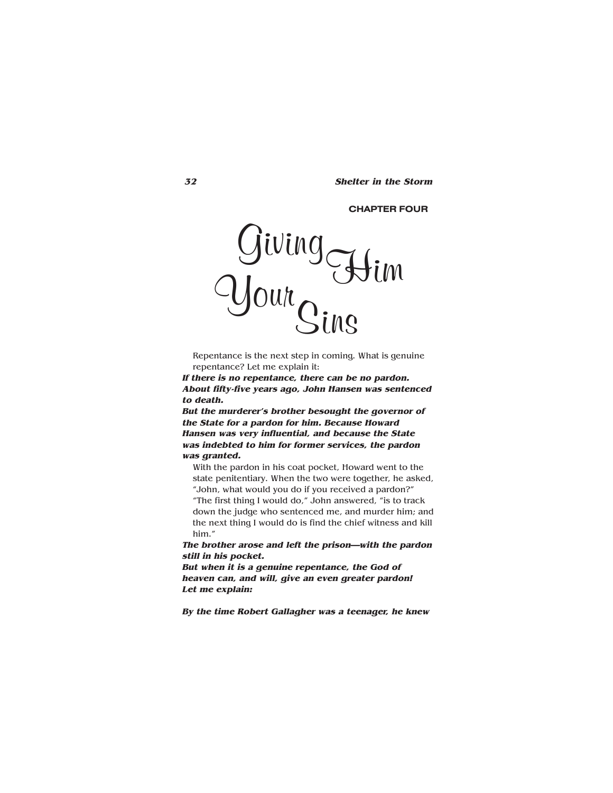#### **CHAPTER FOUR**



Repentance is the next step in coming. What is genuine repentance? Let me explain it:

**If there is no repentance, there can be no pardon. About fifty-five years ago, John Hansen was sentenced to death.**

**But the murderer's brother besought the governor of the State for a pardon for him. Because Howard Hansen was very influential, and because the State was indebted to him for former services, the pardon was granted.**

With the pardon in his coat pocket, Howard went to the state penitentiary. When the two were together, he asked, "John, what would you do if you received a pardon?" "The first thing I would do," John answered, "is to track down the judge who sentenced me, and murder him; and the next thing I would do is find the chief witness and kill him."

**The brother arose and left the prison—with the pardon still in his pocket.**

**But when it is a genuine repentance, the God of heaven can, and will, give an even greater pardon! Let me explain:**

**By the time Robert Gallagher was a teenager, he knew**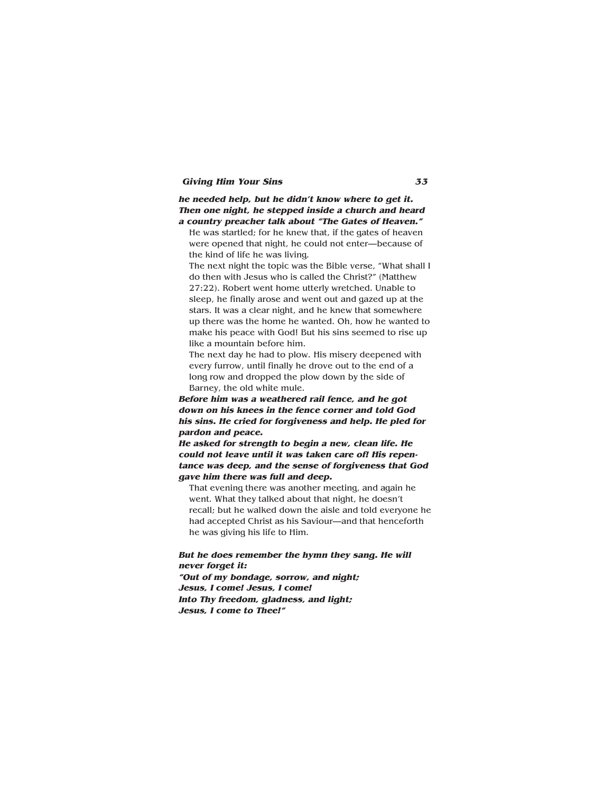### **he needed help, but he didn't know where to get it. Then one night, he stepped inside a church and heard a country preacher talk about "The Gates of Heaven."**

He was startled; for he knew that, if the gates of heaven were opened that night, he could not enter—because of the kind of life he was living.

The next night the topic was the Bible verse, "What shall I do then with Jesus who is called the Christ?" (Matthew 27:22). Robert went home utterly wretched. Unable to sleep, he finally arose and went out and gazed up at the stars. It was a clear night, and he knew that somewhere up there was the home he wanted. Oh, how he wanted to make his peace with God! But his sins seemed to rise up like a mountain before him.

The next day he had to plow. His misery deepened with every furrow, until finally he drove out to the end of a long row and dropped the plow down by the side of Barney, the old white mule.

# **Before him was a weathered rail fence, and he got down on his knees in the fence corner and told God his sins. He cried for forgiveness and help. He pled for pardon and peace.**

**He asked for strength to begin a new, clean life. He could not leave until it was taken care of! His repentance was deep, and the sense of forgiveness that God gave him there was full and deep.**

That evening there was another meeting, and again he went. What they talked about that night, he doesn't recall; but he walked down the aisle and told everyone he had accepted Christ as his Saviour—and that henceforth he was giving his life to Him.

#### **But he does remember the hymn they sang. He will never forget it:**

**"Out of my bondage, sorrow, and night; Jesus, I come! Jesus, I come! Into Thy freedom, gladness, and light; Jesus, I come to Thee!"**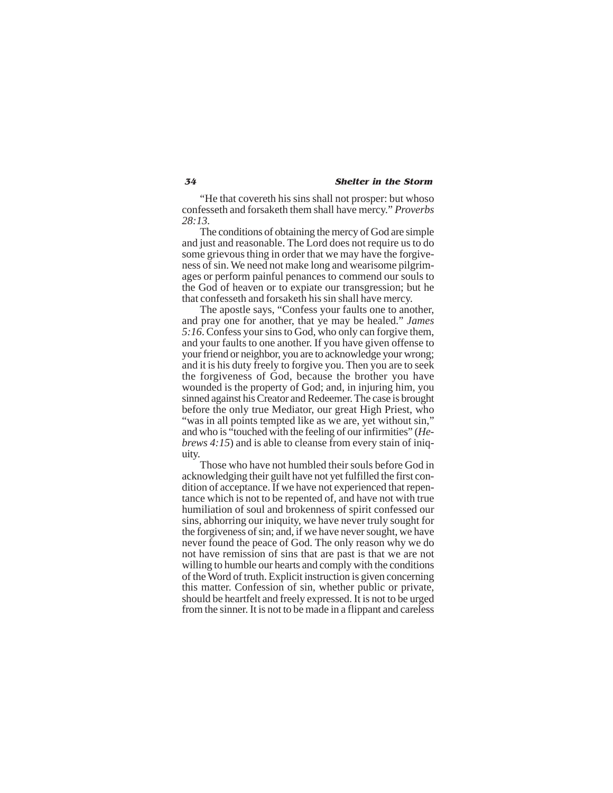"He that covereth his sins shall not prosper: but whoso confesseth and forsaketh them shall have mercy." *Proverbs 28:13.*

The conditions of obtaining the mercy of God are simple and just and reasonable. The Lord does not require us to do some grievous thing in order that we may have the forgiveness of sin. We need not make long and wearisome pilgrimages or perform painful penances to commend our souls to the God of heaven or to expiate our transgression; but he that confesseth and forsaketh his sin shall have mercy.

The apostle says, "Confess your faults one to another, and pray one for another, that ye may be healed." *James 5:16*. Confess your sins to God, who only can forgive them, and your faults to one another. If you have given offense to your friend or neighbor, you are to acknowledge your wrong; and it is his duty freely to forgive you. Then you are to seek the forgiveness of God, because the brother you have wounded is the property of God; and, in injuring him, you sinned against his Creator and Redeemer. The case is brought before the only true Mediator, our great High Priest, who "was in all points tempted like as we are, yet without sin," and who is "touched with the feeling of our infirmities" (*Hebrews 4:15*) and is able to cleanse from every stain of iniquity.

Those who have not humbled their souls before God in acknowledging their guilt have not yet fulfilled the first condition of acceptance. If we have not experienced that repentance which is not to be repented of, and have not with true humiliation of soul and brokenness of spirit confessed our sins, abhorring our iniquity, we have never truly sought for the forgiveness of sin; and, if we have never sought, we have never found the peace of God. The only reason why we do not have remission of sins that are past is that we are not willing to humble our hearts and comply with the conditions of the Word of truth. Explicit instruction is given concerning this matter. Confession of sin, whether public or private, should be heartfelt and freely expressed. It is not to be urged from the sinner. It is not to be made in a flippant and careless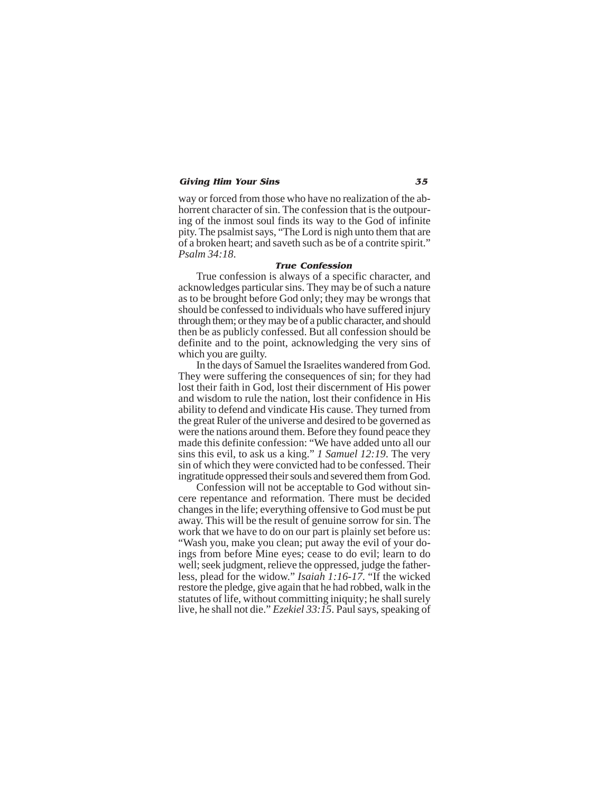#### **Giving Him Your Sins**

way or forced from those who have no realization of the abhorrent character of sin. The confession that is the outpouring of the inmost soul finds its way to the God of infinite pity. The psalmist says, "The Lord is nigh unto them that are of a broken heart; and saveth such as be of a contrite spirit." *Psalm 34:18*.

# **True Confession**

True confession is always of a specific character, and acknowledges particular sins. They may be of such a nature as to be brought before God only; they may be wrongs that should be confessed to individuals who have suffered injury through them; or they may be of a public character, and should then be as publicly confessed. But all confession should be definite and to the point, acknowledging the very sins of which you are guilty.

In the days of Samuel the Israelites wandered from God. They were suffering the consequences of sin; for they had lost their faith in God, lost their discernment of His power and wisdom to rule the nation, lost their confidence in His ability to defend and vindicate His cause. They turned from the great Ruler of the universe and desired to be governed as were the nations around them. Before they found peace they made this definite confession: "We have added unto all our sins this evil, to ask us a king." *1 Samuel 12:19*. The very sin of which they were convicted had to be confessed. Their ingratitude oppressed their souls and severed them from God.

Confession will not be acceptable to God without sincere repentance and reformation. There must be decided changes in the life; everything offensive to God must be put away. This will be the result of genuine sorrow for sin. The work that we have to do on our part is plainly set before us: "Wash you, make you clean; put away the evil of your doings from before Mine eyes; cease to do evil; learn to do well; seek judgment, relieve the oppressed, judge the fatherless, plead for the widow." *Isaiah 1:16-17*. "If the wicked restore the pledge, give again that he had robbed, walk in the statutes of life, without committing iniquity; he shall surely live, he shall not die." *Ezekiel 33:15*. Paul says, speaking of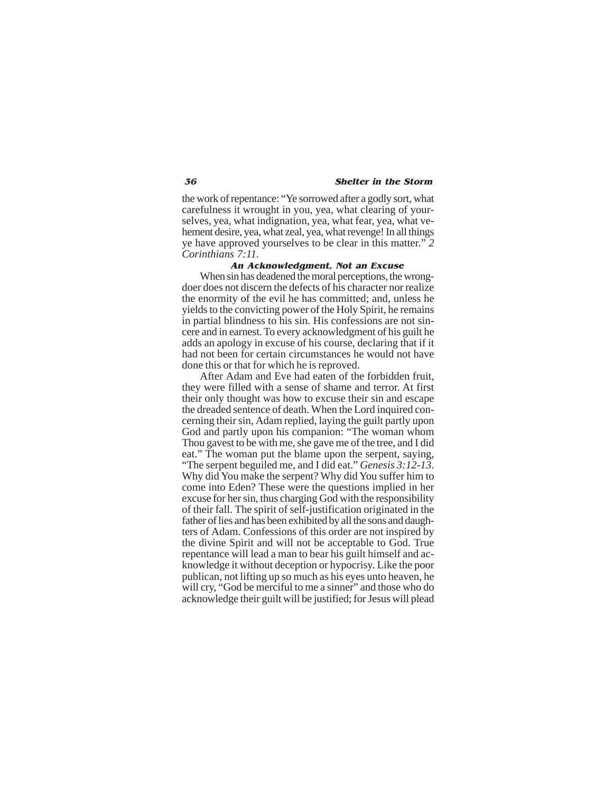the work of repentance: "Ye sorrowed after a godly sort, what carefulness it wrought in you, yea, what clearing of yourselves, yea, what indignation, yea, what fear, yea, what vehement desire, yea, what zeal, yea, what revenge! In all things ye have approved yourselves to be clear in this matter." *2 Corinthians 7:11.*

## **An Acknowledgment, Not an Excuse**

When sin has deadened the moral perceptions, the wrongdoer does not discern the defects of his character nor realize the enormity of the evil he has committed; and, unless he yields to the convicting power of the Holy Spirit, he remains in partial blindness to his sin. His confessions are not sincere and in earnest. To every acknowledgment of his guilt he adds an apology in excuse of his course, declaring that if it had not been for certain circumstances he would not have done this or that for which he is reproved.

After Adam and Eve had eaten of the forbidden fruit, they were filled with a sense of shame and terror. At first their only thought was how to excuse their sin and escape the dreaded sentence of death. When the Lord inquired concerning their sin, Adam replied, laying the guilt partly upon God and partly upon his companion: "The woman whom Thou gavest to be with me, she gave me of the tree, and I did eat." The woman put the blame upon the serpent, saying*,* "The serpent beguiled me, and I did eat." *Genesis 3:12-13*. Why did You make the serpent? Why did You suffer him to come into Eden? These were the questions implied in her excuse for her sin, thus charging God with the responsibility of their fall. The spirit of self-justification originated in the father of lies and has been exhibited by all the sons and daughters of Adam. Confessions of this order are not inspired by the divine Spirit and will not be acceptable to God. True repentance will lead a man to bear his guilt himself and acknowledge it without deception or hypocrisy. Like the poor publican, not lifting up so much as his eyes unto heaven, he will cry, "God be merciful to me a sinner" and those who do acknowledge their guilt will be justified; for Jesus will plead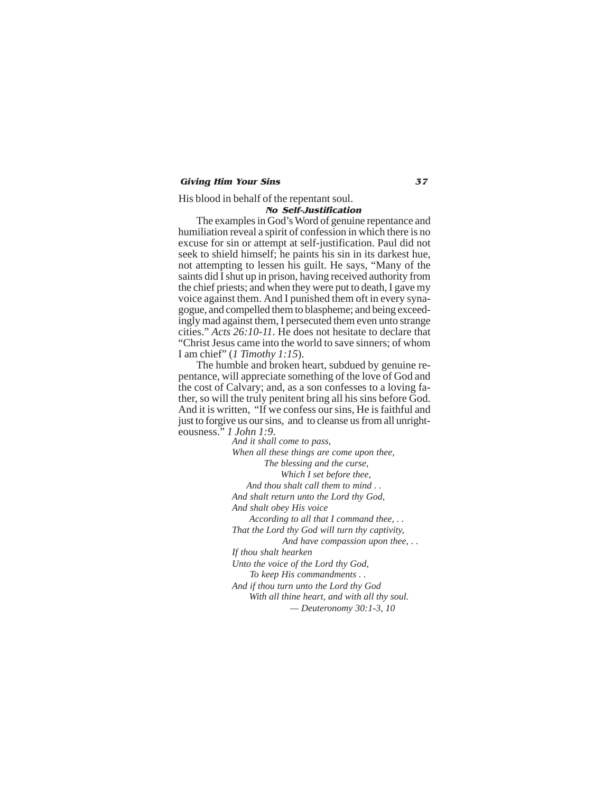His blood in behalf of the repentant soul.

## **No Self-Justification**

The examples in God's Word of genuine repentance and humiliation reveal a spirit of confession in which there is no excuse for sin or attempt at self-justification. Paul did not seek to shield himself; he paints his sin in its darkest hue, not attempting to lessen his guilt. He says, "Many of the saints did I shut up in prison, having received authority from the chief priests; and when they were put to death, I gave my voice against them. And I punished them oft in every synagogue, and compelled them to blaspheme; and being exceedingly mad against them, I persecuted them even unto strange cities." *Acts 26:10-11*. He does not hesitate to declare that "Christ Jesus came into the world to save sinners; of whom I am chief" (*1 Timothy 1:15*).

The humble and broken heart, subdued by genuine repentance, will appreciate something of the love of God and the cost of Calvary; and, as a son confesses to a loving father, so will the truly penitent bring all his sins before God. And it is written, "If we confess our sins, He is faithful and just to forgive us our sins, and to cleanse us from all unrighteousness." *1 John 1:9*.

> *And it shall come to pass, When all these things are come upon thee, The blessing and the curse, Which I set before thee, And thou shalt call them to mind . . And shalt return unto the Lord thy God, And shalt obey His voice According to all that I command thee, . . That the Lord thy God will turn thy captivity, And have compassion upon thee, . . If thou shalt hearken Unto the voice of the Lord thy God, To keep His commandments . . And if thou turn unto the Lord thy God With all thine heart, and with all thy soul. — Deuteronomy 30:1-3, 10*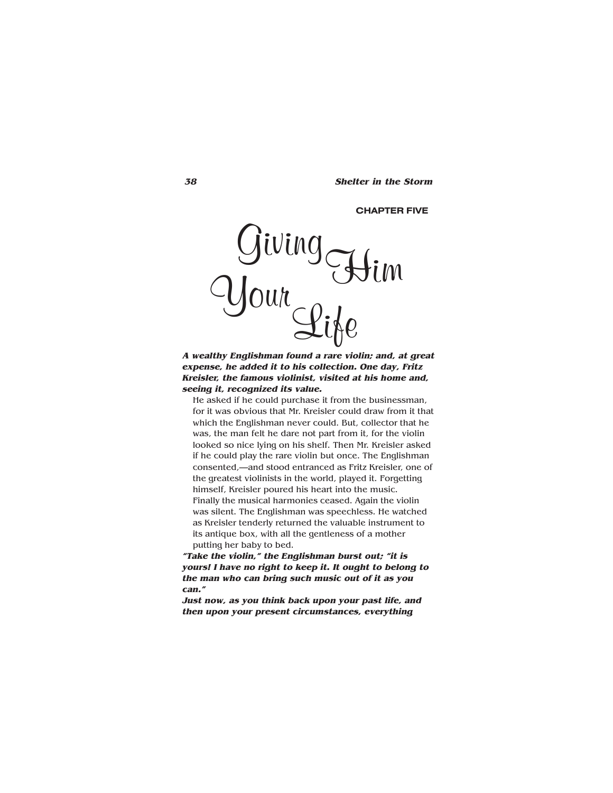### **CHAPTER FIVE**



**A wealthy Englishman found a rare violin; and, at great expense, he added it to his collection. One day, Fritz Kreisler, the famous violinist, visited at his home and, seeing it, recognized its value.**

He asked if he could purchase it from the businessman, for it was obvious that Mr. Kreisler could draw from it that which the Englishman never could. But, collector that he was, the man felt he dare not part from it, for the violin looked so nice lying on his shelf. Then Mr. Kreisler asked if he could play the rare violin but once. The Englishman consented,—and stood entranced as Fritz Kreisler, one of the greatest violinists in the world, played it. Forgetting himself, Kreisler poured his heart into the music. Finally the musical harmonies ceased. Again the violin was silent. The Englishman was speechless. He watched as Kreisler tenderly returned the valuable instrument to its antique box, with all the gentleness of a mother putting her baby to bed.

**"Take the violin," the Englishman burst out; "it is yours! I have no right to keep it. It ought to belong to the man who can bring such music out of it as you can."**

**Just now, as you think back upon your past life, and then upon your present circumstances, everything**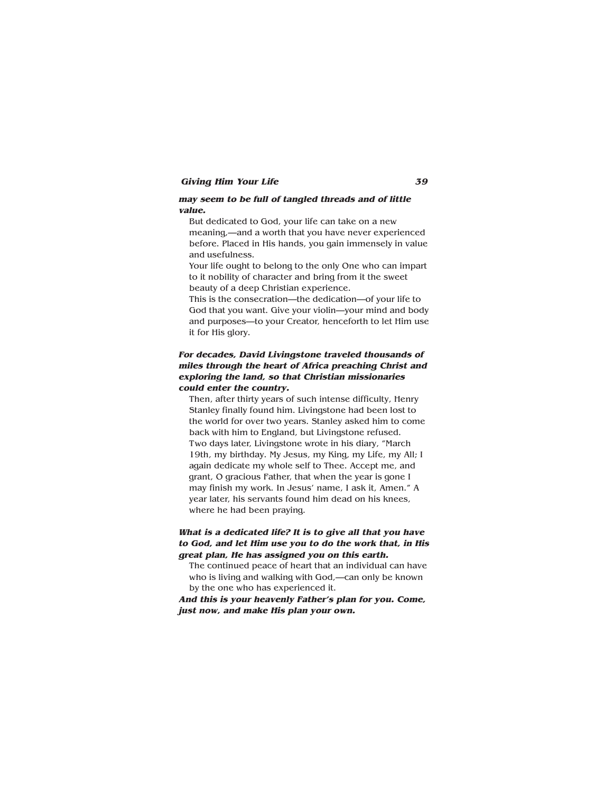## **may seem to be full of tangled threads and of little value.**

But dedicated to God, your life can take on a new meaning,—and a worth that you have never experienced before. Placed in His hands, you gain immensely in value and usefulness.

Your life ought to belong to the only One who can impart to it nobility of character and bring from it the sweet beauty of a deep Christian experience.

This is the consecration—the dedication—of your life to God that you want. Give your violin—your mind and body and purposes—to your Creator, henceforth to let Him use it for His glory.

# **For decades, David Livingstone traveled thousands of miles through the heart of Africa preaching Christ and exploring the land, so that Christian missionaries could enter the country.**

Then, after thirty years of such intense difficulty, Henry Stanley finally found him. Livingstone had been lost to the world for over two years. Stanley asked him to come back with him to England, but Livingstone refused. Two days later, Livingstone wrote in his diary, "March 19th, my birthday. My Jesus, my King, my Life, my All; I again dedicate my whole self to Thee. Accept me, and grant, O gracious Father, that when the year is gone I may finish my work. In Jesus' name, I ask it, Amen." A year later, his servants found him dead on his knees, where he had been praying.

## **What is a dedicated life? It is to give all that you have to God, and let Him use you to do the work that, in His great plan, He has assigned you on this earth.**

The continued peace of heart that an individual can have who is living and walking with God,—can only be known by the one who has experienced it.

**And this is your heavenly Father's plan for you. Come, just now, and make His plan your own.**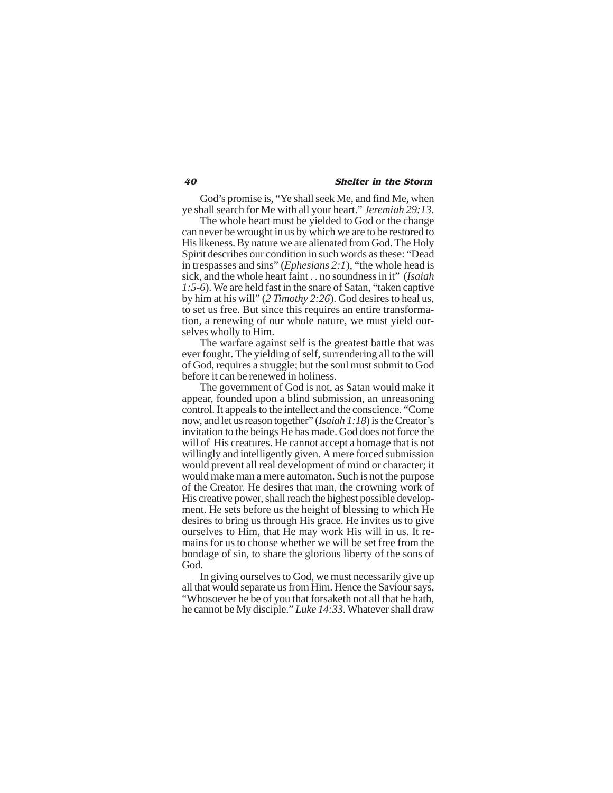God's promise is, "Ye shall seek Me, and find Me, when ye shall search for Me with all your heart." *Jeremiah 29:13*.

The whole heart must be yielded to God or the change can never be wrought in us by which we are to be restored to His likeness. By nature we are alienated from God. The Holy Spirit describes our condition in such words as these: "Dead in trespasses and sins" (*Ephesians 2:1*), "the whole head is sick, and the whole heart faint . . no soundness in it" (*Isaiah 1:5-6*). We are held fast in the snare of Satan, "taken captive by him at his will" (*2 Timothy 2:26*). God desires to heal us, to set us free. But since this requires an entire transformation, a renewing of our whole nature, we must yield ourselves wholly to Him.

The warfare against self is the greatest battle that was ever fought. The yielding of self, surrendering all to the will of God, requires a struggle; but the soul must submit to God before it can be renewed in holiness.

The government of God is not, as Satan would make it appear, founded upon a blind submission, an unreasoning control. It appeals to the intellect and the conscience. "Come now, and let us reason together" (*Isaiah 1:18*) is the Creator's invitation to the beings He has made. God does not force the will of His creatures. He cannot accept a homage that is not willingly and intelligently given. A mere forced submission would prevent all real development of mind or character; it would make man a mere automaton. Such is not the purpose of the Creator. He desires that man, the crowning work of His creative power, shall reach the highest possible development. He sets before us the height of blessing to which He desires to bring us through His grace. He invites us to give ourselves to Him, that He may work His will in us. It remains for us to choose whether we will be set free from the bondage of sin, to share the glorious liberty of the sons of God.

In giving ourselves to God, we must necessarily give up all that would separate us from Him. Hence the Saviour says, "Whosoever he be of you that forsaketh not all that he hath, he cannot be My disciple." *Luke 14:33*. Whatever shall draw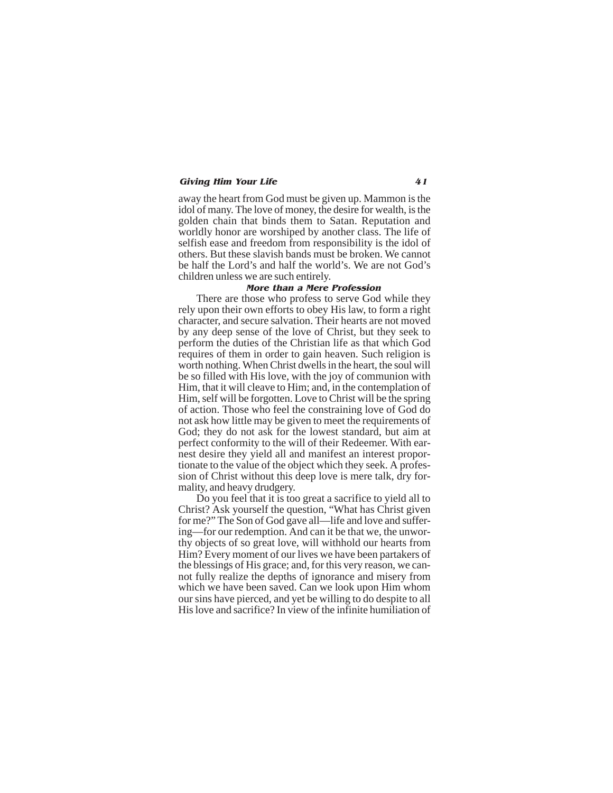## **Giving Him Your Life**

away the heart from God must be given up. Mammon is the idol of many. The love of money, the desire for wealth, is the golden chain that binds them to Satan. Reputation and worldly honor are worshiped by another class. The life of selfish ease and freedom from responsibility is the idol of others. But these slavish bands must be broken. We cannot be half the Lord's and half the world's. We are not God's children unless we are such entirely.

# **More than a Mere Profession**

There are those who profess to serve God while they rely upon their own efforts to obey His law, to form a right character, and secure salvation. Their hearts are not moved by any deep sense of the love of Christ, but they seek to perform the duties of the Christian life as that which God requires of them in order to gain heaven. Such religion is worth nothing. When Christ dwells in the heart, the soul will be so filled with His love, with the joy of communion with Him, that it will cleave to Him; and, in the contemplation of Him, self will be forgotten. Love to Christ will be the spring of action. Those who feel the constraining love of God do not ask how little may be given to meet the requirements of God; they do not ask for the lowest standard, but aim at perfect conformity to the will of their Redeemer. With earnest desire they yield all and manifest an interest proportionate to the value of the object which they seek. A profession of Christ without this deep love is mere talk, dry formality, and heavy drudgery.

Do you feel that it is too great a sacrifice to yield all to Christ? Ask yourself the question, "What has Christ given for me?" The Son of God gave all—life and love and suffering—for our redemption. And can it be that we, the unworthy objects of so great love, will withhold our hearts from Him? Every moment of our lives we have been partakers of the blessings of His grace; and, for this very reason, we cannot fully realize the depths of ignorance and misery from which we have been saved. Can we look upon Him whom our sins have pierced, and yet be willing to do despite to all His love and sacrifice? In view of the infinite humiliation of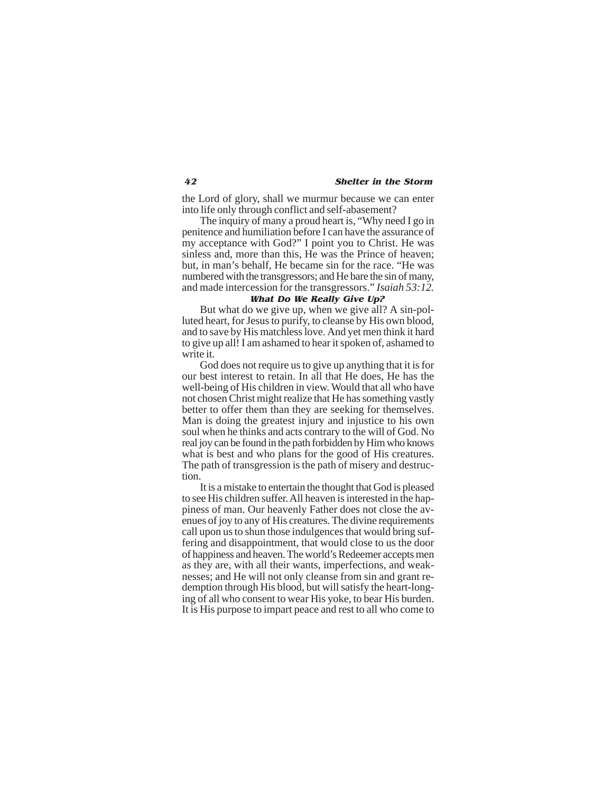the Lord of glory, shall we murmur because we can enter into life only through conflict and self-abasement?

The inquiry of many a proud heart is, "Why need I go in penitence and humiliation before I can have the assurance of my acceptance with God?" I point you to Christ. He was sinless and, more than this, He was the Prince of heaven; but, in man's behalf, He became sin for the race. "He was numbered with the transgressors; and He bare the sin of many, and made intercession for the transgressors." *Isaiah 53:12.*

## **What Do We Really Give Up?**

But what do we give up, when we give all? A sin-polluted heart, for Jesus to purify, to cleanse by His own blood, and to save by His matchless love. And yet men think it hard to give up all! I am ashamed to hear it spoken of, ashamed to write it.

God does not require us to give up anything that it is for our best interest to retain. In all that He does, He has the well-being of His children in view. Would that all who have not chosen Christ might realize that He has something vastly better to offer them than they are seeking for themselves. Man is doing the greatest injury and injustice to his own soul when he thinks and acts contrary to the will of God. No real joy can be found in the path forbidden by Him who knows what is best and who plans for the good of His creatures. The path of transgression is the path of misery and destruction.

It is a mistake to entertain the thought that God is pleased to see His children suffer. All heaven is interested in the happiness of man. Our heavenly Father does not close the avenues of joy to any of His creatures. The divine requirements call upon us to shun those indulgences that would bring suffering and disappointment, that would close to us the door of happiness and heaven. The world's Redeemer accepts men as they are, with all their wants, imperfections, and weaknesses; and He will not only cleanse from sin and grant redemption through His blood, but will satisfy the heart-longing of all who consent to wear His yoke, to bear His burden. It is His purpose to impart peace and rest to all who come to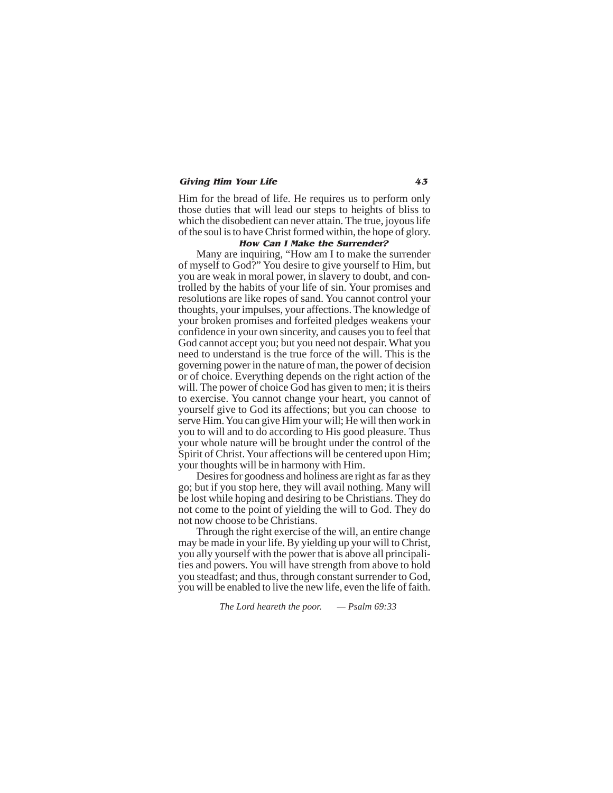## **Giving Him Your Life**

Him for the bread of life. He requires us to perform only those duties that will lead our steps to heights of bliss to which the disobedient can never attain. The true, joyous life of the soul is to have Christ formed within, the hope of glory.

# **How Can I Make the Surrender?**

Many are inquiring, "How am I to make the surrender of myself to God?" You desire to give yourself to Him, but you are weak in moral power, in slavery to doubt, and controlled by the habits of your life of sin. Your promises and resolutions are like ropes of sand. You cannot control your thoughts, your impulses, your affections. The knowledge of your broken promises and forfeited pledges weakens your confidence in your own sincerity, and causes you to feel that God cannot accept you; but you need not despair. What you need to understand is the true force of the will. This is the governing power in the nature of man, the power of decision or of choice. Everything depends on the right action of the will. The power of choice God has given to men; it is theirs to exercise. You cannot change your heart, you cannot of yourself give to God its affections; but you can choose to serve Him. You can give Him your will; He will then work in you to will and to do according to His good pleasure. Thus your whole nature will be brought under the control of the Spirit of Christ. Your affections will be centered upon Him; your thoughts will be in harmony with Him.

Desires for goodness and holiness are right as far as they go; but if you stop here, they will avail nothing. Many will be lost while hoping and desiring to be Christians. They do not come to the point of yielding the will to God. They do not now choose to be Christians.

Through the right exercise of the will, an entire change may be made in your life. By yielding up your will to Christ, you ally yourself with the power that is above all principalities and powers. You will have strength from above to hold you steadfast; and thus, through constant surrender to God, you will be enabled to live the new life, even the life of faith.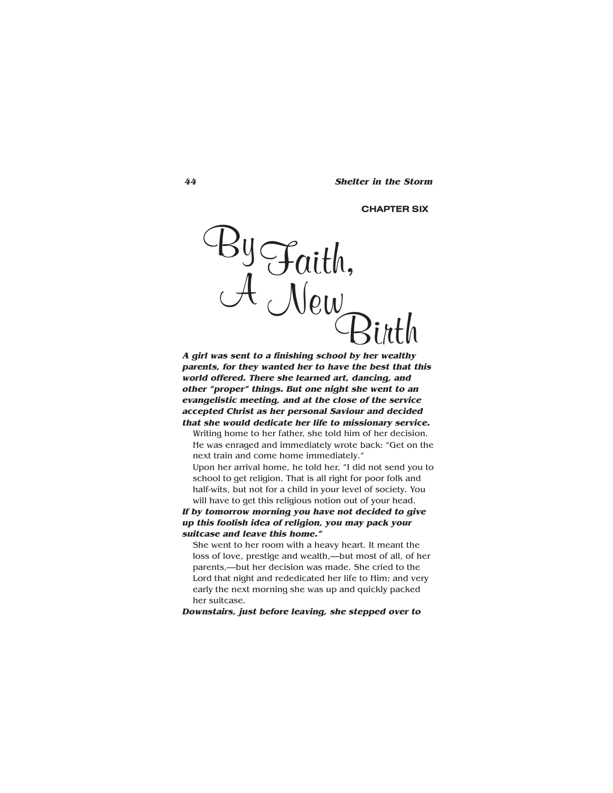

**A girl was sent to a finishing school by her wealthy parents, for they wanted her to have the best that this world offered. There she learned art, dancing, and other "proper" things. But one night she went to an evangelistic meeting, and at the close of the service accepted Christ as her personal Saviour and decided that she would dedicate her life to missionary service.**

Writing home to her father, she told him of her decision. He was enraged and immediately wrote back: "Get on the next train and come home immediately."

Upon her arrival home, he told her, "I did not send you to school to get religion. That is all right for poor folk and half-wits, but not for a child in your level of society. You will have to get this religious notion out of your head.

**If by tomorrow morning you have not decided to give up this foolish idea of religion, you may pack your suitcase and leave this home."**

She went to her room with a heavy heart. It meant the loss of love, prestige and wealth,—but most of all, of her parents,—but her decision was made. She cried to the Lord that night and rededicated her life to Him; and very early the next morning she was up and quickly packed her suitcase.

**Downstairs, just before leaving, she stepped over to**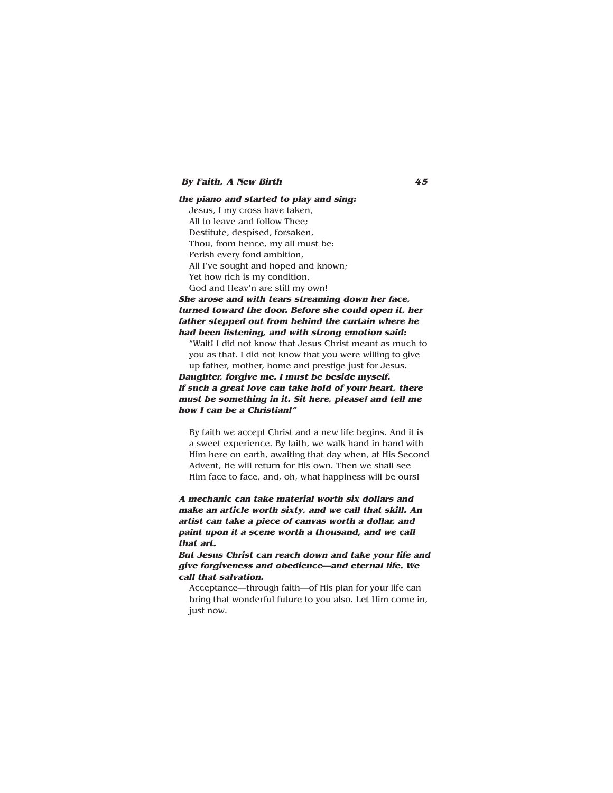#### **By Faith, A New Birth 45**

**the piano and started to play and sing:** Jesus, I my cross have taken, All to leave and follow Thee; Destitute, despised, forsaken, Thou, from hence, my all must be: Perish every fond ambition, All I've sought and hoped and known; Yet how rich is my condition, God and Heav'n are still my own! **She arose and with tears streaming down her face, turned toward the door. Before she could open it, her father stepped out from behind the curtain where he had been listening, and with strong emotion said:** "Wait! I did not know that Jesus Christ meant as much to you as that. I did not know that you were willing to give up father, mother, home and prestige just for Jesus. **Daughter, forgive me. I must be beside myself. If such a great love can take hold of your heart, there must be something in it. Sit here, please! and tell me how I can be a Christian!"**

By faith we accept Christ and a new life begins. And it is a sweet experience. By faith, we walk hand in hand with Him here on earth, awaiting that day when, at His Second Advent, He will return for His own. Then we shall see Him face to face, and, oh, what happiness will be ours!

**A mechanic can take material worth six dollars and make an article worth sixty, and we call that skill. An artist can take a piece of canvas worth a dollar, and paint upon it a scene worth a thousand, and we call that art.**

**But Jesus Christ can reach down and take your life and give forgiveness and obedience—and eternal life. We call that salvation.**

Acceptance—through faith—of His plan for your life can bring that wonderful future to you also. Let Him come in, just now.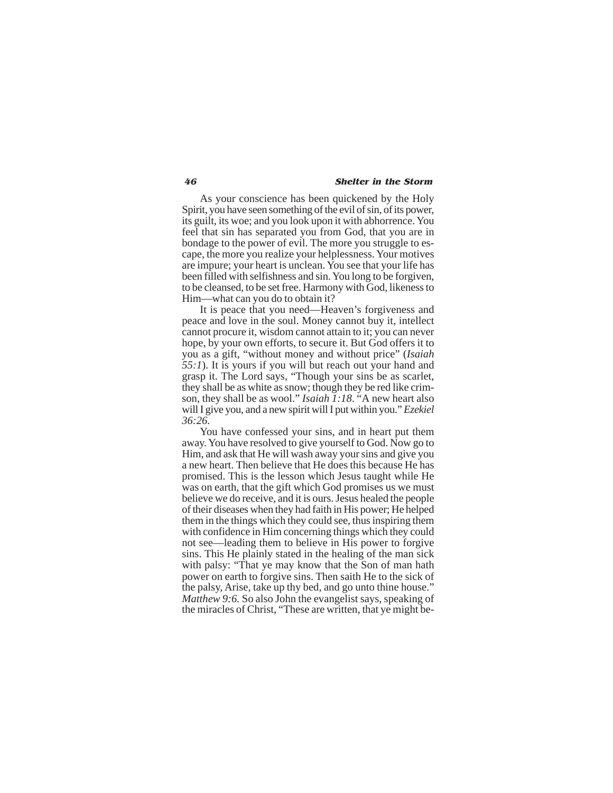As your conscience has been quickened by the Holy Spirit, you have seen something of the evil of sin, of its power, its guilt, its woe; and you look upon it with abhorrence. You feel that sin has separated you from God, that you are in bondage to the power of evil. The more you struggle to escape, the more you realize your helplessness. Your motives are impure; your heart is unclean. You see that your life has been filled with selfishness and sin. You long to be forgiven, to be cleansed, to be set free. Harmony with God, likeness to Him—what can you do to obtain it?

It is peace that you need—Heaven's forgiveness and peace and love in the soul. Money cannot buy it, intellect cannot procure it, wisdom cannot attain to it; you can never hope, by your own efforts, to secure it. But God offers it to you as a gift, "without money and without price" (*Isaiah 55:1*). It is yours if you will but reach out your hand and grasp it. The Lord says, "Though your sins be as scarlet, they shall be as white as snow; though they be red like crimson, they shall be as wool." *Isaiah 1:18*. "A new heart also will I give you, and a new spirit will I put within you." *Ezekiel 36:26.*

You have confessed your sins, and in heart put them away. You have resolved to give yourself to God. Now go to Him, and ask that He will wash away your sins and give you a new heart. Then believe that He does this because He has promised. This is the lesson which Jesus taught while He was on earth, that the gift which God promises us we must believe we do receive, and it is ours. Jesus healed the people of their diseases when they had faith in His power; He helped them in the things which they could see, thus inspiring them with confidence in Him concerning things which they could not see—leading them to believe in His power to forgive sins. This He plainly stated in the healing of the man sick with palsy: "That ye may know that the Son of man hath power on earth to forgive sins. Then saith He to the sick of the palsy, Arise, take up thy bed, and go unto thine house." *Matthew 9:6.* So also John the evangelist says, speaking of the miracles of Christ, "These are written, that ye might be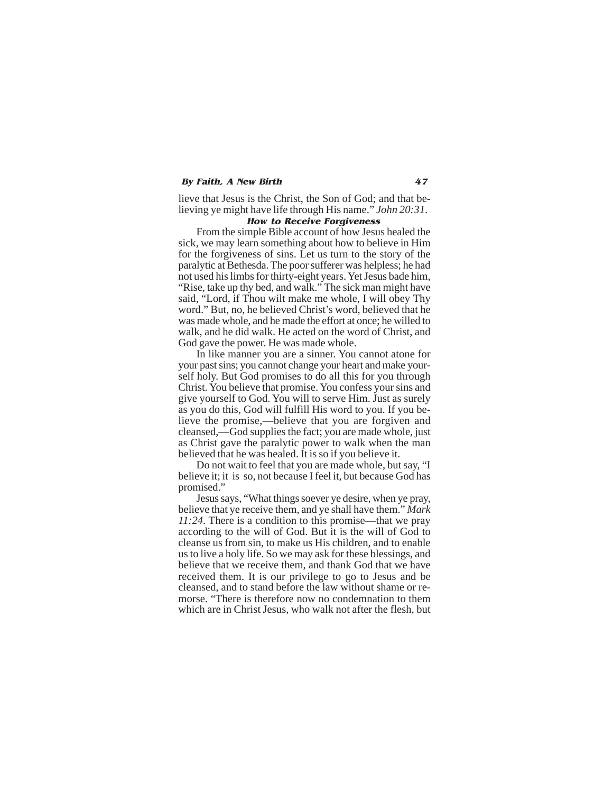lieve that Jesus is the Christ, the Son of God; and that believing ye might have life through His name." *John 20:31*.

# **How to Receive Forgiveness**

From the simple Bible account of how Jesus healed the sick, we may learn something about how to believe in Him for the forgiveness of sins. Let us turn to the story of the paralytic at Bethesda. The poor sufferer was helpless; he had not used his limbs for thirty-eight years. Yet Jesus bade him, "Rise, take up thy bed, and walk." The sick man might have said, "Lord, if Thou wilt make me whole, I will obey Thy word." But, no, he believed Christ's word, believed that he was made whole, and he made the effort at once; he willed to walk, and he did walk. He acted on the word of Christ, and God gave the power. He was made whole.

In like manner you are a sinner. You cannot atone for your past sins; you cannot change your heart and make yourself holy. But God promises to do all this for you through Christ. You believe that promise. You confess your sins and give yourself to God. You will to serve Him. Just as surely as you do this, God will fulfill His word to you. If you believe the promise,—believe that you are forgiven and cleansed,—God supplies the fact; you are made whole, just as Christ gave the paralytic power to walk when the man believed that he was healed. It is so if you believe it.

Do not wait to feel that you are made whole, but say, "I believe it; it is so, not because I feel it, but because God has promised."

Jesus says, "What things soever ye desire, when ye pray, believe that ye receive them, and ye shall have them." *Mark 11:24*. There is a condition to this promise—that we pray according to the will of God. But it is the will of God to cleanse us from sin, to make us His children, and to enable us to live a holy life. So we may ask for these blessings, and believe that we receive them, and thank God that we have received them. It is our privilege to go to Jesus and be cleansed, and to stand before the law without shame or remorse. "There is therefore now no condemnation to them which are in Christ Jesus, who walk not after the flesh, but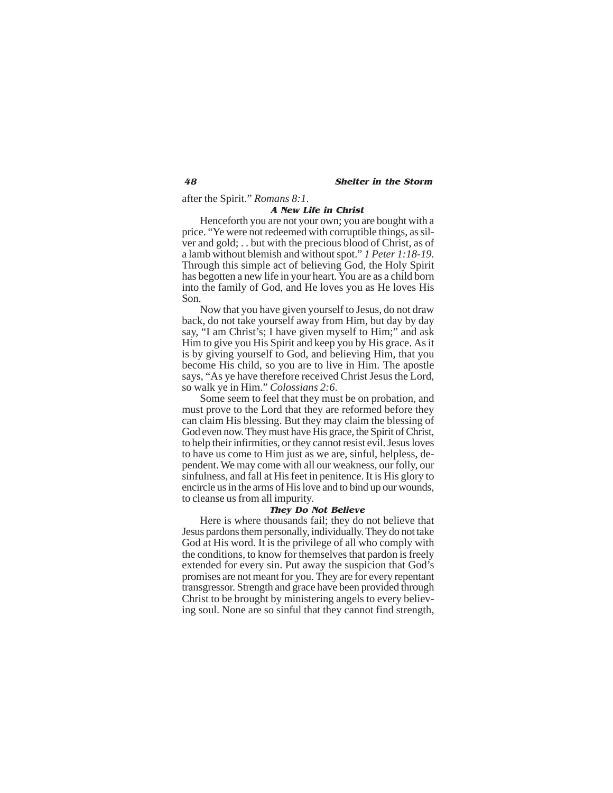after the Spirit." *Romans 8:1*.

## **A New Life in Christ**

Henceforth you are not your own; you are bought with a price. "Ye were not redeemed with corruptible things, as silver and gold;  $\ldots$  but with the precious blood of Christ, as of a lamb without blemish and without spot." *1 Peter 1:18-19*. Through this simple act of believing God, the Holy Spirit has begotten a new life in your heart. You are as a child born into the family of God, and He loves you as He loves His Son.

Now that you have given yourself to Jesus, do not draw back, do not take yourself away from Him, but day by day say, "I am Christ's; I have given myself to Him;" and ask Him to give you His Spirit and keep you by His grace. As it is by giving yourself to God, and believing Him, that you become His child, so you are to live in Him. The apostle says, "As ye have therefore received Christ Jesus the Lord, so walk ye in Him." *Colossians 2:6*.

Some seem to feel that they must be on probation, and must prove to the Lord that they are reformed before they can claim His blessing. But they may claim the blessing of God even now. They must have His grace, the Spirit of Christ, to help their infirmities, or they cannot resist evil. Jesus loves to have us come to Him just as we are, sinful, helpless, dependent. We may come with all our weakness, our folly, our sinfulness, and fall at His feet in penitence. It is His glory to encircle us in the arms of His love and to bind up our wounds, to cleanse us from all impurity.

## **They Do Not Believe**

Here is where thousands fail; they do not believe that Jesus pardons them personally, individually. They do not take God at His word. It is the privilege of all who comply with the conditions, to know for themselves that pardon is freely extended for every sin. Put away the suspicion that God's promises are not meant for you. They are for every repentant transgressor. Strength and grace have been provided through Christ to be brought by ministering angels to every believing soul. None are so sinful that they cannot find strength,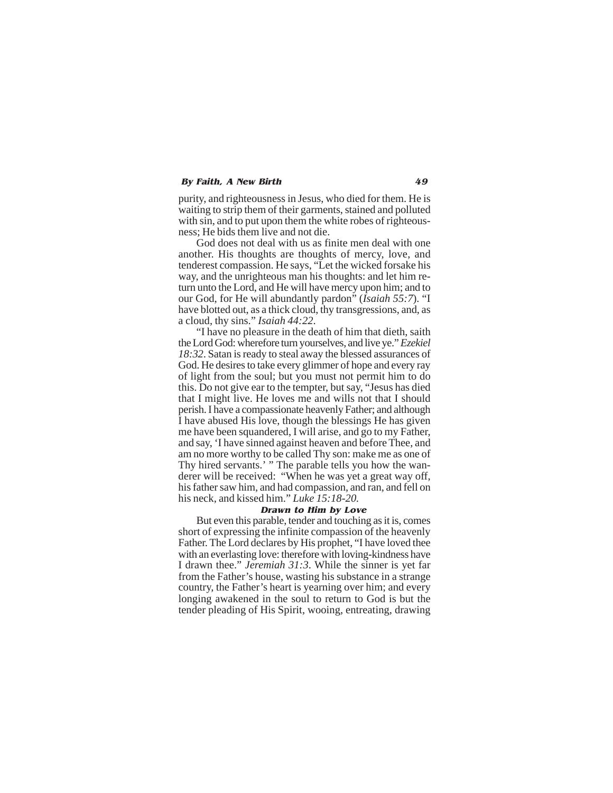## **By Faith, A New Birth**

purity, and righteousness in Jesus, who died for them. He is waiting to strip them of their garments, stained and polluted with sin, and to put upon them the white robes of righteousness; He bids them live and not die.

God does not deal with us as finite men deal with one another. His thoughts are thoughts of mercy, love, and tenderest compassion. He says, "Let the wicked forsake his way, and the unrighteous man his thoughts: and let him return unto the Lord, and He will have mercy upon him; and to our God, for He will abundantly pardon" (*Isaiah 55:7*). "I have blotted out, as a thick cloud, thy transgressions, and, as a cloud, thy sins." *Isaiah 44:22*.

"I have no pleasure in the death of him that dieth, saith the Lord God: wherefore turn yourselves, and live ye." *Ezekiel 18:32*. Satan is ready to steal away the blessed assurances of God. He desires to take every glimmer of hope and every ray of light from the soul; but you must not permit him to do this. Do not give ear to the tempter, but say, "Jesus has died that I might live. He loves me and wills not that I should perish. I have a compassionate heavenly Father; and although I have abused His love, though the blessings He has given me have been squandered, I will arise, and go to my Father, and say, 'I have sinned against heaven and before Thee, and am no more worthy to be called Thy son: make me as one of Thy hired servants.' " The parable tells you how the wanderer will be received: "When he was yet a great way off, his father saw him, and had compassion, and ran, and fell on his neck, and kissed him." *Luke 15:18-20.*

## **Drawn to Him by Love**

But even this parable, tender and touching as it is, comes short of expressing the infinite compassion of the heavenly Father. The Lord declares by His prophet, "I have loved thee with an everlasting love: therefore with loving-kindness have I drawn thee." *Jeremiah 31:3*. While the sinner is yet far from the Father's house, wasting his substance in a strange country, the Father's heart is yearning over him; and every longing awakened in the soul to return to God is but the tender pleading of His Spirit, wooing, entreating, drawing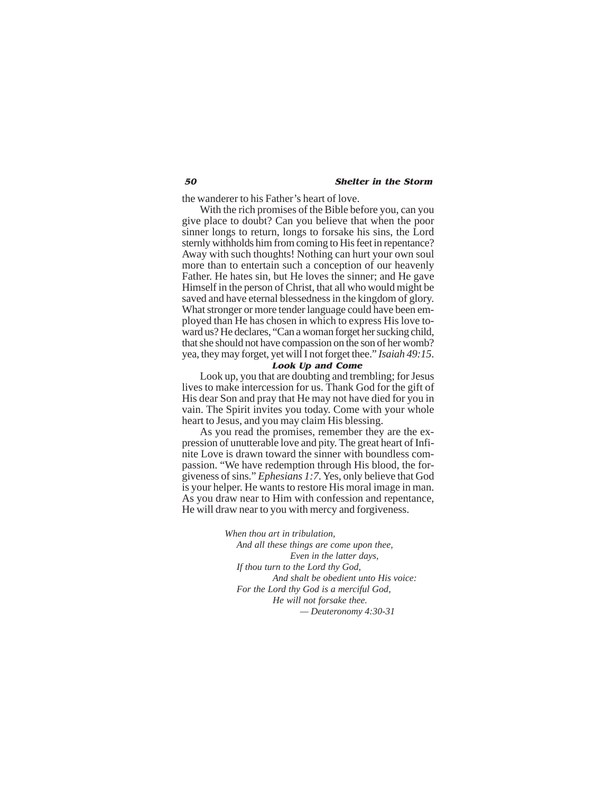the wanderer to his Father's heart of love.

With the rich promises of the Bible before you, can you give place to doubt? Can you believe that when the poor sinner longs to return, longs to forsake his sins, the Lord sternly withholds him from coming to His feet in repentance? Away with such thoughts! Nothing can hurt your own soul more than to entertain such a conception of our heavenly Father. He hates sin, but He loves the sinner; and He gave Himself in the person of Christ, that all who would might be saved and have eternal blessedness in the kingdom of glory. What stronger or more tender language could have been employed than He has chosen in which to express His love toward us? He declares, "Can a woman forget her sucking child, that she should not have compassion on the son of her womb? yea, they may forget, yet will I not forget thee." *Isaiah 49:15*.

# **Look Up and Come**

Look up, you that are doubting and trembling; for Jesus lives to make intercession for us. Thank God for the gift of His dear Son and pray that He may not have died for you in vain. The Spirit invites you today. Come with your whole heart to Jesus, and you may claim His blessing.

As you read the promises, remember they are the expression of unutterable love and pity. The great heart of Infinite Love is drawn toward the sinner with boundless compassion. "We have redemption through His blood, the forgiveness of sins." *Ephesians 1:7*. Yes, only believe that God is your helper. He wants to restore His moral image in man. As you draw near to Him with confession and repentance, He will draw near to you with mercy and forgiveness.

> *When thou art in tribulation, And all these things are come upon thee, Even in the latter days, If thou turn to the Lord thy God, And shalt be obedient unto His voice: For the Lord thy God is a merciful God, He will not forsake thee. — Deuteronomy 4:30-31*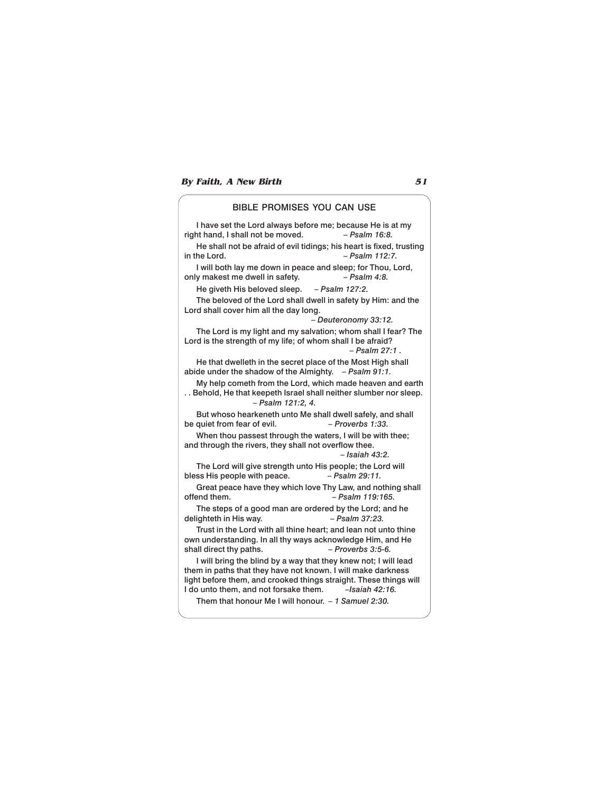## BIBLE PROMISES YOU CAN USE

I have set the Lord always before me; because He is at my right hand, I shall not be moved. *– Psalm 16:8.*

He shall not be afraid of evil tidings; his heart is fixed, trusting in the Lord. *– Psalm 112:7.*

I will both lay me down in peace and sleep; for Thou, Lord, only makest me dwell in safety. *– Psalm 4:8.*

He giveth His beloved sleep. *– Psalm 127:2.*

The beloved of the Lord shall dwell in safety by Him: and the Lord shall cover him all the day long.

 *– Deuteronomy 33:12.*

The Lord is my light and my salvation; whom shall I fear? The Lord is the strength of my life; of whom shall I be afraid?

 *– Psalm 27:1* .

He that dwelleth in the secret place of the Most High shall abide under the shadow of the Almighty. *– Psalm 91:1.*

My help cometh from the Lord, which made heaven and earth . . Behold, He that keepeth Israel shall neither slumber nor sleep.  *– Psalm 121:2, 4.*

But whoso hearkeneth unto Me shall dwell safely, and shall be quiet from fear of evil. *– Proverbs 1:33.*

When thou passest through the waters, I will be with thee; and through the rivers, they shall not overflow thee.

 *– Isaiah 43:2.*

The Lord will give strength unto His people; the Lord will bless His people with peace. *– Psalm 29:11.*

Great peace have they which love Thy Law, and nothing shall offend them. *– Psalm 119:165.*

The steps of a good man are ordered by the Lord; and he delighteth in His way. *– Psalm 37:23.*

Trust in the Lord with all thine heart; and lean not unto thine own understanding. In all thy ways acknowledge Him, and He shall direct thy paths. *– Proverbs 3:5-6.*

I will bring the blind by a way that they knew not; I will lead them in paths that they have not known. I will make darkness light before them, and crooked things straight. These things will I do unto them, and not forsake them. *–Isaiah 42:16.*

Them that honour Me I will honour. *– 1 Samuel 2:30.*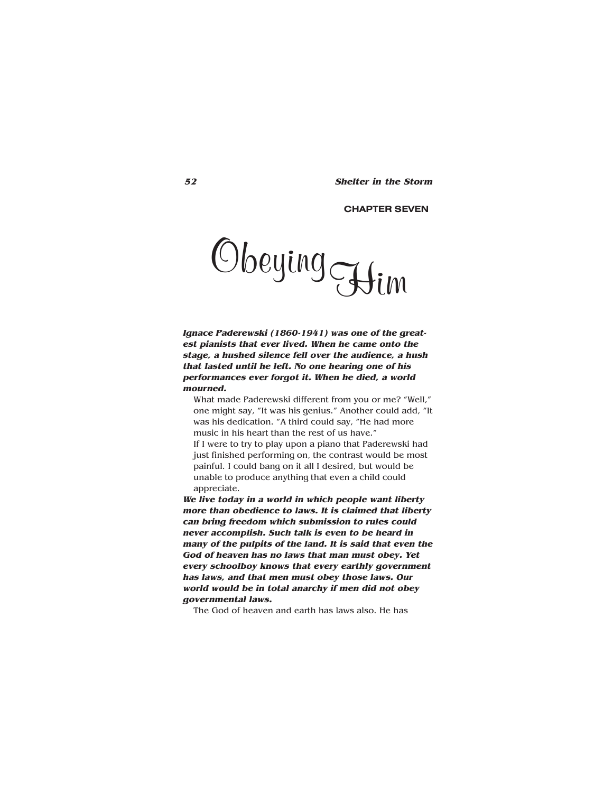#### **CHAPTER SEVEN**

# Obeying<sub>FHim</sub>

**Ignace Paderewski (1860-1941) was one of the greatest pianists that ever lived. When he came onto the stage, a hushed silence fell over the audience, a hush that lasted until he left. No one hearing one of his performances ever forgot it. When he died, a world mourned.**

What made Paderewski different from you or me? "Well," one might say, "It was his genius." Another could add, "It was his dedication. "A third could say, "He had more music in his heart than the rest of us have." If I were to try to play upon a piano that Paderewski had just finished performing on, the contrast would be most painful. I could bang on it all I desired, but would be unable to produce anything that even a child could appreciate.

**We live today in a world in which people want liberty more than obedience to laws. It is claimed that liberty can bring freedom which submission to rules could never accomplish. Such talk is even to be heard in many of the pulpits of the land. It is said that even the God of heaven has no laws that man must obey. Yet every schoolboy knows that every earthly government has laws, and that men must obey those laws. Our world would be in total anarchy if men did not obey governmental laws.**

The God of heaven and earth has laws also. He has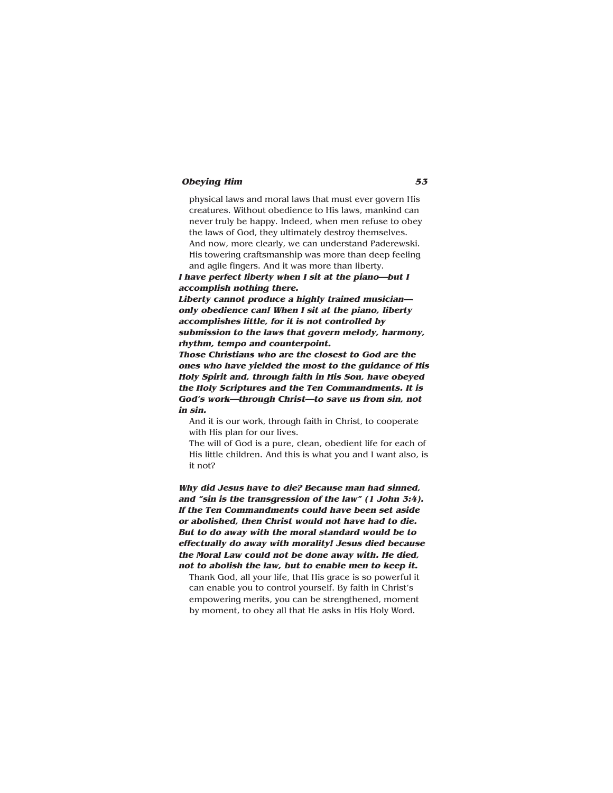### **Obeying Him 53**

physical laws and moral laws that must ever govern His creatures. Without obedience to His laws, mankind can never truly be happy. Indeed, when men refuse to obey the laws of God, they ultimately destroy themselves. And now, more clearly, we can understand Paderewski. His towering craftsmanship was more than deep feeling and agile fingers. And it was more than liberty.

**I have perfect liberty when I sit at the piano—but I accomplish nothing there.**

**Liberty cannot produce a highly trained musician only obedience can! When I sit at the piano, liberty accomplishes little, for it is not controlled by submission to the laws that govern melody, harmony, rhythm, tempo and counterpoint.**

**Those Christians who are the closest to God are the ones who have yielded the most to the guidance of His Holy Spirit and, through faith in His Son, have obeyed the Holy Scriptures and the Ten Commandments. It is God's work—through Christ—to save us from sin, not in sin.**

And it is our work, through faith in Christ, to cooperate with His plan for our lives.

The will of God is a pure, clean, obedient life for each of His little children. And this is what you and I want also, is it not?

**Why did Jesus have to die? Because man had sinned, and "sin is the transgression of the law" (1 John 3:4). If the Ten Commandments could have been set aside or abolished, then Christ would not have had to die. But to do away with the moral standard would be to effectually do away with morality! Jesus died because the Moral Law could not be done away with. He died, not to abolish the law, but to enable men to keep it.**

Thank God, all your life, that His grace is so powerful it can enable you to control yourself. By faith in Christ's empowering merits, you can be strengthened, moment by moment, to obey all that He asks in His Holy Word.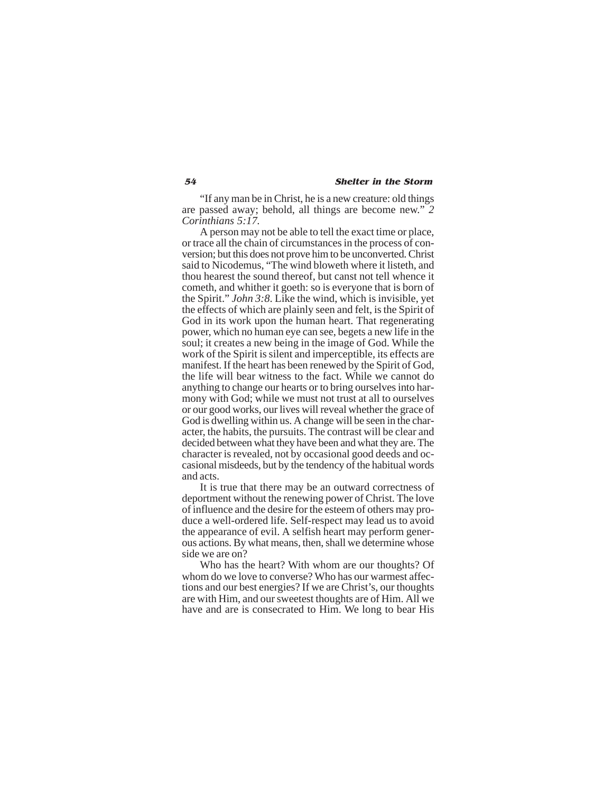"If any man be in Christ, he is a new creature: old things are passed away; behold, all things are become new." *2 Corinthians 5:17.*

A person may not be able to tell the exact time or place, or trace all the chain of circumstances in the process of conversion; but this does not prove him to be unconverted. Christ said to Nicodemus, "The wind bloweth where it listeth, and thou hearest the sound thereof, but canst not tell whence it cometh, and whither it goeth: so is everyone that is born of the Spirit." *John 3:8*. Like the wind, which is invisible, yet the effects of which are plainly seen and felt, is the Spirit of God in its work upon the human heart. That regenerating power, which no human eye can see, begets a new life in the soul; it creates a new being in the image of God. While the work of the Spirit is silent and imperceptible, its effects are manifest. If the heart has been renewed by the Spirit of God, the life will bear witness to the fact. While we cannot do anything to change our hearts or to bring ourselves into harmony with God; while we must not trust at all to ourselves or our good works, our lives will reveal whether the grace of God is dwelling within us. A change will be seen in the character, the habits, the pursuits. The contrast will be clear and decided between what they have been and what they are. The character is revealed, not by occasional good deeds and occasional misdeeds, but by the tendency of the habitual words and acts.

It is true that there may be an outward correctness of deportment without the renewing power of Christ. The love of influence and the desire for the esteem of others may produce a well-ordered life. Self-respect may lead us to avoid the appearance of evil. A selfish heart may perform generous actions. By what means, then, shall we determine whose side we are on?

Who has the heart? With whom are our thoughts? Of whom do we love to converse? Who has our warmest affections and our best energies? If we are Christ's, our thoughts are with Him, and our sweetest thoughts are of Him. All we have and are is consecrated to Him. We long to bear His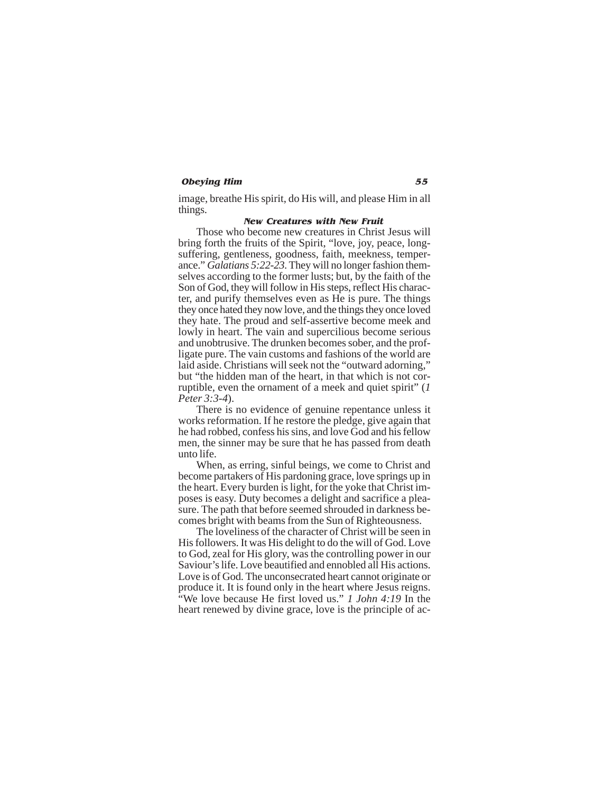## **Obeying Him**

image, breathe His spirit, do His will, and please Him in all things.

# **New Creatures with New Fruit**

Those who become new creatures in Christ Jesus will bring forth the fruits of the Spirit, "love, joy, peace, longsuffering, gentleness, goodness, faith, meekness, temperance." *Galatians 5:22-23*. They will no longer fashion themselves according to the former lusts; but, by the faith of the Son of God, they will follow in His steps, reflect His character, and purify themselves even as He is pure. The things they once hated they now love, and the things they once loved they hate. The proud and self-assertive become meek and lowly in heart. The vain and supercilious become serious and unobtrusive. The drunken becomes sober, and the profligate pure. The vain customs and fashions of the world are laid aside. Christians will seek not the "outward adorning," but "the hidden man of the heart, in that which is not corruptible, even the ornament of a meek and quiet spirit" (*1 Peter 3:3-4*).

There is no evidence of genuine repentance unless it works reformation. If he restore the pledge, give again that he had robbed, confess his sins, and love God and his fellow men, the sinner may be sure that he has passed from death unto life.

When, as erring, sinful beings, we come to Christ and become partakers of His pardoning grace, love springs up in the heart. Every burden is light, for the yoke that Christ imposes is easy. Duty becomes a delight and sacrifice a pleasure. The path that before seemed shrouded in darkness becomes bright with beams from the Sun of Righteousness.

The loveliness of the character of Christ will be seen in His followers. It was His delight to do the will of God. Love to God, zeal for His glory, was the controlling power in our Saviour's life. Love beautified and ennobled all His actions. Love is of God. The unconsecrated heart cannot originate or produce it. It is found only in the heart where Jesus reigns. "We love because He first loved us." *1 John 4:19* In the heart renewed by divine grace, love is the principle of ac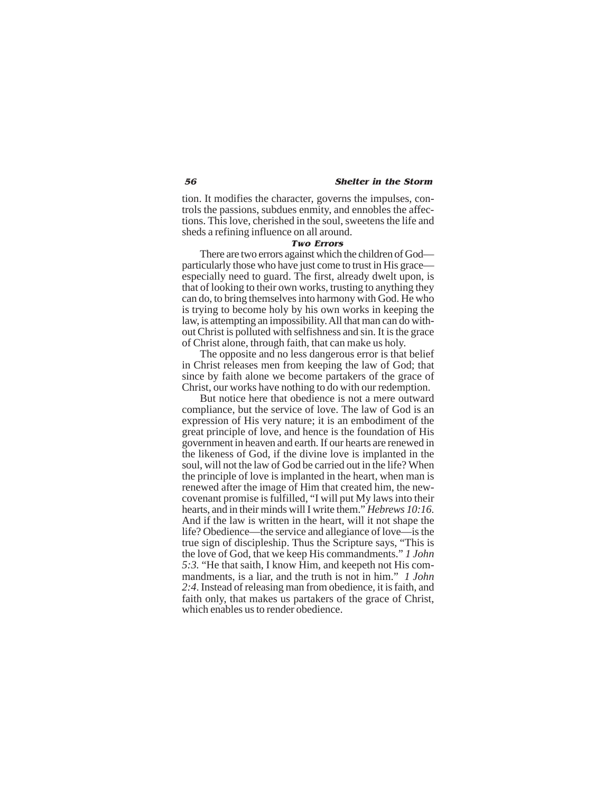tion. It modifies the character, governs the impulses, controls the passions, subdues enmity, and ennobles the affections. This love, cherished in the soul, sweetens the life and sheds a refining influence on all around.

#### **Two Errors**

There are two errors against which the children of God particularly those who have just come to trust in His grace especially need to guard. The first, already dwelt upon, is that of looking to their own works, trusting to anything they can do, to bring themselves into harmony with God. He who is trying to become holy by his own works in keeping the law, is attempting an impossibility. All that man can do without Christ is polluted with selfishness and sin. It is the grace of Christ alone, through faith, that can make us holy.

The opposite and no less dangerous error is that belief in Christ releases men from keeping the law of God; that since by faith alone we become partakers of the grace of Christ, our works have nothing to do with our redemption.

But notice here that obedience is not a mere outward compliance, but the service of love. The law of God is an expression of His very nature; it is an embodiment of the great principle of love, and hence is the foundation of His government in heaven and earth. If our hearts are renewed in the likeness of God, if the divine love is implanted in the soul, will not the law of God be carried out in the life? When the principle of love is implanted in the heart, when man is renewed after the image of Him that created him, the newcovenant promise is fulfilled, "I will put My laws into their hearts, and in their minds will I write them." *Hebrews 10:16*. And if the law is written in the heart, will it not shape the life? Obedience—the service and allegiance of love—is the true sign of discipleship. Thus the Scripture says, "This is the love of God, that we keep His commandments." *1 John* 5:3. "He that saith, I know Him, and keepeth not His commandments, is a liar, and the truth is not in him." *1 John 2:4*. Instead of releasing man from obedience, it is faith, and faith only, that makes us partakers of the grace of Christ, which enables us to render obedience.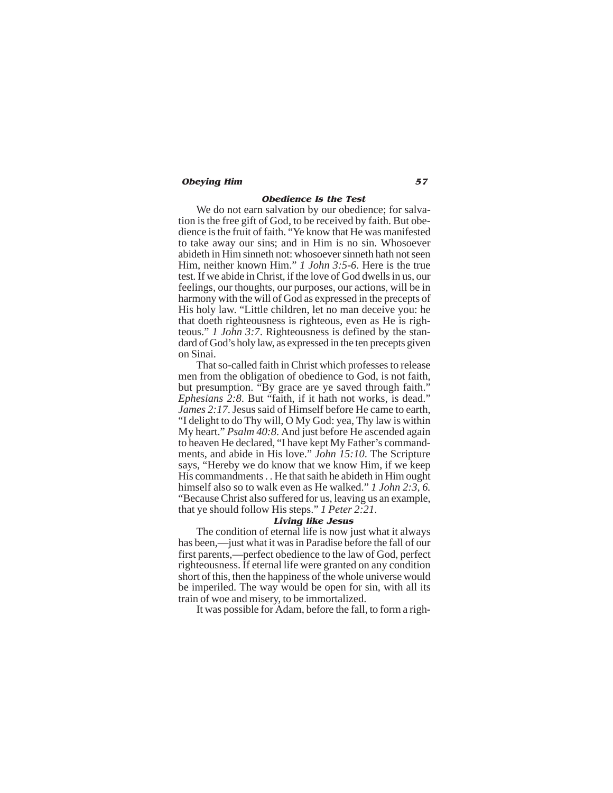## **Obedience Is the Test**

We do not earn salvation by our obedience; for salvation is the free gift of God, to be received by faith. But obedience is the fruit of faith. "Ye know that He was manifested to take away our sins; and in Him is no sin. Whosoever abideth in Him sinneth not: whosoever sinneth hath not seen Him, neither known Him." *1 John 3:5-6*. Here is the true test. If we abide in Christ, if the love of God dwells in us, our feelings, our thoughts, our purposes, our actions, will be in harmony with the will of God as expressed in the precepts of His holy law. "Little children, let no man deceive you: he that doeth righteousness is righteous, even as He is righteous." *1 John 3:7*. Righteousness is defined by the standard of God's holy law, as expressed in the ten precepts given on Sinai.

That so-called faith in Christ which professes to release men from the obligation of obedience to God, is not faith, but presumption. "By grace are ye saved through faith." *Ephesians 2:8*. But "faith, if it hath not works, is dead." *James 2:17*. Jesus said of Himself before He came to earth, "I delight to do Thy will, O My God: yea, Thy law is within My heart." *Psalm 40:8*. And just before He ascended again to heaven He declared, "I have kept My Father's commandments, and abide in His love." *John 15:10*. The Scripture says, "Hereby we do know that we know Him, if we keep His commandments . . He that saith he abideth in Him ought himself also so to walk even as He walked." *1 John 2:3, 6.* "Because Christ also suffered for us, leaving us an example, that ye should follow His steps." *1 Peter 2:21*.

#### **Living like Jesus**

The condition of eternal life is now just what it always has been,—just what it was in Paradise before the fall of our first parents,—perfect obedience to the law of God, perfect righteousness. If eternal life were granted on any condition short of this, then the happiness of the whole universe would be imperiled. The way would be open for sin, with all its train of woe and misery, to be immortalized.

It was possible for Adam, before the fall, to form a righ-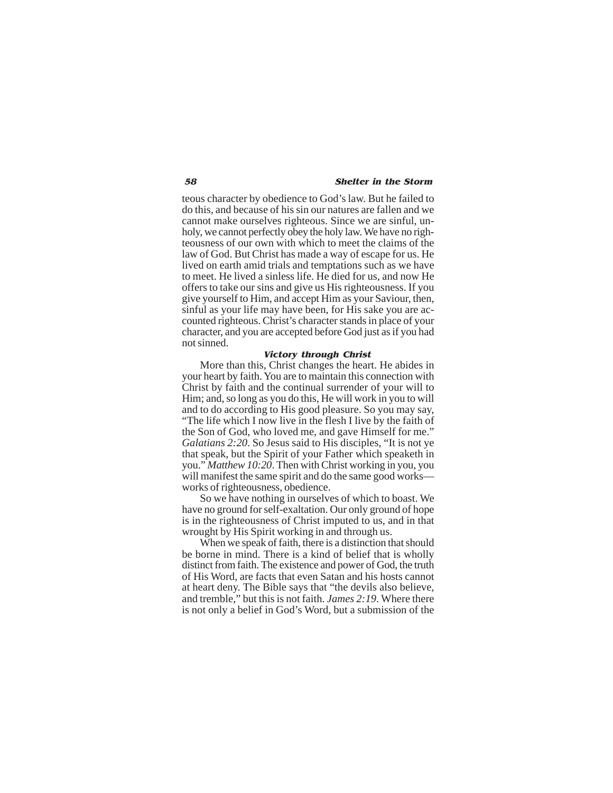teous character by obedience to God's law. But he failed to do this, and because of his sin our natures are fallen and we cannot make ourselves righteous. Since we are sinful, unholy, we cannot perfectly obey the holy law. We have no righteousness of our own with which to meet the claims of the law of God. But Christ has made a way of escape for us. He lived on earth amid trials and temptations such as we have to meet. He lived a sinless life. He died for us, and now He offers to take our sins and give us His righteousness. If you give yourself to Him, and accept Him as your Saviour, then, sinful as your life may have been, for His sake you are accounted righteous. Christ's character stands in place of your character, and you are accepted before God just as if you had not sinned.

## **Victory through Christ**

More than this, Christ changes the heart. He abides in your heart by faith. You are to maintain this connection with Christ by faith and the continual surrender of your will to Him; and, so long as you do this, He will work in you to will and to do according to His good pleasure. So you may say, "The life which I now live in the flesh I live by the faith of the Son of God, who loved me, and gave Himself for me." *Galatians 2:20*. So Jesus said to His disciples, "It is not ye that speak, but the Spirit of your Father which speaketh in you." *Matthew 10:20*. Then with Christ working in you, you will manifest the same spirit and do the same good works works of righteousness, obedience.

So we have nothing in ourselves of which to boast. We have no ground for self-exaltation. Our only ground of hope is in the righteousness of Christ imputed to us, and in that wrought by His Spirit working in and through us.

When we speak of faith, there is a distinction that should be borne in mind. There is a kind of belief that is wholly distinct from faith. The existence and power of God, the truth of His Word, are facts that even Satan and his hosts cannot at heart deny. The Bible says that "the devils also believe, and tremble," but this is not faith. *James 2:19*. Where there is not only a belief in God's Word, but a submission of the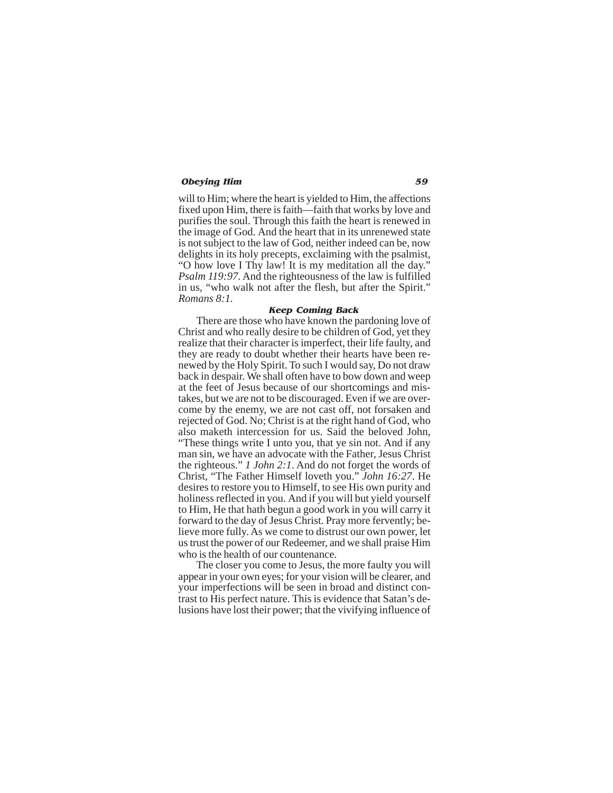## **Obeying Him**

will to Him; where the heart is yielded to Him, the affections fixed upon Him, there is faith—faith that works by love and purifies the soul. Through this faith the heart is renewed in the image of God. And the heart that in its unrenewed state is not subject to the law of God, neither indeed can be, now delights in its holy precepts, exclaiming with the psalmist, "O how love I Thy law! It is my meditation all the day." *Psalm 119:97*. And the righteousness of the law is fulfilled in us, "who walk not after the flesh, but after the Spirit." *Romans 8:1.*

## **Keep Coming Back**

There are those who have known the pardoning love of Christ and who really desire to be children of God, yet they realize that their character is imperfect, their life faulty, and they are ready to doubt whether their hearts have been renewed by the Holy Spirit. To such I would say, Do not draw back in despair. We shall often have to bow down and weep at the feet of Jesus because of our shortcomings and mistakes, but we are not to be discouraged. Even if we are overcome by the enemy, we are not cast off, not forsaken and rejected of God. No; Christ is at the right hand of God, who also maketh intercession for us. Said the beloved John, "These things write I unto you, that ye sin not. And if any man sin, we have an advocate with the Father, Jesus Christ the righteous." *1 John 2:1*. And do not forget the words of Christ, "The Father Himself loveth you." *John 16:27*. He desires to restore you to Himself, to see His own purity and holiness reflected in you. And if you will but yield yourself to Him, He that hath begun a good work in you will carry it forward to the day of Jesus Christ. Pray more fervently; believe more fully. As we come to distrust our own power, let us trust the power of our Redeemer, and we shall praise Him who is the health of our countenance.

The closer you come to Jesus, the more faulty you will appear in your own eyes; for your vision will be clearer, and your imperfections will be seen in broad and distinct contrast to His perfect nature. This is evidence that Satan's delusions have lost their power; that the vivifying influence of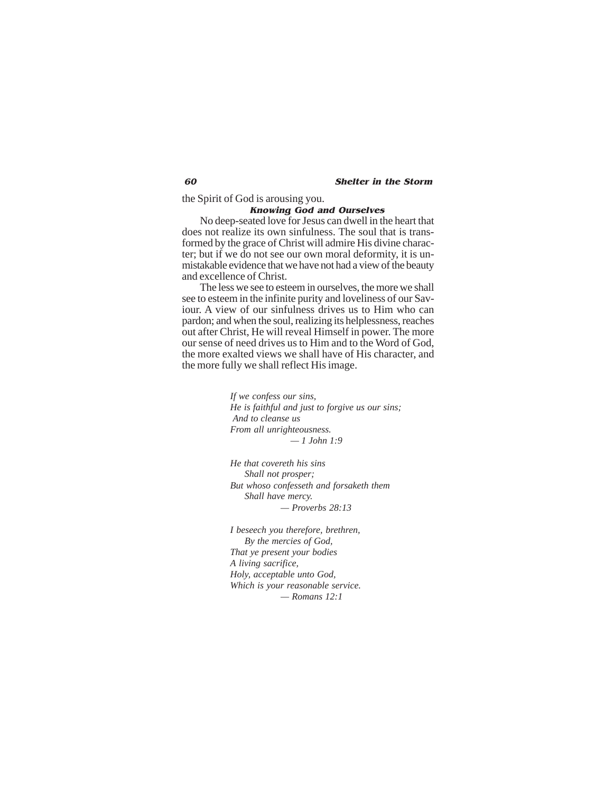the Spirit of God is arousing you.

## **Knowing God and Ourselves**

No deep-seated love for Jesus can dwell in the heart that does not realize its own sinfulness. The soul that is transformed by the grace of Christ will admire His divine character; but if we do not see our own moral deformity, it is unmistakable evidence that we have not had a view of the beauty and excellence of Christ.

The less we see to esteem in ourselves, the more we shall see to esteem in the infinite purity and loveliness of our Saviour. A view of our sinfulness drives us to Him who can pardon; and when the soul, realizing its helplessness, reaches out after Christ, He will reveal Himself in power. The more our sense of need drives us to Him and to the Word of God, the more exalted views we shall have of His character, and the more fully we shall reflect His image.

> *If we confess our sins, He is faithful and just to forgive us our sins; And to cleanse us From all unrighteousness. — 1 John 1:9*

*He that covereth his sins Shall not prosper; But whoso confesseth and forsaketh them Shall have mercy. — Proverbs 28:13*

*I beseech you therefore, brethren, By the mercies of God, That ye present your bodies A living sacrifice, Holy, acceptable unto God, Which is your reasonable service. — Romans 12:1*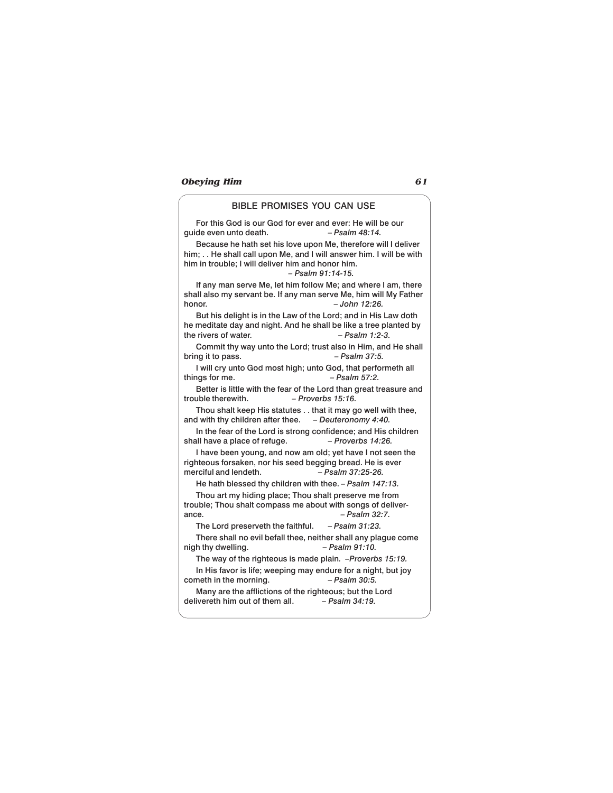# BIBLE PROMISES YOU CAN USE

For this God is our God for ever and ever: He will be our guide even unto death. *– Psalm 48:14.*

Because he hath set his love upon Me, therefore will I deliver him; . . He shall call upon Me, and I will answer him. I will be with him in trouble; I will deliver him and honor him.

 *– Psalm 91:14-15.*

If any man serve Me, let him follow Me; and where I am, there shall also my servant be. If any man serve Me, him will My Father honor. *– John 12:26.*

But his delight is in the Law of the Lord; and in His Law doth he meditate day and night. And he shall be like a tree planted by the rivers of water. *– Psalm 1:2-3.*

Commit thy way unto the Lord; trust also in Him, and He shall bring it to pass. *– Psalm 37:5.*

I will cry unto God most high; unto God, that performeth all things for me. *– Psalm 57:2.*

Better is little with the fear of the Lord than great treasure and trouble therewith. *– Proverbs 15:16.*

Thou shalt keep His statutes . . that it may go well with thee, and with thy children after thee. *– Deuteronomy 4:40.*

In the fear of the Lord is strong confidence; and His children shall have a place of refuge. *– Proverbs 14:26.*

I have been young, and now am old; yet have I not seen the righteous forsaken, nor his seed begging bread. He is ever merciful and lendeth. *– Psalm 37:25-26.*

He hath blessed thy children with thee. *– Psalm 147:13.*

Thou art my hiding place; Thou shalt preserve me from trouble; Thou shalt compass me about with songs of deliverance. *– Psalm 32:7.*

The Lord preserveth the faithful. *– Psalm 31:23.*

There shall no evil befall thee, neither shall any plague come nigh thy dwelling. *– Psalm 91:10.*

The way of the righteous is made plain*. –Proverbs 15:19.*

In His favor is life; weeping may endure for a night, but joy cometh in the morning. *– Psalm 30:5.*

Many are the afflictions of the righteous; but the Lord delivereth him out of them all. *– Psalm 34:19.*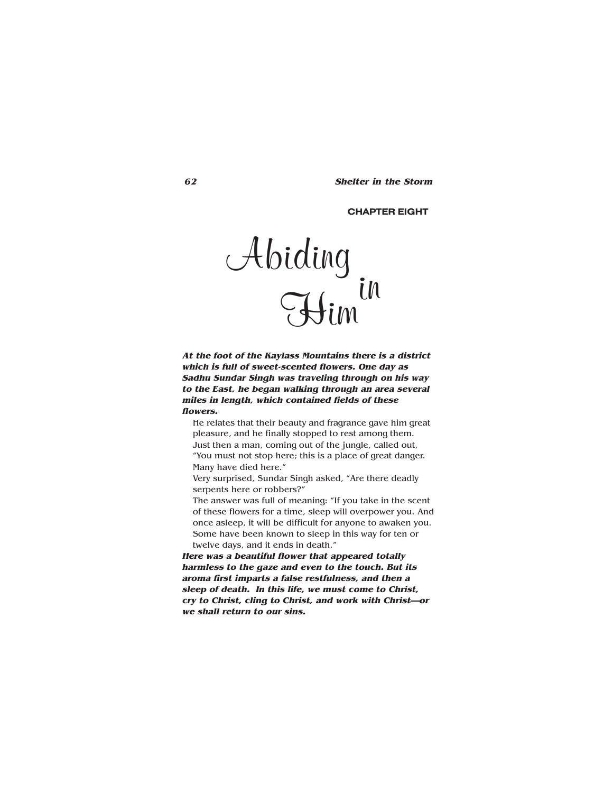#### **CHAPTER EIGHT**



**At the foot of the Kaylass Mountains there is a district which is full of sweet-scented flowers. One day as Sadhu Sundar Singh was traveling through on his way to the East, he began walking through an area several miles in length, which contained fields of these flowers.**

He relates that their beauty and fragrance gave him great pleasure, and he finally stopped to rest among them. Just then a man, coming out of the jungle, called out, "You must not stop here; this is a place of great danger. Many have died here."

Very surprised, Sundar Singh asked, "Are there deadly serpents here or robbers?"

The answer was full of meaning: "If you take in the scent of these flowers for a time, sleep will overpower you. And once asleep, it will be difficult for anyone to awaken you. Some have been known to sleep in this way for ten or twelve days, and it ends in death."

**Here was a beautiful flower that appeared totally harmless to the gaze and even to the touch. But its aroma first imparts a false restfulness, and then a sleep of death. In this life, we must come to Christ, cry to Christ, cling to Christ, and work with Christ—or we shall return to our sins.**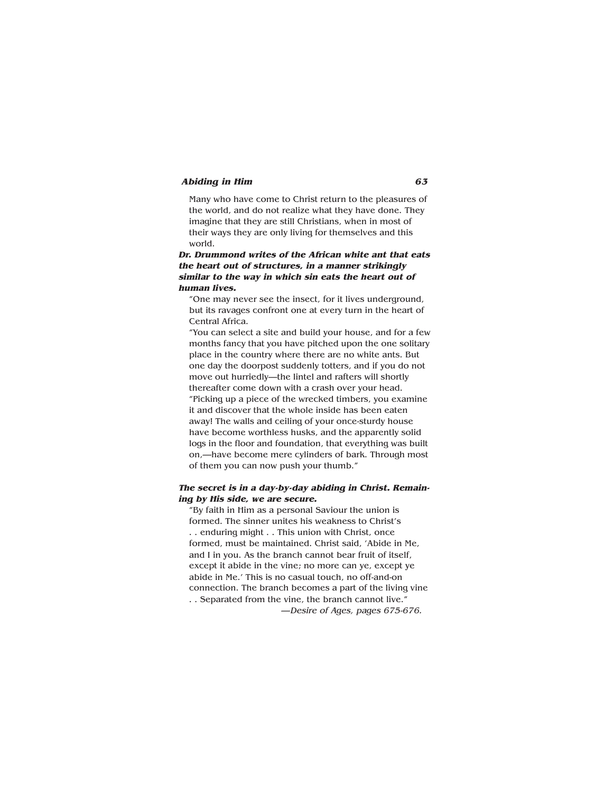#### **Abiding in Him 63**

Many who have come to Christ return to the pleasures of the world, and do not realize what they have done. They imagine that they are still Christians, when in most of their ways they are only living for themselves and this world.

# **Dr. Drummond writes of the African white ant that eats the heart out of structures, in a manner strikingly similar to the way in which sin eats the heart out of human lives.**

"One may never see the insect, for it lives underground, but its ravages confront one at every turn in the heart of Central Africa.

"You can select a site and build your house, and for a few months fancy that you have pitched upon the one solitary place in the country where there are no white ants. But one day the doorpost suddenly totters, and if you do not move out hurriedly—the lintel and rafters will shortly thereafter come down with a crash over your head. "Picking up a piece of the wrecked timbers, you examine it and discover that the whole inside has been eaten away! The walls and ceiling of your once-sturdy house have become worthless husks, and the apparently solid logs in the floor and foundation, that everything was built on,—have become mere cylinders of bark. Through most of them you can now push your thumb."

## **The secret is in a day-by-day abiding in Christ. Remaining by His side, we are secure.**

"By faith in Him as a personal Saviour the union is formed. The sinner unites his weakness to Christ's . . enduring might . . This union with Christ, once formed, must be maintained. Christ said, 'Abide in Me, and I in you. As the branch cannot bear fruit of itself, except it abide in the vine; no more can ye, except ye abide in Me.' This is no casual touch, no off-and-on connection. The branch becomes a part of the living vine . . Separated from the vine, the branch cannot live." —Desire of Ages, pages 675-676.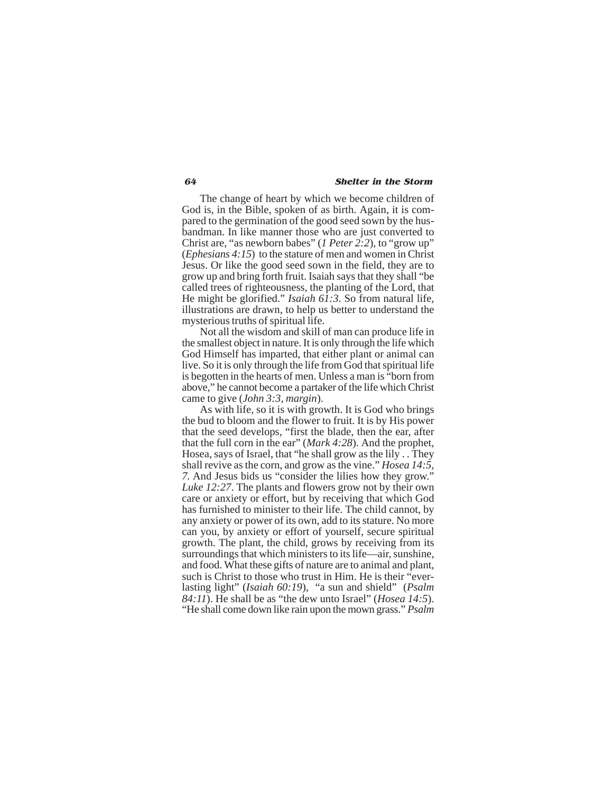The change of heart by which we become children of God is, in the Bible, spoken of as birth. Again, it is compared to the germination of the good seed sown by the husbandman. In like manner those who are just converted to Christ are, "as newborn babes" (*1 Peter 2:2*), to "grow up" (*Ephesians 4:15*) to the stature of men and women in Christ Jesus. Or like the good seed sown in the field, they are to grow up and bring forth fruit. Isaiah says that they shall "be called trees of righteousness, the planting of the Lord, that He might be glorified." *Isaiah 61:3*. So from natural life, illustrations are drawn, to help us better to understand the mysterious truths of spiritual life.

Not all the wisdom and skill of man can produce life in the smallest object in nature. It is only through the life which God Himself has imparted, that either plant or animal can live. So it is only through the life from God that spiritual life is begotten in the hearts of men. Unless a man is "born from above," he cannot become a partaker of the life which Christ came to give (*John 3:3, margin*).

As with life, so it is with growth. It is God who brings the bud to bloom and the flower to fruit. It is by His power that the seed develops, "first the blade, then the ear, after that the full corn in the ear" (*Mark 4:28*). And the prophet, Hosea, says of Israel, that "he shall grow as the  $\overline{li}$ . They shall revive as the corn, and grow as the vine." *Hosea 14:5, 7.* And Jesus bids us "consider the lilies how they grow." *Luke 12:27*. The plants and flowers grow not by their own care or anxiety or effort, but by receiving that which God has furnished to minister to their life. The child cannot, by any anxiety or power of its own, add to its stature. No more can you, by anxiety or effort of yourself, secure spiritual growth. The plant, the child, grows by receiving from its surroundings that which ministers to its life—air, sunshine, and food. What these gifts of nature are to animal and plant, such is Christ to those who trust in Him. He is their "everlasting light" (*Isaiah 60:19*), "a sun and shield" (*Psalm 84:11*). He shall be as "the dew unto Israel" (*Hosea 14:5*). "He shall come down like rain upon the mown grass." *Psalm*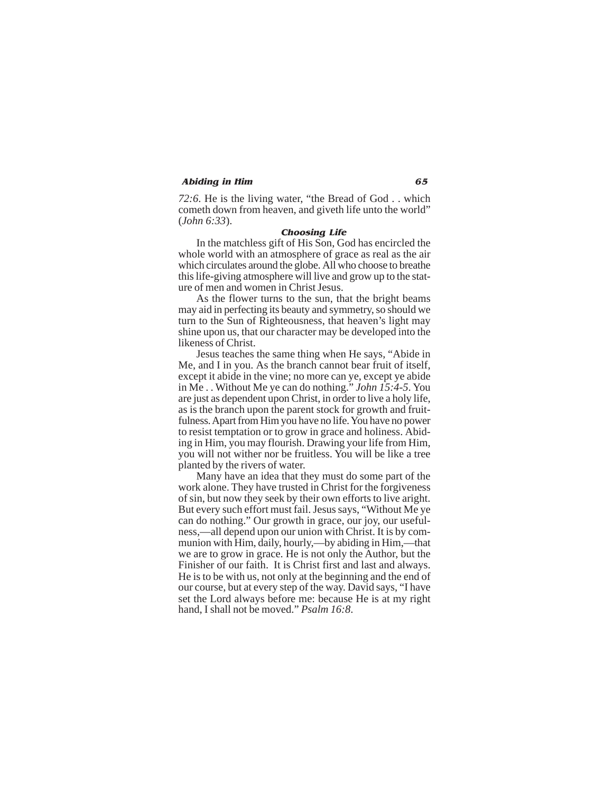## **Abiding in Him**

*72:6*. He is the living water, "the Bread of God . . which cometh down from heaven, and giveth life unto the world" (*John 6:33*).

# **Choosing Life**

In the matchless gift of His Son, God has encircled the whole world with an atmosphere of grace as real as the air which circulates around the globe. All who choose to breathe this life-giving atmosphere will live and grow up to the stature of men and women in Christ Jesus.

As the flower turns to the sun, that the bright beams may aid in perfecting its beauty and symmetry, so should we turn to the Sun of Righteousness, that heaven's light may shine upon us, that our character may be developed into the likeness of Christ.

Jesus teaches the same thing when He says, "Abide in Me, and I in you. As the branch cannot bear fruit of itself, except it abide in the vine; no more can ye, except ye abide in Me . . Without Me ye can do nothing." *John 15:4-5*. You are just as dependent upon Christ, in order to live a holy life, as is the branch upon the parent stock for growth and fruitfulness. Apart from Him you have no life. You have no power to resist temptation or to grow in grace and holiness. Abiding in Him, you may flourish. Drawing your life from Him, you will not wither nor be fruitless. You will be like a tree planted by the rivers of water.

Many have an idea that they must do some part of the work alone. They have trusted in Christ for the forgiveness of sin, but now they seek by their own efforts to live aright. But every such effort must fail. Jesus says, "Without Me ye can do nothing." Our growth in grace, our joy, our usefulness,—all depend upon our union with Christ. It is by communion with Him, daily, hourly,—by abiding in Him,—that we are to grow in grace. He is not only the Author, but the Finisher of our faith. It is Christ first and last and always. He is to be with us, not only at the beginning and the end of our course, but at every step of the way. David says, "I have set the Lord always before me: because He is at my right hand, I shall not be moved." *Psalm 16:8*.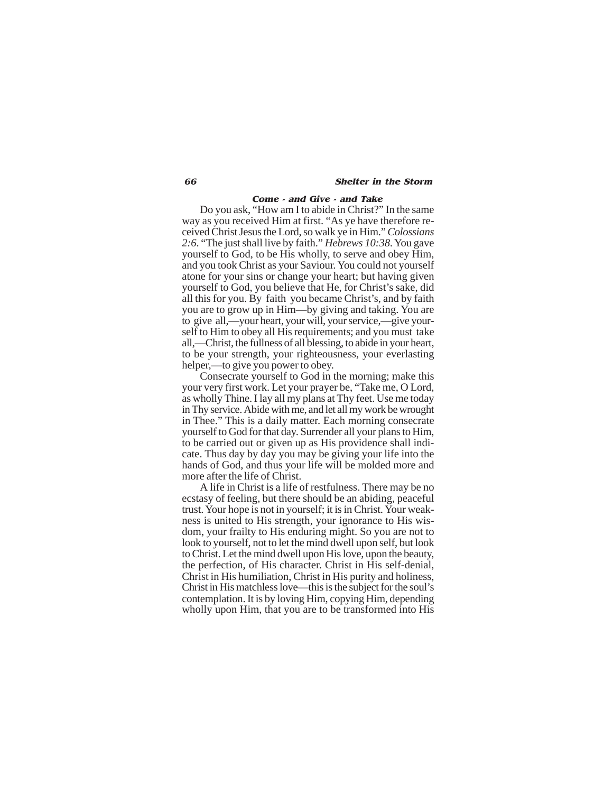#### **Come - and Give - and Take**

Do you ask, "How am I to abide in Christ?" In the same way as you received Him at first. "As ye have therefore received Christ Jesus the Lord, so walk ye in Him." *Colossians 2:6*. "The just shall live by faith." *Hebrews 10:38*. You gave yourself to God, to be His wholly, to serve and obey Him, and you took Christ as your Saviour. You could not yourself atone for your sins or change your heart; but having given yourself to God, you believe that He, for Christ's sake, did all this for you. By faith you became Christ's, and by faith you are to grow up in Him—by giving and taking. You are to give all,—your heart, your will, your service,—give yourself to Him to obey all His requirements; and you must take all,—Christ, the fullness of all blessing, to abide in your heart, to be your strength, your righteousness, your everlasting helper,—to give you power to obey.

Consecrate yourself to God in the morning; make this your very first work. Let your prayer be, "Take me, O Lord, as wholly Thine. I lay all my plans at Thy feet. Use me today in Thy service. Abide with me, and let all my work be wrought in Thee." This is a daily matter. Each morning consecrate yourself to God for that day. Surrender all your plans to Him, to be carried out or given up as His providence shall indicate. Thus day by day you may be giving your life into the hands of God, and thus your life will be molded more and more after the life of Christ.

A life in Christ is a life of restfulness. There may be no ecstasy of feeling, but there should be an abiding, peaceful trust. Your hope is not in yourself; it is in Christ. Your weakness is united to His strength, your ignorance to His wisdom, your frailty to His enduring might. So you are not to look to yourself, not to let the mind dwell upon self, but look to Christ. Let the mind dwell upon His love, upon the beauty, the perfection, of His character. Christ in His self-denial, Christ in His humiliation, Christ in His purity and holiness, Christ in His matchless love—this is the subject for the soul's contemplation. It is by loving Him, copying Him, depending wholly upon Him, that you are to be transformed into His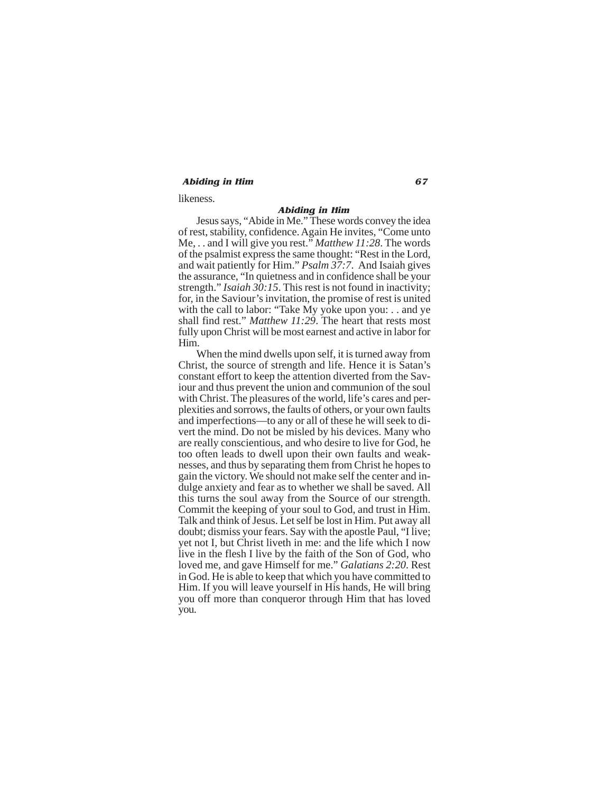likeness.

## **Abiding in Him**

Jesus says, "Abide in Me." These words convey the idea of rest, stability, confidence. Again He invites, "Come unto Me, . . and I will give you rest." *Matthew 11:28*. The words of the psalmist express the same thought: "Rest in the Lord, and wait patiently for Him." *Psalm 37:7*. And Isaiah gives the assurance, "In quietness and in confidence shall be your strength." *Isaiah 30:15*. This rest is not found in inactivity; for, in the Saviour's invitation, the promise of rest is united with the call to labor: "Take My yoke upon you: . . and ye shall find rest." *Matthew 11:29*. The heart that rests most fully upon Christ will be most earnest and active in labor for Him.

When the mind dwells upon self, it is turned away from Christ, the source of strength and life. Hence it is Satan's constant effort to keep the attention diverted from the Saviour and thus prevent the union and communion of the soul with Christ. The pleasures of the world, life's cares and perplexities and sorrows, the faults of others, or your own faults and imperfections—to any or all of these he will seek to divert the mind. Do not be misled by his devices. Many who are really conscientious, and who desire to live for God, he too often leads to dwell upon their own faults and weaknesses, and thus by separating them from Christ he hopes to gain the victory. We should not make self the center and indulge anxiety and fear as to whether we shall be saved. All this turns the soul away from the Source of our strength. Commit the keeping of your soul to God, and trust in Him. Talk and think of Jesus. Let self be lost in Him. Put away all doubt; dismiss your fears. Say with the apostle Paul, "I live; yet not I, but Christ liveth in me: and the life which I now live in the flesh I live by the faith of the Son of God, who loved me, and gave Himself for me." *Galatians 2:20*. Rest in God. He is able to keep that which you have committed to Him. If you will leave yourself in His hands, He will bring you off more than conqueror through Him that has loved you.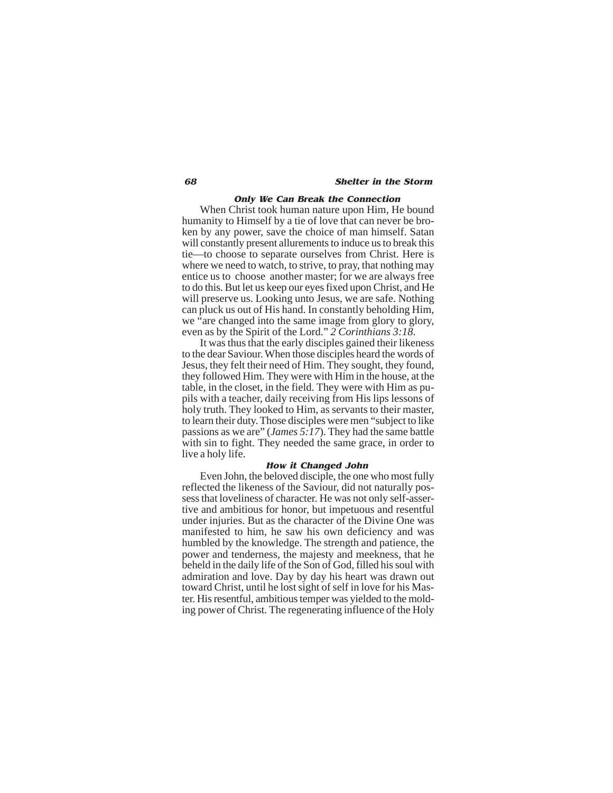#### **Only We Can Break the Connection**

When Christ took human nature upon Him, He bound humanity to Himself by a tie of love that can never be broken by any power, save the choice of man himself. Satan will constantly present allurements to induce us to break this tie—to choose to separate ourselves from Christ. Here is where we need to watch, to strive, to pray, that nothing may entice us to choose another master; for we are always free to do this. But let us keep our eyes fixed upon Christ, and He will preserve us. Looking unto Jesus, we are safe. Nothing can pluck us out of His hand. In constantly beholding Him, we "are changed into the same image from glory to glory, even as by the Spirit of the Lord." *2 Corinthians 3:18*.

It was thus that the early disciples gained their likeness to the dear Saviour. When those disciples heard the words of Jesus, they felt their need of Him. They sought, they found, they followed Him. They were with Him in the house, at the table, in the closet, in the field. They were with Him as pupils with a teacher, daily receiving from His lips lessons of holy truth. They looked to Him, as servants to their master, to learn their duty. Those disciples were men "subject to like passions as we are" (*James 5:17*). They had the same battle with sin to fight. They needed the same grace, in order to live a holy life.

## **How it Changed John**

Even John, the beloved disciple, the one who most fully reflected the likeness of the Saviour, did not naturally possess that loveliness of character. He was not only self-assertive and ambitious for honor, but impetuous and resentful under injuries. But as the character of the Divine One was manifested to him, he saw his own deficiency and was humbled by the knowledge. The strength and patience, the power and tenderness, the majesty and meekness, that he beheld in the daily life of the Son of God, filled his soul with admiration and love. Day by day his heart was drawn out toward Christ, until he lost sight of self in love for his Master. His resentful, ambitious temper was yielded to the molding power of Christ. The regenerating influence of the Holy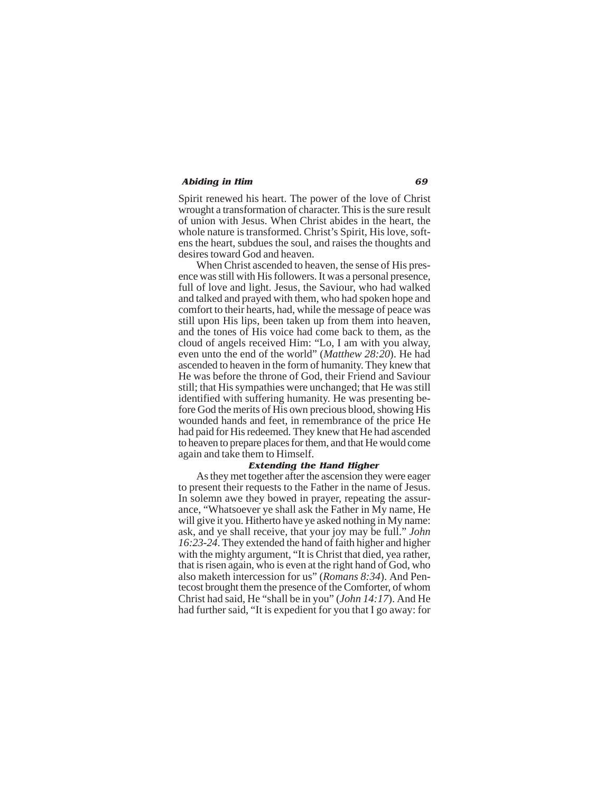## **Abiding in Him**

Spirit renewed his heart. The power of the love of Christ wrought a transformation of character. This is the sure result of union with Jesus. When Christ abides in the heart, the whole nature is transformed. Christ's Spirit, His love, softens the heart, subdues the soul, and raises the thoughts and desires toward God and heaven.

When Christ ascended to heaven, the sense of His presence was still with His followers. It was a personal presence, full of love and light. Jesus, the Saviour, who had walked and talked and prayed with them, who had spoken hope and comfort to their hearts, had, while the message of peace was still upon His lips, been taken up from them into heaven, and the tones of His voice had come back to them, as the cloud of angels received Him: "Lo, I am with you alway, even unto the end of the world" (*Matthew 28:20*). He had ascended to heaven in the form of humanity. They knew that He was before the throne of God, their Friend and Saviour still; that His sympathies were unchanged; that He was still identified with suffering humanity. He was presenting before God the merits of His own precious blood, showing His wounded hands and feet, in remembrance of the price He had paid for His redeemed. They knew that He had ascended to heaven to prepare places for them, and that He would come again and take them to Himself.

## **Extending the Hand Higher**

As they met together after the ascension they were eager to present their requests to the Father in the name of Jesus. In solemn awe they bowed in prayer, repeating the assurance, "Whatsoever ye shall ask the Father in My name, He will give it you. Hitherto have ye asked nothing in My name: ask, and ye shall receive, that your joy may be full." *John 16:23-24*. They extended the hand of faith higher and higher with the mighty argument, "It is Christ that died, yea rather, that is risen again, who is even at the right hand of God, who also maketh intercession for us" (*Romans 8:34*). And Pentecost brought them the presence of the Comforter, of whom Christ had said, He "shall be in you" (*John 14:17*). And He had further said, "It is expedient for you that I go away: for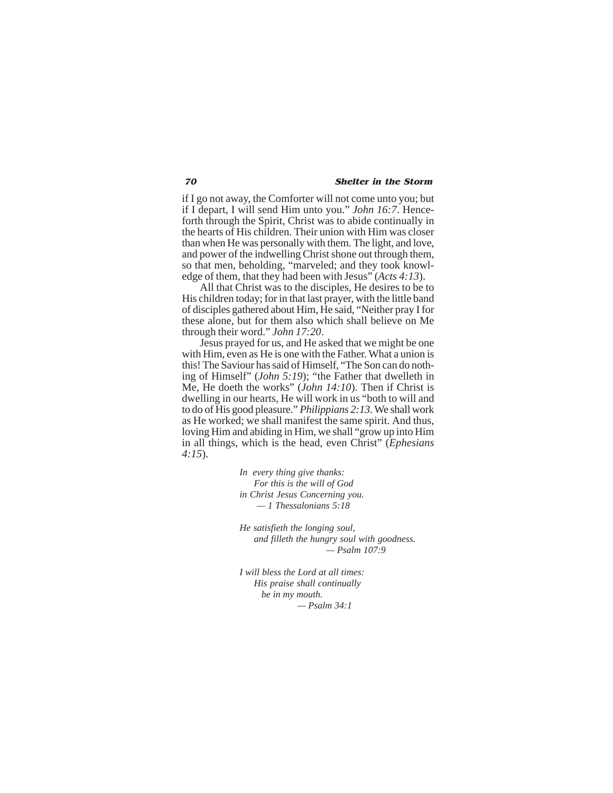if I go not away, the Comforter will not come unto you; but if I depart, I will send Him unto you." *John 16:7*. Henceforth through the Spirit, Christ was to abide continually in the hearts of His children. Their union with Him was closer than when He was personally with them. The light, and love, and power of the indwelling Christ shone out through them, so that men, beholding, "marveled; and they took knowledge of them, that they had been with Jesus" (*Acts 4:13*).

All that Christ was to the disciples, He desires to be to His children today; for in that last prayer, with the little band of disciples gathered about Him, He said, "Neither pray I for these alone, but for them also which shall believe on Me through their word." *John 17:20*.

Jesus prayed for us, and He asked that we might be one with Him, even as He is one with the Father. What a union is this! The Saviour has said of Himself, "The Son can do nothing of Himself" (*John 5:19*); "the Father that dwelleth in Me, He doeth the works" (*John 14:10*). Then if Christ is dwelling in our hearts, He will work in us "both to will and to do of His good pleasure." *Philippians 2:13*. We shall work as He worked; we shall manifest the same spirit. And thus, loving Him and abiding in Him, we shall "grow up into Him in all things, which is the head, even Christ" (*Ephesians 4:15*).

> *In every thing give thanks: For this is the will of God in Christ Jesus Concerning you. — 1 Thessalonians 5:18*

*He satisfieth the longing soul, and filleth the hungry soul with goodness. — Psalm 107:9*

*I will bless the Lord at all times: His praise shall continually be in my mouth. — Psalm 34:1*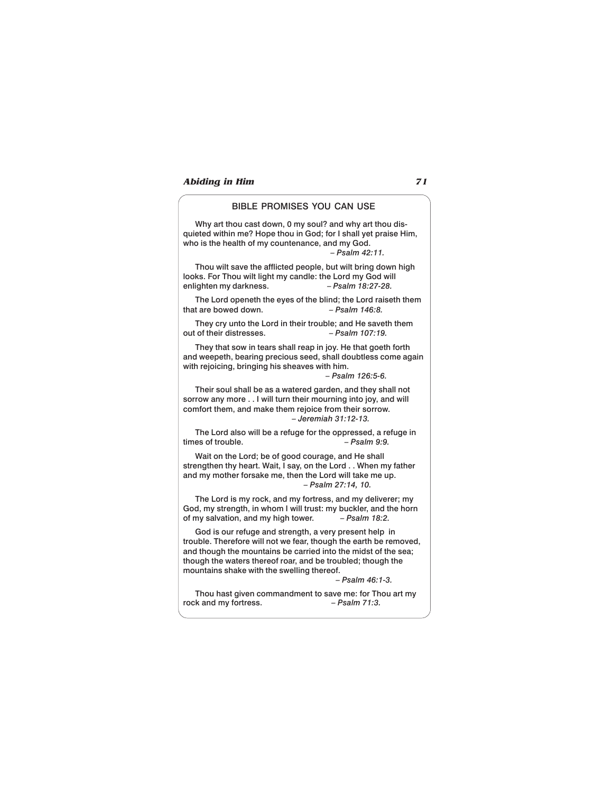# BIBLE PROMISES YOU CAN USE

Why art thou cast down, 0 my soul? and why art thou disquieted within me? Hope thou in God; for I shall yet praise Him, who is the health of my countenance, and my God.

 *– Psalm 42:11.*

Thou wilt save the afflicted people, but wilt bring down high looks. For Thou wilt light my candle: the Lord my God will enlighten my darkness. *– Psalm 18:27-28.*

The Lord openeth the eyes of the blind; the Lord raiseth them that are bowed down. *– Psalm 146:8.*

They cry unto the Lord in their trouble; and He saveth them out of their distresses. *– Psalm 107:19.*

They that sow in tears shall reap in joy. He that goeth forth and weepeth, bearing precious seed, shall doubtless come again with rejoicing, bringing his sheaves with him.

 *– Psalm 126:5-6.*

Their soul shall be as a watered garden, and they shall not sorrow any more . . I will turn their mourning into joy, and will comfort them, and make them rejoice from their sorrow.  *– Jeremiah 31:12-13.*

The Lord also will be a refuge for the oppressed, a refuge in times of trouble. *– Psalm 9:9.*

Wait on the Lord; be of good courage, and He shall strengthen thy heart. Wait, I say, on the Lord . . When my father and my mother forsake me, then the Lord will take me up.  *– Psalm 27:14, 10.*

The Lord is my rock, and my fortress, and my deliverer; my God, my strength, in whom I will trust: my buckler, and the horn of my salvation, and my high tower. *– Psalm 18:2.*

God is our refuge and strength, a very present help in trouble. Therefore will not we fear, though the earth be removed, and though the mountains be carried into the midst of the sea; though the waters thereof roar, and be troubled; though the mountains shake with the swelling thereof.

 *– Psalm 46:1-3.*

Thou hast given commandment to save me: for Thou art my rock and my fortress. *– Psalm 71:3.*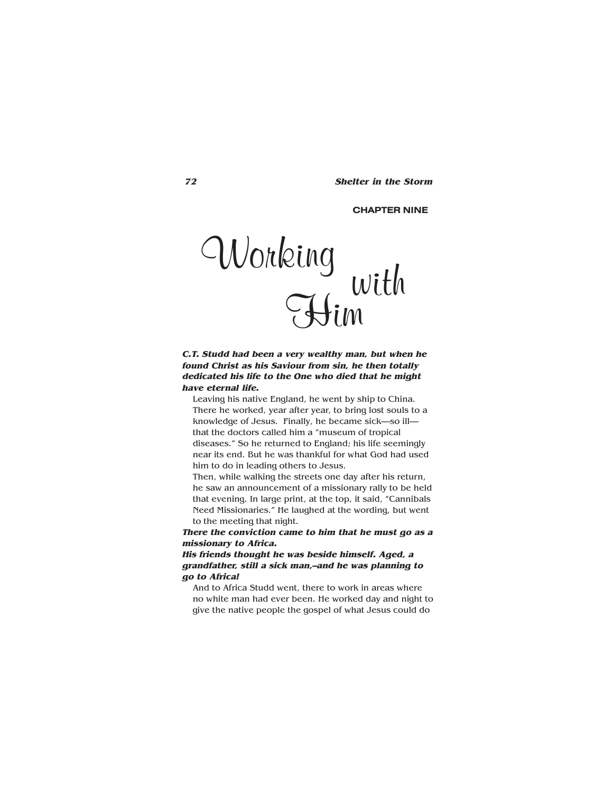### **CHAPTER NINE**

# **Working with Him**

# **C.T. Studd had been a very wealthy man, but when he found Christ as his Saviour from sin, he then totally dedicated his life to the One who died that he might have eternal life.**

Leaving his native England, he went by ship to China. There he worked, year after year, to bring lost souls to a knowledge of Jesus. Finally, he became sick—so ill that the doctors called him a "museum of tropical diseases." So he returned to England; his life seemingly near its end. But he was thankful for what God had used him to do in leading others to Jesus.

Then, while walking the streets one day after his return, he saw an announcement of a missionary rally to be held that evening. In large print, at the top, it said, "Cannibals Need Missionaries." He laughed at the wording, but went to the meeting that night.

# **There the conviction came to him that he must go as a missionary to Africa.**

# **His friends thought he was beside himself. Aged, a grandfather, still a sick man,–and he was planning to go to Africa!**

And to Africa Studd went, there to work in areas where no white man had ever been. He worked day and night to give the native people the gospel of what Jesus could do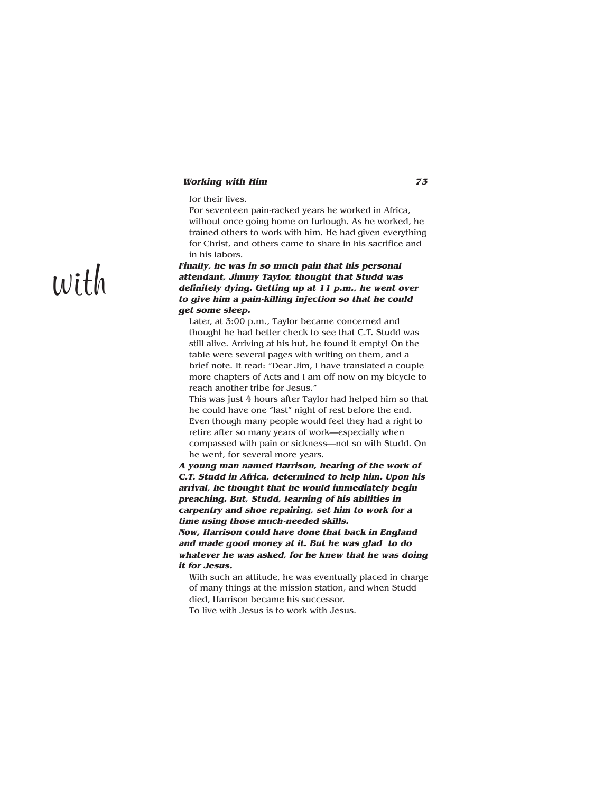### **Working with Him 73**

for their lives.

For seventeen pain-racked years he worked in Africa, without once going home on furlough. As he worked, he trained others to work with him. He had given everything for Christ, and others came to share in his sacrifice and in his labors.

# **Finally, he was in so much pain that his personal attendant, Jimmy Taylor, thought that Studd was definitely dying. Getting up at 11 p.m., he went over to give him a pain-killing injection so that he could get some sleep.**

Later, at 3:00 p.m., Taylor became concerned and thought he had better check to see that C.T. Studd was still alive. Arriving at his hut, he found it empty! On the table were several pages with writing on them, and a brief note. It read: "Dear Jim, I have translated a couple more chapters of Acts and I am off now on my bicycle to reach another tribe for Jesus."

This was just 4 hours after Taylor had helped him so that he could have one "last" night of rest before the end. Even though many people would feel they had a right to retire after so many years of work—especially when compassed with pain or sickness—not so with Studd. On he went, for several more years.

**A young man named Harrison, hearing of the work of C.T. Studd in Africa, determined to help him. Upon his arrival, he thought that he would immediately begin preaching. But, Studd, learning of his abilities in carpentry and shoe repairing, set him to work for a time using those much-needed skills.**

**Now, Harrison could have done that back in England and made good money at it. But he was glad to do whatever he was asked, for he knew that he was doing it for Jesus.**

With such an attitude, he was eventually placed in charge of many things at the mission station, and when Studd died, Harrison became his successor.

To live with Jesus is to work with Jesus.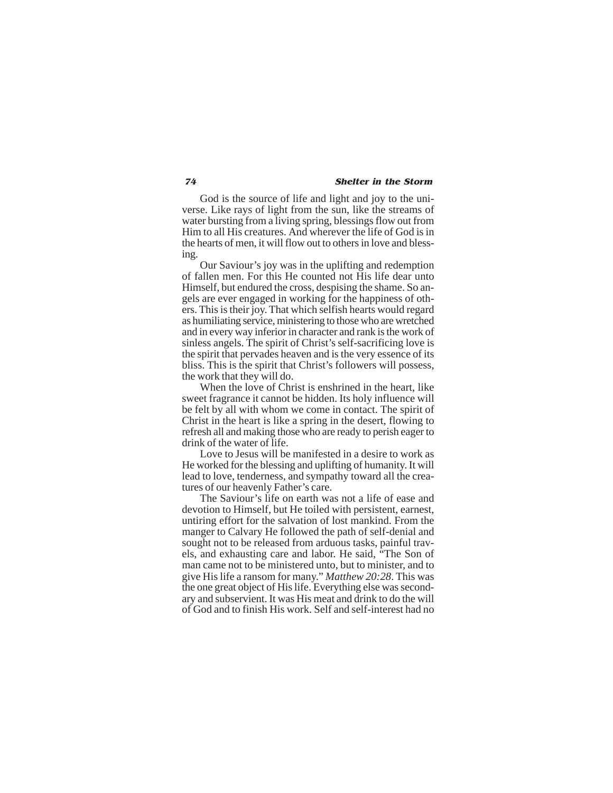God is the source of life and light and joy to the universe. Like rays of light from the sun, like the streams of water bursting from a living spring, blessings flow out from Him to all His creatures. And wherever the life of God is in the hearts of men, it will flow out to others in love and blessing.

Our Saviour's joy was in the uplifting and redemption of fallen men. For this He counted not His life dear unto Himself, but endured the cross, despising the shame. So angels are ever engaged in working for the happiness of others. This is their joy. That which selfish hearts would regard as humiliating service, ministering to those who are wretched and in every way inferior in character and rank is the work of sinless angels. The spirit of Christ's self-sacrificing love is the spirit that pervades heaven and is the very essence of its bliss. This is the spirit that Christ's followers will possess, the work that they will do.

When the love of Christ is enshrined in the heart, like sweet fragrance it cannot be hidden. Its holy influence will be felt by all with whom we come in contact. The spirit of Christ in the heart is like a spring in the desert, flowing to refresh all and making those who are ready to perish eager to drink of the water of life.

Love to Jesus will be manifested in a desire to work as He worked for the blessing and uplifting of humanity. It will lead to love, tenderness, and sympathy toward all the creatures of our heavenly Father's care.

The Saviour's life on earth was not a life of ease and devotion to Himself, but He toiled with persistent, earnest, untiring effort for the salvation of lost mankind. From the manger to Calvary He followed the path of self-denial and sought not to be released from arduous tasks, painful travels, and exhausting care and labor. He said, "The Son of man came not to be ministered unto, but to minister, and to give His life a ransom for many." *Matthew 20:28*. This was the one great object of His life. Everything else was secondary and subservient. It was His meat and drink to do the will of God and to finish His work. Self and self-interest had no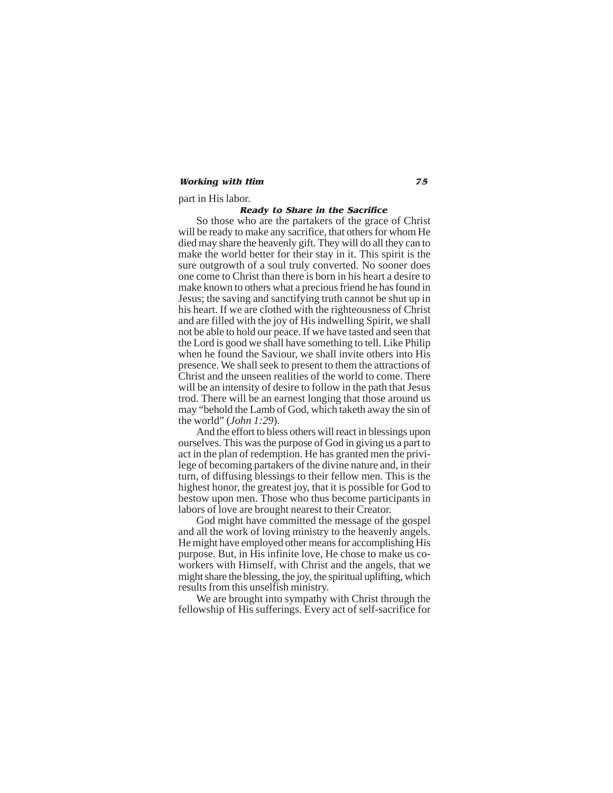part in His labor.

### **Ready to Share in the Sacrifice**

So those who are the partakers of the grace of Christ will be ready to make any sacrifice, that others for whom He died may share the heavenly gift. They will do all they can to make the world better for their stay in it. This spirit is the sure outgrowth of a soul truly converted. No sooner does one come to Christ than there is born in his heart a desire to make known to others what a precious friend he has found in Jesus; the saving and sanctifying truth cannot be shut up in his heart. If we are clothed with the righteousness of Christ and are filled with the joy of His indwelling Spirit, we shall not be able to hold our peace. If we have tasted and seen that the Lord is good we shall have something to tell. Like Philip when he found the Saviour, we shall invite others into His presence. We shall seek to present to them the attractions of Christ and the unseen realities of the world to come. There will be an intensity of desire to follow in the path that Jesus trod. There will be an earnest longing that those around us may "behold the Lamb of God, which taketh away the sin of the world" (*John 1:29*).

And the effort to bless others will react in blessings upon ourselves. This was the purpose of God in giving us a part to act in the plan of redemption. He has granted men the privilege of becoming partakers of the divine nature and, in their turn, of diffusing blessings to their fellow men. This is the highest honor, the greatest joy, that it is possible for God to bestow upon men. Those who thus become participants in labors of love are brought nearest to their Creator.

God might have committed the message of the gospel and all the work of loving ministry to the heavenly angels. He might have employed other means for accomplishing His purpose. But, in His infinite love, He chose to make us coworkers with Himself, with Christ and the angels, that we might share the blessing, the joy, the spiritual uplifting, which results from this unselfish ministry.

We are brought into sympathy with Christ through the fellowship of His sufferings. Every act of self-sacrifice for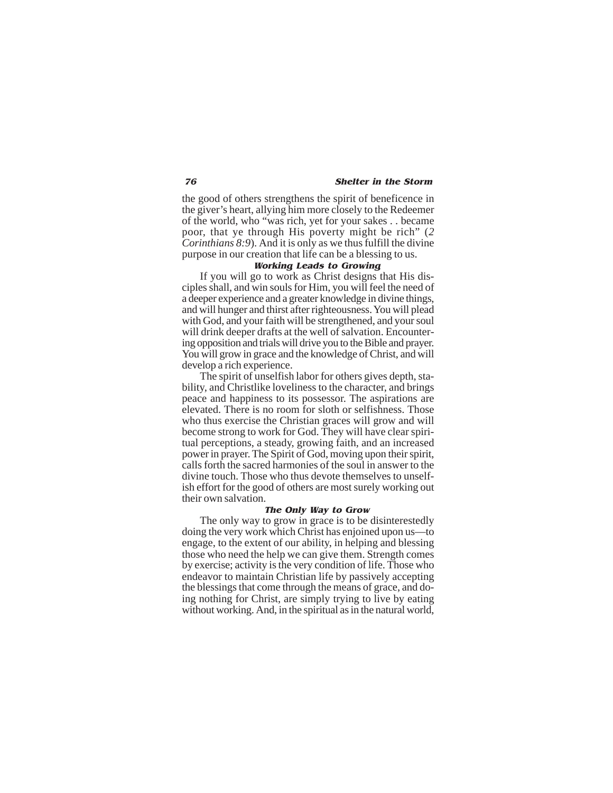the good of others strengthens the spirit of beneficence in the giver's heart, allying him more closely to the Redeemer of the world, who "was rich, yet for your sakes . . became poor, that ye through His poverty might be rich" (*2 Corinthians 8:9*). And it is only as we thus fulfill the divine purpose in our creation that life can be a blessing to us.

# **Working Leads to Growing**

If you will go to work as Christ designs that His disciples shall, and win souls for Him, you will feel the need of a deeper experience and a greater knowledge in divine things, and will hunger and thirst after righteousness. You will plead with God, and your faith will be strengthened, and your soul will drink deeper drafts at the well of salvation. Encountering opposition and trials will drive you to the Bible and prayer. You will grow in grace and the knowledge of Christ, and will develop a rich experience.

The spirit of unselfish labor for others gives depth, stability, and Christlike loveliness to the character, and brings peace and happiness to its possessor. The aspirations are elevated. There is no room for sloth or selfishness. Those who thus exercise the Christian graces will grow and will become strong to work for God. They will have clear spiritual perceptions, a steady, growing faith, and an increased power in prayer. The Spirit of God, moving upon their spirit, calls forth the sacred harmonies of the soul in answer to the divine touch. Those who thus devote themselves to unselfish effort for the good of others are most surely working out their own salvation.

# **The Only Way to Grow**

The only way to grow in grace is to be disinterestedly doing the very work which Christ has enjoined upon us—to engage, to the extent of our ability, in helping and blessing those who need the help we can give them. Strength comes by exercise; activity is the very condition of life. Those who endeavor to maintain Christian life by passively accepting the blessings that come through the means of grace, and doing nothing for Christ, are simply trying to live by eating without working. And, in the spiritual as in the natural world,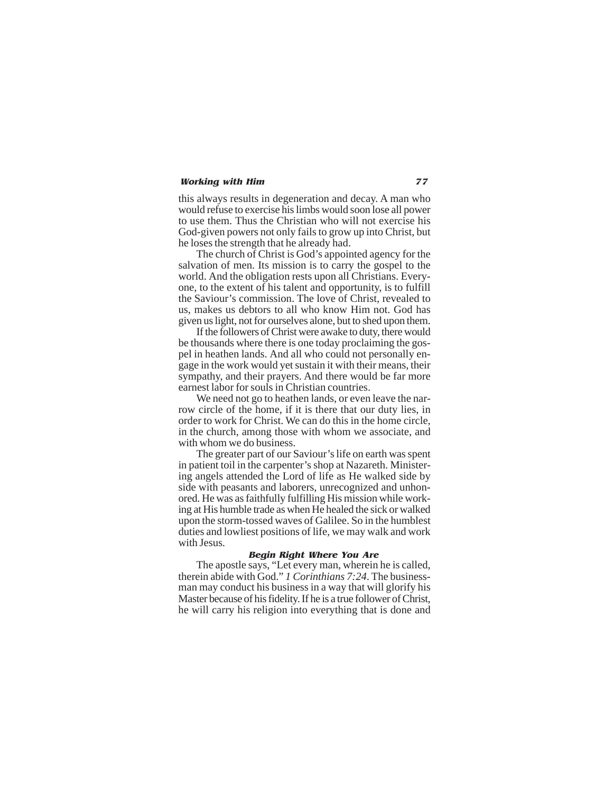# **Working with Him**

this always results in degeneration and decay. A man who would refuse to exercise his limbs would soon lose all power to use them. Thus the Christian who will not exercise his God-given powers not only fails to grow up into Christ, but he loses the strength that he already had.

The church of Christ is God's appointed agency for the salvation of men. Its mission is to carry the gospel to the world. And the obligation rests upon all Christians. Everyone, to the extent of his talent and opportunity, is to fulfill the Saviour's commission. The love of Christ, revealed to us, makes us debtors to all who know Him not. God has given us light, not for ourselves alone, but to shed upon them.

If the followers of Christ were awake to duty, there would be thousands where there is one today proclaiming the gospel in heathen lands. And all who could not personally engage in the work would yet sustain it with their means, their sympathy, and their prayers. And there would be far more earnest labor for souls in Christian countries.

We need not go to heathen lands, or even leave the narrow circle of the home, if it is there that our duty lies, in order to work for Christ. We can do this in the home circle, in the church, among those with whom we associate, and with whom we do business.

The greater part of our Saviour's life on earth was spent in patient toil in the carpenter's shop at Nazareth. Ministering angels attended the Lord of life as He walked side by side with peasants and laborers, unrecognized and unhonored. He was as faithfully fulfilling His mission while working at His humble trade as when He healed the sick or walked upon the storm-tossed waves of Galilee. So in the humblest duties and lowliest positions of life, we may walk and work with Jesus.

# **Begin Right Where You Are**

The apostle says, "Let every man, wherein he is called, therein abide with God." *1 Corinthians 7:24*. The businessman may conduct his business in a way that will glorify his Master because of his fidelity. If he is a true follower of Christ, he will carry his religion into everything that is done and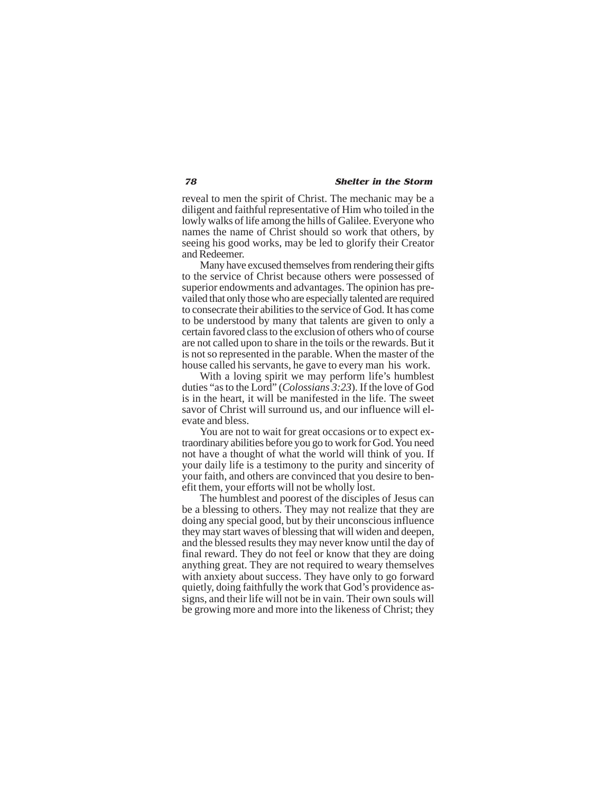reveal to men the spirit of Christ. The mechanic may be a diligent and faithful representative of Him who toiled in the lowly walks of life among the hills of Galilee. Everyone who names the name of Christ should so work that others, by seeing his good works, may be led to glorify their Creator and Redeemer.

Many have excused themselves from rendering their gifts to the service of Christ because others were possessed of superior endowments and advantages. The opinion has prevailed that only those who are especially talented are required to consecrate their abilities to the service of God. It has come to be understood by many that talents are given to only a certain favored class to the exclusion of others who of course are not called upon to share in the toils or the rewards. But it is not so represented in the parable. When the master of the house called his servants, he gave to every man his work.

With a loving spirit we may perform life's humblest duties "as to the Lord" (*Colossians 3:23*). If the love of God is in the heart, it will be manifested in the life. The sweet savor of Christ will surround us, and our influence will elevate and bless.

You are not to wait for great occasions or to expect extraordinary abilities before you go to work for God. You need not have a thought of what the world will think of you. If your daily life is a testimony to the purity and sincerity of your faith, and others are convinced that you desire to benefit them, your efforts will not be wholly lost.

The humblest and poorest of the disciples of Jesus can be a blessing to others. They may not realize that they are doing any special good, but by their unconscious influence they may start waves of blessing that will widen and deepen, and the blessed results they may never know until the day of final reward. They do not feel or know that they are doing anything great. They are not required to weary themselves with anxiety about success. They have only to go forward quietly, doing faithfully the work that God's providence assigns, and their life will not be in vain. Their own souls will be growing more and more into the likeness of Christ; they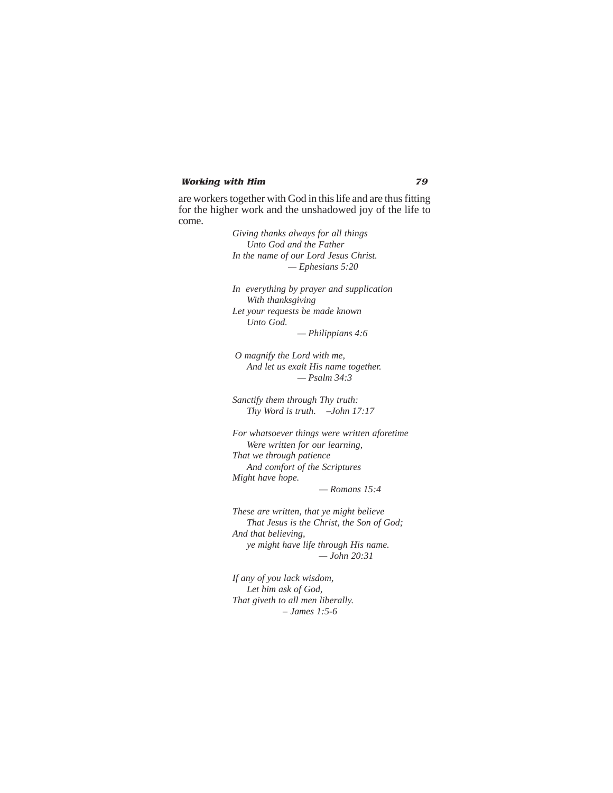### **Working with Him**

are workers together with God in this life and are thus fitting for the higher work and the unshadowed joy of the life to come.

> *Giving thanks always for all things Unto God and the Father In the name of our Lord Jesus Christ. — Ephesians 5:20*

*In everything by prayer and supplication With thanksgiving Let your requests be made known Unto God.*

 *— Philippians 4:6*

 *O magnify the Lord with me, And let us exalt His name together. — Psalm 34:3*

*Sanctify them through Thy truth: Thy Word is truth. –John 17:17*

*For whatsoever things were written aforetime Were written for our learning, That we through patience And comfort of the Scriptures Might have hope.*

 *— Romans 15:4*

*These are written, that ye might believe That Jesus is the Christ, the Son of God; And that believing, ye might have life through His name. — John 20:31*

*If any of you lack wisdom, Let him ask of God, That giveth to all men liberally. – James 1:5-6*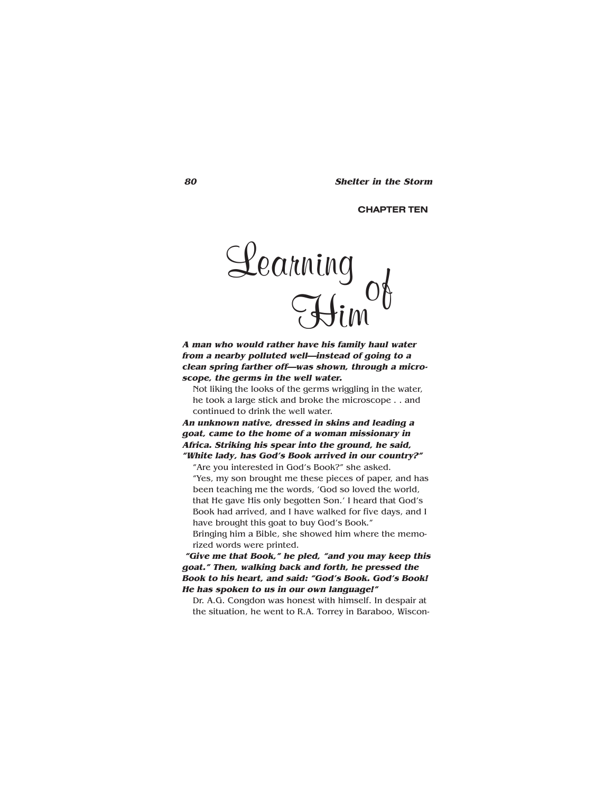### **CHAPTER TEN**

# **Learning of Him**

**A man who would rather have his family haul water from a nearby polluted well—instead of going to a clean spring farther off—was shown, through a microscope, the germs in the well water.**

Not liking the looks of the germs wriggling in the water, he took a large stick and broke the microscope . . and continued to drink the well water.

# **An unknown native, dressed in skins and leading a goat, came to the home of a woman missionary in Africa. Striking his spear into the ground, he said, "White lady, has God's Book arrived in our country?"**

"Are you interested in God's Book?" she asked. "Yes, my son brought me these pieces of paper, and has been teaching me the words, 'God so loved the world, that He gave His only begotten Son.' I heard that God's Book had arrived, and I have walked for five days, and I have brought this goat to buy God's Book."

Bringing him a Bible, she showed him where the memorized words were printed.

**"Give me that Book," he pled, "and you may keep this goat." Then, walking back and forth, he pressed the Book to his heart, and said: "God's Book. God's Book! He has spoken to us in our own language!"**

Dr. A.G. Congdon was honest with himself. In despair at the situation, he went to R.A. Torrey in Baraboo, Wiscon-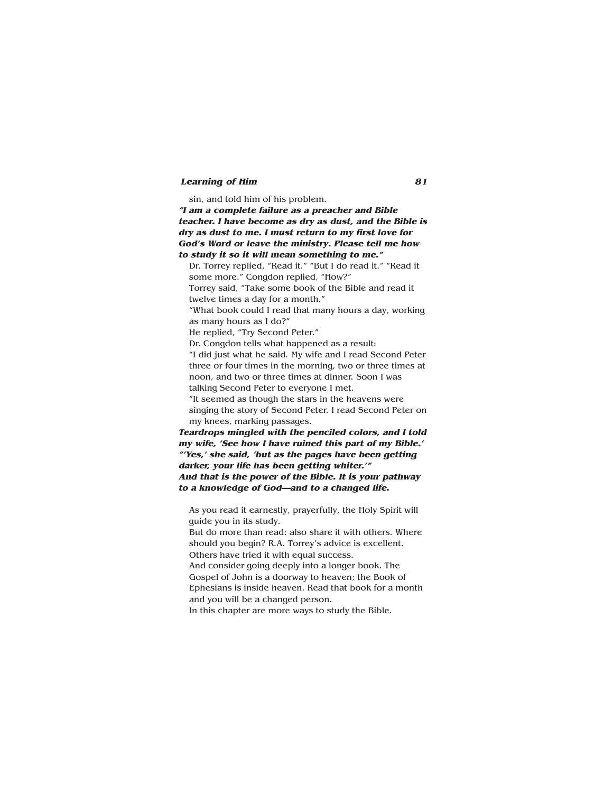### *Learning of Him* **81**

sin, and told him of his problem.

**"I am a complete failure as a preacher and Bible teacher. I have become as dry as dust, and the Bible is dry as dust to me. I must return to my first love for God's Word or leave the ministry. Please tell me how to study it so it will mean something to me."**

Dr. Torrey replied, "Read it." "But I do read it." "Read it some more." Congdon replied, "How?"

Torrey said, "Take some book of the Bible and read it twelve times a day for a month."

"What book could I read that many hours a day, working as many hours as I do?"

He replied, "Try Second Peter."

Dr. Congdon tells what happened as a result:

"I did just what he said. My wife and I read Second Peter three or four times in the morning, two or three times at noon, and two or three times at dinner. Soon I was talking Second Peter to everyone I met.

"It seemed as though the stars in the heavens were singing the story of Second Peter. I read Second Peter on my knees, marking passages.

**Teardrops mingled with the penciled colors, and I told my wife, 'See how I have ruined this part of my Bible.' "'Yes,' she said, 'but as the pages have been getting darker, your life has been getting whiter.'"**

**And that is the power of the Bible. It is your pathway to a knowledge of God—and to a changed life.**

As you read it earnestly, prayerfully, the Holy Spirit will guide you in its study.

But do more than read: also share it with others. Where should you begin? R.A. Torrey's advice is excellent. Others have tried it with equal success.

And consider going deeply into a longer book. The Gospel of John is a doorway to heaven; the Book of Ephesians is inside heaven. Read that book for a month and you will be a changed person.

In this chapter are more ways to study the Bible.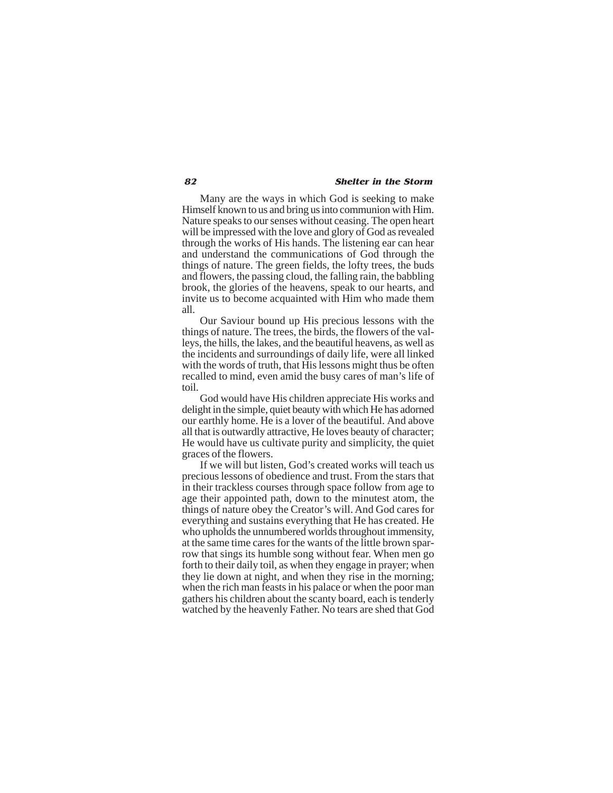Many are the ways in which God is seeking to make Himself known to us and bring us into communion with Him. Nature speaks to our senses without ceasing. The open heart will be impressed with the love and glory of God as revealed through the works of His hands. The listening ear can hear and understand the communications of God through the things of nature. The green fields, the lofty trees, the buds and flowers, the passing cloud, the falling rain, the babbling brook, the glories of the heavens, speak to our hearts, and invite us to become acquainted with Him who made them all.

Our Saviour bound up His precious lessons with the things of nature. The trees, the birds, the flowers of the valleys, the hills, the lakes, and the beautiful heavens, as well as the incidents and surroundings of daily life, were all linked with the words of truth, that His lessons might thus be often recalled to mind, even amid the busy cares of man's life of toil.

God would have His children appreciate His works and delight in the simple, quiet beauty with which He has adorned our earthly home. He is a lover of the beautiful. And above all that is outwardly attractive, He loves beauty of character; He would have us cultivate purity and simplicity, the quiet graces of the flowers.

If we will but listen, God's created works will teach us precious lessons of obedience and trust. From the stars that in their trackless courses through space follow from age to age their appointed path, down to the minutest atom, the things of nature obey the Creator's will. And God cares for everything and sustains everything that He has created. He who upholds the unnumbered worlds throughout immensity, at the same time cares for the wants of the little brown sparrow that sings its humble song without fear. When men go forth to their daily toil, as when they engage in prayer; when they lie down at night, and when they rise in the morning; when the rich man feasts in his palace or when the poor man gathers his children about the scanty board, each is tenderly watched by the heavenly Father. No tears are shed that God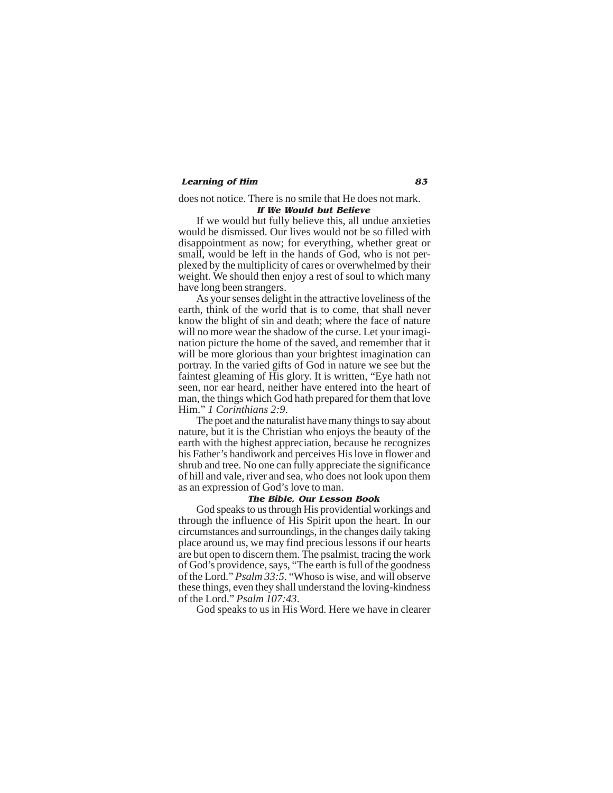does not notice. There is no smile that He does not mark.

# **If We Would but Believe**

If we would but fully believe this, all undue anxieties would be dismissed. Our lives would not be so filled with disappointment as now; for everything, whether great or small, would be left in the hands of God, who is not perplexed by the multiplicity of cares or overwhelmed by their weight. We should then enjoy a rest of soul to which many have long been strangers.

As your senses delight in the attractive loveliness of the earth, think of the world that is to come, that shall never know the blight of sin and death; where the face of nature will no more wear the shadow of the curse. Let your imagination picture the home of the saved, and remember that it will be more glorious than your brightest imagination can portray. In the varied gifts of God in nature we see but the faintest gleaming of His glory. It is written, "Eye hath not seen, nor ear heard, neither have entered into the heart of man, the things which God hath prepared for them that love Him." *1 Corinthians 2:9*.

The poet and the naturalist have many things to say about nature, but it is the Christian who enjoys the beauty of the earth with the highest appreciation, because he recognizes his Father's handiwork and perceives His love in flower and shrub and tree. No one can fully appreciate the significance of hill and vale, river and sea, who does not look upon them as an expression of God's love to man.

# **The Bible, Our Lesson Book**

God speaks to us through His providential workings and through the influence of His Spirit upon the heart. In our circumstances and surroundings, in the changes daily taking place around us, we may find precious lessons if our hearts are but open to discern them. The psalmist, tracing the work of God's providence, says, "The earth is full of the goodness of the Lord." *Psalm 33:5*. "Whoso is wise, and will observe these things, even they shall understand the loving-kindness of the Lord." *Psalm 107:43*.

God speaks to us in His Word. Here we have in clearer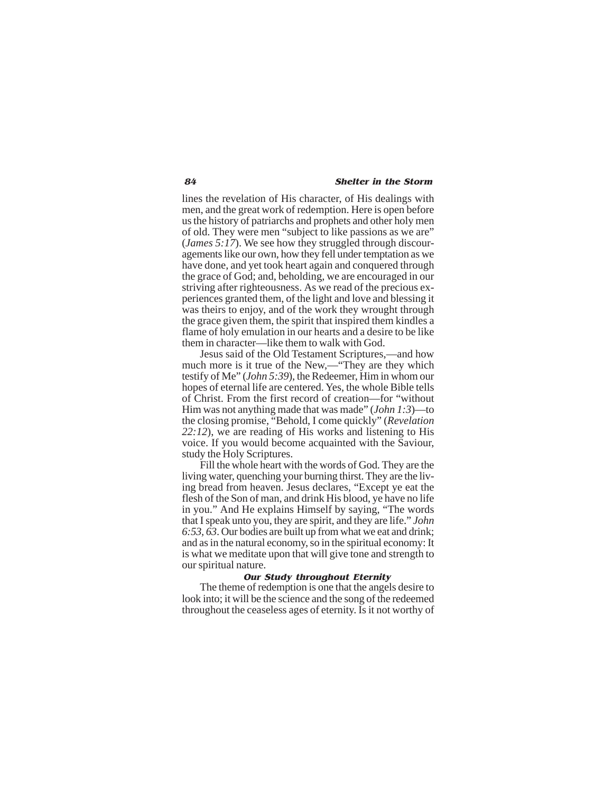lines the revelation of His character, of His dealings with men, and the great work of redemption. Here is open before us the history of patriarchs and prophets and other holy men of old. They were men "subject to like passions as we are" (*James 5:17*). We see how they struggled through discouragements like our own, how they fell under temptation as we have done, and yet took heart again and conquered through the grace of God; and, beholding, we are encouraged in our striving after righteousness. As we read of the precious experiences granted them, of the light and love and blessing it was theirs to enjoy, and of the work they wrought through the grace given them, the spirit that inspired them kindles a flame of holy emulation in our hearts and a desire to be like them in character—like them to walk with God.

Jesus said of the Old Testament Scriptures,—and how much more is it true of the New,—"They are they which testify of Me" (*John 5:39*), the Redeemer, Him in whom our hopes of eternal life are centered. Yes, the whole Bible tells of Christ. From the first record of creation—for "without Him was not anything made that was made" (*John 1:3*)—to the closing promise, "Behold, I come quickly" (*Revelation 22:12*), we are reading of His works and listening to His voice. If you would become acquainted with the Saviour, study the Holy Scriptures.

Fill the whole heart with the words of God. They are the living water, quenching your burning thirst. They are the living bread from heaven. Jesus declares, "Except ye eat the flesh of the Son of man, and drink His blood, ye have no life in you." And He explains Himself by saying, "The words that I speak unto you, they are spirit, and they are life." *John 6:53, 63*. Our bodies are built up from what we eat and drink; and as in the natural economy, so in the spiritual economy: It is what we meditate upon that will give tone and strength to our spiritual nature.

### **Our Study throughout Eternity**

The theme of redemption is one that the angels desire to look into; it will be the science and the song of the redeemed throughout the ceaseless ages of eternity. Is it not worthy of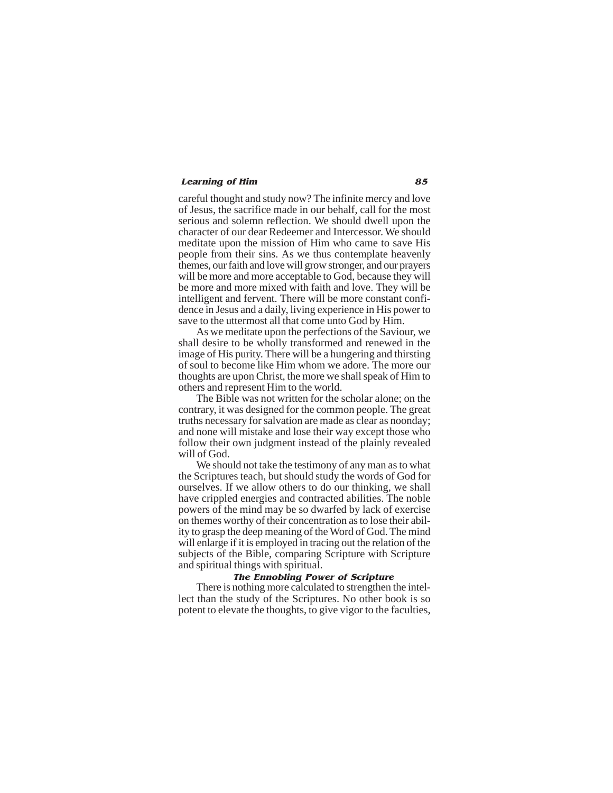# **Learning of Him**

careful thought and study now? The infinite mercy and love of Jesus, the sacrifice made in our behalf, call for the most serious and solemn reflection. We should dwell upon the character of our dear Redeemer and Intercessor. We should meditate upon the mission of Him who came to save His people from their sins. As we thus contemplate heavenly themes, our faith and love will grow stronger, and our prayers will be more and more acceptable to God, because they will be more and more mixed with faith and love. They will be intelligent and fervent. There will be more constant confidence in Jesus and a daily, living experience in His power to save to the uttermost all that come unto God by Him.

As we meditate upon the perfections of the Saviour, we shall desire to be wholly transformed and renewed in the image of His purity. There will be a hungering and thirsting of soul to become like Him whom we adore. The more our thoughts are upon Christ, the more we shall speak of Him to others and represent Him to the world.

The Bible was not written for the scholar alone; on the contrary, it was designed for the common people. The great truths necessary for salvation are made as clear as noonday; and none will mistake and lose their way except those who follow their own judgment instead of the plainly revealed will of God.

We should not take the testimony of any man as to what the Scriptures teach, but should study the words of God for ourselves. If we allow others to do our thinking, we shall have crippled energies and contracted abilities. The noble powers of the mind may be so dwarfed by lack of exercise on themes worthy of their concentration as to lose their ability to grasp the deep meaning of the Word of God. The mind will enlarge if it is employed in tracing out the relation of the subjects of the Bible, comparing Scripture with Scripture and spiritual things with spiritual.

# **The Ennobling Power of Scripture**

There is nothing more calculated to strengthen the intellect than the study of the Scriptures. No other book is so potent to elevate the thoughts, to give vigor to the faculties,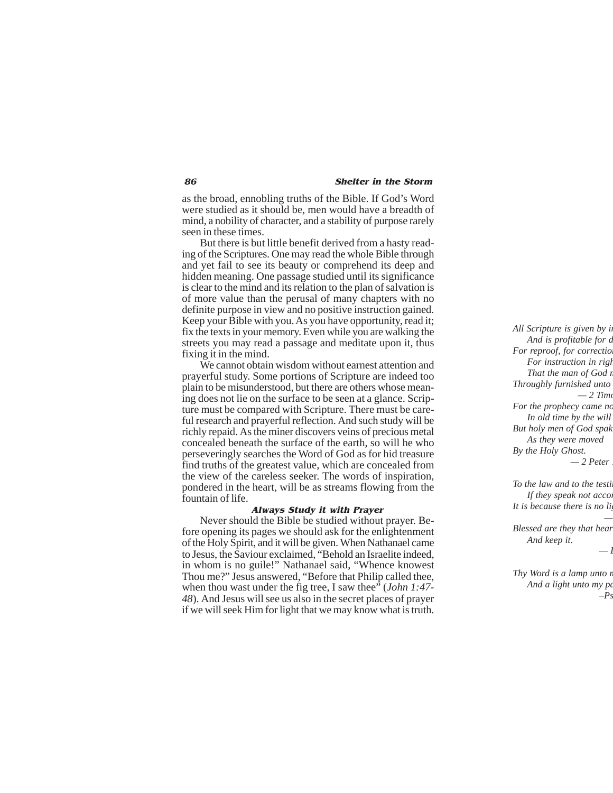as the broad, ennobling truths of the Bible. If God's Word were studied as it should be, men would have a breadth of mind, a nobility of character, and a stability of purpose rarely seen in these times.

But there is but little benefit derived from a hasty reading of the Scriptures. One may read the whole Bible through and yet fail to see its beauty or comprehend its deep and hidden meaning. One passage studied until its significance is clear to the mind and its relation to the plan of salvation is of more value than the perusal of many chapters with no definite purpose in view and no positive instruction gained. Keep your Bible with you. As you have opportunity, read it; fix the texts in your memory. Even while you are walking the streets you may read a passage and meditate upon it, thus fixing it in the mind.

We cannot obtain wisdom without earnest attention and prayerful study. Some portions of Scripture are indeed too plain to be misunderstood, but there are others whose meaning does not lie on the surface to be seen at a glance. Scripture must be compared with Scripture. There must be careful research and prayerful reflection. And such study will be richly repaid. As the miner discovers veins of precious metal concealed beneath the surface of the earth, so will he who perseveringly searches the Word of God as for hid treasure find truths of the greatest value, which are concealed from the view of the careless seeker. The words of inspiration, pondered in the heart, will be as streams flowing from the fountain of life.

# **Always Study it with Prayer**

Never should the Bible be studied without prayer. Before opening its pages we should ask for the enlightenment of the Holy Spirit, and it will be given. When Nathanael came to Jesus, the Saviour exclaimed, "Behold an Israelite indeed, in whom is no guile!" Nathanael said, "Whence knowest Thou me?" Jesus answered, "Before that Philip called thee, when thou wast under the fig tree, I saw thee<sup>"</sup> (*John 1:47-48*). And Jesus will see us also in the secret places of prayer if we will seek Him for light that we may know what is truth.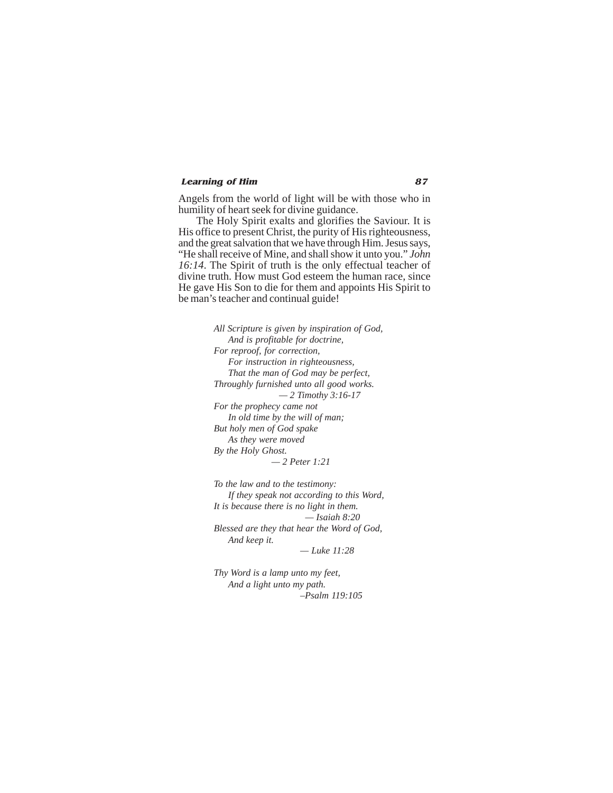### **Learning of Him**

Angels from the world of light will be with those who in humility of heart seek for divine guidance.

The Holy Spirit exalts and glorifies the Saviour. It is His office to present Christ, the purity of His righteousness, and the great salvation that we have through Him. Jesus says, "He shall receive of Mine, and shall show it unto you." *John 16:14*. The Spirit of truth is the only effectual teacher of divine truth. How must God esteem the human race, since He gave His Son to die for them and appoints His Spirit to be man's teacher and continual guide!

> *All Scripture is given by inspiration of God, And is profitable for doctrine, For reproof, for correction, For instruction in righteousness, That the man of God may be perfect, Throughly furnished unto all good works. — 2 Timothy 3:16-17 For the prophecy came not In old time by the will of man; But holy men of God spake As they were moved By the Holy Ghost. — 2 Peter 1:21*

*To the law and to the testimony: If they speak not according to this Word, It is because there is no light in them. — Isaiah 8:20 Blessed are they that hear the Word of God, And keep it.*

*— Luke 11:28*

*Thy Word is a lamp unto my feet, And a light unto my path. –Psalm 119:105*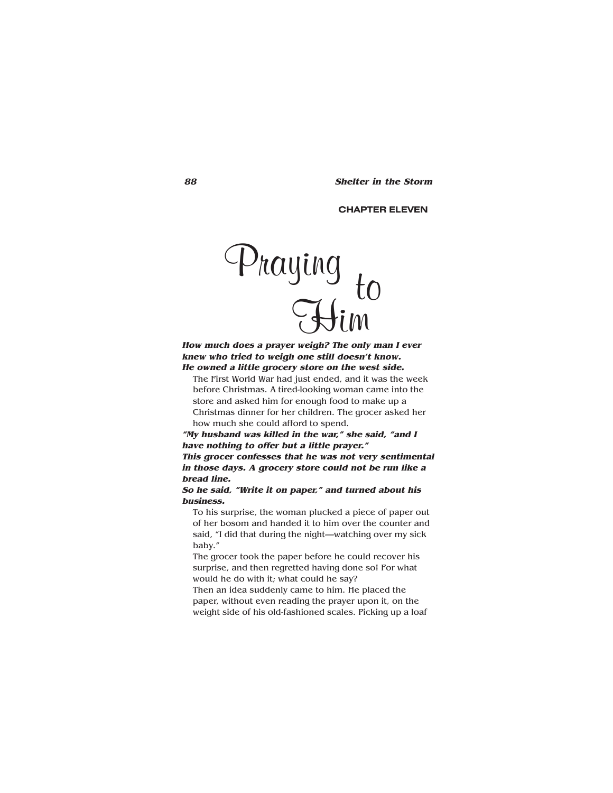### **CHAPTER ELEVEN**



**How much does a prayer weigh? The only man I ever knew who tried to weigh one still doesn't know. He owned a little grocery store on the west side.**

The First World War had just ended, and it was the week before Christmas. A tired-looking woman came into the store and asked him for enough food to make up a Christmas dinner for her children. The grocer asked her how much she could afford to spend.

**"My husband was killed in the war," she said, "and I have nothing to offer but a little prayer."**

**This grocer confesses that he was not very sentimental in those days. A grocery store could not be run like a bread line.**

**So he said, "Write it on paper," and turned about his business.**

To his surprise, the woman plucked a piece of paper out of her bosom and handed it to him over the counter and said, "I did that during the night—watching over my sick baby."

The grocer took the paper before he could recover his surprise, and then regretted having done so! For what would he do with it; what could he say?

Then an idea suddenly came to him. He placed the paper, without even reading the prayer upon it, on the weight side of his old-fashioned scales. Picking up a loaf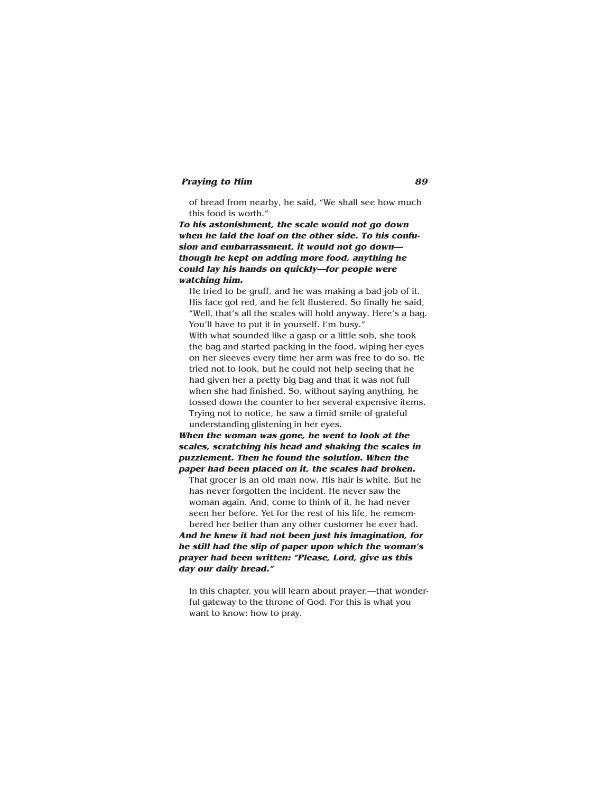### **Praying to Him 89**

of bread from nearby, he said, "We shall see how much this food is worth."

# **To his astonishment, the scale would not go down when he laid the loaf on the other side. To his confusion and embarrassment, it would not go down though he kept on adding more food, anything he could lay his hands on quickly—for people were watching him.**

He tried to be gruff, and he was making a bad job of it. His face got red, and he felt flustered. So finally he said, "Well, that's all the scales will hold anyway. Here's a bag. You'll have to put it in yourself. I'm busy."

With what sounded like a gasp or a little sob, she took the bag and started packing in the food, wiping her eyes on her sleeves every time her arm was free to do so. He tried not to look, but he could not help seeing that he had given her a pretty big bag and that it was not full when she had finished. So, without saying anything, he tossed down the counter to her several expensive items. Trying not to notice, he saw a timid smile of grateful understanding glistening in her eyes.

# **When the woman was gone, he went to look at the scales, scratching his head and shaking the scales in puzzlement. Then he found the solution. When the paper had been placed on it, the scales had broken.**

That grocer is an old man now. His hair is white. But he has never forgotten the incident. He never saw the woman again. And, come to think of it, he had never seen her before. Yet for the rest of his life, he remembered her better than any other customer he ever had.

**And he knew it had not been just his imagination, for he still had the slip of paper upon which the woman's prayer had been written: "Please, Lord, give us this day our daily bread."**

In this chapter, you will learn about prayer,—that wonderful gateway to the throne of God. For this is what you want to know: how to pray.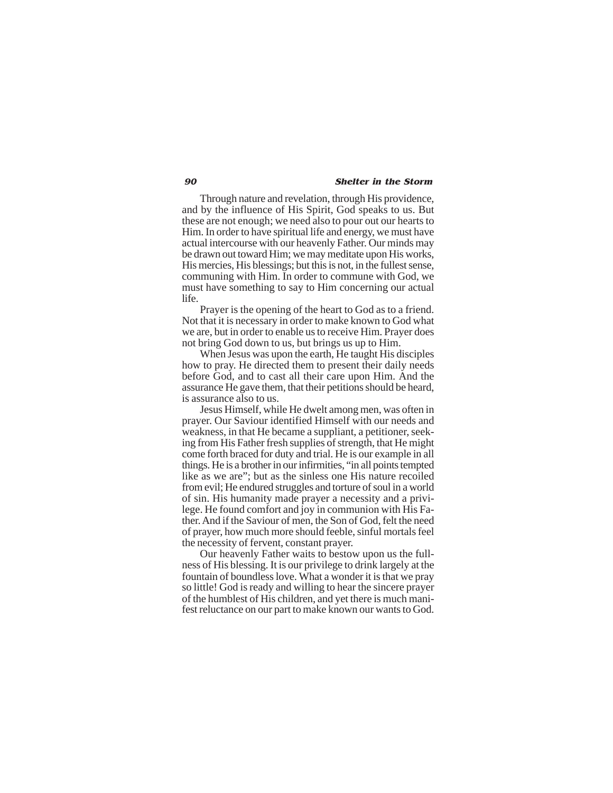Through nature and revelation, through His providence, and by the influence of His Spirit, God speaks to us. But these are not enough; we need also to pour out our hearts to Him. In order to have spiritual life and energy, we must have actual intercourse with our heavenly Father. Our minds may be drawn out toward Him; we may meditate upon His works, His mercies, His blessings; but this is not, in the fullest sense, communing with Him. In order to commune with God, we must have something to say to Him concerning our actual life.

Prayer is the opening of the heart to God as to a friend. Not that it is necessary in order to make known to God what we are, but in order to enable us to receive Him. Prayer does not bring God down to us, but brings us up to Him.

When Jesus was upon the earth, He taught His disciples how to pray. He directed them to present their daily needs before God, and to cast all their care upon Him. And the assurance He gave them, that their petitions should be heard, is assurance also to us.

Jesus Himself, while He dwelt among men, was often in prayer. Our Saviour identified Himself with our needs and weakness, in that He became a suppliant, a petitioner, seeking from His Father fresh supplies of strength, that He might come forth braced for duty and trial. He is our example in all things. He is a brother in our infirmities, "in all points tempted like as we are"; but as the sinless one His nature recoiled from evil; He endured struggles and torture of soul in a world of sin. His humanity made prayer a necessity and a privilege. He found comfort and joy in communion with His Father. And if the Saviour of men, the Son of God, felt the need of prayer, how much more should feeble, sinful mortals feel the necessity of fervent, constant prayer.

Our heavenly Father waits to bestow upon us the fullness of His blessing. It is our privilege to drink largely at the fountain of boundless love. What a wonder it is that we pray so little! God is ready and willing to hear the sincere prayer of the humblest of His children, and yet there is much manifest reluctance on our part to make known our wants to God.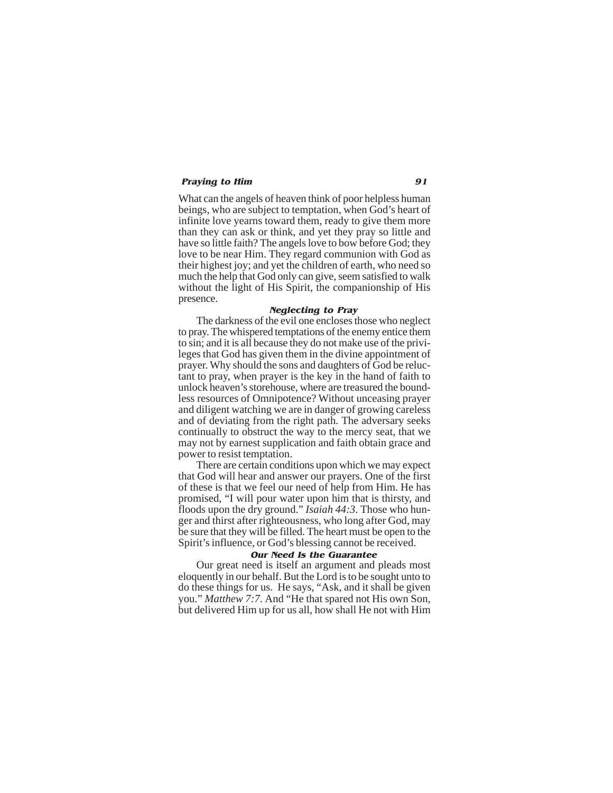# **Praying to Him**

What can the angels of heaven think of poor helpless human beings, who are subject to temptation, when God's heart of infinite love yearns toward them, ready to give them more than they can ask or think, and yet they pray so little and have so little faith? The angels love to bow before God; they love to be near Him. They regard communion with God as their highest joy; and yet the children of earth, who need so much the help that God only can give, seem satisfied to walk without the light of His Spirit, the companionship of His presence.

# **Neglecting to Pray**

The darkness of the evil one encloses those who neglect to pray. The whispered temptations of the enemy entice them to sin; and it is all because they do not make use of the privileges that God has given them in the divine appointment of prayer. Why should the sons and daughters of God be reluctant to pray, when prayer is the key in the hand of faith to unlock heaven's storehouse, where are treasured the boundless resources of Omnipotence? Without unceasing prayer and diligent watching we are in danger of growing careless and of deviating from the right path. The adversary seeks continually to obstruct the way to the mercy seat, that we may not by earnest supplication and faith obtain grace and power to resist temptation.

There are certain conditions upon which we may expect that God will hear and answer our prayers. One of the first of these is that we feel our need of help from Him. He has promised, "I will pour water upon him that is thirsty, and floods upon the dry ground." *Isaiah 44:3*. Those who hunger and thirst after righteousness, who long after God, may be sure that they will be filled. The heart must be open to the Spirit's influence, or God's blessing cannot be received.

# **Our Need Is the Guarantee**

Our great need is itself an argument and pleads most eloquently in our behalf. But the Lord is to be sought unto to do these things for us. He says, "Ask, and it shall be given you." *Matthew 7:7*. And "He that spared not His own Son, but delivered Him up for us all, how shall He not with Him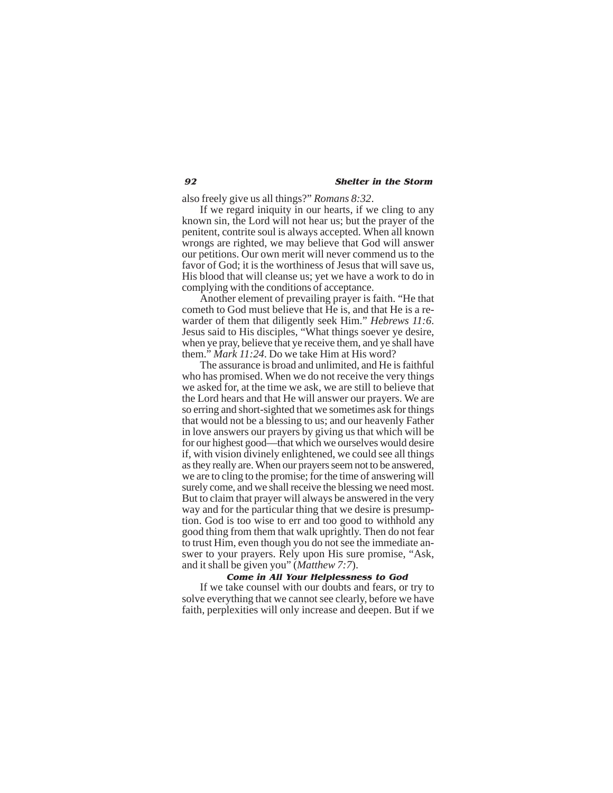also freely give us all things?" *Romans 8:32*.

If we regard iniquity in our hearts, if we cling to any known sin, the Lord will not hear us; but the prayer of the penitent, contrite soul is always accepted. When all known wrongs are righted, we may believe that God will answer our petitions. Our own merit will never commend us to the favor of God; it is the worthiness of Jesus that will save us. His blood that will cleanse us; yet we have a work to do in complying with the conditions of acceptance.

Another element of prevailing prayer is faith. "He that cometh to God must believe that He is, and that He is a rewarder of them that diligently seek Him." *Hebrews 11:6*. Jesus said to His disciples, "What things soever ye desire, when ye pray, believe that ye receive them, and ye shall have them." *Mark 11:24*. Do we take Him at His word?

The assurance is broad and unlimited, and He is faithful who has promised. When we do not receive the very things we asked for, at the time we ask, we are still to believe that the Lord hears and that He will answer our prayers. We are so erring and short-sighted that we sometimes ask for things that would not be a blessing to us; and our heavenly Father in love answers our prayers by giving us that which will be for our highest good—that which we ourselves would desire if, with vision divinely enlightened, we could see all things as they really are. When our prayers seem not to be answered, we are to cling to the promise; for the time of answering will surely come, and we shall receive the blessing we need most. But to claim that prayer will always be answered in the very way and for the particular thing that we desire is presumption. God is too wise to err and too good to withhold any good thing from them that walk uprightly. Then do not fear to trust Him, even though you do not see the immediate answer to your prayers. Rely upon His sure promise, "Ask, and it shall be given you" (*Matthew 7:7*).

# **Come in All Your Helplessness to God**

If we take counsel with our doubts and fears, or try to solve everything that we cannot see clearly, before we have faith, perplexities will only increase and deepen. But if we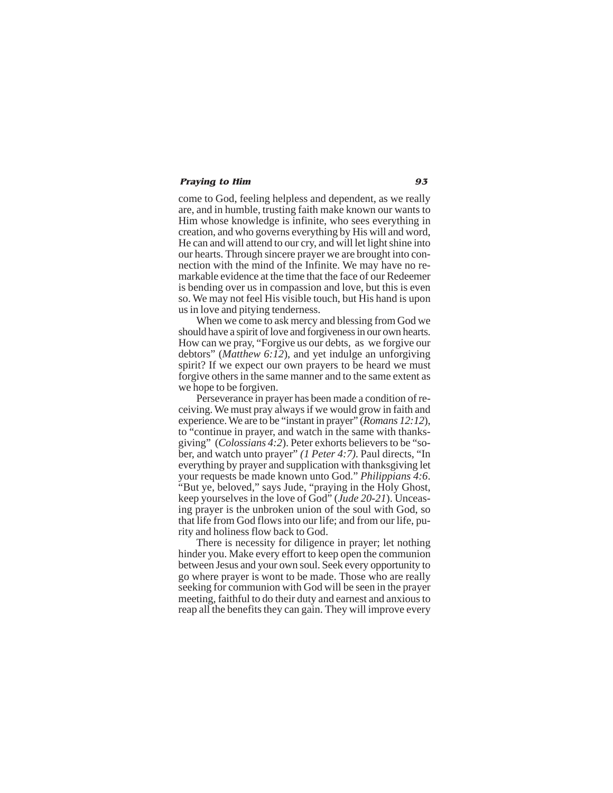# **Praying to Him**

come to God, feeling helpless and dependent, as we really are, and in humble, trusting faith make known our wants to Him whose knowledge is infinite, who sees everything in creation, and who governs everything by His will and word, He can and will attend to our cry, and will let light shine into our hearts. Through sincere prayer we are brought into connection with the mind of the Infinite. We may have no remarkable evidence at the time that the face of our Redeemer is bending over us in compassion and love, but this is even so. We may not feel His visible touch, but His hand is upon us in love and pitying tenderness.

When we come to ask mercy and blessing from God we should have a spirit of love and forgiveness in our own hearts. How can we pray, "Forgive us our debts, as we forgive our debtors" (*Matthew 6:12*), and yet indulge an unforgiving spirit? If we expect our own prayers to be heard we must forgive others in the same manner and to the same extent as we hope to be forgiven.

Perseverance in prayer has been made a condition of receiving. We must pray always if we would grow in faith and experience. We are to be "instant in prayer" (*Romans 12:12*), to "continue in prayer, and watch in the same with thanksgiving" (*Colossians 4:2*). Peter exhorts believers to be "sober, and watch unto prayer" *(1 Peter 4:7)*. Paul directs, "In everything by prayer and supplication with thanksgiving let your requests be made known unto God." *Philippians 4:6*. "But ye, beloved," says Jude, "praying in the Holy Ghost, keep yourselves in the love of God" (*Jude 20-21*). Unceasing prayer is the unbroken union of the soul with God, so that life from God flows into our life; and from our life, purity and holiness flow back to God.

There is necessity for diligence in prayer; let nothing hinder you. Make every effort to keep open the communion between Jesus and your own soul. Seek every opportunity to go where prayer is wont to be made. Those who are really seeking for communion with God will be seen in the prayer meeting, faithful to do their duty and earnest and anxious to reap all the benefits they can gain. They will improve every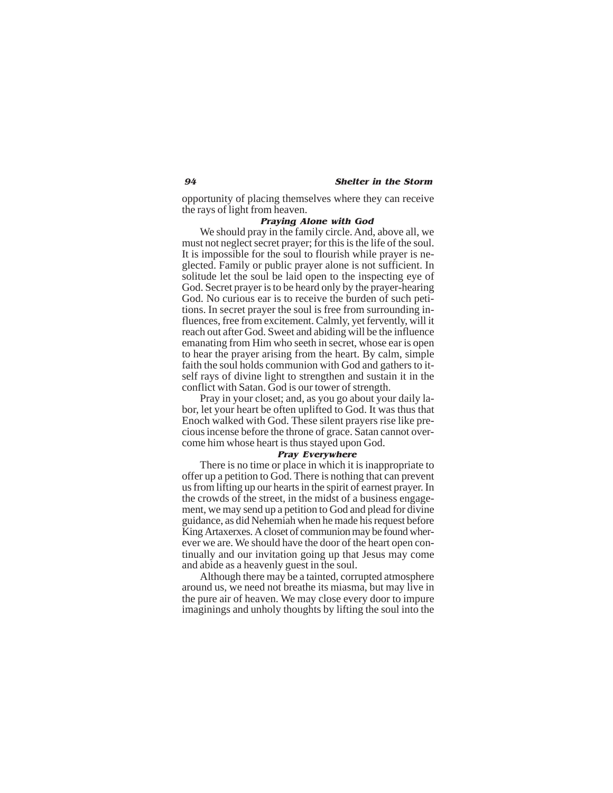opportunity of placing themselves where they can receive the rays of light from heaven.

# **Praying Alone with God**

We should pray in the family circle. And, above all, we must not neglect secret prayer; for this is the life of the soul. It is impossible for the soul to flourish while prayer is neglected. Family or public prayer alone is not sufficient. In solitude let the soul be laid open to the inspecting eye of God. Secret prayer is to be heard only by the prayer-hearing God. No curious ear is to receive the burden of such petitions. In secret prayer the soul is free from surrounding influences, free from excitement. Calmly, yet fervently, will it reach out after God. Sweet and abiding will be the influence emanating from Him who seeth in secret, whose ear is open to hear the prayer arising from the heart. By calm, simple faith the soul holds communion with God and gathers to itself rays of divine light to strengthen and sustain it in the conflict with Satan. God is our tower of strength.

Pray in your closet; and, as you go about your daily labor, let your heart be often uplifted to God. It was thus that Enoch walked with God. These silent prayers rise like precious incense before the throne of grace. Satan cannot overcome him whose heart is thus stayed upon God.

### **Pray Everywhere**

There is no time or place in which it is inappropriate to offer up a petition to God. There is nothing that can prevent us from lifting up our hearts in the spirit of earnest prayer. In the crowds of the street, in the midst of a business engagement, we may send up a petition to God and plead for divine guidance, as did Nehemiah when he made his request before King Artaxerxes. A closet of communion may be found wherever we are. We should have the door of the heart open continually and our invitation going up that Jesus may come and abide as a heavenly guest in the soul.

Although there may be a tainted, corrupted atmosphere around us, we need not breathe its miasma, but may live in the pure air of heaven. We may close every door to impure imaginings and unholy thoughts by lifting the soul into the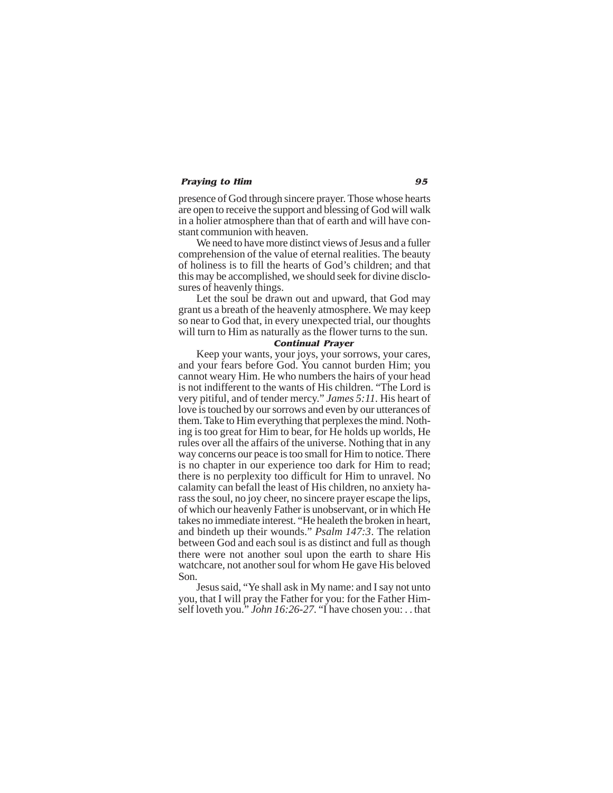# **Praying to Him**

presence of God through sincere prayer. Those whose hearts are open to receive the support and blessing of God will walk in a holier atmosphere than that of earth and will have constant communion with heaven.

We need to have more distinct views of Jesus and a fuller comprehension of the value of eternal realities. The beauty of holiness is to fill the hearts of God's children; and that this may be accomplished, we should seek for divine disclosures of heavenly things.

Let the soul be drawn out and upward, that God may grant us a breath of the heavenly atmosphere. We may keep so near to God that, in every unexpected trial, our thoughts will turn to Him as naturally as the flower turns to the sun.

# **Continual Prayer**

Keep your wants, your joys, your sorrows, your cares, and your fears before God. You cannot burden Him; you cannot weary Him. He who numbers the hairs of your head is not indifferent to the wants of His children. "The Lord is very pitiful, and of tender mercy." *James 5:11*. His heart of love is touched by our sorrows and even by our utterances of them. Take to Him everything that perplexes the mind. Nothing is too great for Him to bear, for He holds up worlds, He rules over all the affairs of the universe. Nothing that in any way concerns our peace is too small for Him to notice. There is no chapter in our experience too dark for Him to read; there is no perplexity too difficult for Him to unravel. No calamity can befall the least of His children, no anxiety harass the soul, no joy cheer, no sincere prayer escape the lips, of which our heavenly Father is unobservant, or in which He takes no immediate interest. "He healeth the broken in heart, and bindeth up their wounds." *Psalm 147:3*. The relation between God and each soul is as distinct and full as though there were not another soul upon the earth to share His watchcare, not another soul for whom He gave His beloved Son.

Jesus said, "Ye shall ask in My name: and I say not unto you, that I will pray the Father for you: for the Father Himself loveth you." *John 16:26-27*. "I have chosen you: . . that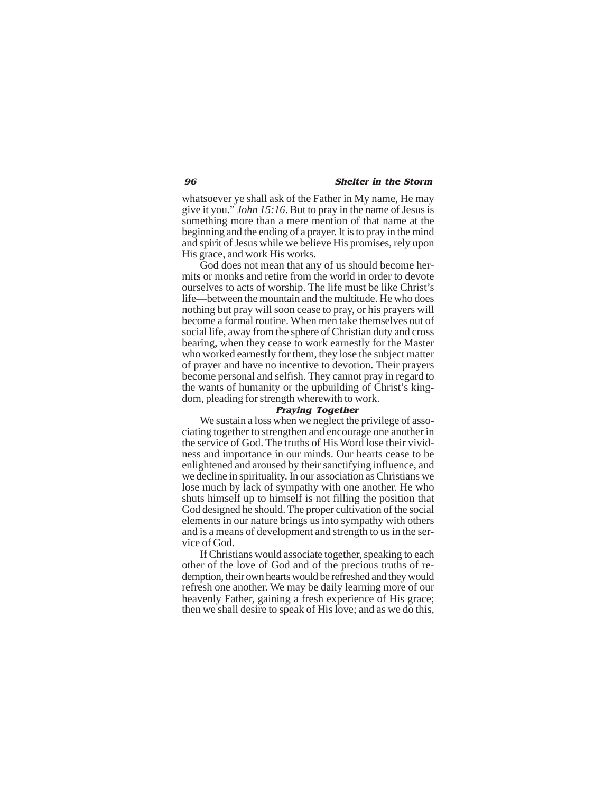whatsoever ye shall ask of the Father in My name, He may give it you." *John 15:16*. But to pray in the name of Jesus is something more than a mere mention of that name at the beginning and the ending of a prayer. It is to pray in the mind and spirit of Jesus while we believe His promises, rely upon His grace, and work His works.

God does not mean that any of us should become hermits or monks and retire from the world in order to devote ourselves to acts of worship. The life must be like Christ's life—between the mountain and the multitude. He who does nothing but pray will soon cease to pray, or his prayers will become a formal routine. When men take themselves out of social life, away from the sphere of Christian duty and cross bearing, when they cease to work earnestly for the Master who worked earnestly for them, they lose the subject matter of prayer and have no incentive to devotion. Their prayers become personal and selfish. They cannot pray in regard to the wants of humanity or the upbuilding of Christ's kingdom, pleading for strength wherewith to work.

# **Praying Together**

We sustain a loss when we neglect the privilege of associating together to strengthen and encourage one another in the service of God. The truths of His Word lose their vividness and importance in our minds. Our hearts cease to be enlightened and aroused by their sanctifying influence, and we decline in spirituality. In our association as Christians we lose much by lack of sympathy with one another. He who shuts himself up to himself is not filling the position that God designed he should. The proper cultivation of the social elements in our nature brings us into sympathy with others and is a means of development and strength to us in the service of God.

If Christians would associate together, speaking to each other of the love of God and of the precious truths of redemption, their own hearts would be refreshed and they would refresh one another. We may be daily learning more of our heavenly Father, gaining a fresh experience of His grace; then we shall desire to speak of His love; and as we do this,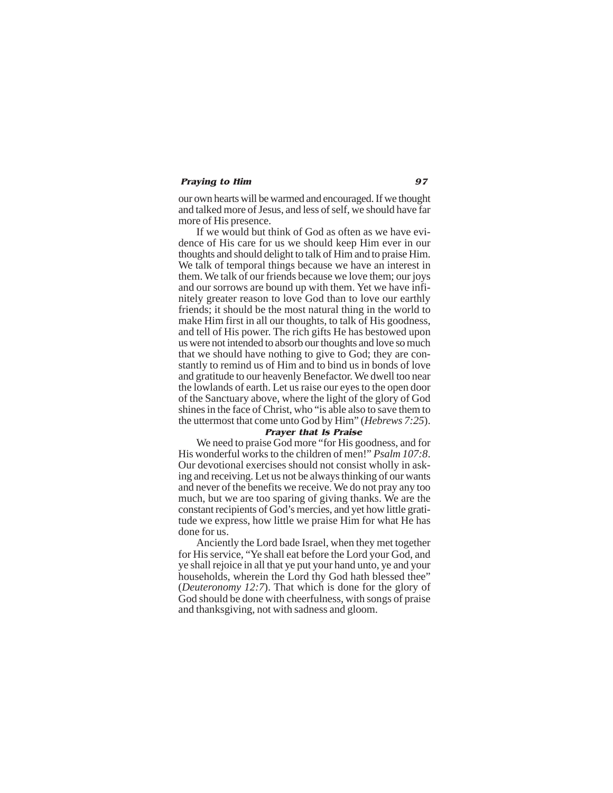# **Praying to Him**

our own hearts will be warmed and encouraged. If we thought and talked more of Jesus, and less of self, we should have far more of His presence.

If we would but think of God as often as we have evidence of His care for us we should keep Him ever in our thoughts and should delight to talk of Him and to praise Him. We talk of temporal things because we have an interest in them. We talk of our friends because we love them; our joys and our sorrows are bound up with them. Yet we have infinitely greater reason to love God than to love our earthly friends; it should be the most natural thing in the world to make Him first in all our thoughts, to talk of His goodness, and tell of His power. The rich gifts He has bestowed upon us were not intended to absorb our thoughts and love so much that we should have nothing to give to God; they are constantly to remind us of Him and to bind us in bonds of love and gratitude to our heavenly Benefactor. We dwell too near the lowlands of earth. Let us raise our eyes to the open door of the Sanctuary above, where the light of the glory of God shines in the face of Christ, who "is able also to save them to the uttermost that come unto God by Him" (*Hebrews 7:25*).

## **Prayer that Is Praise**

We need to praise God more "for His goodness, and for His wonderful works to the children of men!" *Psalm 107:8*. Our devotional exercises should not consist wholly in asking and receiving. Let us not be always thinking of our wants and never of the benefits we receive. We do not pray any too much, but we are too sparing of giving thanks. We are the constant recipients of God's mercies, and yet how little gratitude we express, how little we praise Him for what He has done for us.

Anciently the Lord bade Israel, when they met together for His service, "Ye shall eat before the Lord your God, and ye shall rejoice in all that ye put your hand unto, ye and your households, wherein the Lord thy God hath blessed thee" (*Deuteronomy 12:7*). That which is done for the glory of God should be done with cheerfulness, with songs of praise and thanksgiving, not with sadness and gloom.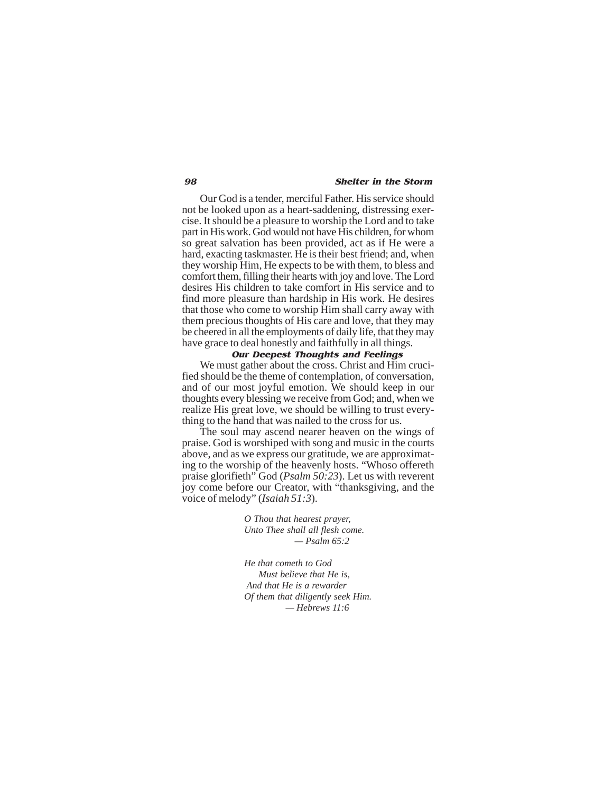Our God is a tender, merciful Father. His service should not be looked upon as a heart-saddening, distressing exercise. It should be a pleasure to worship the Lord and to take part in His work. God would not have His children, for whom so great salvation has been provided, act as if He were a hard, exacting taskmaster. He is their best friend; and, when they worship Him, He expects to be with them, to bless and comfort them, filling their hearts with joy and love. The Lord desires His children to take comfort in His service and to find more pleasure than hardship in His work. He desires that those who come to worship Him shall carry away with them precious thoughts of His care and love, that they may be cheered in all the employments of daily life, that they may have grace to deal honestly and faithfully in all things.

# **Our Deepest Thoughts and Feelings**

We must gather about the cross. Christ and Him crucified should be the theme of contemplation, of conversation, and of our most joyful emotion. We should keep in our thoughts every blessing we receive from God; and, when we realize His great love, we should be willing to trust everything to the hand that was nailed to the cross for us.

The soul may ascend nearer heaven on the wings of praise. God is worshiped with song and music in the courts above, and as we express our gratitude, we are approximating to the worship of the heavenly hosts. "Whoso offereth praise glorifieth" God (*Psalm 50:23*). Let us with reverent joy come before our Creator, with "thanksgiving, and the voice of melody" (*Isaiah 51:3*).

> *O Thou that hearest prayer, Unto Thee shall all flesh come. — Psalm 65:2*

*He that cometh to God Must believe that He is, And that He is a rewarder Of them that diligently seek Him. — Hebrews 11:6*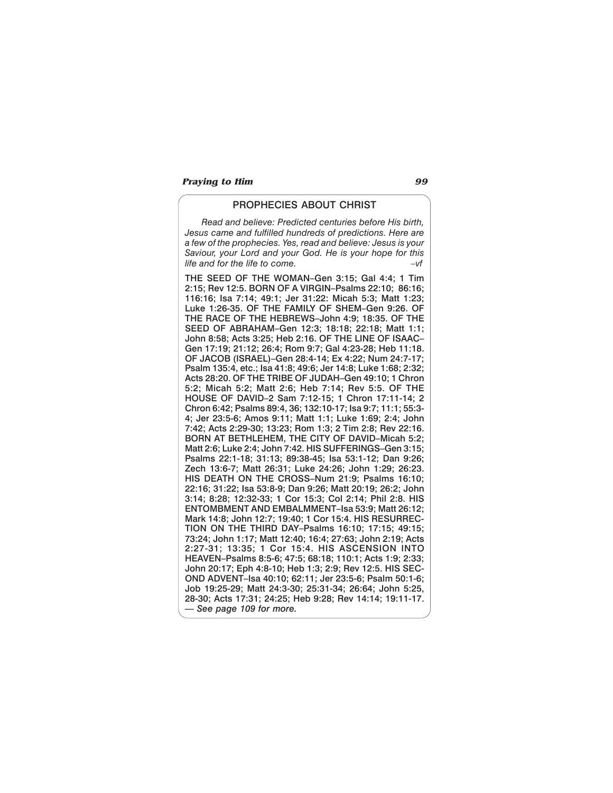# PROPHECIES ABOUT CHRIST

 *Read and believe: Predicted centuries before His birth, Jesus came and fulfilled hundreds of predictions. Here are a few of the prophecies. Yes, read and believe: Jesus is your Saviour, your Lord and your God. He is your hope for this life and for the life to come. –vf*

THE SEED OF THE WOMAN–Gen 3:15; Gal 4:4; 1 Tim 2:15; Rev 12:5. BORN OF A VIRGIN–Psalms 22:10; 86:16; 116:16; Isa 7:14; 49:1; Jer 31:22: Micah 5:3; Matt 1:23; Luke 1:26-35. OF THE FAMILY OF SHEM–Gen 9:26. OF THE RACE OF THE HEBREWS–John 4:9; 18:35. OF THE SEED OF ABRAHAM–Gen 12:3; 18:18; 22:18; Matt 1:1; John 8:58; Acts 3:25; Heb 2:16. OF THE LINE OF ISAAC– Gen 17:19; 21:12; 26:4; Rom 9:7; Gal 4:23-28; Heb 11:18. OF JACOB (ISRAEL)–Gen 28:4-14; Ex 4:22; Num 24:7-17; Psalm 135:4, etc.; Isa 41:8; 49:6; Jer 14:8; Luke 1:68; 2:32; Acts 28:20. OF THE TRIBE OF JUDAH–Gen 49:10; 1 Chron 5:2; Micah 5:2; Matt 2:6; Heb 7:14; Rev 5:5. OF THE HOUSE OF DAVID–2 Sam 7:12-15; 1 Chron 17:11-14; 2 Chron 6:42; Psalms 89:4, 36; 132:10-17; Isa 9:7; 11:1; 55:3- 4; Jer 23:5-6; Amos 9:11; Matt 1:1; Luke 1:69; 2:4; John 7:42; Acts 2:29-30; 13:23; Rom 1:3; 2 Tim 2:8; Rev 22:16. BORN AT BETHLEHEM, THE CITY OF DAVID–Micah 5:2; Matt 2:6; Luke 2:4; John 7:42. HIS SUFFERINGS–Gen 3:15; Psalms 22:1-18; 31:13; 89:38-45; Isa 53:1-12; Dan 9:26; Zech 13:6-7; Matt 26:31; Luke 24:26; John 1:29; 26:23. HIS DEATH ON THE CROSS–Num 21:9; Psalms 16:10; 22:16; 31:22; Isa 53:8-9; Dan 9:26; Matt 20:19; 26:2; John 3:14; 8:28; 12:32-33; 1 Cor 15:3; Col 2:14; Phil 2:8. HIS ENTOMBMENT AND EMBALMMENT–Isa 53:9; Matt 26:12; Mark 14:8; John 12:7; 19:40; 1 Cor 15:4. HIS RESURREC-TION ON THE THIRD DAY–Psalms 16:10; 17:15; 49:15; 73:24; John 1:17; Matt 12:40; 16:4; 27:63; John 2:19; Acts 2:27-31; 13:35; 1 Cor 15:4. HIS ASCENSION INTO HEAVEN–Psalms 8:5-6; 47:5; 68:18; 110:1; Acts 1:9; 2:33; John 20:17; Eph 4:8-10; Heb 1:3; 2:9; Rev 12:5. HIS SEC-OND ADVENT–Isa 40:10; 62:11; Jer 23:5-6; Psalm 50:1-6; Job 19:25-29; Matt 24:3-30; 25:31-34; 26:64; John 5:25, 28-30; Acts 17:31; 24:25; Heb 9:28; Rev 14:14; 19:11-17. *— See page 109 for more.*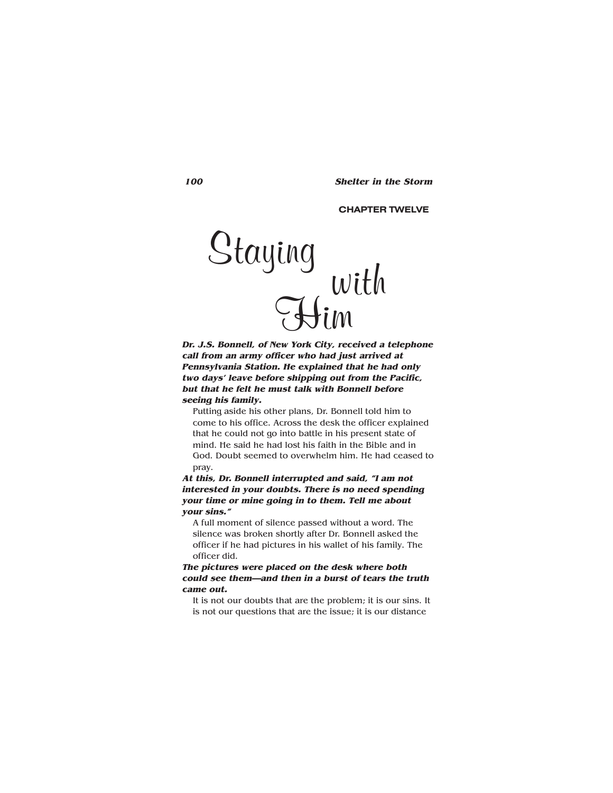### **CHAPTER TWELVE**



**Dr. J.S. Bonnell, of New York City, received a telephone call from an army officer who had just arrived at Pennsylvania Station. He explained that he had only two days' leave before shipping out from the Pacific, but that he felt he must talk with Bonnell before seeing his family.**

Putting aside his other plans, Dr. Bonnell told him to come to his office. Across the desk the officer explained that he could not go into battle in his present state of mind. He said he had lost his faith in the Bible and in God. Doubt seemed to overwhelm him. He had ceased to pray.

# **At this, Dr. Bonnell interrupted and said, "I am not interested in your doubts. There is no need spending your time or mine going in to them. Tell me about your sins."**

A full moment of silence passed without a word. The silence was broken shortly after Dr. Bonnell asked the officer if he had pictures in his wallet of his family. The officer did.

# **The pictures were placed on the desk where both could see them—and then in a burst of tears the truth came out.**

It is not our doubts that are the problem; it is our sins. It is not our questions that are the issue; it is our distance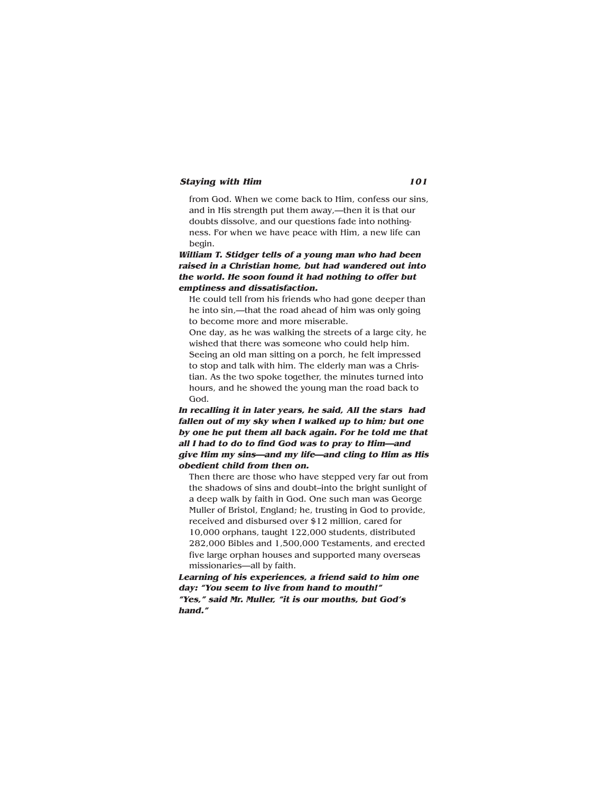# **Staying with Him 101**

from God. When we come back to Him, confess our sins, and in His strength put them away,—then it is that our doubts dissolve, and our questions fade into nothingness. For when we have peace with Him, a new life can begin.

# **William T. Stidger tells of a young man who had been raised in a Christian home, but had wandered out into the world. He soon found it had nothing to offer but emptiness and dissatisfaction.**

He could tell from his friends who had gone deeper than he into sin,—that the road ahead of him was only going to become more and more miserable.

One day, as he was walking the streets of a large city, he wished that there was someone who could help him. Seeing an old man sitting on a porch, he felt impressed to stop and talk with him. The elderly man was a Christian. As the two spoke together, the minutes turned into hours, and he showed the young man the road back to God.

# **In recalling it in later years, he said, All the stars had fallen out of my sky when I walked up to him; but one by one he put them all back again. For he told me that all I had to do to find God was to pray to Him—and give Him my sins—and my life—and cling to Him as His obedient child from then on.**

Then there are those who have stepped very far out from the shadows of sins and doubt–into the bright sunlight of a deep walk by faith in God. One such man was George Muller of Bristol, England; he, trusting in God to provide, received and disbursed over \$12 million, cared for 10,000 orphans, taught 122,000 students, distributed 282,000 Bibles and 1,500,000 Testaments, and erected five large orphan houses and supported many overseas missionaries—all by faith.

**Learning of his experiences, a friend said to him one day: "You seem to live from hand to mouth!" "Yes," said Mr. Muller, "it is our mouths, but God's hand."**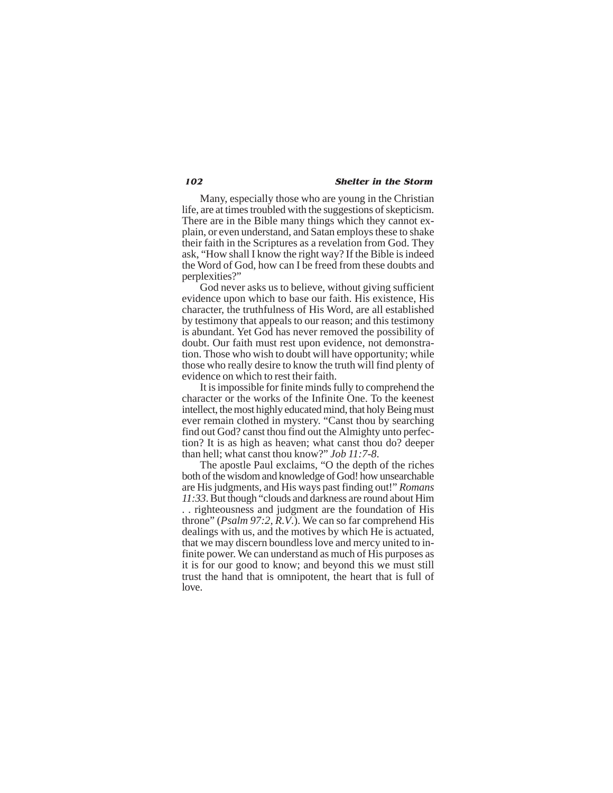Many, especially those who are young in the Christian life, are at times troubled with the suggestions of skepticism. There are in the Bible many things which they cannot explain, or even understand, and Satan employs these to shake their faith in the Scriptures as a revelation from God. They ask, "How shall I know the right way? If the Bible is indeed the Word of God, how can I be freed from these doubts and perplexities?"

God never asks us to believe, without giving sufficient evidence upon which to base our faith. His existence, His character, the truthfulness of His Word, are all established by testimony that appeals to our reason; and this testimony is abundant. Yet God has never removed the possibility of doubt. Our faith must rest upon evidence, not demonstration. Those who wish to doubt will have opportunity; while those who really desire to know the truth will find plenty of evidence on which to rest their faith.

It is impossible for finite minds fully to comprehend the character or the works of the Infinite One. To the keenest intellect, the most highly educated mind, that holy Being must ever remain clothed in mystery. "Canst thou by searching find out God? canst thou find out the Almighty unto perfection? It is as high as heaven; what canst thou do? deeper than hell; what canst thou know?" *Job 11:7-8*.

The apostle Paul exclaims, "O the depth of the riches both of the wisdom and knowledge of God! how unsearchable are His judgments, and His ways past finding out!" *Romans 11:33*. But though "clouds and darkness are round about Him . . righteousness and judgment are the foundation of His throne" (*Psalm 97:2, R.V*.). We can so far comprehend His dealings with us, and the motives by which He is actuated, that we may discern boundless love and mercy united to infinite power. We can understand as much of His purposes as it is for our good to know; and beyond this we must still trust the hand that is omnipotent, the heart that is full of love.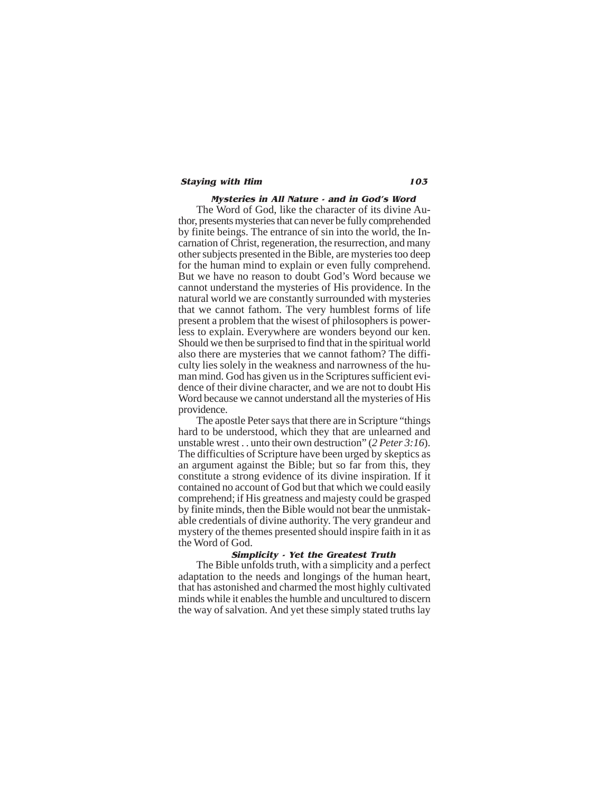# **Mysteries in All Nature - and in God's Word**

The Word of God, like the character of its divine Author, presents mysteries that can never be fully comprehended by finite beings. The entrance of sin into the world, the Incarnation of Christ, regeneration, the resurrection, and many other subjects presented in the Bible, are mysteries too deep for the human mind to explain or even fully comprehend. But we have no reason to doubt God's Word because we cannot understand the mysteries of His providence. In the natural world we are constantly surrounded with mysteries that we cannot fathom. The very humblest forms of life present a problem that the wisest of philosophers is powerless to explain. Everywhere are wonders beyond our ken. Should we then be surprised to find that in the spiritual world also there are mysteries that we cannot fathom? The difficulty lies solely in the weakness and narrowness of the human mind. God has given us in the Scriptures sufficient evidence of their divine character, and we are not to doubt His Word because we cannot understand all the mysteries of His providence.

The apostle Peter says that there are in Scripture "things hard to be understood, which they that are unlearned and unstable wrest . . unto their own destruction" (*2 Peter 3:16*). The difficulties of Scripture have been urged by skeptics as an argument against the Bible; but so far from this, they constitute a strong evidence of its divine inspiration. If it contained no account of God but that which we could easily comprehend; if His greatness and majesty could be grasped by finite minds, then the Bible would not bear the unmistakable credentials of divine authority. The very grandeur and mystery of the themes presented should inspire faith in it as the Word of God.

# **Simplicity - Yet the Greatest Truth**

The Bible unfolds truth, with a simplicity and a perfect adaptation to the needs and longings of the human heart, that has astonished and charmed the most highly cultivated minds while it enables the humble and uncultured to discern the way of salvation. And yet these simply stated truths lay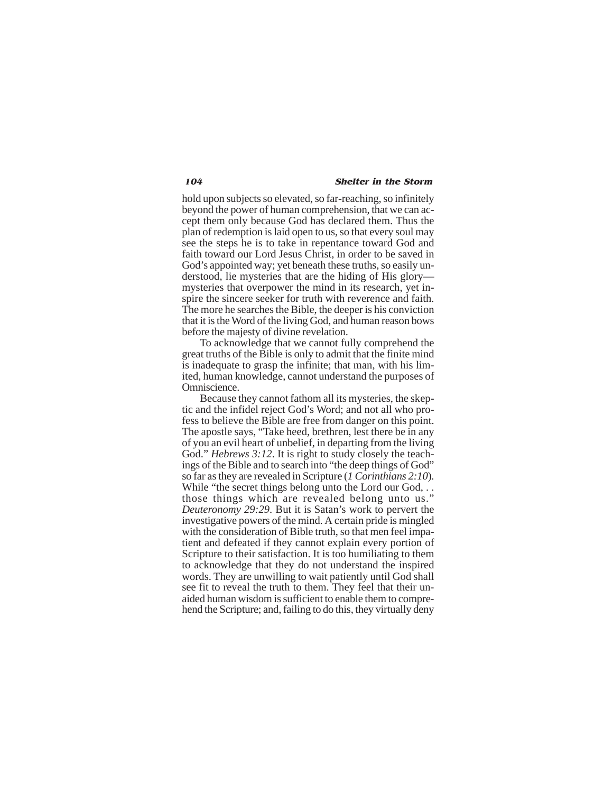hold upon subjects so elevated, so far-reaching, so infinitely beyond the power of human comprehension, that we can accept them only because God has declared them. Thus the plan of redemption is laid open to us, so that every soul may see the steps he is to take in repentance toward God and faith toward our Lord Jesus Christ, in order to be saved in God's appointed way; yet beneath these truths, so easily understood, lie mysteries that are the hiding of His glory mysteries that overpower the mind in its research, yet inspire the sincere seeker for truth with reverence and faith. The more he searches the Bible, the deeper is his conviction that it is the Word of the living God, and human reason bows before the majesty of divine revelation.

To acknowledge that we cannot fully comprehend the great truths of the Bible is only to admit that the finite mind is inadequate to grasp the infinite; that man, with his limited, human knowledge, cannot understand the purposes of Omniscience.

Because they cannot fathom all its mysteries, the skeptic and the infidel reject God's Word; and not all who profess to believe the Bible are free from danger on this point. The apostle says, "Take heed, brethren, lest there be in any of you an evil heart of unbelief, in departing from the living God." *Hebrews 3:12*. It is right to study closely the teachings of the Bible and to search into "the deep things of God" so far as they are revealed in Scripture (*1 Corinthians 2:10*). While "the secret things belong unto the Lord our God, ... those things which are revealed belong unto us." *Deuteronomy 29:29*. But it is Satan's work to pervert the investigative powers of the mind. A certain pride is mingled with the consideration of Bible truth, so that men feel impatient and defeated if they cannot explain every portion of Scripture to their satisfaction. It is too humiliating to them to acknowledge that they do not understand the inspired words. They are unwilling to wait patiently until God shall see fit to reveal the truth to them. They feel that their unaided human wisdom is sufficient to enable them to comprehend the Scripture; and, failing to do this, they virtually deny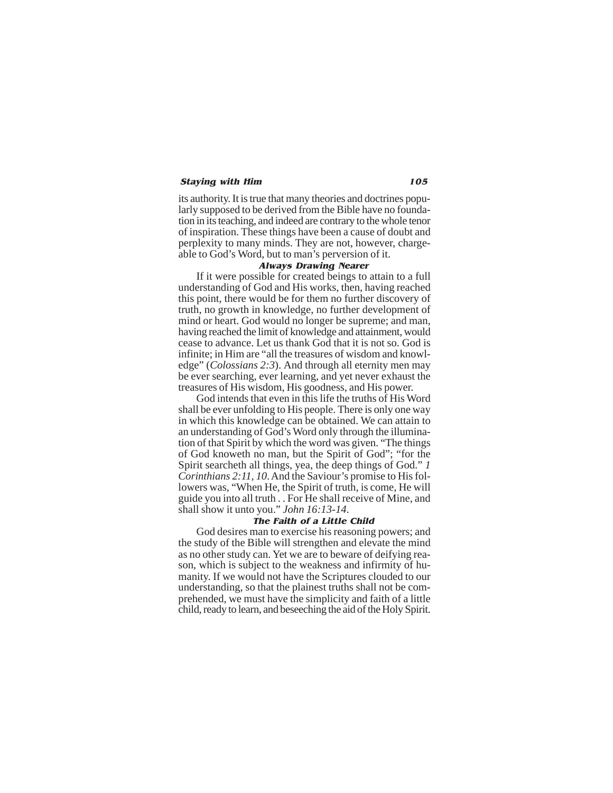its authority. It is true that many theories and doctrines popularly supposed to be derived from the Bible have no foundation in its teaching, and indeed are contrary to the whole tenor of inspiration. These things have been a cause of doubt and perplexity to many minds. They are not, however, chargeable to God's Word, but to man's perversion of it.

# **Always Drawing Nearer**

If it were possible for created beings to attain to a full understanding of God and His works, then, having reached this point, there would be for them no further discovery of truth, no growth in knowledge, no further development of mind or heart. God would no longer be supreme; and man, having reached the limit of knowledge and attainment, would cease to advance. Let us thank God that it is not so. God is infinite; in Him are "all the treasures of wisdom and knowledge" (*Colossians 2:3*). And through all eternity men may be ever searching, ever learning, and yet never exhaust the treasures of His wisdom, His goodness, and His power.

God intends that even in this life the truths of His Word shall be ever unfolding to His people. There is only one way in which this knowledge can be obtained. We can attain to an understanding of God's Word only through the illumination of that Spirit by which the word was given. "The things of God knoweth no man, but the Spirit of God"; "for the Spirit searcheth all things, yea, the deep things of God." *1 Corinthians 2:11, 10*. And the Saviour's promise to His followers was, "When He, the Spirit of truth, is come, He will guide you into all truth . . For He shall receive of Mine, and shall show it unto you." *John 16:13-14*.

# **The Faith of a Little Child**

God desires man to exercise his reasoning powers; and the study of the Bible will strengthen and elevate the mind as no other study can. Yet we are to beware of deifying reason, which is subject to the weakness and infirmity of humanity. If we would not have the Scriptures clouded to our understanding, so that the plainest truths shall not be comprehended, we must have the simplicity and faith of a little child, ready to learn, and beseeching the aid of the Holy Spirit.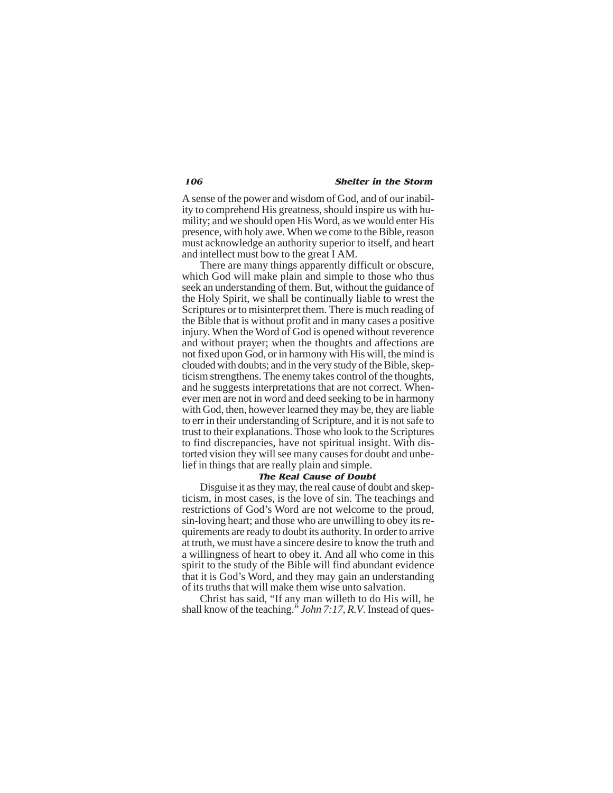A sense of the power and wisdom of God, and of our inability to comprehend His greatness, should inspire us with humility; and we should open His Word, as we would enter His presence, with holy awe. When we come to the Bible, reason must acknowledge an authority superior to itself, and heart and intellect must bow to the great I AM.

There are many things apparently difficult or obscure, which God will make plain and simple to those who thus seek an understanding of them. But, without the guidance of the Holy Spirit, we shall be continually liable to wrest the Scriptures or to misinterpret them. There is much reading of the Bible that is without profit and in many cases a positive injury. When the Word of God is opened without reverence and without prayer; when the thoughts and affections are not fixed upon God, or in harmony with His will, the mind is clouded with doubts; and in the very study of the Bible, skepticism strengthens. The enemy takes control of the thoughts, and he suggests interpretations that are not correct. Whenever men are not in word and deed seeking to be in harmony with God, then, however learned they may be, they are liable to err in their understanding of Scripture, and it is not safe to trust to their explanations. Those who look to the Scriptures to find discrepancies, have not spiritual insight. With distorted vision they will see many causes for doubt and unbelief in things that are really plain and simple.

# **The Real Cause of Doubt**

Disguise it as they may, the real cause of doubt and skepticism, in most cases, is the love of sin. The teachings and restrictions of God's Word are not welcome to the proud, sin-loving heart; and those who are unwilling to obey its requirements are ready to doubt its authority. In order to arrive at truth, we must have a sincere desire to know the truth and a willingness of heart to obey it. And all who come in this spirit to the study of the Bible will find abundant evidence that it is God's Word, and they may gain an understanding of its truths that will make them wise unto salvation.

Christ has said, "If any man willeth to do His will, he shall know of the teaching." *John 7:17, R.V*. Instead of ques-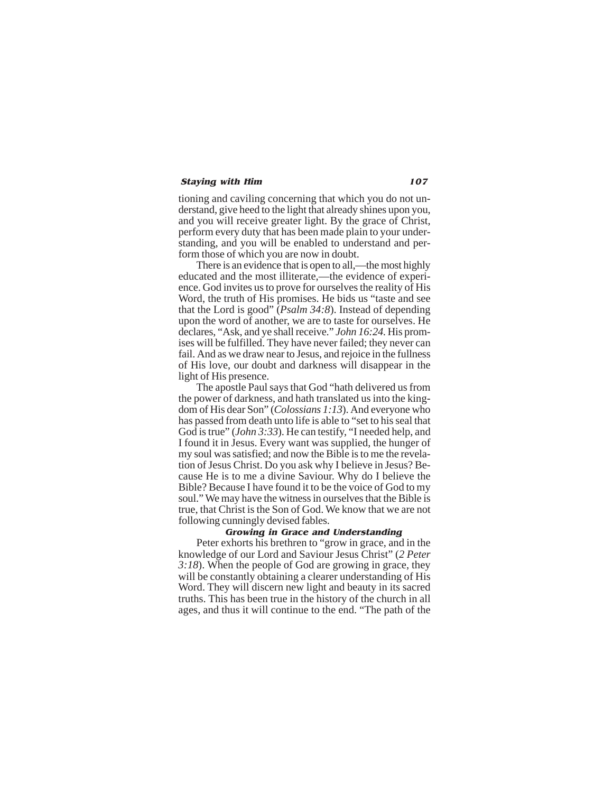# **Staying with Him**

tioning and caviling concerning that which you do not understand, give heed to the light that already shines upon you, and you will receive greater light. By the grace of Christ, perform every duty that has been made plain to your understanding, and you will be enabled to understand and perform those of which you are now in doubt.

There is an evidence that is open to all,—the most highly educated and the most illiterate,—the evidence of experience. God invites us to prove for ourselves the reality of His Word, the truth of His promises. He bids us "taste and see that the Lord is good" (*Psalm 34:8*). Instead of depending upon the word of another, we are to taste for ourselves. He declares, "Ask, and ye shall receive." *John 16:24*. His promises will be fulfilled. They have never failed; they never can fail. And as we draw near to Jesus, and rejoice in the fullness of His love, our doubt and darkness will disappear in the light of His presence.

The apostle Paul says that God "hath delivered us from the power of darkness, and hath translated us into the kingdom of His dear Son" (*Colossians 1:13*). And everyone who has passed from death unto life is able to "set to his seal that God is true" (*John 3:33*). He can testify, "I needed help, and I found it in Jesus. Every want was supplied, the hunger of my soul was satisfied; and now the Bible is to me the revelation of Jesus Christ. Do you ask why I believe in Jesus? Because He is to me a divine Saviour. Why do I believe the Bible? Because I have found it to be the voice of God to my soul." We may have the witness in ourselves that the Bible is true, that Christ is the Son of God. We know that we are not following cunningly devised fables.

# **Growing in Grace and Understanding**

Peter exhorts his brethren to "grow in grace, and in the knowledge of our Lord and Saviour Jesus Christ" (*2 Peter 3:18*). When the people of God are growing in grace, they will be constantly obtaining a clearer understanding of His Word. They will discern new light and beauty in its sacred truths. This has been true in the history of the church in all ages, and thus it will continue to the end. "The path of the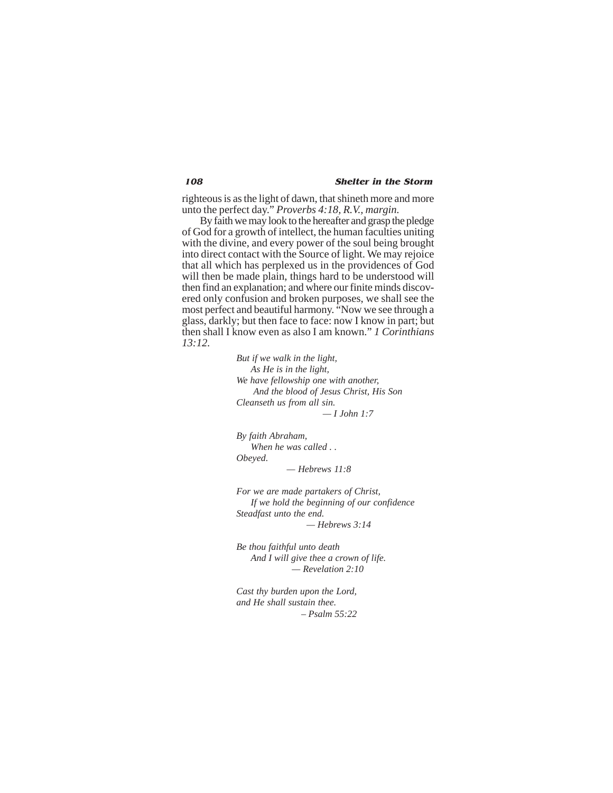righteous is as the light of dawn, that shineth more and more unto the perfect day." *Proverbs 4:18, R.V., margin.*

By faith we may look to the hereafter and grasp the pledge of God for a growth of intellect, the human faculties uniting with the divine, and every power of the soul being brought into direct contact with the Source of light. We may rejoice that all which has perplexed us in the providences of God will then be made plain, things hard to be understood will then find an explanation; and where our finite minds discovered only confusion and broken purposes, we shall see the most perfect and beautiful harmony. "Now we see through a glass, darkly; but then face to face: now I know in part; but then shall I know even as also I am known." *1 Corinthians 13:12.*

> *But if we walk in the light, As He is in the light, We have fellowship one with another, And the blood of Jesus Christ, His Son Cleanseth us from all sin. — I John 1:7*

*By faith Abraham, When he was called . . Obeyed.*

*— Hebrews 11:8*

*For we are made partakers of Christ, If we hold the beginning of our confidence Steadfast unto the end. — Hebrews 3:14*

*Be thou faithful unto death And I will give thee a crown of life. — Revelation 2:10*

*Cast thy burden upon the Lord, and He shall sustain thee. – Psalm 55:22*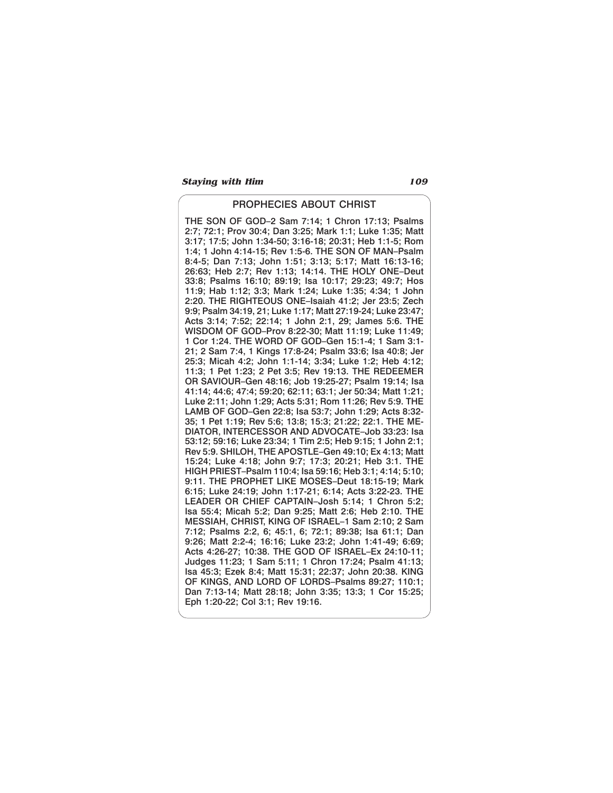# PROPHECIES ABOUT CHRIST

THE SON OF GOD–2 Sam 7:14; 1 Chron 17:13; Psalms 2:7; 72:1; Prov 30:4; Dan 3:25; Mark 1:1; Luke 1:35; Matt 3:17; 17:5; John 1:34-50; 3:16-18; 20:31; Heb 1:1-5; Rom 1:4; 1 John 4:14-15; Rev 1:5-6. THE SON OF MAN–Psalm 8:4-5; Dan 7:13; John 1:51; 3:13; 5:17; Matt 16:13-16; 26:63; Heb 2:7; Rev 1:13; 14:14. THE HOLY ONE–Deut 33:8; Psalms 16:10; 89:19; Isa 10:17; 29:23; 49:7; Hos 11:9; Hab 1:12; 3:3; Mark 1:24; Luke 1:35; 4:34; 1 John 2:20. THE RIGHTEOUS ONE–Isaiah 41:2; Jer 23:5; Zech 9:9; Psalm 34:19, 21; Luke 1:17; Matt 27:19-24; Luke 23:47; Acts 3:14; 7:52; 22:14; 1 John 2:1, 29; James 5:6. THE WISDOM OF GOD–Prov 8:22-30; Matt 11:19; Luke 11:49; 1 Cor 1:24. THE WORD OF GOD–Gen 15:1-4; 1 Sam 3:1- 21; 2 Sam 7:4, 1 Kings 17:8-24; Psalm 33:6; Isa 40:8; Jer 25:3; Micah 4:2; John 1:1-14; 3:34; Luke 1:2; Heb 4:12; 11:3; 1 Pet 1:23; 2 Pet 3:5; Rev 19:13. THE REDEEMER OR SAVIOUR–Gen 48:16; Job 19:25-27; Psalm 19:14; Isa 41:14; 44:6; 47:4; 59:20; 62:11; 63:1; Jer 50:34; Matt 1:21; Luke 2:11; John 1:29; Acts 5:31; Rom 11:26; Rev 5:9. THE LAMB OF GOD–Gen 22:8; Isa 53:7; John 1:29; Acts 8:32- 35; 1 Pet 1:19; Rev 5:6; 13:8; 15:3; 21:22; 22:1. THE ME-DIATOR, INTERCESSOR AND ADVOCATE–Job 33:23: Isa 53:12; 59:16; Luke 23:34; 1 Tim 2:5; Heb 9:15; 1 John 2:1; Rev 5:9. SHILOH, THE APOSTLE–Gen 49:10; Ex 4:13; Matt 15:24; Luke 4:18; John 9:7; 17:3; 20:21; Heb 3:1. THE HIGH PRIEST–Psalm 110:4; Isa 59:16; Heb 3:1; 4:14; 5:10; 9:11. THE PROPHET LIKE MOSES–Deut 18:15-19; Mark 6:15; Luke 24:19; John 1:17-21; 6:14; Acts 3:22-23. THE LEADER OR CHIEF CAPTAIN–Josh 5:14; 1 Chron 5:2; Isa 55:4; Micah 5:2; Dan 9:25; Matt 2:6; Heb 2:10. THE MESSIAH, CHRIST, KING OF ISRAEL–1 Sam 2:10; 2 Sam 7:12; Psalms 2:2, 6; 45:1, 6; 72:1; 89:38; Isa 61:1; Dan 9:26; Matt 2:2-4; 16:16; Luke 23:2; John 1:41-49; 6:69; Acts 4:26-27; 10:38. THE GOD OF ISRAEL–Ex 24:10-11; Judges 11:23; 1 Sam 5:11; 1 Chron 17:24; Psalm 41:13; Isa 45:3; Ezek 8:4; Matt 15:31; 22:37; John 20:38. KING OF KINGS, AND LORD OF LORDS–Psalms 89:27; 110:1; Dan 7:13-14; Matt 28:18; John 3:35; 13:3; 1 Cor 15:25; Eph 1:20-22; Col 3:1; Rev 19:16.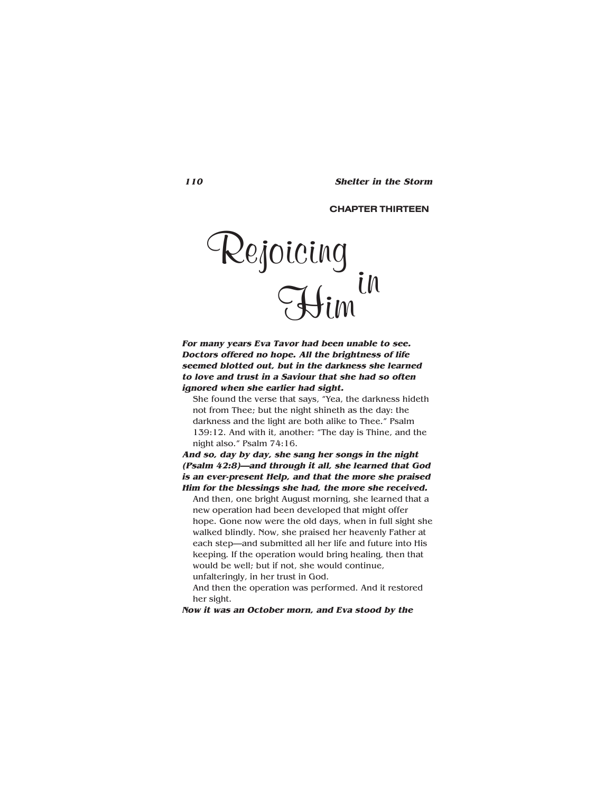#### **CHAPTER THIRTEEN**

# **Rejoicing in Him**

**For many years Eva Tavor had been unable to see. Doctors offered no hope. All the brightness of life seemed blotted out, but in the darkness she learned to love and trust in a Saviour that she had so often ignored when she earlier had sight.**

She found the verse that says, "Yea, the darkness hideth not from Thee; but the night shineth as the day: the darkness and the light are both alike to Thee." Psalm 139:12. And with it, another: "The day is Thine, and the night also." Psalm 74:16.

**And so, day by day, she sang her songs in the night (Psalm 42:8)—and through it all, she learned that God is an ever-present Help, and that the more she praised Him for the blessings she had, the more she received.**

And then, one bright August morning, she learned that a new operation had been developed that might offer hope. Gone now were the old days, when in full sight she walked blindly. Now, she praised her heavenly Father at each step—and submitted all her life and future into His keeping. If the operation would bring healing, then that would be well; but if not, she would continue, unfalteringly, in her trust in God.

And then the operation was performed. And it restored her sight.

**Now it was an October morn, and Eva stood by the**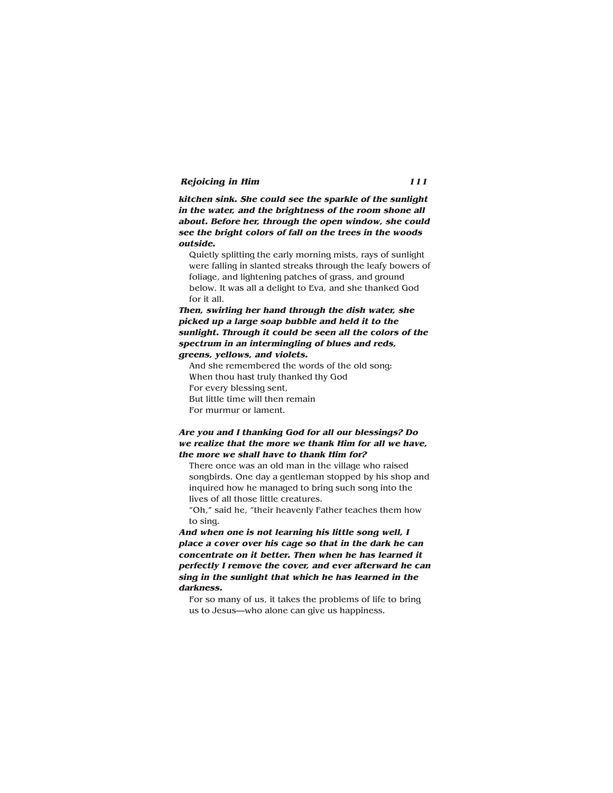#### **Rejoicing in Him <sup>111</sup>**

**kitchen sink. She could see the sparkle of the sunlight in the water, and the brightness of the room shone all about. Before her, through the open window, she could see the bright colors of fall on the trees in the woods outside.**

Quietly splitting the early morning mists, rays of sunlight were falling in slanted streaks through the leafy bowers of foliage, and lightening patches of grass, and ground below. It was all a delight to Eva, and she thanked God for it all.

# **Then, swirling her hand through the dish water, she picked up a large soap bubble and held it to the sunlight. Through it could be seen all the colors of the spectrum in an intermingling of blues and reds, greens, yellows, and violets.**

And she remembered the words of the old song: When thou hast truly thanked thy God For every blessing sent, But little time will then remain For murmur or lament.

#### **Are you and I thanking God for all our blessings? Do we realize that the more we thank Him for all we have, the more we shall have to thank Him for?**

There once was an old man in the village who raised songbirds. One day a gentleman stopped by his shop and inquired how he managed to bring such song into the lives of all those little creatures.

"Oh," said he, "their heavenly Father teaches them how to sing.

**And when one is not learning his little song well, I place a cover over his cage so that in the dark he can concentrate on it better. Then when he has learned it perfectly I remove the cover, and ever afterward he can sing in the sunlight that which he has learned in the darkness.**

For so many of us, it takes the problems of life to bring us to Jesus—who alone can give us happiness.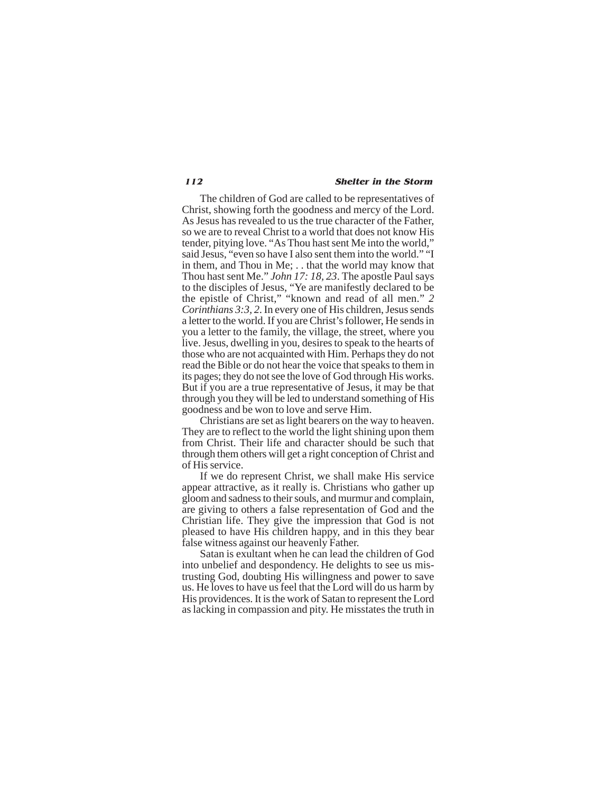The children of God are called to be representatives of Christ, showing forth the goodness and mercy of the Lord. As Jesus has revealed to us the true character of the Father, so we are to reveal Christ to a world that does not know His tender, pitying love. "As Thou hast sent Me into the world," said Jesus, "even so have I also sent them into the world." "I in them, and Thou in Me; . . that the world may know that Thou hast sent Me." *John 17: 18, 23*. The apostle Paul says to the disciples of Jesus, "Ye are manifestly declared to be the epistle of Christ," "known and read of all men." *2 Corinthians 3:3, 2*. In every one of His children, Jesus sends a letter to the world. If you are Christ's follower, He sends in you a letter to the family, the village, the street, where you live. Jesus, dwelling in you, desires to speak to the hearts of those who are not acquainted with Him. Perhaps they do not read the Bible or do not hear the voice that speaks to them in its pages; they do not see the love of God through His works. But if you are a true representative of Jesus, it may be that through you they will be led to understand something of His goodness and be won to love and serve Him.

Christians are set as light bearers on the way to heaven. They are to reflect to the world the light shining upon them from Christ. Their life and character should be such that through them others will get a right conception of Christ and of His service.

If we do represent Christ, we shall make His service appear attractive, as it really is. Christians who gather up gloom and sadness to their souls, and murmur and complain, are giving to others a false representation of God and the Christian life. They give the impression that God is not pleased to have His children happy, and in this they bear false witness against our heavenly Father.

Satan is exultant when he can lead the children of God into unbelief and despondency. He delights to see us mistrusting God, doubting His willingness and power to save us. He loves to have us feel that the Lord will do us harm by His providences. It is the work of Satan to represent the Lord as lacking in compassion and pity. He misstates the truth in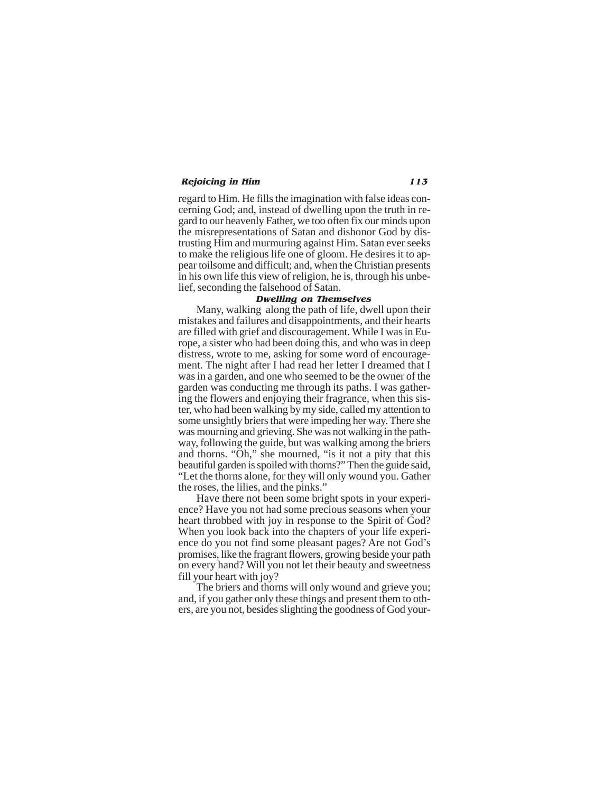## **Rejoicing in Him**

regard to Him. He fills the imagination with false ideas concerning God; and, instead of dwelling upon the truth in regard to our heavenly Father, we too often fix our minds upon the misrepresentations of Satan and dishonor God by distrusting Him and murmuring against Him. Satan ever seeks to make the religious life one of gloom. He desires it to appear toilsome and difficult; and, when the Christian presents in his own life this view of religion, he is, through his unbelief, seconding the falsehood of Satan.

# **Dwelling on Themselves**

Many, walking along the path of life, dwell upon their mistakes and failures and disappointments, and their hearts are filled with grief and discouragement. While I was in Europe, a sister who had been doing this, and who was in deep distress, wrote to me, asking for some word of encouragement. The night after I had read her letter I dreamed that I was in a garden, and one who seemed to be the owner of the garden was conducting me through its paths. I was gathering the flowers and enjoying their fragrance, when this sister, who had been walking by my side, called my attention to some unsightly briers that were impeding her way. There she was mourning and grieving. She was not walking in the pathway, following the guide, but was walking among the briers and thorns. "Oh," she mourned, "is it not a pity that this beautiful garden is spoiled with thorns?" Then the guide said, "Let the thorns alone, for they will only wound you. Gather the roses, the lilies, and the pinks."

Have there not been some bright spots in your experience? Have you not had some precious seasons when your heart throbbed with joy in response to the Spirit of God? When you look back into the chapters of your life experience do you not find some pleasant pages? Are not God's promises, like the fragrant flowers, growing beside your path on every hand? Will you not let their beauty and sweetness fill your heart with joy?

The briers and thorns will only wound and grieve you; and, if you gather only these things and present them to others, are you not, besides slighting the goodness of God your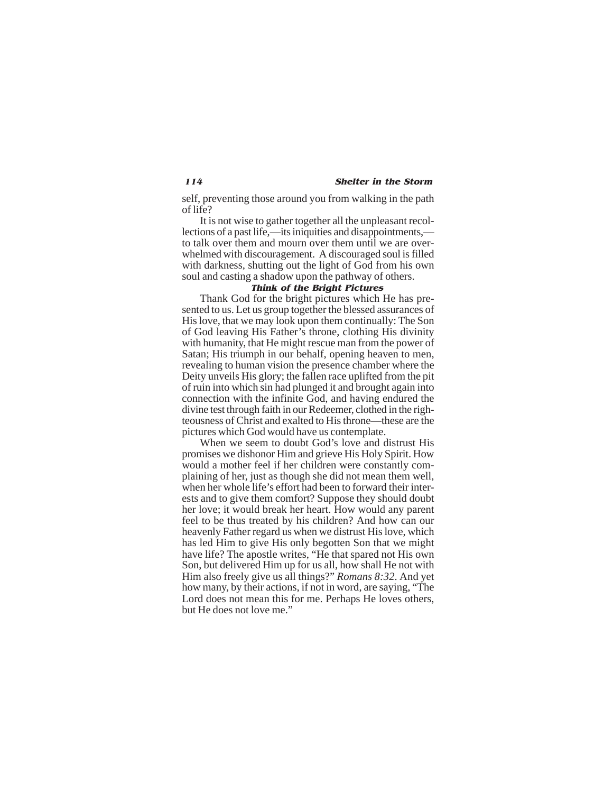self, preventing those around you from walking in the path of life?

It is not wise to gather together all the unpleasant recollections of a past life,—its iniquities and disappointments, to talk over them and mourn over them until we are overwhelmed with discouragement. A discouraged soul is filled with darkness, shutting out the light of God from his own soul and casting a shadow upon the pathway of others.

# **Think of the Bright Pictures**

Thank God for the bright pictures which He has presented to us. Let us group together the blessed assurances of His love, that we may look upon them continually: The Son of God leaving His Father's throne, clothing His divinity with humanity, that He might rescue man from the power of Satan; His triumph in our behalf, opening heaven to men, revealing to human vision the presence chamber where the Deity unveils His glory; the fallen race uplifted from the pit of ruin into which sin had plunged it and brought again into connection with the infinite God, and having endured the divine test through faith in our Redeemer, clothed in the righteousness of Christ and exalted to His throne—these are the pictures which God would have us contemplate.

When we seem to doubt God's love and distrust His promises we dishonor Him and grieve His Holy Spirit. How would a mother feel if her children were constantly complaining of her, just as though she did not mean them well, when her whole life's effort had been to forward their interests and to give them comfort? Suppose they should doubt her love; it would break her heart. How would any parent feel to be thus treated by his children? And how can our heavenly Father regard us when we distrust His love, which has led Him to give His only begotten Son that we might have life? The apostle writes, "He that spared not His own Son, but delivered Him up for us all, how shall He not with Him also freely give us all things?" *Romans 8:32*. And yet how many, by their actions, if not in word, are saying, "The Lord does not mean this for me. Perhaps He loves others, but He does not love me."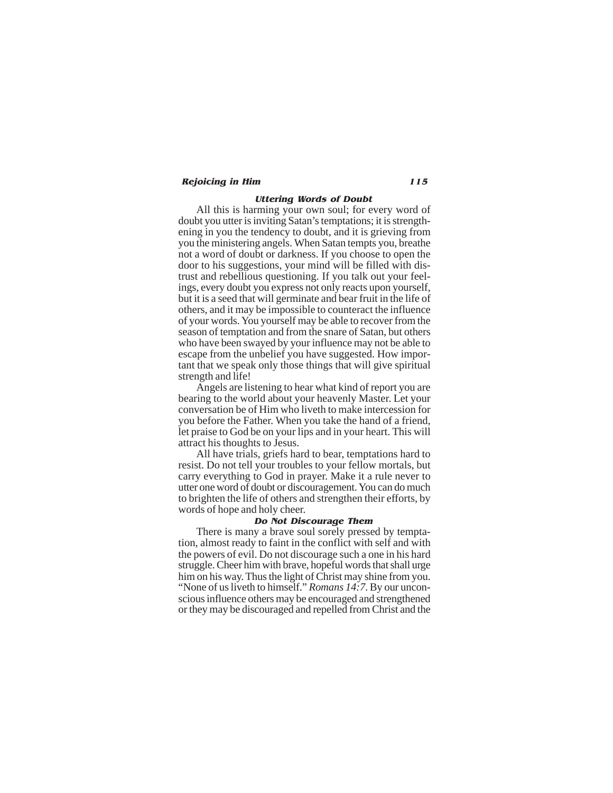#### **Uttering Words of Doubt**

All this is harming your own soul; for every word of doubt you utter is inviting Satan's temptations; it is strengthening in you the tendency to doubt, and it is grieving from you the ministering angels. When Satan tempts you, breathe not a word of doubt or darkness. If you choose to open the door to his suggestions, your mind will be filled with distrust and rebellious questioning. If you talk out your feelings, every doubt you express not only reacts upon yourself, but it is a seed that will germinate and bear fruit in the life of others, and it may be impossible to counteract the influence of your words. You yourself may be able to recover from the season of temptation and from the snare of Satan, but others who have been swayed by your influence may not be able to escape from the unbelief you have suggested. How important that we speak only those things that will give spiritual strength and life!

Angels are listening to hear what kind of report you are bearing to the world about your heavenly Master. Let your conversation be of Him who liveth to make intercession for you before the Father. When you take the hand of a friend, let praise to God be on your lips and in your heart. This will attract his thoughts to Jesus.

All have trials, griefs hard to bear, temptations hard to resist. Do not tell your troubles to your fellow mortals, but carry everything to God in prayer. Make it a rule never to utter one word of doubt or discouragement. You can do much to brighten the life of others and strengthen their efforts, by words of hope and holy cheer.

# **Do Not Discourage Them**

There is many a brave soul sorely pressed by temptation, almost ready to faint in the conflict with self and with the powers of evil. Do not discourage such a one in his hard struggle. Cheer him with brave, hopeful words that shall urge him on his way. Thus the light of Christ may shine from you. "None of us liveth to himself." *Romans 14:7*. By our unconscious influence others may be encouraged and strengthened or they may be discouraged and repelled from Christ and the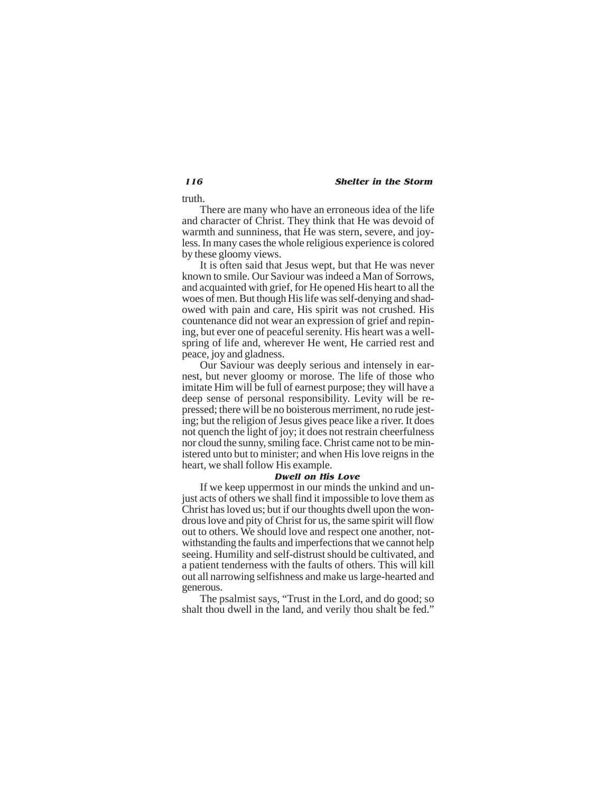truth.

There are many who have an erroneous idea of the life and character of Christ. They think that He was devoid of warmth and sunniness, that He was stern, severe, and joyless. In many cases the whole religious experience is colored by these gloomy views.

It is often said that Jesus wept, but that He was never known to smile. Our Saviour was indeed a Man of Sorrows, and acquainted with grief, for He opened His heart to all the woes of men. But though His life was self-denying and shadowed with pain and care, His spirit was not crushed. His countenance did not wear an expression of grief and repining, but ever one of peaceful serenity. His heart was a wellspring of life and, wherever He went, He carried rest and peace, joy and gladness.

Our Saviour was deeply serious and intensely in earnest, but never gloomy or morose. The life of those who imitate Him will be full of earnest purpose; they will have a deep sense of personal responsibility. Levity will be repressed; there will be no boisterous merriment, no rude jesting; but the religion of Jesus gives peace like a river. It does not quench the light of joy; it does not restrain cheerfulness nor cloud the sunny, smiling face. Christ came not to be ministered unto but to minister; and when His love reigns in the heart, we shall follow His example.

# **Dwell on His Love**

If we keep uppermost in our minds the unkind and unjust acts of others we shall find it impossible to love them as Christ has loved us; but if our thoughts dwell upon the wondrous love and pity of Christ for us, the same spirit will flow out to others. We should love and respect one another, notwithstanding the faults and imperfections that we cannot help seeing. Humility and self-distrust should be cultivated, and a patient tenderness with the faults of others. This will kill out all narrowing selfishness and make us large-hearted and generous.

The psalmist says, "Trust in the Lord, and do good; so shalt thou dwell in the land, and verily thou shalt be fed."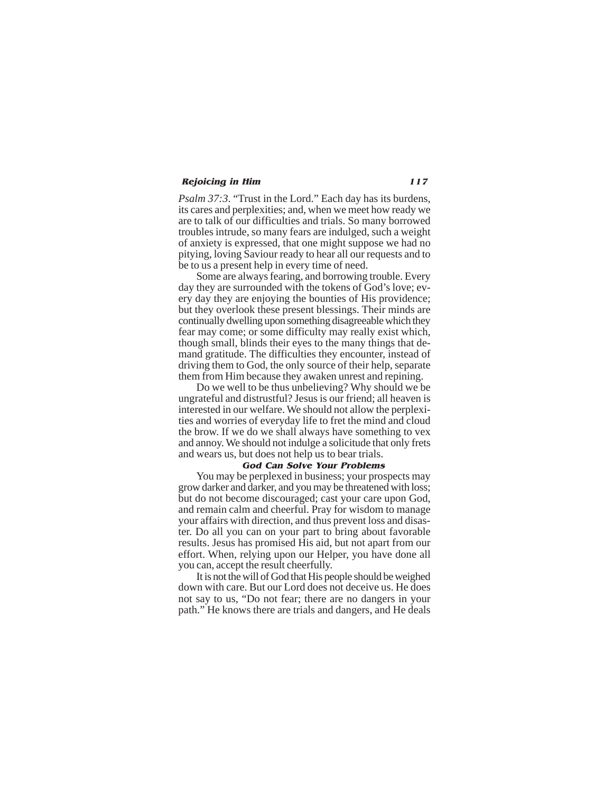# **Rejoicing in Him**

*Psalm 37:3*. "Trust in the Lord." Each day has its burdens, its cares and perplexities; and, when we meet how ready we are to talk of our difficulties and trials. So many borrowed troubles intrude, so many fears are indulged, such a weight of anxiety is expressed, that one might suppose we had no pitying, loving Saviour ready to hear all our requests and to be to us a present help in every time of need.

Some are always fearing, and borrowing trouble. Every day they are surrounded with the tokens of God's love; every day they are enjoying the bounties of His providence; but they overlook these present blessings. Their minds are continually dwelling upon something disagreeable which they fear may come; or some difficulty may really exist which, though small, blinds their eyes to the many things that demand gratitude. The difficulties they encounter, instead of driving them to God, the only source of their help, separate them from Him because they awaken unrest and repining.

Do we well to be thus unbelieving? Why should we be ungrateful and distrustful? Jesus is our friend; all heaven is interested in our welfare. We should not allow the perplexities and worries of everyday life to fret the mind and cloud the brow. If we do we shall always have something to vex and annoy. We should not indulge a solicitude that only frets and wears us, but does not help us to bear trials.

## **God Can Solve Your Problems**

You may be perplexed in business; your prospects may grow darker and darker, and you may be threatened with loss; but do not become discouraged; cast your care upon God, and remain calm and cheerful. Pray for wisdom to manage your affairs with direction, and thus prevent loss and disaster. Do all you can on your part to bring about favorable results. Jesus has promised His aid, but not apart from our effort. When, relying upon our Helper, you have done all you can, accept the result cheerfully.

It is not the will of God that His people should be weighed down with care. But our Lord does not deceive us. He does not say to us, "Do not fear; there are no dangers in your path." He knows there are trials and dangers, and He deals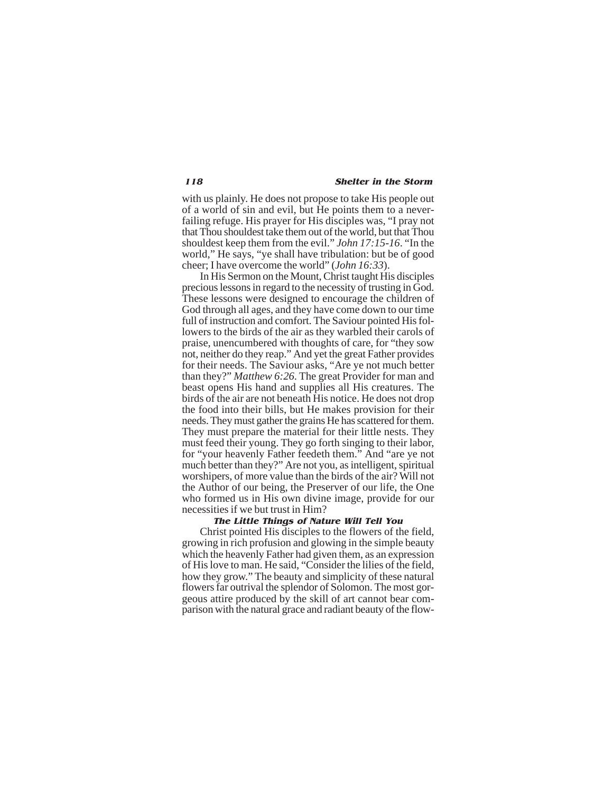with us plainly. He does not propose to take His people out of a world of sin and evil, but He points them to a neverfailing refuge. His prayer for His disciples was, "I pray not that Thou shouldest take them out of the world, but that Thou shouldest keep them from the evil." *John 17:15-16*. "In the world," He says, "ye shall have tribulation: but be of good cheer; I have overcome the world" (*John 16:33*).

In His Sermon on the Mount, Christ taught His disciples precious lessons in regard to the necessity of trusting in God. These lessons were designed to encourage the children of God through all ages, and they have come down to our time full of instruction and comfort. The Saviour pointed His followers to the birds of the air as they warbled their carols of praise, unencumbered with thoughts of care, for "they sow not, neither do they reap." And yet the great Father provides for their needs. The Saviour asks, "Are ye not much better than they?" *Matthew 6:26*. The great Provider for man and beast opens His hand and supplies all His creatures. The birds of the air are not beneath His notice. He does not drop the food into their bills, but He makes provision for their needs. They must gather the grains He has scattered for them. They must prepare the material for their little nests. They must feed their young. They go forth singing to their labor, for "your heavenly Father feedeth them." And "are ye not much better than they?" Are not you, as intelligent, spiritual worshipers, of more value than the birds of the air? Will not the Author of our being, the Preserver of our life, the One who formed us in His own divine image, provide for our necessities if we but trust in Him?

# **The Little Things of Nature Will Tell You**

Christ pointed His disciples to the flowers of the field, growing in rich profusion and glowing in the simple beauty which the heavenly Father had given them, as an expression of His love to man. He said, "Consider the lilies of the field, how they grow." The beauty and simplicity of these natural flowers far outrival the splendor of Solomon. The most gorgeous attire produced by the skill of art cannot bear comparison with the natural grace and radiant beauty of the flow-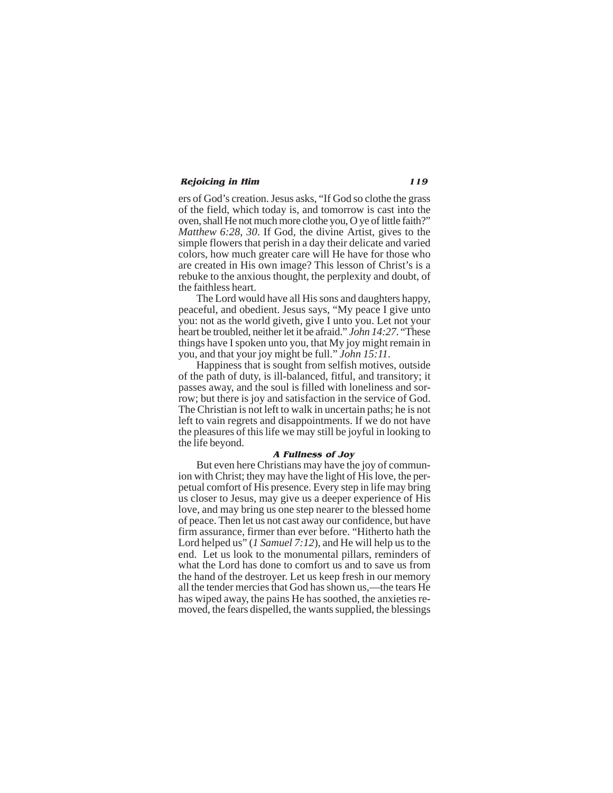# **Rejoicing in Him**

ers of God's creation. Jesus asks, "If God so clothe the grass of the field, which today is, and tomorrow is cast into the oven, shall He not much more clothe you, O ye of little faith?" *Matthew 6:28, 30*. If God, the divine Artist, gives to the simple flowers that perish in a day their delicate and varied colors, how much greater care will He have for those who are created in His own image? This lesson of Christ's is a rebuke to the anxious thought, the perplexity and doubt, of the faithless heart.

The Lord would have all His sons and daughters happy, peaceful, and obedient. Jesus says, "My peace I give unto you: not as the world giveth, give I unto you. Let not your heart be troubled, neither let it be afraid." *John 14:27*. "These things have I spoken unto you, that My joy might remain in you, and that your joy might be full." *John 15:11*.

Happiness that is sought from selfish motives, outside of the path of duty, is ill-balanced, fitful, and transitory; it passes away, and the soul is filled with loneliness and sorrow; but there is joy and satisfaction in the service of God. The Christian is not left to walk in uncertain paths; he is not left to vain regrets and disappointments. If we do not have the pleasures of this life we may still be joyful in looking to the life beyond.

#### **A Fullness of Joy**

But even here Christians may have the joy of communion with Christ; they may have the light of His love, the perpetual comfort of His presence. Every step in life may bring us closer to Jesus, may give us a deeper experience of His love, and may bring us one step nearer to the blessed home of peace. Then let us not cast away our confidence, but have firm assurance, firmer than ever before. "Hitherto hath the Lord helped us" (*1 Samuel 7:12*), and He will help us to the end. Let us look to the monumental pillars, reminders of what the Lord has done to comfort us and to save us from the hand of the destroyer. Let us keep fresh in our memory all the tender mercies that God has shown us,—the tears He has wiped away, the pains He has soothed, the anxieties removed, the fears dispelled, the wants supplied, the blessings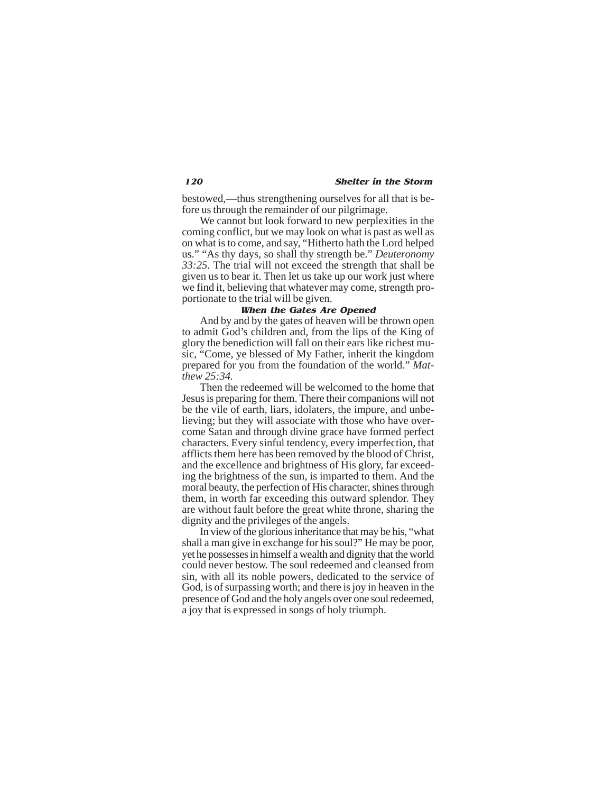bestowed,—thus strengthening ourselves for all that is before us through the remainder of our pilgrimage.

We cannot but look forward to new perplexities in the coming conflict, but we may look on what is past as well as on what is to come, and say, "Hitherto hath the Lord helped us." "As thy days, so shall thy strength be." *Deuteronomy 33:25.* The trial will not exceed the strength that shall be given us to bear it. Then let us take up our work just where we find it, believing that whatever may come, strength proportionate to the trial will be given.

# **When the Gates Are Opened**

And by and by the gates of heaven will be thrown open to admit God's children and, from the lips of the King of glory the benediction will fall on their ears like richest music, "Come, ye blessed of My Father, inherit the kingdom prepared for you from the foundation of the world." *Matthew 25:34.*

Then the redeemed will be welcomed to the home that Jesus is preparing for them. There their companions will not be the vile of earth, liars, idolaters, the impure, and unbelieving; but they will associate with those who have overcome Satan and through divine grace have formed perfect characters. Every sinful tendency, every imperfection, that afflicts them here has been removed by the blood of Christ, and the excellence and brightness of His glory, far exceeding the brightness of the sun, is imparted to them. And the moral beauty, the perfection of His character, shines through them, in worth far exceeding this outward splendor. They are without fault before the great white throne, sharing the dignity and the privileges of the angels.

In view of the glorious inheritance that may be his, "what shall a man give in exchange for his soul?" He may be poor, yet he possesses in himself a wealth and dignity that the world could never bestow. The soul redeemed and cleansed from sin, with all its noble powers, dedicated to the service of God, is of surpassing worth; and there is joy in heaven in the presence of God and the holy angels over one soul redeemed, a joy that is expressed in songs of holy triumph.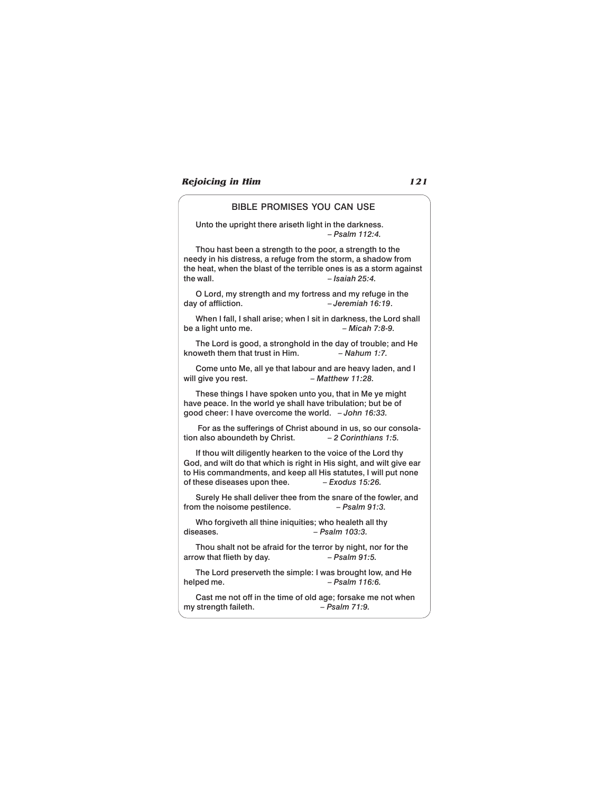# BIBLE PROMISES YOU CAN USE

Unto the upright there ariseth light in the darkness. *– Psalm 112:4.*

Thou hast been a strength to the poor, a strength to the needy in his distress, a refuge from the storm, a shadow from the heat, when the blast of the terrible ones is as a storm against the wall. *– Isaiah 25:4.*

O Lord, my strength and my fortress and my refuge in the day of affliction. *– Jeremiah 16:19*.

When I fall, I shall arise; when I sit in darkness, the Lord shall be a light unto me. *– Micah 7:8-9.*

The Lord is good, a stronghold in the day of trouble; and He knoweth them that trust in Him. *– Nahum 1:7.*

Come unto Me, all ye that labour and are heavy laden, and I will give you rest. *– Matthew 11:28.*

These things I have spoken unto you, that in Me ye might have peace. In the world ye shall have tribulation; but be of good cheer: I have overcome the world. *– John 16:33.*

 For as the sufferings of Christ abound in us, so our consolation also aboundeth by Christ. *– 2 Corinthians 1:5.*

If thou wilt diligently hearken to the voice of the Lord thy God, and wilt do that which is right in His sight, and wilt give ear to His commandments, and keep all His statutes, I will put none of these diseases upon thee. *– Exodus 15:26.*

Surely He shall deliver thee from the snare of the fowler, and from the noisome pestilence. *– Psalm 91:3.*

Who forgiveth all thine iniquities; who healeth all thy diseases. *– Psalm 103:3.*

Thou shalt not be afraid for the terror by night, nor for the arrow that flieth by day. *– Psalm 91:5.*

The Lord preserveth the simple: I was brought low, and He helped me. *– Psalm 116:6.*

Cast me not off in the time of old age; forsake me not when my strength faileth. *– Psalm 71:9.*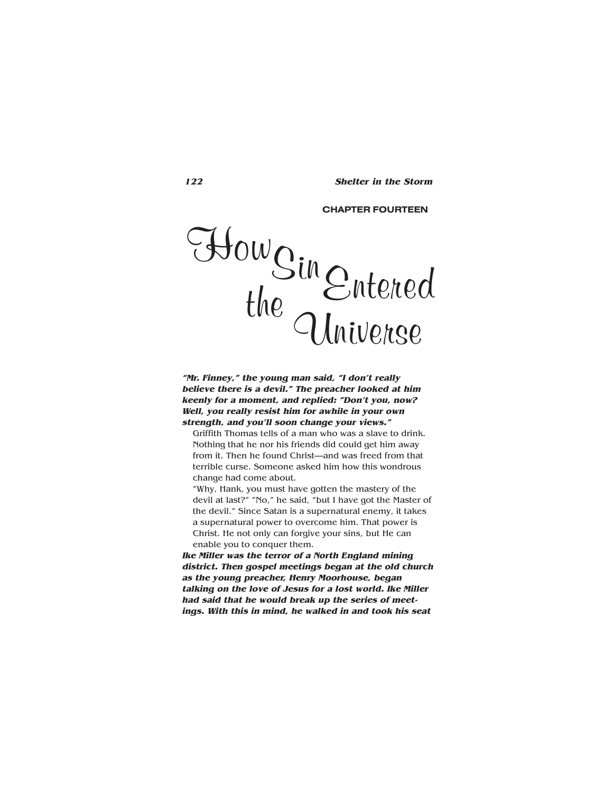#### **CHAPTER FOURTEEN**



**"Mr. Finney," the young man said, "I don't really believe there is a devil." The preacher looked at him keenly for a moment, and replied: "Don't you, now? Well, you really resist him for awhile in your own strength, and you'll soon change your views."**

Griffith Thomas tells of a man who was a slave to drink. Nothing that he nor his friends did could get him away from it. Then he found Christ—and was freed from that terrible curse. Someone asked him how this wondrous change had come about.

"Why, Hank, you must have gotten the mastery of the devil at last?" "No," he said, "but I have got the Master of the devil." Since Satan is a supernatural enemy, it takes a supernatural power to overcome him. That power is Christ. He not only can forgive your sins, but He can enable you to conquer them.

**Ike Miller was the terror of a North England mining district. Then gospel meetings began at the old church as the young preacher, Henry Moorhouse, began talking on the love of Jesus for a lost world. Ike Miller had said that he would break up the series of meetings. With this in mind, he walked in and took his seat**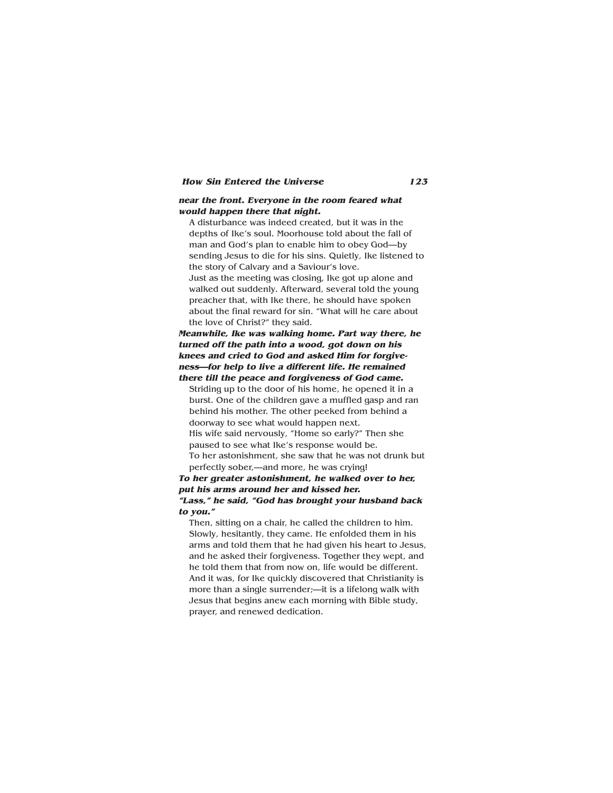#### **near the front. Everyone in the room feared what would happen there that night.**

A disturbance was indeed created, but it was in the depths of Ike's soul. Moorhouse told about the fall of man and God's plan to enable him to obey God—by sending Jesus to die for his sins. Quietly, Ike listened to the story of Calvary and a Saviour's love.

Just as the meeting was closing, Ike got up alone and walked out suddenly. Afterward, several told the young preacher that, with Ike there, he should have spoken about the final reward for sin. "What will he care about the love of Christ?" they said.

# **Meanwhile, Ike was walking home. Part way there, he turned off the path into a wood, got down on his knees and cried to God and asked Him for forgiveness—for help to live a different life. He remained there till the peace and forgiveness of God came.**

Striding up to the door of his home, he opened it in a burst. One of the children gave a muffled gasp and ran behind his mother. The other peeked from behind a doorway to see what would happen next.

His wife said nervously, "Home so early?" Then she paused to see what Ike's response would be.

To her astonishment, she saw that he was not drunk but perfectly sober,—and more, he was crying!

# **To her greater astonishment, he walked over to her, put his arms around her and kissed her. "Lass," he said, "God has brought your husband back**

#### **to you."**

Then, sitting on a chair, he called the children to him. Slowly, hesitantly, they came. He enfolded them in his arms and told them that he had given his heart to Jesus, and he asked their forgiveness. Together they wept, and he told them that from now on, life would be different. And it was, for Ike quickly discovered that Christianity is more than a single surrender;—it is a lifelong walk with Jesus that begins anew each morning with Bible study, prayer, and renewed dedication.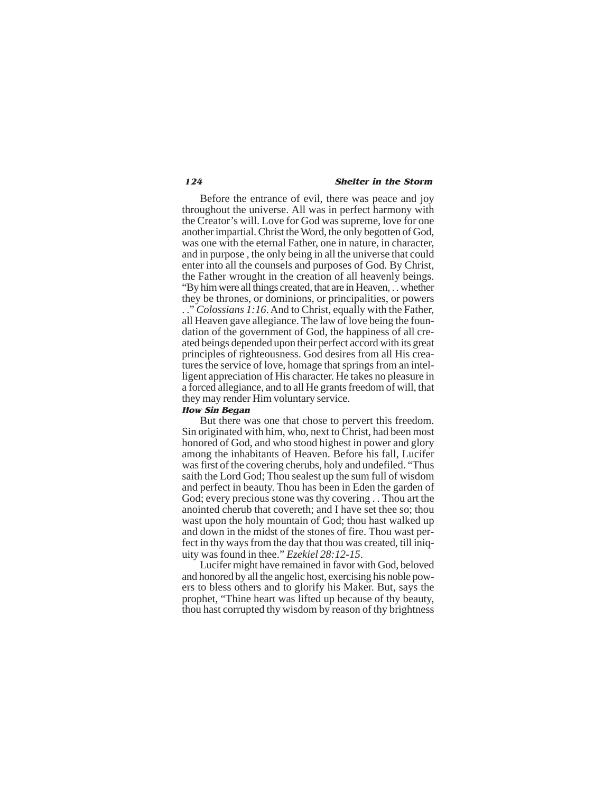Before the entrance of evil, there was peace and joy throughout the universe. All was in perfect harmony with the Creator's will. Love for God was supreme, love for one another impartial. Christ the Word, the only begotten of God, was one with the eternal Father, one in nature, in character, and in purpose , the only being in all the universe that could enter into all the counsels and purposes of God. By Christ, the Father wrought in the creation of all heavenly beings. "By him were all things created, that are in Heaven, . . whether they be thrones, or dominions, or principalities, or powers .." *Colossians 1:16.* And to Christ, equally with the Father, all Heaven gave allegiance. The law of love being the foundation of the government of God, the happiness of all created beings depended upon their perfect accord with its great principles of righteousness. God desires from all His creatures the service of love, homage that springs from an intelligent appreciation of His character. He takes no pleasure in a forced allegiance, and to all He grants freedom of will, that they may render Him voluntary service.

# **How Sin Began**

But there was one that chose to pervert this freedom. Sin originated with him, who, next to Christ, had been most honored of God, and who stood highest in power and glory among the inhabitants of Heaven. Before his fall, Lucifer was first of the covering cherubs, holy and undefiled. "Thus saith the Lord God; Thou sealest up the sum full of wisdom and perfect in beauty. Thou has been in Eden the garden of God; every precious stone was thy covering . . Thou art the anointed cherub that covereth; and I have set thee so; thou wast upon the holy mountain of God; thou hast walked up and down in the midst of the stones of fire. Thou wast perfect in thy ways from the day that thou was created, till iniquity was found in thee." *Ezekiel 28:12-15*.

Lucifer might have remained in favor with God, beloved and honored by all the angelic host, exercising his noble powers to bless others and to glorify his Maker. But, says the prophet, "Thine heart was lifted up because of thy beauty, thou hast corrupted thy wisdom by reason of thy brightness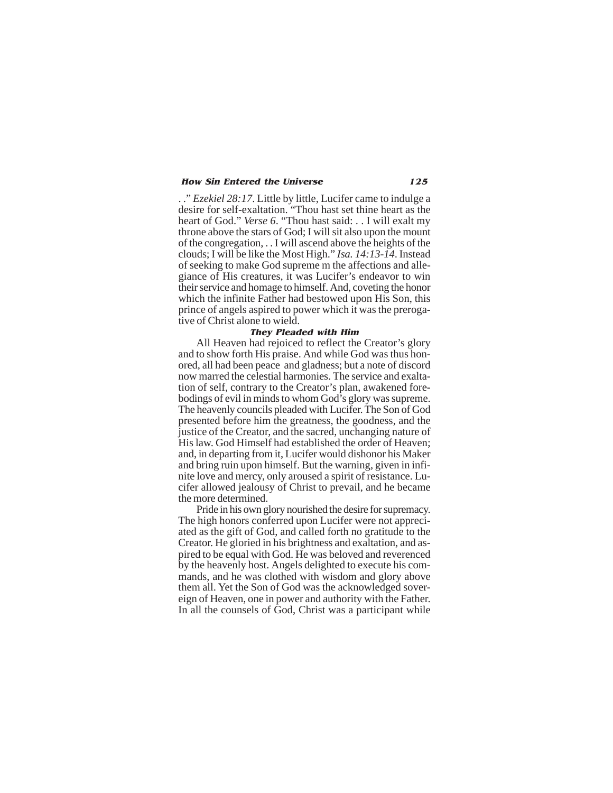. ." *Ezekiel 28:17*. Little by little, Lucifer came to indulge a desire for self-exaltation. "Thou hast set thine heart as the heart of God." *Verse 6*. "Thou hast said: . . I will exalt my throne above the stars of God; I will sit also upon the mount of the congregation, . . I will ascend above the heights of the clouds; I will be like the Most High." *Isa. 14:13-14*. Instead of seeking to make God supreme m the affections and allegiance of His creatures, it was Lucifer's endeavor to win their service and homage to himself. And, coveting the honor which the infinite Father had bestowed upon His Son, this prince of angels aspired to power which it was the prerogative of Christ alone to wield.

#### **They Pleaded with Him**

All Heaven had rejoiced to reflect the Creator's glory and to show forth His praise. And while God was thus honored, all had been peace and gladness; but a note of discord now marred the celestial harmonies. The service and exaltation of self, contrary to the Creator's plan, awakened forebodings of evil in minds to whom God's glory was supreme. The heavenly councils pleaded with Lucifer. The Son of God presented before him the greatness, the goodness, and the justice of the Creator, and the sacred, unchanging nature of His law. God Himself had established the order of Heaven; and, in departing from it, Lucifer would dishonor his Maker and bring ruin upon himself. But the warning, given in infinite love and mercy, only aroused a spirit of resistance. Lucifer allowed jealousy of Christ to prevail, and he became the more determined.

Pride in his own glory nourished the desire for supremacy. The high honors conferred upon Lucifer were not appreciated as the gift of God, and called forth no gratitude to the Creator. He gloried in his brightness and exaltation, and aspired to be equal with God. He was beloved and reverenced by the heavenly host. Angels delighted to execute his commands, and he was clothed with wisdom and glory above them all. Yet the Son of God was the acknowledged sovereign of Heaven, one in power and authority with the Father. In all the counsels of God, Christ was a participant while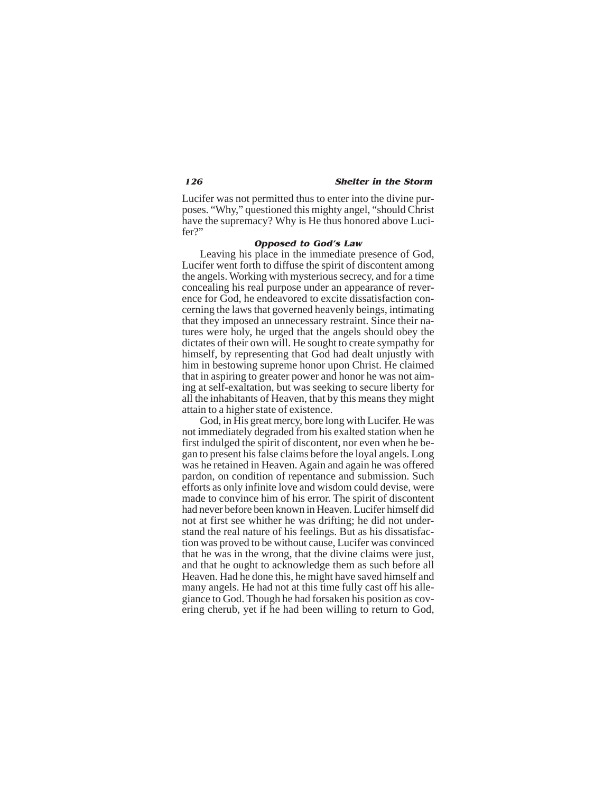Lucifer was not permitted thus to enter into the divine purposes. "Why," questioned this mighty angel, "should Christ have the supremacy? Why is He thus honored above Lucifer?"

# **Opposed to God's Law**

Leaving his place in the immediate presence of God, Lucifer went forth to diffuse the spirit of discontent among the angels. Working with mysterious secrecy, and for a time concealing his real purpose under an appearance of reverence for God, he endeavored to excite dissatisfaction concerning the laws that governed heavenly beings, intimating that they imposed an unnecessary restraint. Since their natures were holy, he urged that the angels should obey the dictates of their own will. He sought to create sympathy for himself, by representing that God had dealt unjustly with him in bestowing supreme honor upon Christ. He claimed that in aspiring to greater power and honor he was not aiming at self-exaltation, but was seeking to secure liberty for all the inhabitants of Heaven, that by this means they might attain to a higher state of existence.

God, in His great mercy, bore long with Lucifer. He was not immediately degraded from his exalted station when he first indulged the spirit of discontent, nor even when he began to present his false claims before the loyal angels. Long was he retained in Heaven. Again and again he was offered pardon, on condition of repentance and submission. Such efforts as only infinite love and wisdom could devise, were made to convince him of his error. The spirit of discontent had never before been known in Heaven. Lucifer himself did not at first see whither he was drifting; he did not understand the real nature of his feelings. But as his dissatisfaction was proved to be without cause, Lucifer was convinced that he was in the wrong, that the divine claims were just, and that he ought to acknowledge them as such before all Heaven. Had he done this, he might have saved himself and many angels. He had not at this time fully cast off his allegiance to God. Though he had forsaken his position as covering cherub, yet if he had been willing to return to God,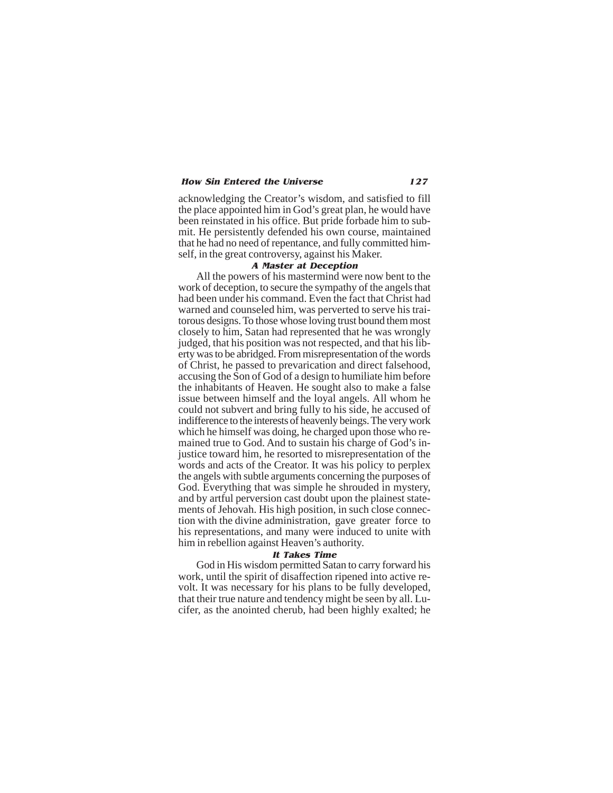acknowledging the Creator's wisdom, and satisfied to fill the place appointed him in God's great plan, he would have been reinstated in his office. But pride forbade him to submit. He persistently defended his own course, maintained that he had no need of repentance, and fully committed himself, in the great controversy, against his Maker.

# **A Master at Deception**

All the powers of his mastermind were now bent to the work of deception, to secure the sympathy of the angels that had been under his command. Even the fact that Christ had warned and counseled him, was perverted to serve his traitorous designs. To those whose loving trust bound them most closely to him, Satan had represented that he was wrongly judged, that his position was not respected, and that his liberty was to be abridged. From misrepresentation of the words of Christ, he passed to prevarication and direct falsehood, accusing the Son of God of a design to humiliate him before the inhabitants of Heaven. He sought also to make a false issue between himself and the loyal angels. All whom he could not subvert and bring fully to his side, he accused of indifference to the interests of heavenly beings. The very work which he himself was doing, he charged upon those who remained true to God. And to sustain his charge of God's injustice toward him, he resorted to misrepresentation of the words and acts of the Creator. It was his policy to perplex the angels with subtle arguments concerning the purposes of God. Everything that was simple he shrouded in mystery, and by artful perversion cast doubt upon the plainest statements of Jehovah. His high position, in such close connection with the divine administration, gave greater force to his representations, and many were induced to unite with him in rebellion against Heaven's authority.

# **It Takes Time**

God in His wisdom permitted Satan to carry forward his work, until the spirit of disaffection ripened into active revolt. It was necessary for his plans to be fully developed, that their true nature and tendency might be seen by all. Lucifer, as the anointed cherub, had been highly exalted; he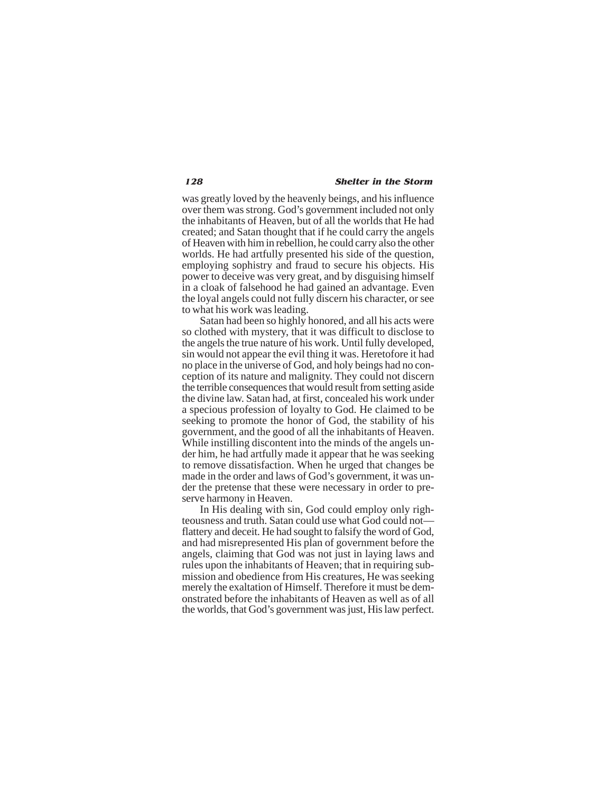was greatly loved by the heavenly beings, and his influence over them was strong. God's government included not only the inhabitants of Heaven, but of all the worlds that He had created; and Satan thought that if he could carry the angels of Heaven with him in rebellion, he could carry also the other worlds. He had artfully presented his side of the question, employing sophistry and fraud to secure his objects. His power to deceive was very great, and by disguising himself in a cloak of falsehood he had gained an advantage. Even the loyal angels could not fully discern his character, or see to what his work was leading.

Satan had been so highly honored, and all his acts were so clothed with mystery, that it was difficult to disclose to the angels the true nature of his work. Until fully developed, sin would not appear the evil thing it was. Heretofore it had no place in the universe of God, and holy beings had no conception of its nature and malignity. They could not discern the terrible consequences that would result from setting aside the divine law. Satan had, at first, concealed his work under a specious profession of loyalty to God. He claimed to be seeking to promote the honor of God, the stability of his government, and the good of all the inhabitants of Heaven. While instilling discontent into the minds of the angels under him, he had artfully made it appear that he was seeking to remove dissatisfaction. When he urged that changes be made in the order and laws of God's government, it was under the pretense that these were necessary in order to preserve harmony in Heaven.

In His dealing with sin, God could employ only righteousness and truth. Satan could use what God could not flattery and deceit. He had sought to falsify the word of God, and had misrepresented His plan of government before the angels, claiming that God was not just in laying laws and rules upon the inhabitants of Heaven; that in requiring submission and obedience from His creatures, He was seeking merely the exaltation of Himself. Therefore it must be demonstrated before the inhabitants of Heaven as well as of all the worlds, that God's government was just, His law perfect.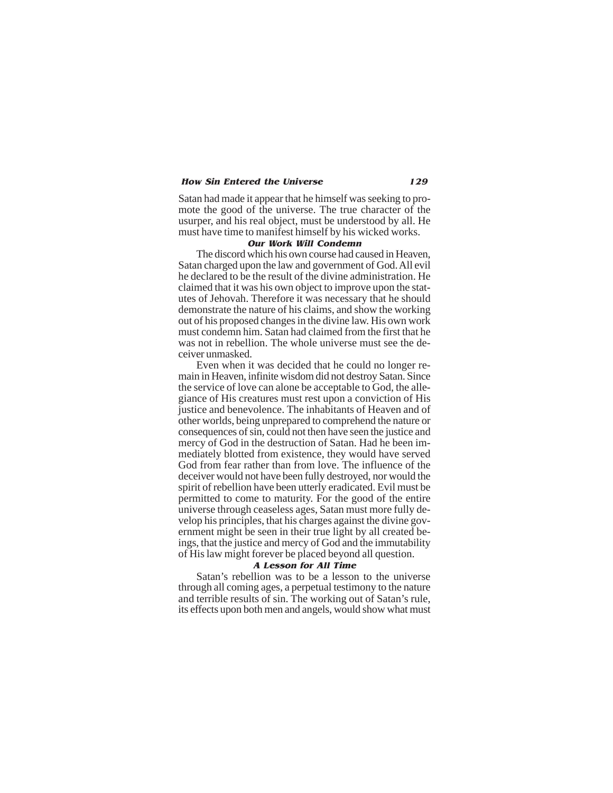#### **How Sin Entered the Universe**

Satan had made it appear that he himself was seeking to promote the good of the universe. The true character of the usurper, and his real object, must be understood by all. He must have time to manifest himself by his wicked works.

#### **Our Work Will Condemn**

The discord which his own course had caused in Heaven, Satan charged upon the law and government of God. All evil he declared to be the result of the divine administration. He claimed that it was his own object to improve upon the statutes of Jehovah. Therefore it was necessary that he should demonstrate the nature of his claims, and show the working out of his proposed changes in the divine law. His own work must condemn him. Satan had claimed from the first that he was not in rebellion. The whole universe must see the deceiver unmasked.

Even when it was decided that he could no longer remain in Heaven, infinite wisdom did not destroy Satan. Since the service of love can alone be acceptable to God, the allegiance of His creatures must rest upon a conviction of His justice and benevolence. The inhabitants of Heaven and of other worlds, being unprepared to comprehend the nature or consequences of sin, could not then have seen the justice and mercy of God in the destruction of Satan. Had he been immediately blotted from existence, they would have served God from fear rather than from love. The influence of the deceiver would not have been fully destroyed, nor would the spirit of rebellion have been utterly eradicated. Evil must be permitted to come to maturity. For the good of the entire universe through ceaseless ages, Satan must more fully develop his principles, that his charges against the divine government might be seen in their true light by all created beings, that the justice and mercy of God and the immutability of His law might forever be placed beyond all question.

# **A Lesson for All Time**

Satan's rebellion was to be a lesson to the universe through all coming ages, a perpetual testimony to the nature and terrible results of sin. The working out of Satan's rule, its effects upon both men and angels, would show what must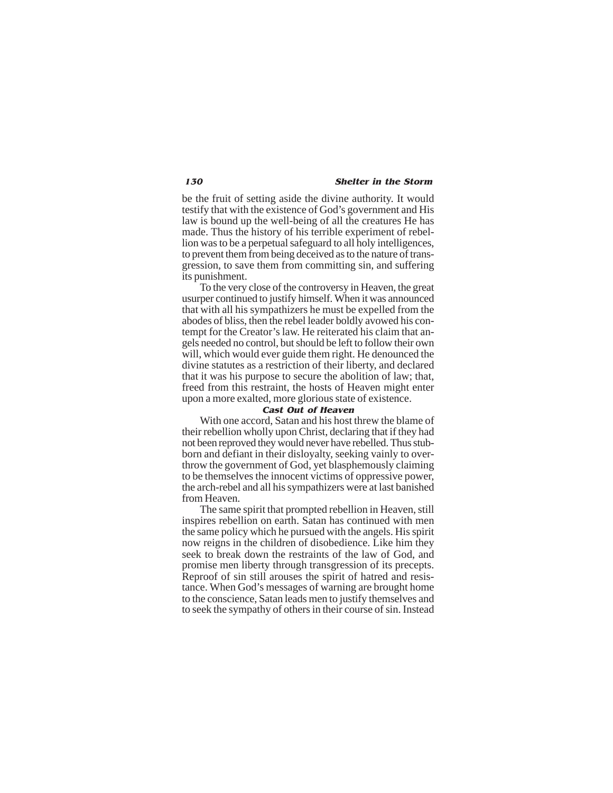be the fruit of setting aside the divine authority. It would testify that with the existence of God's government and His law is bound up the well-being of all the creatures He has made. Thus the history of his terrible experiment of rebellion was to be a perpetual safeguard to all holy intelligences, to prevent them from being deceived as to the nature of transgression, to save them from committing sin, and suffering its punishment.

To the very close of the controversy in Heaven, the great usurper continued to justify himself. When it was announced that with all his sympathizers he must be expelled from the abodes of bliss, then the rebel leader boldly avowed his contempt for the Creator's law. He reiterated his claim that angels needed no control, but should be left to follow their own will, which would ever guide them right. He denounced the divine statutes as a restriction of their liberty, and declared that it was his purpose to secure the abolition of law; that, freed from this restraint, the hosts of Heaven might enter upon a more exalted, more glorious state of existence.

#### **Cast Out of Heaven**

With one accord, Satan and his host threw the blame of their rebellion wholly upon Christ, declaring that if they had not been reproved they would never have rebelled. Thus stubborn and defiant in their disloyalty, seeking vainly to overthrow the government of God, yet blasphemously claiming to be themselves the innocent victims of oppressive power, the arch-rebel and all his sympathizers were at last banished from Heaven.

The same spirit that prompted rebellion in Heaven, still inspires rebellion on earth. Satan has continued with men the same policy which he pursued with the angels. His spirit now reigns in the children of disobedience. Like him they seek to break down the restraints of the law of God, and promise men liberty through transgression of its precepts. Reproof of sin still arouses the spirit of hatred and resistance. When God's messages of warning are brought home to the conscience, Satan leads men to justify themselves and to seek the sympathy of others in their course of sin. Instead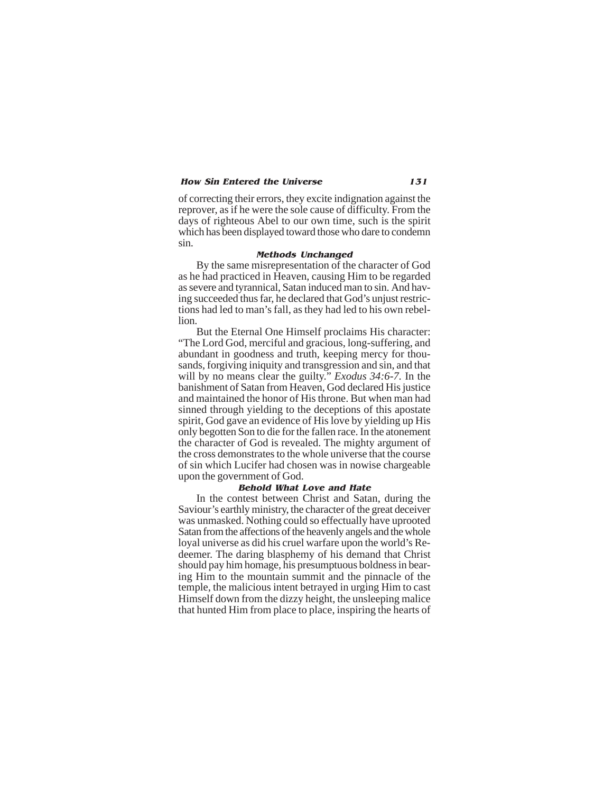#### **How Sin Entered the Universe**

of correcting their errors, they excite indignation against the reprover, as if he were the sole cause of difficulty. From the days of righteous Abel to our own time, such is the spirit which has been displayed toward those who dare to condemn sin.

# **Methods Unchanged**

By the same misrepresentation of the character of God as he had practiced in Heaven, causing Him to be regarded as severe and tyrannical, Satan induced man to sin. And having succeeded thus far, he declared that God's unjust restrictions had led to man's fall, as they had led to his own rebellion.

But the Eternal One Himself proclaims His character: "The Lord God, merciful and gracious, long-suffering, and abundant in goodness and truth, keeping mercy for thousands, forgiving iniquity and transgression and sin, and that will by no means clear the guilty." *Exodus 34:6-7.* In the banishment of Satan from Heaven, God declared His justice and maintained the honor of His throne. But when man had sinned through yielding to the deceptions of this apostate spirit, God gave an evidence of His love by yielding up His only begotten Son to die for the fallen race. In the atonement the character of God is revealed. The mighty argument of the cross demonstrates to the whole universe that the course of sin which Lucifer had chosen was in nowise chargeable upon the government of God.

# **Behold What Love and Hate**

In the contest between Christ and Satan, during the Saviour's earthly ministry, the character of the great deceiver was unmasked. Nothing could so effectually have uprooted Satan from the affections of the heavenly angels and the whole loyal universe as did his cruel warfare upon the world's Redeemer. The daring blasphemy of his demand that Christ should pay him homage, his presumptuous boldness in bearing Him to the mountain summit and the pinnacle of the temple, the malicious intent betrayed in urging Him to cast Himself down from the dizzy height, the unsleeping malice that hunted Him from place to place, inspiring the hearts of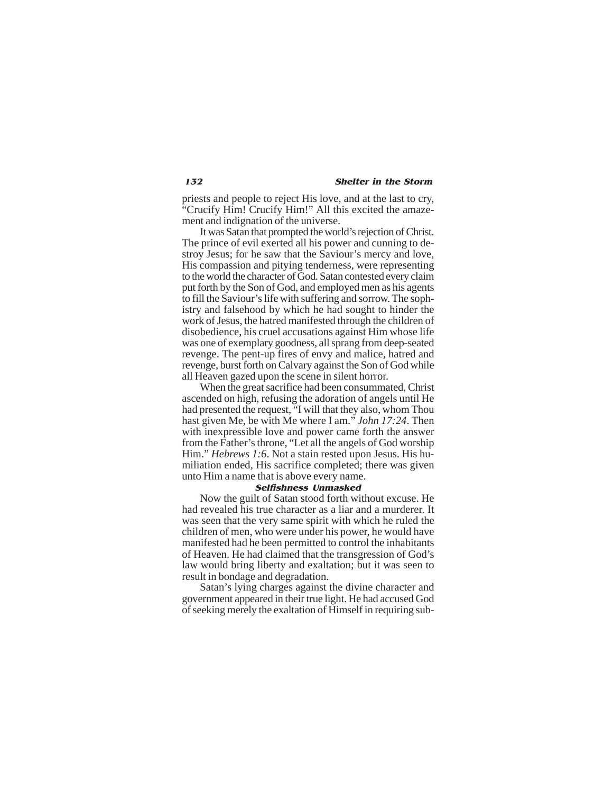priests and people to reject His love, and at the last to cry, "Crucify Him! Crucify Him!" All this excited the amazement and indignation of the universe.

It was Satan that prompted the world's rejection of Christ. The prince of evil exerted all his power and cunning to destroy Jesus; for he saw that the Saviour's mercy and love, His compassion and pitying tenderness, were representing to the world the character of God. Satan contested every claim put forth by the Son of God, and employed men as his agents to fill the Saviour's life with suffering and sorrow. The sophistry and falsehood by which he had sought to hinder the work of Jesus, the hatred manifested through the children of disobedience, his cruel accusations against Him whose life was one of exemplary goodness, all sprang from deep-seated revenge. The pent-up fires of envy and malice, hatred and revenge, burst forth on Calvary against the Son of God while all Heaven gazed upon the scene in silent horror.

When the great sacrifice had been consummated, Christ ascended on high, refusing the adoration of angels until He had presented the request, "I will that they also, whom Thou hast given Me, be with Me where I am." *John 17:24*. Then with inexpressible love and power came forth the answer from the Father's throne, "Let all the angels of God worship Him." *Hebrews 1:6*. Not a stain rested upon Jesus. His humiliation ended, His sacrifice completed; there was given unto Him a name that is above every name.

# **Selfishness Unmasked**

Now the guilt of Satan stood forth without excuse. He had revealed his true character as a liar and a murderer. It was seen that the very same spirit with which he ruled the children of men, who were under his power, he would have manifested had he been permitted to control the inhabitants of Heaven. He had claimed that the transgression of God's law would bring liberty and exaltation; but it was seen to result in bondage and degradation.

Satan's lying charges against the divine character and government appeared in their true light. He had accused God of seeking merely the exaltation of Himself in requiring sub-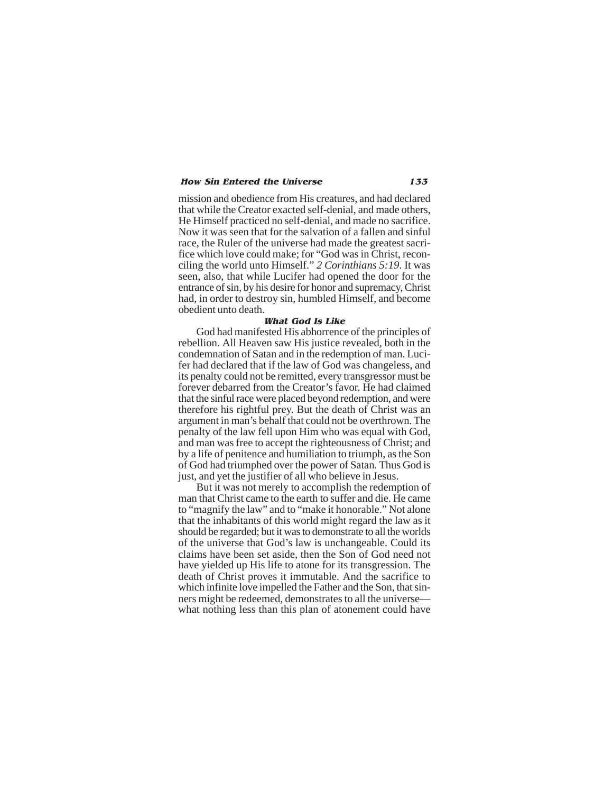#### **How Sin Entered the Universe**

mission and obedience from His creatures, and had declared that while the Creator exacted self-denial, and made others, He Himself practiced no self-denial, and made no sacrifice. Now it was seen that for the salvation of a fallen and sinful race, the Ruler of the universe had made the greatest sacrifice which love could make; for "God was in Christ, reconciling the world unto Himself." *2 Corinthians 5:19*. It was seen, also, that while Lucifer had opened the door for the entrance of sin, by his desire for honor and supremacy, Christ had, in order to destroy sin, humbled Himself, and become obedient unto death.

#### **What God Is Like**

God had manifested His abhorrence of the principles of rebellion. All Heaven saw His justice revealed, both in the condemnation of Satan and in the redemption of man. Lucifer had declared that if the law of God was changeless, and its penalty could not be remitted, every transgressor must be forever debarred from the Creator's favor. He had claimed that the sinful race were placed beyond redemption, and were therefore his rightful prey. But the death of Christ was an argument in man's behalf that could not be overthrown. The penalty of the law fell upon Him who was equal with God, and man was free to accept the righteousness of Christ; and by a life of penitence and humiliation to triumph, as the Son of God had triumphed over the power of Satan. Thus God is just, and yet the justifier of all who believe in Jesus.

But it was not merely to accomplish the redemption of man that Christ came to the earth to suffer and die. He came to "magnify the law" and to "make it honorable." Not alone that the inhabitants of this world might regard the law as it should be regarded; but it was to demonstrate to all the worlds of the universe that God's law is unchangeable. Could its claims have been set aside, then the Son of God need not have yielded up His life to atone for its transgression. The death of Christ proves it immutable. And the sacrifice to which infinite love impelled the Father and the Son, that sinners might be redeemed, demonstrates to all the universe what nothing less than this plan of atonement could have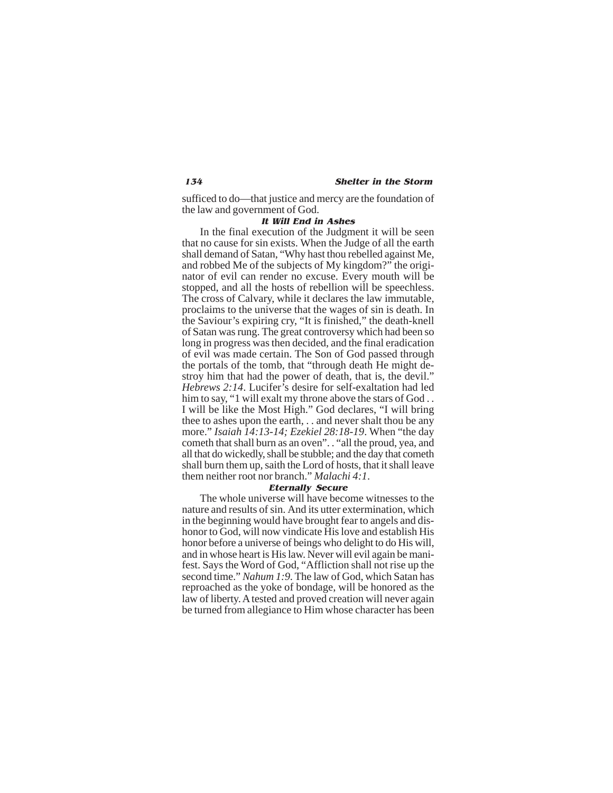sufficed to do—that justice and mercy are the foundation of the law and government of God.

## **It Will End in Ashes**

In the final execution of the Judgment it will be seen that no cause for sin exists. When the Judge of all the earth shall demand of Satan, "Why hast thou rebelled against Me, and robbed Me of the subjects of My kingdom?" the originator of evil can render no excuse. Every mouth will be stopped, and all the hosts of rebellion will be speechless. The cross of Calvary, while it declares the law immutable, proclaims to the universe that the wages of sin is death. In the Saviour's expiring cry, "It is finished," the death-knell of Satan was rung. The great controversy which had been so long in progress was then decided, and the final eradication of evil was made certain. The Son of God passed through the portals of the tomb, that "through death He might destroy him that had the power of death, that is, the devil." *Hebrews 2:14*. Lucifer's desire for self-exaltation had led him to say, "1 will exalt my throne above the stars of God ... I will be like the Most High." God declares, "I will bring thee to ashes upon the earth, . . and never shalt thou be any more." *Isaiah 14:13-14; Ezekiel 28:18-19*. When "the day cometh that shall burn as an oven". . "all the proud, yea, and all that do wickedly, shall be stubble; and the day that cometh shall burn them up, saith the Lord of hosts, that it shall leave them neither root nor branch." *Malachi 4:1*.

#### **Eternally Secure**

The whole universe will have become witnesses to the nature and results of sin. And its utter extermination, which in the beginning would have brought fear to angels and dishonor to God, will now vindicate His love and establish His honor before a universe of beings who delight to do His will, and in whose heart is His law. Never will evil again be manifest. Says the Word of God, "Affliction shall not rise up the second time." *Nahum 1:9*. The law of God, which Satan has reproached as the yoke of bondage, will be honored as the law of liberty. A tested and proved creation will never again be turned from allegiance to Him whose character has been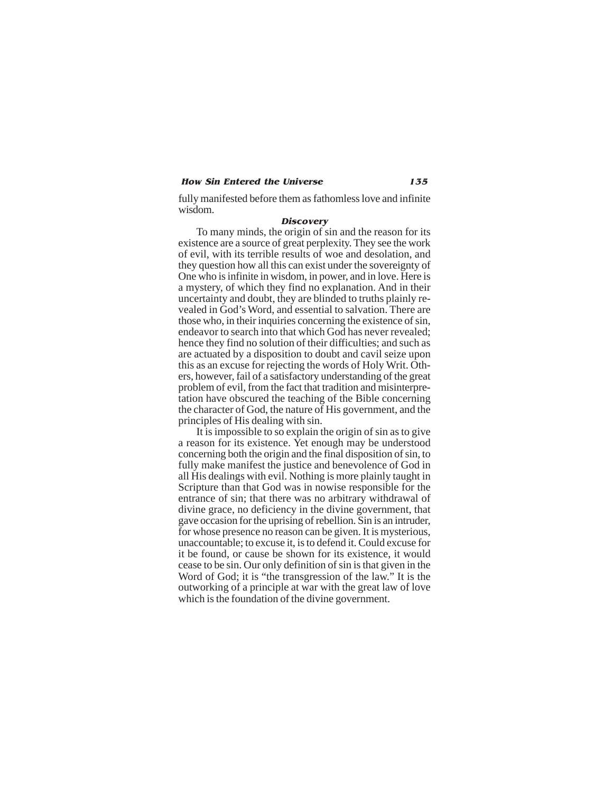fully manifested before them as fathomless love and infinite wisdom.

#### **Discovery**

To many minds, the origin of sin and the reason for its existence are a source of great perplexity. They see the work of evil, with its terrible results of woe and desolation, and they question how all this can exist under the sovereignty of One who is infinite in wisdom, in power, and in love. Here is a mystery, of which they find no explanation. And in their uncertainty and doubt, they are blinded to truths plainly revealed in God's Word, and essential to salvation. There are those who, in their inquiries concerning the existence of sin, endeavor to search into that which God has never revealed; hence they find no solution of their difficulties; and such as are actuated by a disposition to doubt and cavil seize upon this as an excuse for rejecting the words of Holy Writ. Others, however, fail of a satisfactory understanding of the great problem of evil, from the fact that tradition and misinterpretation have obscured the teaching of the Bible concerning the character of God, the nature of His government, and the principles of His dealing with sin.

It is impossible to so explain the origin of sin as to give a reason for its existence. Yet enough may be understood concerning both the origin and the final disposition of sin, to fully make manifest the justice and benevolence of God in all His dealings with evil. Nothing is more plainly taught in Scripture than that God was in nowise responsible for the entrance of sin; that there was no arbitrary withdrawal of divine grace, no deficiency in the divine government, that gave occasion for the uprising of rebellion. Sin is an intruder, for whose presence no reason can be given. It is mysterious, unaccountable; to excuse it, is to defend it. Could excuse for it be found, or cause be shown for its existence, it would cease to be sin. Our only definition of sin is that given in the Word of God; it is "the transgression of the law." It is the outworking of a principle at war with the great law of love which is the foundation of the divine government.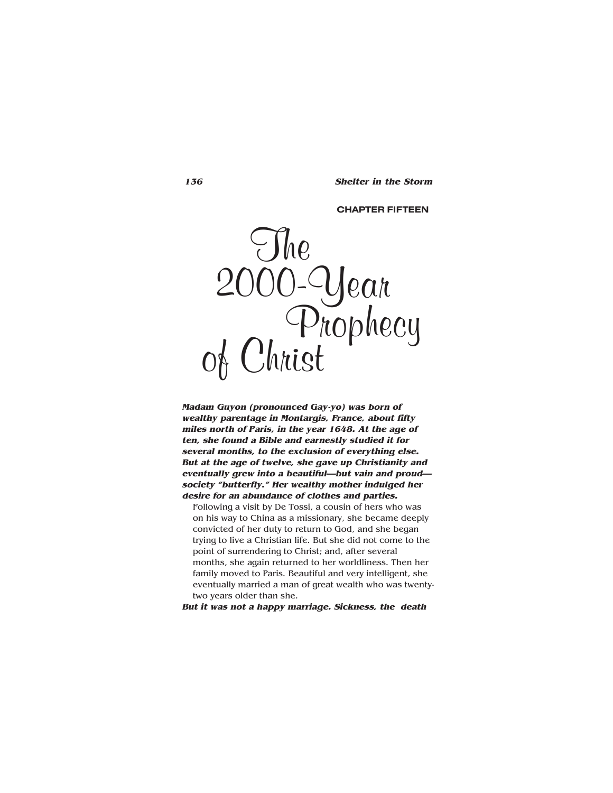#### **CHAPTER FIFTEEN**



**Madam Guyon (pronounced Gay-yo) was born of wealthy parentage in Montargis, France, about fifty miles north of Paris, in the year 1648. At the age of ten, she found a Bible and earnestly studied it for several months, to the exclusion of everything else. But at the age of twelve, she gave up Christianity and eventually grew into a beautiful—but vain and proud society "butterfly." Her wealthy mother indulged her desire for an abundance of clothes and parties.**

Following a visit by De Tossi, a cousin of hers who was on his way to China as a missionary, she became deeply convicted of her duty to return to God, and she began trying to live a Christian life. But she did not come to the point of surrendering to Christ; and, after several months, she again returned to her worldliness. Then her family moved to Paris. Beautiful and very intelligent, she eventually married a man of great wealth who was twentytwo years older than she.

**But it was not a happy marriage. Sickness, the death**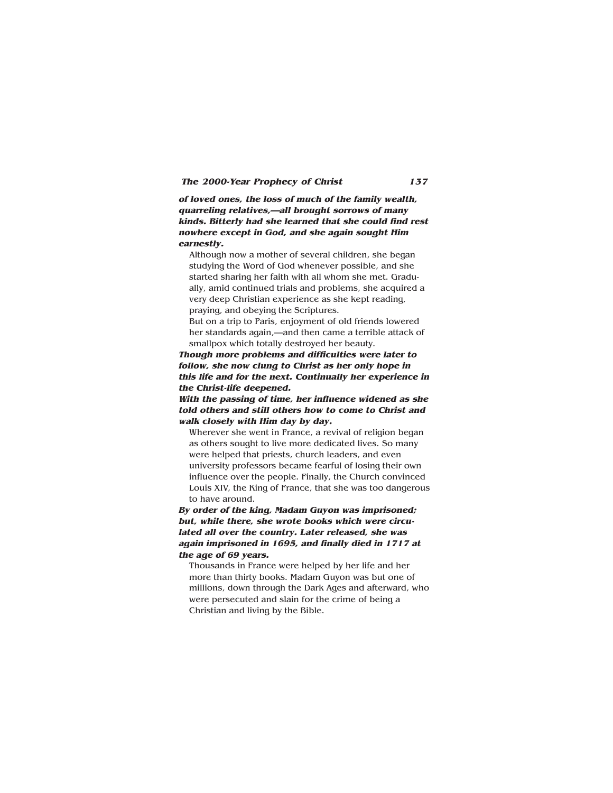**of loved ones, the loss of much of the family wealth, quarreling relatives,—all brought sorrows of many kinds. Bitterly had she learned that she could find rest nowhere except in God, and she again sought Him earnestly.**

Although now a mother of several children, she began studying the Word of God whenever possible, and she started sharing her faith with all whom she met. Gradually, amid continued trials and problems, she acquired a very deep Christian experience as she kept reading, praying, and obeying the Scriptures.

But on a trip to Paris, enjoyment of old friends lowered her standards again,—and then came a terrible attack of smallpox which totally destroyed her beauty.

**Though more problems and difficulties were later to follow, she now clung to Christ as her only hope in this life and for the next. Continually her experience in the Christ-life deepened.**

## **With the passing of time, her influence widened as she told others and still others how to come to Christ and walk closely with Him day by day.**

Wherever she went in France, a revival of religion began as others sought to live more dedicated lives. So many were helped that priests, church leaders, and even university professors became fearful of losing their own influence over the people. Finally, the Church convinced Louis XIV, the King of France, that she was too dangerous to have around.

**By order of the king, Madam Guyon was imprisoned; but, while there, she wrote books which were circulated all over the country. Later released, she was again imprisoned in 1695, and finally died in 1717 at the age of 69 years.**

Thousands in France were helped by her life and her more than thirty books. Madam Guyon was but one of millions, down through the Dark Ages and afterward, who were persecuted and slain for the crime of being a Christian and living by the Bible.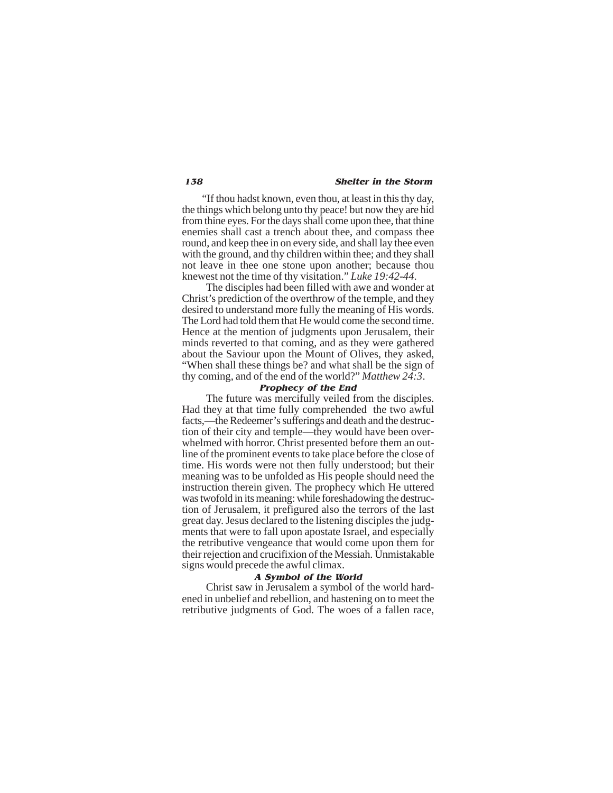"If thou hadst known, even thou, at least in this thy day, the things which belong unto thy peace! but now they are hid from thine eyes. For the days shall come upon thee, that thine enemies shall cast a trench about thee, and compass thee round, and keep thee in on every side, and shall lay thee even with the ground, and thy children within thee; and they shall not leave in thee one stone upon another; because thou knewest not the time of thy visitation." *Luke 19:42-44*.

The disciples had been filled with awe and wonder at Christ's prediction of the overthrow of the temple, and they desired to understand more fully the meaning of His words. The Lord had told them that He would come the second time. Hence at the mention of judgments upon Jerusalem, their minds reverted to that coming, and as they were gathered about the Saviour upon the Mount of Olives, they asked, "When shall these things be? and what shall be the sign of thy coming, and of the end of the world?" *Matthew 24:3*.

# **Prophecy of the End**

The future was mercifully veiled from the disciples. Had they at that time fully comprehended the two awful facts,—the Redeemer's sufferings and death and the destruction of their city and temple—they would have been overwhelmed with horror. Christ presented before them an outline of the prominent events to take place before the close of time. His words were not then fully understood; but their meaning was to be unfolded as His people should need the instruction therein given. The prophecy which He uttered was twofold in its meaning: while foreshadowing the destruction of Jerusalem, it prefigured also the terrors of the last great day. Jesus declared to the listening disciples the judgments that were to fall upon apostate Israel, and especially the retributive vengeance that would come upon them for their rejection and crucifixion of the Messiah. Unmistakable signs would precede the awful climax.

#### **A Symbol of the World**

Christ saw in Jerusalem a symbol of the world hardened in unbelief and rebellion, and hastening on to meet the retributive judgments of God. The woes of a fallen race,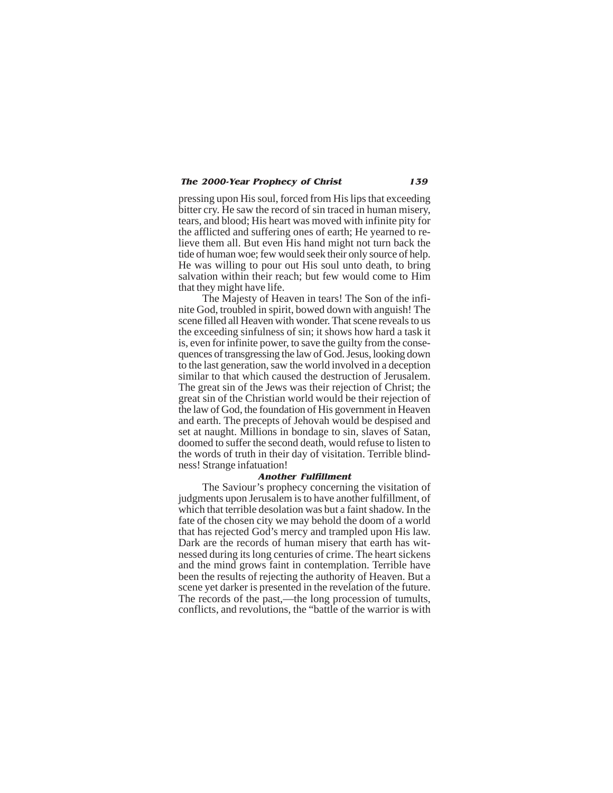pressing upon His soul, forced from His lips that exceeding bitter cry. He saw the record of sin traced in human misery, tears, and blood; His heart was moved with infinite pity for the afflicted and suffering ones of earth; He yearned to relieve them all. But even His hand might not turn back the tide of human woe; few would seek their only source of help. He was willing to pour out His soul unto death, to bring salvation within their reach; but few would come to Him that they might have life.

The Majesty of Heaven in tears! The Son of the infinite God, troubled in spirit, bowed down with anguish! The scene filled all Heaven with wonder. That scene reveals to us the exceeding sinfulness of sin; it shows how hard a task it is, even for infinite power, to save the guilty from the consequences of transgressing the law of God. Jesus, looking down to the last generation, saw the world involved in a deception similar to that which caused the destruction of Jerusalem. The great sin of the Jews was their rejection of Christ; the great sin of the Christian world would be their rejection of the law of God, the foundation of His government in Heaven and earth. The precepts of Jehovah would be despised and set at naught. Millions in bondage to sin, slaves of Satan, doomed to suffer the second death, would refuse to listen to the words of truth in their day of visitation. Terrible blindness! Strange infatuation!

# **Another Fulfillment**

The Saviour's prophecy concerning the visitation of judgments upon Jerusalem is to have another fulfillment, of which that terrible desolation was but a faint shadow. In the fate of the chosen city we may behold the doom of a world that has rejected God's mercy and trampled upon His law. Dark are the records of human misery that earth has witnessed during its long centuries of crime. The heart sickens and the mind grows faint in contemplation. Terrible have been the results of rejecting the authority of Heaven. But a scene yet darker is presented in the revelation of the future. The records of the past,—the long procession of tumults, conflicts, and revolutions, the "battle of the warrior is with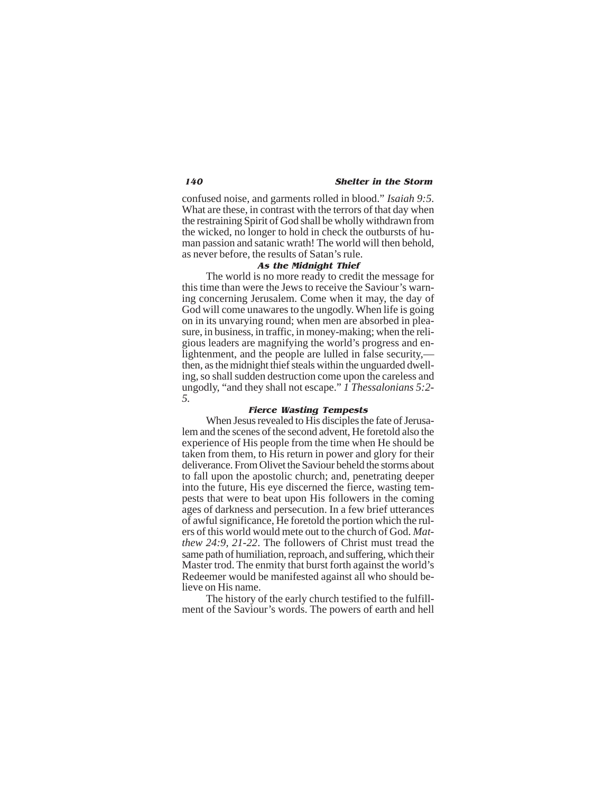confused noise, and garments rolled in blood." *Isaiah 9:5*. What are these, in contrast with the terrors of that day when the restraining Spirit of God shall be wholly withdrawn from the wicked, no longer to hold in check the outbursts of human passion and satanic wrath! The world will then behold, as never before, the results of Satan's rule.

# **As the Midnight Thief**

The world is no more ready to credit the message for this time than were the Jews to receive the Saviour's warning concerning Jerusalem. Come when it may, the day of God will come unawares to the ungodly. When life is going on in its unvarying round; when men are absorbed in pleasure, in business, in traffic, in money-making; when the religious leaders are magnifying the world's progress and enlightenment, and the people are lulled in false security, then, as the midnight thief steals within the unguarded dwelling, so shall sudden destruction come upon the careless and ungodly, "and they shall not escape." *1 Thessalonians 5:2- 5.*

# **Fierce Wasting Tempests**

When Jesus revealed to His disciples the fate of Jerusalem and the scenes of the second advent, He foretold also the experience of His people from the time when He should be taken from them, to His return in power and glory for their deliverance. From Olivet the Saviour beheld the storms about to fall upon the apostolic church; and, penetrating deeper into the future, His eye discerned the fierce, wasting tempests that were to beat upon His followers in the coming ages of darkness and persecution. In a few brief utterances of awful significance, He foretold the portion which the rulers of this world would mete out to the church of God. *Matthew 24:9, 21-22*. The followers of Christ must tread the same path of humiliation, reproach, and suffering, which their Master trod. The enmity that burst forth against the world's Redeemer would be manifested against all who should believe on His name.

The history of the early church testified to the fulfillment of the Saviour's words. The powers of earth and hell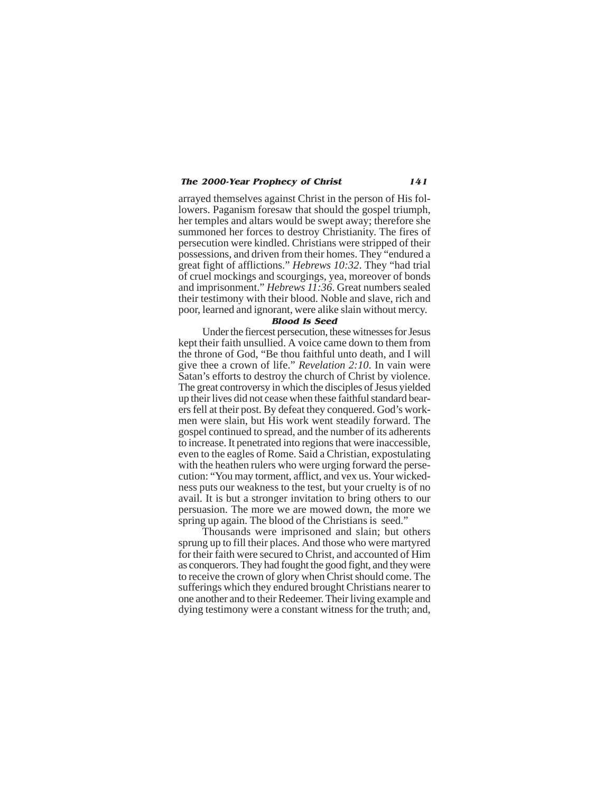arrayed themselves against Christ in the person of His followers. Paganism foresaw that should the gospel triumph, her temples and altars would be swept away; therefore she summoned her forces to destroy Christianity. The fires of persecution were kindled. Christians were stripped of their possessions, and driven from their homes. They "endured a great fight of afflictions." *Hebrews 10:32*. They "had trial of cruel mockings and scourgings, yea, moreover of bonds and imprisonment." *Hebrews 11:36*. Great numbers sealed their testimony with their blood. Noble and slave, rich and poor, learned and ignorant, were alike slain without mercy.

#### **Blood Is Seed**

Under the fiercest persecution, these witnesses for Jesus kept their faith unsullied. A voice came down to them from the throne of God, "Be thou faithful unto death, and I will give thee a crown of life." *Revelation 2:10*. In vain were Satan's efforts to destroy the church of Christ by violence. The great controversy in which the disciples of Jesus yielded up their lives did not cease when these faithful standard bearers fell at their post. By defeat they conquered. God's workmen were slain, but His work went steadily forward. The gospel continued to spread, and the number of its adherents to increase. It penetrated into regions that were inaccessible, even to the eagles of Rome. Said a Christian, expostulating with the heathen rulers who were urging forward the persecution: "You may torment, afflict, and vex us. Your wickedness puts our weakness to the test, but your cruelty is of no avail. It is but a stronger invitation to bring others to our persuasion. The more we are mowed down, the more we spring up again. The blood of the Christians is seed."

Thousands were imprisoned and slain; but others sprung up to fill their places. And those who were martyred for their faith were secured to Christ, and accounted of Him as conquerors. They had fought the good fight, and they were to receive the crown of glory when Christ should come. The sufferings which they endured brought Christians nearer to one another and to their Redeemer. Their living example and dying testimony were a constant witness for the truth; and,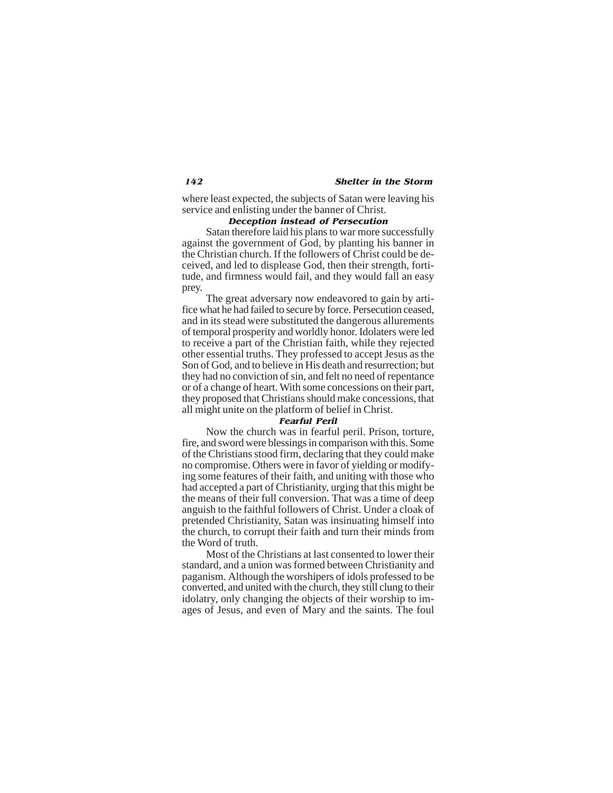where least expected, the subjects of Satan were leaving his service and enlisting under the banner of Christ.

# **Deception instead of Persecution**

Satan therefore laid his plans to war more successfully against the government of God, by planting his banner in the Christian church. If the followers of Christ could be deceived, and led to displease God, then their strength, fortitude, and firmness would fail, and they would fall an easy prey.

The great adversary now endeavored to gain by artifice what he had failed to secure by force. Persecution ceased, and in its stead were substituted the dangerous allurements of temporal prosperity and worldly honor. Idolaters were led to receive a part of the Christian faith, while they rejected other essential truths. They professed to accept Jesus as the Son of God, and to believe in His death and resurrection; but they had no conviction of sin, and felt no need of repentance or of a change of heart. With some concessions on their part, they proposed that Christians should make concessions, that all might unite on the platform of belief in Christ.

#### **Fearful Peril**

Now the church was in fearful peril. Prison, torture, fire, and sword were blessings in comparison with this. Some of the Christians stood firm, declaring that they could make no compromise. Others were in favor of yielding or modifying some features of their faith, and uniting with those who had accepted a part of Christianity, urging that this might be the means of their full conversion. That was a time of deep anguish to the faithful followers of Christ. Under a cloak of pretended Christianity, Satan was insinuating himself into the church, to corrupt their faith and turn their minds from the Word of truth.

Most of the Christians at last consented to lower their standard, and a union was formed between Christianity and paganism. Although the worshipers of idols professed to be converted, and united with the church, they still clung to their idolatry, only changing the objects of their worship to images of Jesus, and even of Mary and the saints. The foul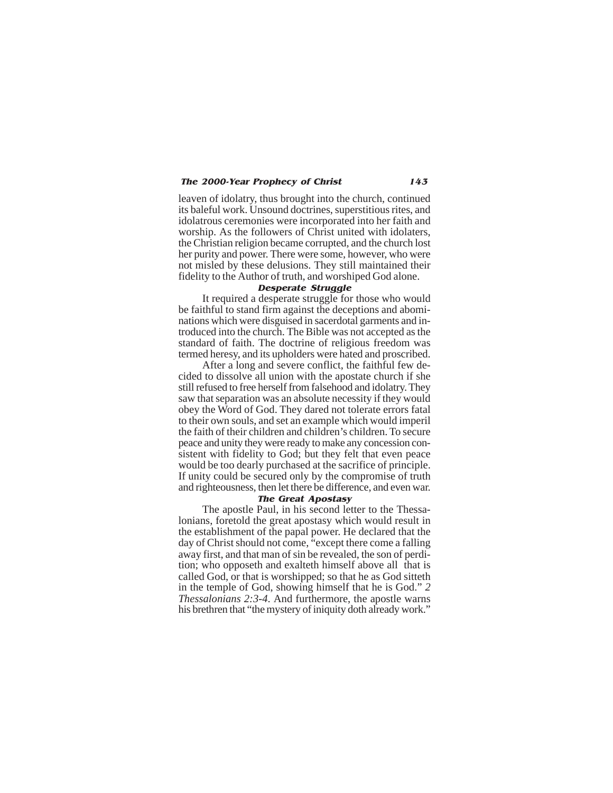leaven of idolatry, thus brought into the church, continued its baleful work. Unsound doctrines, superstitious rites, and idolatrous ceremonies were incorporated into her faith and worship. As the followers of Christ united with idolaters, the Christian religion became corrupted, and the church lost her purity and power. There were some, however, who were not misled by these delusions. They still maintained their fidelity to the Author of truth, and worshiped God alone.

# **Desperate Struggle**

It required a desperate struggle for those who would be faithful to stand firm against the deceptions and abominations which were disguised in sacerdotal garments and introduced into the church. The Bible was not accepted as the standard of faith. The doctrine of religious freedom was termed heresy, and its upholders were hated and proscribed.

After a long and severe conflict, the faithful few decided to dissolve all union with the apostate church if she still refused to free herself from falsehood and idolatry. They saw that separation was an absolute necessity if they would obey the Word of God. They dared not tolerate errors fatal to their own souls, and set an example which would imperil the faith of their children and children's children. To secure peace and unity they were ready to make any concession consistent with fidelity to God; but they felt that even peace would be too dearly purchased at the sacrifice of principle. If unity could be secured only by the compromise of truth and righteousness, then let there be difference, and even war.

# **The Great Apostasy**

The apostle Paul, in his second letter to the Thessalonians, foretold the great apostasy which would result in the establishment of the papal power. He declared that the day of Christ should not come, "except there come a falling away first, and that man of sin be revealed, the son of perdition; who opposeth and exalteth himself above all that is called God, or that is worshipped; so that he as God sitteth in the temple of God, showing himself that he is God." *2 Thessalonians 2:3-4*. And furthermore, the apostle warns his brethren that "the mystery of iniquity doth already work."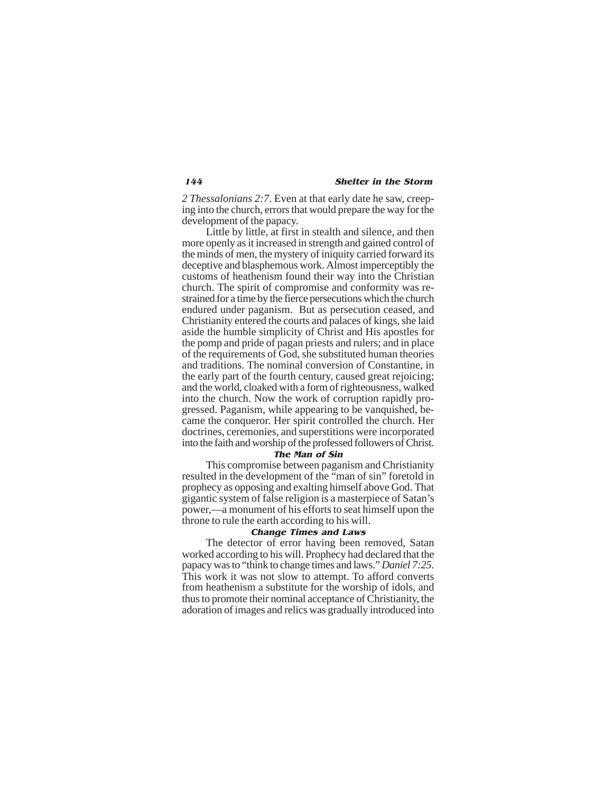*2 Thessalonians 2:7*. Even at that early date he saw, creeping into the church, errors that would prepare the way for the development of the papacy.

Little by little, at first in stealth and silence, and then more openly as it increased in strength and gained control of the minds of men, the mystery of iniquity carried forward its deceptive and blasphemous work. Almost imperceptibly the customs of heathenism found their way into the Christian church. The spirit of compromise and conformity was restrained for a time by the fierce persecutions which the church endured under paganism. But as persecution ceased, and Christianity entered the courts and palaces of kings, she laid aside the humble simplicity of Christ and His apostles for the pomp and pride of pagan priests and rulers; and in place of the requirements of God, she substituted human theories and traditions. The nominal conversion of Constantine, in the early part of the fourth century, caused great rejoicing; and the world, cloaked with a form of righteousness, walked into the church. Now the work of corruption rapidly progressed. Paganism, while appearing to be vanquished, became the conqueror. Her spirit controlled the church. Her doctrines, ceremonies, and superstitions were incorporated into the faith and worship of the professed followers of Christ.

#### **The Man of Sin**

This compromise between paganism and Christianity resulted in the development of the "man of sin" foretold in prophecy as opposing and exalting himself above God. That gigantic system of false religion is a masterpiece of Satan's power,—a monument of his efforts to seat himself upon the throne to rule the earth according to his will.

#### **Change Times and Laws**

The detector of error having been removed, Satan worked according to his will. Prophecy had declared that the papacy was to "think to change times and laws." *Daniel 7:25*. This work it was not slow to attempt. To afford converts from heathenism a substitute for the worship of idols, and thus to promote their nominal acceptance of Christianity, the adoration of images and relics was gradually introduced into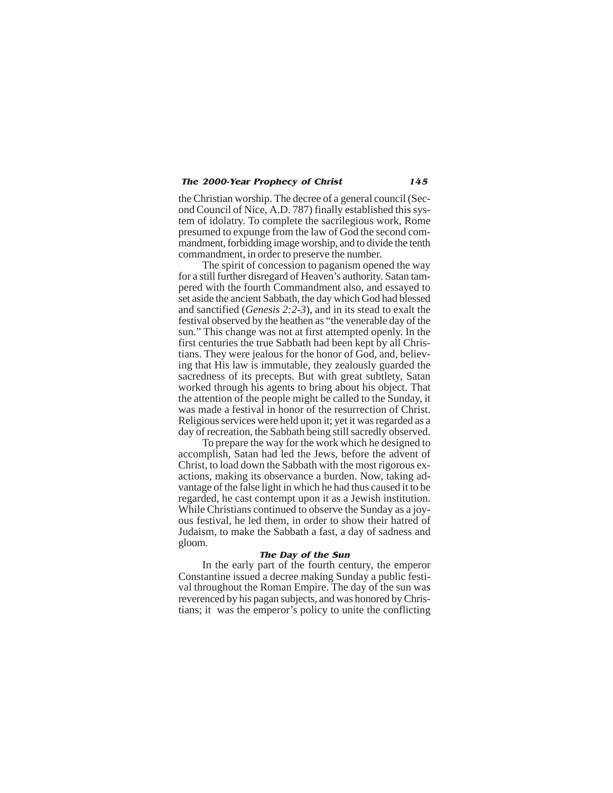the Christian worship. The decree of a general council (Second Council of Nice, A.D. 787) finally established this system of idolatry. To complete the sacrilegious work, Rome presumed to expunge from the law of God the second commandment, forbidding image worship, and to divide the tenth commandment, in order to preserve the number.

The spirit of concession to paganism opened the way for a still further disregard of Heaven's authority. Satan tampered with the fourth Commandment also, and essayed to set aside the ancient Sabbath, the day which God had blessed and sanctified (*Genesis 2:2-3*), and in its stead to exalt the festival observed by the heathen as "the venerable day of the sun." This change was not at first attempted openly. In the first centuries the true Sabbath had been kept by all Christians. They were jealous for the honor of God, and, believing that His law is immutable, they zealously guarded the sacredness of its precepts. But with great subtlety, Satan worked through his agents to bring about his object. That the attention of the people might be called to the Sunday, it was made a festival in honor of the resurrection of Christ. Religious services were held upon it; yet it was regarded as a day of recreation, the Sabbath being still sacredly observed.

To prepare the way for the work which he designed to accomplish, Satan had led the Jews, before the advent of Christ, to load down the Sabbath with the most rigorous exactions, making its observance a burden. Now, taking advantage of the false light in which he had thus caused it to be regarded, he cast contempt upon it as a Jewish institution. While Christians continued to observe the Sunday as a joyous festival, he led them, in order to show their hatred of Judaism, to make the Sabbath a fast, a day of sadness and gloom.

### **The Day of the Sun**

In the early part of the fourth century, the emperor Constantine issued a decree making Sunday a public festival throughout the Roman Empire. The day of the sun was reverenced by his pagan subjects, and was honored by Christians; it was the emperor's policy to unite the conflicting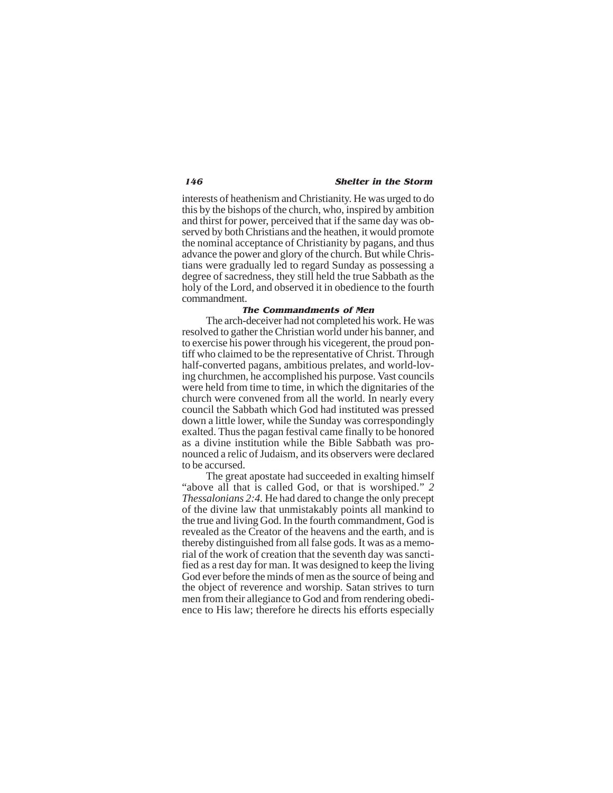interests of heathenism and Christianity. He was urged to do this by the bishops of the church, who, inspired by ambition and thirst for power, perceived that if the same day was observed by both Christians and the heathen, it would promote the nominal acceptance of Christianity by pagans, and thus advance the power and glory of the church. But while Christians were gradually led to regard Sunday as possessing a degree of sacredness, they still held the true Sabbath as the holy of the Lord, and observed it in obedience to the fourth commandment.

### **The Commandments of Men**

The arch-deceiver had not completed his work. He was resolved to gather the Christian world under his banner, and to exercise his power through his vicegerent, the proud pontiff who claimed to be the representative of Christ. Through half-converted pagans, ambitious prelates, and world-loving churchmen, he accomplished his purpose. Vast councils were held from time to time, in which the dignitaries of the church were convened from all the world. In nearly every council the Sabbath which God had instituted was pressed down a little lower, while the Sunday was correspondingly exalted. Thus the pagan festival came finally to be honored as a divine institution while the Bible Sabbath was pronounced a relic of Judaism, and its observers were declared to be accursed.

The great apostate had succeeded in exalting himself "above all that is called God, or that is worshiped." *2 Thessalonians 2:4.* He had dared to change the only precept of the divine law that unmistakably points all mankind to the true and living God. In the fourth commandment, God is revealed as the Creator of the heavens and the earth, and is thereby distinguished from all false gods. It was as a memorial of the work of creation that the seventh day was sanctified as a rest day for man. It was designed to keep the living God ever before the minds of men as the source of being and the object of reverence and worship. Satan strives to turn men from their allegiance to God and from rendering obedience to His law; therefore he directs his efforts especially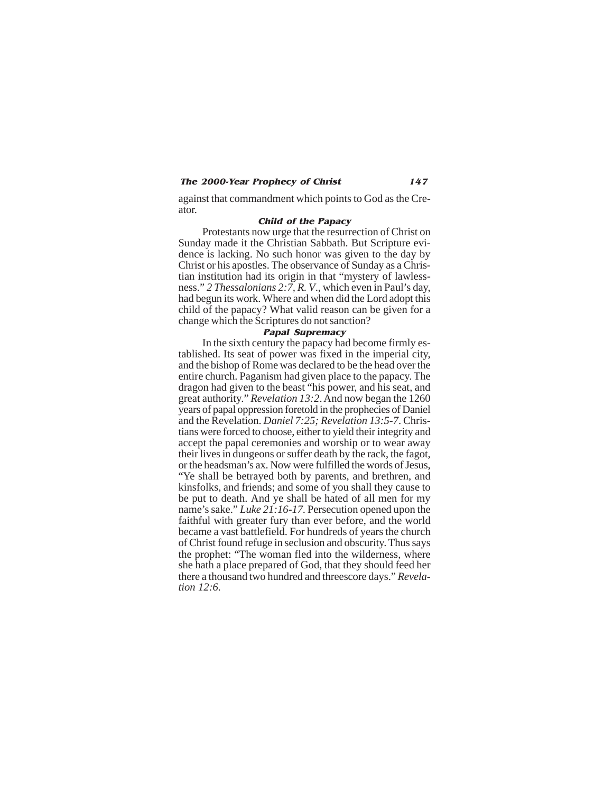against that commandment which points to God as the Creator.

## **Child of the Papacy**

Protestants now urge that the resurrection of Christ on Sunday made it the Christian Sabbath. But Scripture evidence is lacking. No such honor was given to the day by Christ or his apostles. The observance of Sunday as a Christian institution had its origin in that "mystery of lawlessness." *2 Thessalonians 2:7, R. V*., which even in Paul's day, had begun its work. Where and when did the Lord adopt this child of the papacy? What valid reason can be given for a change which the Scriptures do not sanction?

### **Papal Supremacy**

In the sixth century the papacy had become firmly established. Its seat of power was fixed in the imperial city, and the bishop of Rome was declared to be the head over the entire church. Paganism had given place to the papacy. The dragon had given to the beast "his power, and his seat, and great authority." *Revelation 13:2*. And now began the 1260 years of papal oppression foretold in the prophecies of Daniel and the Revelation. *Daniel 7:25; Revelation 13:5-7*. Christians were forced to choose, either to yield their integrity and accept the papal ceremonies and worship or to wear away their lives in dungeons or suffer death by the rack, the fagot, or the headsman's ax. Now were fulfilled the words of Jesus, "Ye shall be betrayed both by parents, and brethren, and kinsfolks, and friends; and some of you shall they cause to be put to death. And ye shall be hated of all men for my name's sake." *Luke 21:16-17*. Persecution opened upon the faithful with greater fury than ever before, and the world became a vast battlefield. For hundreds of years the church of Christ found refuge in seclusion and obscurity. Thus says the prophet: "The woman fled into the wilderness, where she hath a place prepared of God, that they should feed her there a thousand two hundred and threescore days." *Revelation 12:6.*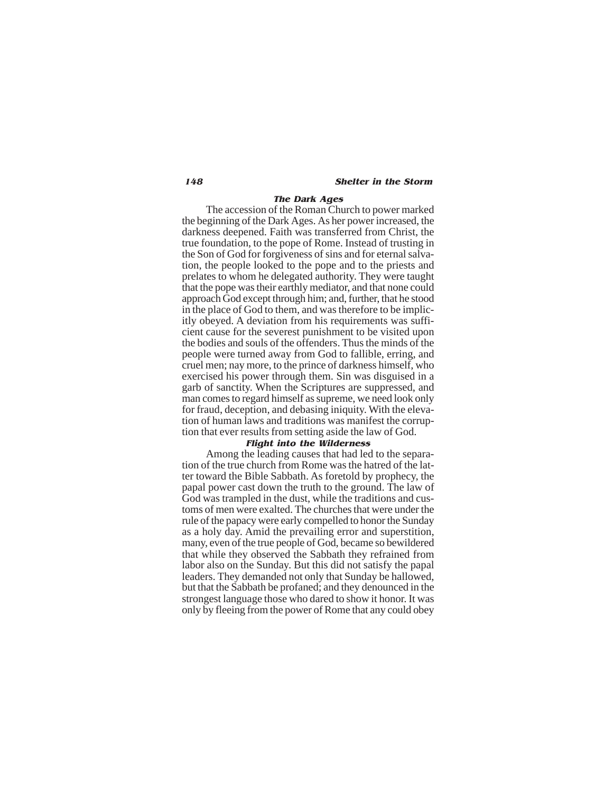#### **The Dark Ages**

The accession of the Roman Church to power marked the beginning of the Dark Ages. As her power increased, the darkness deepened. Faith was transferred from Christ, the true foundation, to the pope of Rome. Instead of trusting in the Son of God for forgiveness of sins and for eternal salvation, the people looked to the pope and to the priests and prelates to whom he delegated authority. They were taught that the pope was their earthly mediator, and that none could approach God except through him; and, further, that he stood in the place of God to them, and was therefore to be implicitly obeyed. A deviation from his requirements was sufficient cause for the severest punishment to be visited upon the bodies and souls of the offenders. Thus the minds of the people were turned away from God to fallible, erring, and cruel men; nay more, to the prince of darkness himself, who exercised his power through them. Sin was disguised in a garb of sanctity. When the Scriptures are suppressed, and man comes to regard himself as supreme, we need look only for fraud, deception, and debasing iniquity. With the elevation of human laws and traditions was manifest the corruption that ever results from setting aside the law of God.

## **Flight into the Wilderness**

Among the leading causes that had led to the separation of the true church from Rome was the hatred of the latter toward the Bible Sabbath. As foretold by prophecy, the papal power cast down the truth to the ground. The law of God was trampled in the dust, while the traditions and customs of men were exalted. The churches that were under the rule of the papacy were early compelled to honor the Sunday as a holy day. Amid the prevailing error and superstition, many, even of the true people of God, became so bewildered that while they observed the Sabbath they refrained from labor also on the Sunday. But this did not satisfy the papal leaders. They demanded not only that Sunday be hallowed, but that the Sabbath be profaned; and they denounced in the strongest language those who dared to show it honor. It was only by fleeing from the power of Rome that any could obey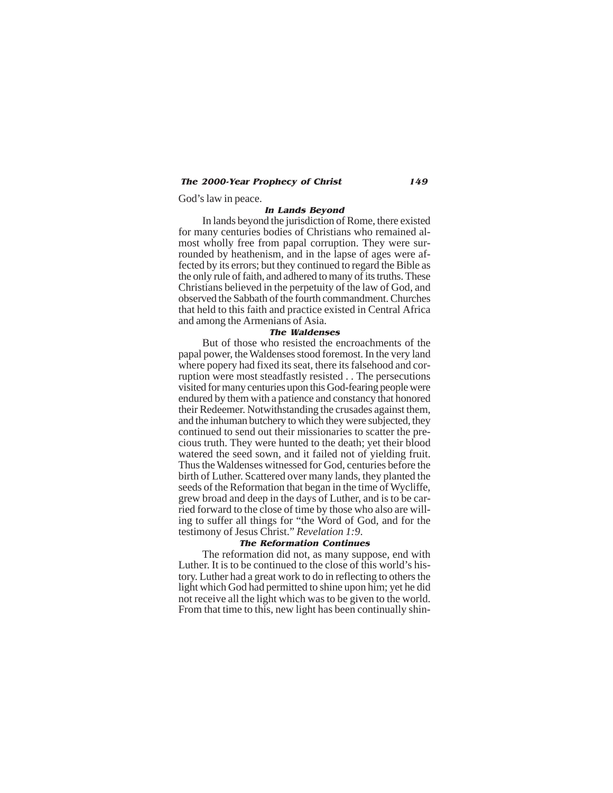God's law in peace.

#### **In Lands Beyond**

In lands beyond the jurisdiction of Rome, there existed for many centuries bodies of Christians who remained almost wholly free from papal corruption. They were surrounded by heathenism, and in the lapse of ages were affected by its errors; but they continued to regard the Bible as the only rule of faith, and adhered to many of its truths. These Christians believed in the perpetuity of the law of God, and observed the Sabbath of the fourth commandment. Churches that held to this faith and practice existed in Central Africa and among the Armenians of Asia.

#### **The Waldenses**

But of those who resisted the encroachments of the papal power, the Waldenses stood foremost. In the very land where popery had fixed its seat, there its falsehood and corruption were most steadfastly resisted . . The persecutions visited for many centuries upon this God-fearing people were endured by them with a patience and constancy that honored their Redeemer. Notwithstanding the crusades against them, and the inhuman butchery to which they were subjected, they continued to send out their missionaries to scatter the precious truth. They were hunted to the death; yet their blood watered the seed sown, and it failed not of yielding fruit. Thus the Waldenses witnessed for God, centuries before the birth of Luther. Scattered over many lands, they planted the seeds of the Reformation that began in the time of Wycliffe, grew broad and deep in the days of Luther, and is to be carried forward to the close of time by those who also are willing to suffer all things for "the Word of God, and for the testimony of Jesus Christ." *Revelation 1:9*.

### **The Reformation Continues**

The reformation did not, as many suppose, end with Luther. It is to be continued to the close of this world's history. Luther had a great work to do in reflecting to others the light which God had permitted to shine upon him; yet he did not receive all the light which was to be given to the world. From that time to this, new light has been continually shin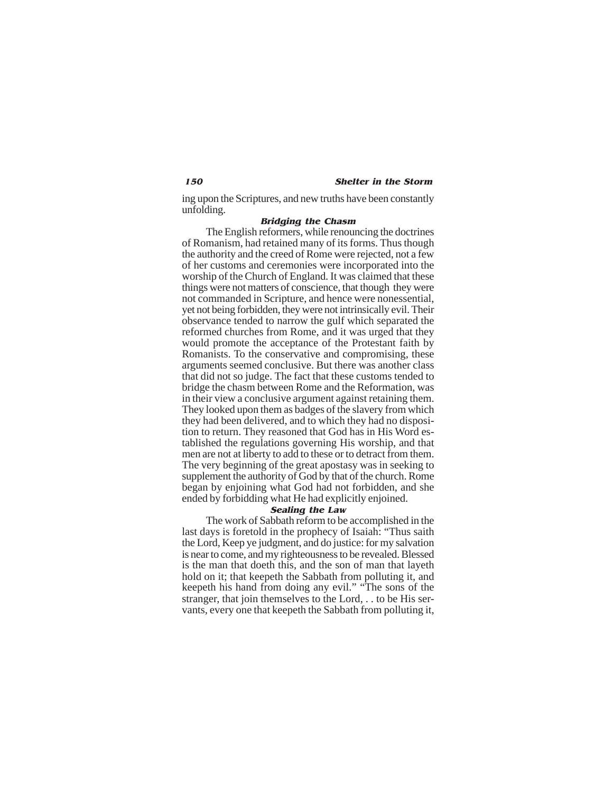ing upon the Scriptures, and new truths have been constantly unfolding.

## **Bridging the Chasm**

The English reformers, while renouncing the doctrines of Romanism, had retained many of its forms. Thus though the authority and the creed of Rome were rejected, not a few of her customs and ceremonies were incorporated into the worship of the Church of England. It was claimed that these things were not matters of conscience, that though they were not commanded in Scripture, and hence were nonessential, yet not being forbidden, they were not intrinsically evil. Their observance tended to narrow the gulf which separated the reformed churches from Rome, and it was urged that they would promote the acceptance of the Protestant faith by Romanists. To the conservative and compromising, these arguments seemed conclusive. But there was another class that did not so judge. The fact that these customs tended to bridge the chasm between Rome and the Reformation, was in their view a conclusive argument against retaining them. They looked upon them as badges of the slavery from which they had been delivered, and to which they had no disposition to return. They reasoned that God has in His Word established the regulations governing His worship, and that men are not at liberty to add to these or to detract from them. The very beginning of the great apostasy was in seeking to supplement the authority of God by that of the church. Rome began by enjoining what God had not forbidden, and she ended by forbidding what He had explicitly enjoined.

## **Sealing the Law**

The work of Sabbath reform to be accomplished in the last days is foretold in the prophecy of Isaiah: "Thus saith the Lord, Keep ye judgment, and do justice: for my salvation is near to come, and my righteousness to be revealed. Blessed is the man that doeth this, and the son of man that layeth hold on it; that keepeth the Sabbath from polluting it, and keepeth his hand from doing any evil." "The sons of the stranger, that join themselves to the Lord, . . to be His servants, every one that keepeth the Sabbath from polluting it,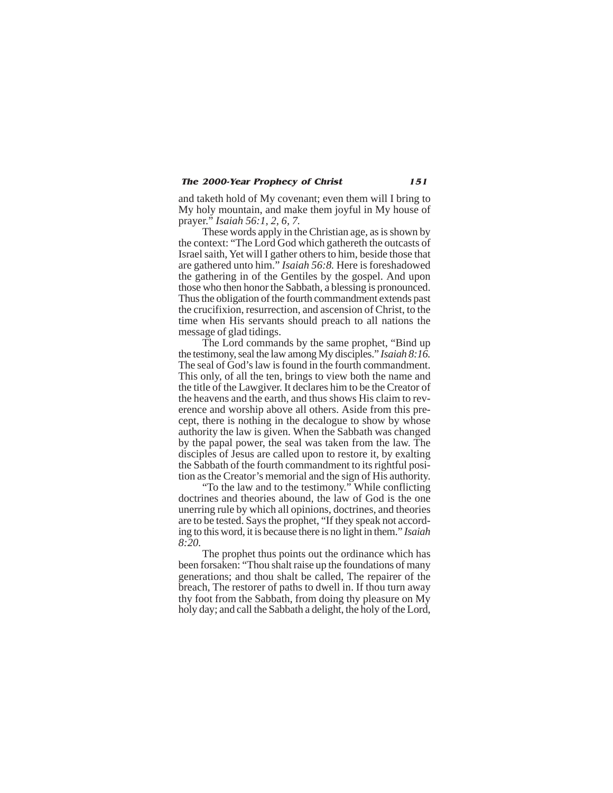and taketh hold of My covenant; even them will I bring to My holy mountain, and make them joyful in My house of prayer." *Isaiah 56:1, 2, 6, 7.*

These words apply in the Christian age, as is shown by the context: "The Lord God which gathereth the outcasts of Israel saith, Yet will I gather others to him, beside those that are gathered unto him." *Isaiah 56:8.* Here is foreshadowed the gathering in of the Gentiles by the gospel. And upon those who then honor the Sabbath, a blessing is pronounced. Thus the obligation of the fourth commandment extends past the crucifixion, resurrection, and ascension of Christ, to the time when His servants should preach to all nations the message of glad tidings.

The Lord commands by the same prophet, "Bind up the testimony, seal the law among My disciples." *Isaiah 8:16.* The seal of God's law is found in the fourth commandment. This only, of all the ten, brings to view both the name and the title of the Lawgiver. It declares him to be the Creator of the heavens and the earth, and thus shows His claim to reverence and worship above all others. Aside from this precept, there is nothing in the decalogue to show by whose authority the law is given. When the Sabbath was changed by the papal power, the seal was taken from the law. The disciples of Jesus are called upon to restore it, by exalting the Sabbath of the fourth commandment to its rightful position as the Creator's memorial and the sign of His authority.

"To the law and to the testimony." While conflicting doctrines and theories abound, the law of God is the one unerring rule by which all opinions, doctrines, and theories are to be tested. Says the prophet, "If they speak not according to this word, it is because there is no light in them." *Isaiah 8:20.*

The prophet thus points out the ordinance which has been forsaken: "Thou shalt raise up the foundations of many generations; and thou shalt be called, The repairer of the breach, The restorer of paths to dwell in. If thou turn away thy foot from the Sabbath, from doing thy pleasure on My holy day; and call the Sabbath a delight, the holy of the Lord,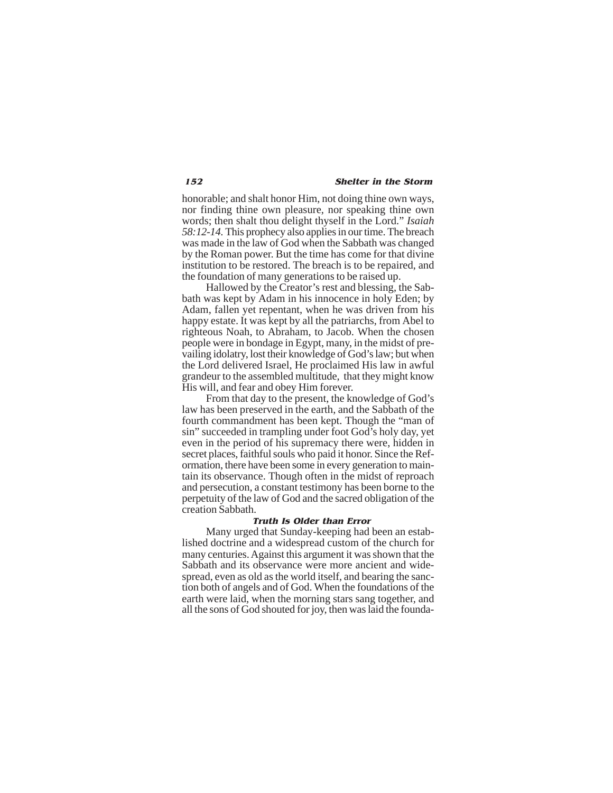honorable; and shalt honor Him, not doing thine own ways, nor finding thine own pleasure, nor speaking thine own words; then shalt thou delight thyself in the Lord." *Isaiah 58:12-14.* This prophecy also applies in our time. The breach was made in the law of God when the Sabbath was changed by the Roman power. But the time has come for that divine institution to be restored. The breach is to be repaired, and the foundation of many generations to be raised up.

Hallowed by the Creator's rest and blessing, the Sabbath was kept by Adam in his innocence in holy Eden; by Adam, fallen yet repentant, when he was driven from his happy estate. It was kept by all the patriarchs, from Abel to righteous Noah, to Abraham, to Jacob. When the chosen people were in bondage in Egypt, many, in the midst of prevailing idolatry, lost their knowledge of God's law; but when the Lord delivered Israel, He proclaimed His law in awful grandeur to the assembled multitude, that they might know His will, and fear and obey Him forever.

From that day to the present, the knowledge of God's law has been preserved in the earth, and the Sabbath of the fourth commandment has been kept. Though the "man of sin" succeeded in trampling under foot God's holy day, yet even in the period of his supremacy there were, hidden in secret places, faithful souls who paid it honor. Since the Reformation, there have been some in every generation to maintain its observance. Though often in the midst of reproach and persecution, a constant testimony has been borne to the perpetuity of the law of God and the sacred obligation of the creation Sabbath.

### **Truth Is Older than Error**

Many urged that Sunday-keeping had been an established doctrine and a widespread custom of the church for many centuries. Against this argument it was shown that the Sabbath and its observance were more ancient and widespread, even as old as the world itself, and bearing the sanction both of angels and of God. When the foundations of the earth were laid, when the morning stars sang together, and all the sons of God shouted for joy, then was laid the founda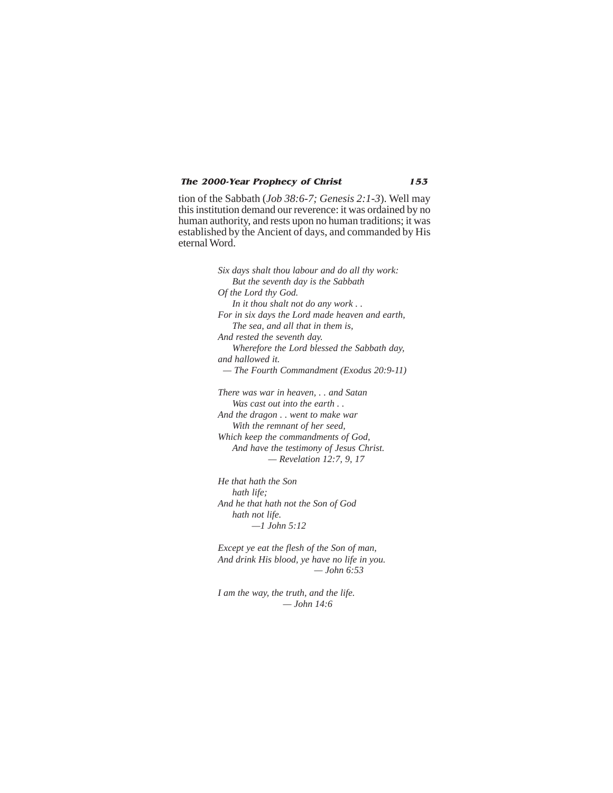tion of the Sabbath (*Job 38:6-7; Genesis 2:1-3*). Well may this institution demand our reverence: it was ordained by no human authority, and rests upon no human traditions; it was established by the Ancient of days, and commanded by His eternal Word.

> *Six days shalt thou labour and do all thy work: But the seventh day is the Sabbath Of the Lord thy God. In it thou shalt not do any work . . For in six days the Lord made heaven and earth, The sea, and all that in them is, And rested the seventh day. Wherefore the Lord blessed the Sabbath day, and hallowed it. — The Fourth Commandment (Exodus 20:9-11) There was war in heaven, . . and Satan Was cast out into the earth . . And the dragon . . went to make war With the remnant of her seed, Which keep the commandments of God, And have the testimony of Jesus Christ. — Revelation 12:7, 9, 17*

*He that hath the Son hath life; And he that hath not the Son of God hath not life. —1 John 5:12*

*Except ye eat the flesh of the Son of man, And drink His blood, ye have no life in you. — John 6:53*

*I am the way, the truth, and the life. — John 14:6*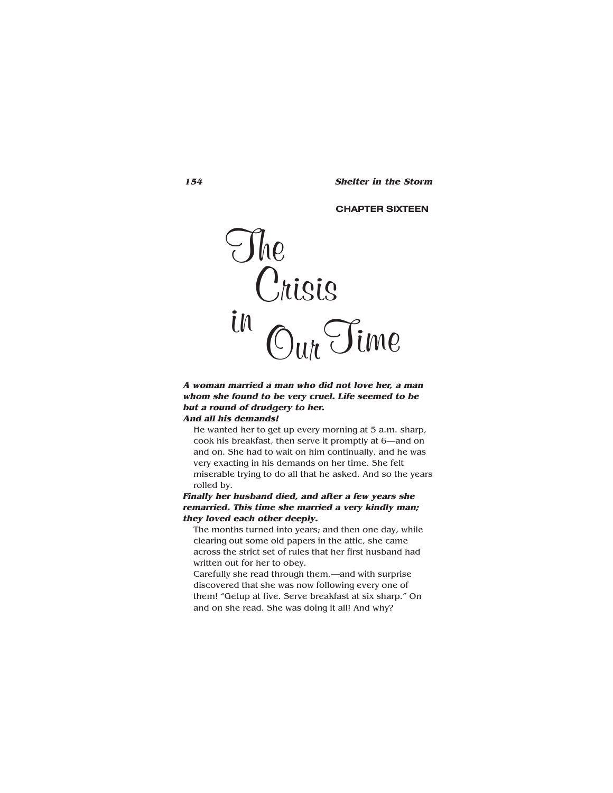#### **CHAPTER SIXTEEN**



#### **A woman married a man who did not love her, a man whom she found to be very cruel. Life seemed to be but a round of drudgery to her. And all his demands!**

He wanted her to get up every morning at 5 a.m. sharp, cook his breakfast, then serve it promptly at 6—and on and on. She had to wait on him continually, and he was very exacting in his demands on her time. She felt miserable trying to do all that he asked. And so the years rolled by.

### **Finally her husband died, and after a few years she remarried. This time she married a very kindly man; they loved each other deeply.**

The months turned into years; and then one day, while clearing out some old papers in the attic, she came across the strict set of rules that her first husband had written out for her to obey.

Carefully she read through them,—and with surprise discovered that she was now following every one of them! "Getup at five. Serve breakfast at six sharp." On and on she read. She was doing it all! And why?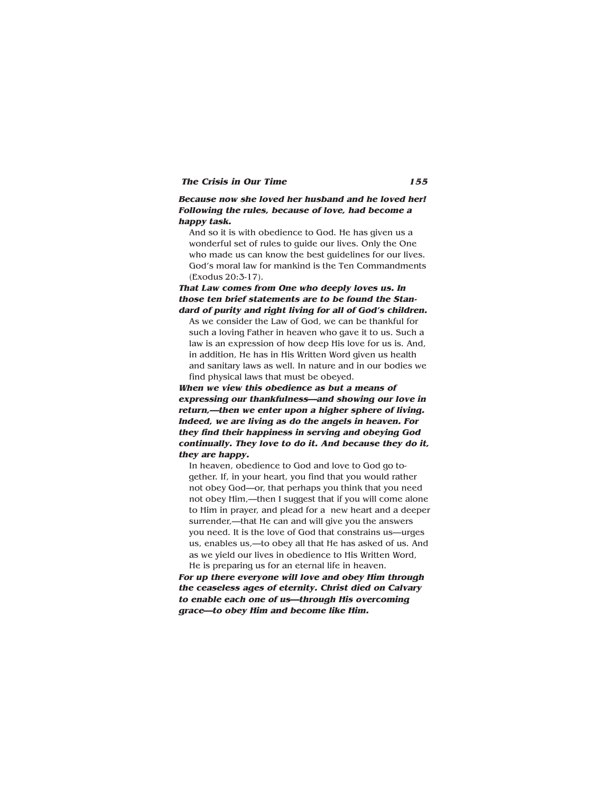#### **Because now she loved her husband and he loved her! Following the rules, because of love, had become a happy task.**

And so it is with obedience to God. He has given us a wonderful set of rules to guide our lives. Only the One who made us can know the best guidelines for our lives. God's moral law for mankind is the Ten Commandments (Exodus 20:3-17).

#### **That Law comes from One who deeply loves us. In those ten brief statements are to be found the Standard of purity and right living for all of God's children.**

As we consider the Law of God, we can be thankful for such a loving Father in heaven who gave it to us. Such a law is an expression of how deep His love for us is. And, in addition, He has in His Written Word given us health and sanitary laws as well. In nature and in our bodies we find physical laws that must be obeyed.

### **When we view this obedience as but a means of expressing our thankfulness—and showing our love in return,—then we enter upon a higher sphere of living. Indeed, we are living as do the angels in heaven. For they find their happiness in serving and obeying God continually. They love to do it. And because they do it, they are happy.**

In heaven, obedience to God and love to God go together. If, in your heart, you find that you would rather not obey God—or, that perhaps you think that you need not obey Him,—then I suggest that if you will come alone to Him in prayer, and plead for a new heart and a deeper surrender,—that He can and will give you the answers you need. It is the love of God that constrains us—urges us, enables us,—to obey all that He has asked of us. And as we yield our lives in obedience to His Written Word, He is preparing us for an eternal life in heaven.

**For up there everyone will love and obey Him through the ceaseless ages of eternity. Christ died on Calvary to enable each one of us—through His overcoming grace—to obey Him and become like Him.**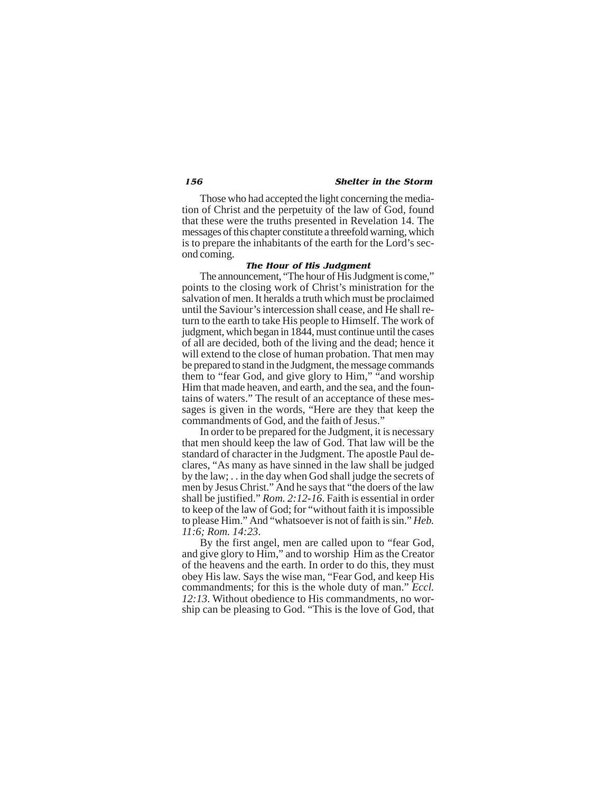Those who had accepted the light concerning the mediation of Christ and the perpetuity of the law of God, found that these were the truths presented in Revelation 14. The messages of this chapter constitute a threefold warning, which is to prepare the inhabitants of the earth for the Lord's second coming.

### **The Hour of His Judgment**

The announcement, "The hour of His Judgment is come," points to the closing work of Christ's ministration for the salvation of men. It heralds a truth which must be proclaimed until the Saviour's intercession shall cease, and He shall return to the earth to take His people to Himself. The work of judgment, which began in 1844, must continue until the cases of all are decided, both of the living and the dead; hence it will extend to the close of human probation. That men may be prepared to stand in the Judgment, the message commands them to "fear God, and give glory to Him," "and worship Him that made heaven, and earth, and the sea, and the fountains of waters." The result of an acceptance of these messages is given in the words, "Here are they that keep the commandments of God, and the faith of Jesus."

In order to be prepared for the Judgment, it is necessary that men should keep the law of God. That law will be the standard of character in the Judgment. The apostle Paul declares, "As many as have sinned in the law shall be judged by the law; . . in the day when God shall judge the secrets of men by Jesus Christ." And he says that "the doers of the law shall be justified." *Rom. 2:12-16*. Faith is essential in order to keep of the law of God; for "without faith it is impossible to please Him." And "whatsoever is not of faith is sin." *Heb. 11:6; Rom. 14:23*.

By the first angel, men are called upon to "fear God, and give glory to Him," and to worship Him as the Creator of the heavens and the earth. In order to do this, they must obey His law. Says the wise man, "Fear God, and keep His commandments; for this is the whole duty of man." *Eccl. 12:13*. Without obedience to His commandments, no worship can be pleasing to God. "This is the love of God, that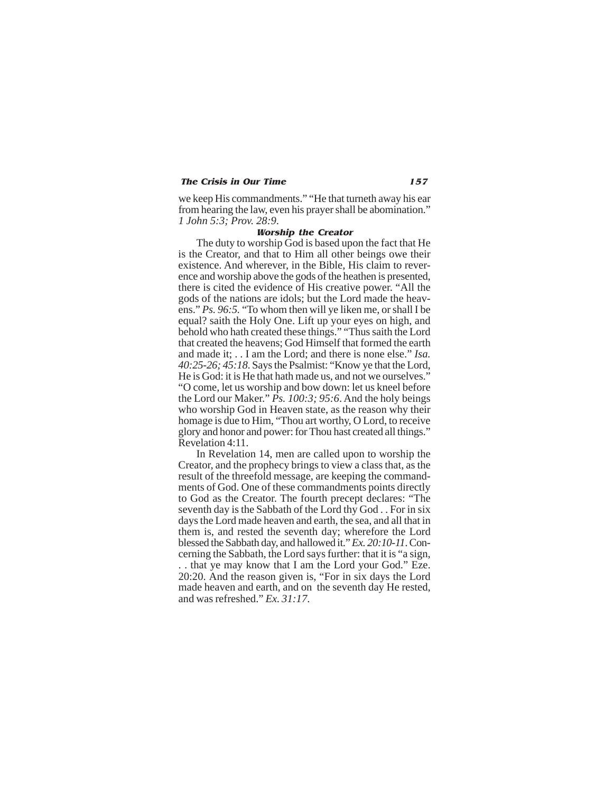we keep His commandments." "He that turneth away his ear from hearing the law, even his prayer shall be abomination." *1 John 5:3; Prov. 28:9*.

## **Worship the Creator**

The duty to worship  $\bar{G}$  od is based upon the fact that He is the Creator, and that to Him all other beings owe their existence. And wherever, in the Bible, His claim to reverence and worship above the gods of the heathen is presented, there is cited the evidence of His creative power. "All the gods of the nations are idols; but the Lord made the heavens." *Ps. 96:5.* "To whom then will ye liken me, or shall I be equal? saith the Holy One. Lift up your eyes on high, and behold who hath created these things." "Thus saith the Lord that created the heavens; God Himself that formed the earth and made it; . . I am the Lord; and there is none else." *Isa. 40:25-26; 45:18*. Says the Psalmist: "Know ye that the Lord, He is God: it is He that hath made us, and not we ourselves." "O come, let us worship and bow down: let us kneel before the Lord our Maker." *Ps. 100:3; 95:6*. And the holy beings who worship God in Heaven state, as the reason why their homage is due to Him, "Thou art worthy, O Lord, to receive glory and honor and power: for Thou hast created all things." Revelation 4:11.

In Revelation 14, men are called upon to worship the Creator, and the prophecy brings to view a class that, as the result of the threefold message, are keeping the commandments of God. One of these commandments points directly to God as the Creator. The fourth precept declares: "The seventh day is the Sabbath of the Lord thy God . . For in six days the Lord made heaven and earth, the sea, and all that in them is, and rested the seventh day; wherefore the Lord blessed the Sabbath day, and hallowed it." *Ex. 20:10-11*. Concerning the Sabbath, the Lord says further: that it is "a sign, . . that ye may know that I am the Lord your God." Eze. 20:20. And the reason given is, "For in six days the Lord made heaven and earth, and on the seventh day He rested, and was refreshed." *Ex. 31:17*.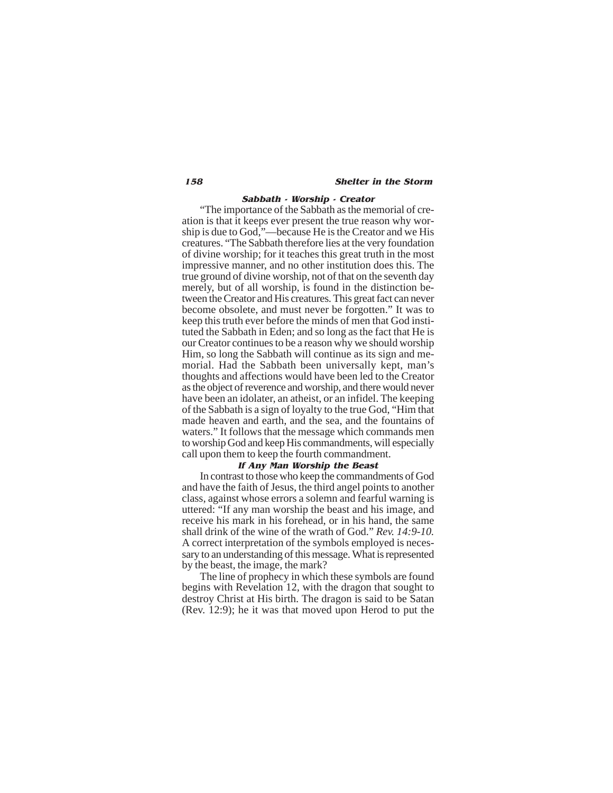### **Sabbath - Worship - Creator**

"The importance of the Sabbath as the memorial of creation is that it keeps ever present the true reason why worship is due to God,"—because He is the Creator and we His creatures. "The Sabbath therefore lies at the very foundation of divine worship; for it teaches this great truth in the most impressive manner, and no other institution does this. The true ground of divine worship, not of that on the seventh day merely, but of all worship, is found in the distinction between the Creator and His creatures. This great fact can never become obsolete, and must never be forgotten." It was to keep this truth ever before the minds of men that God instituted the Sabbath in Eden; and so long as the fact that He is our Creator continues to be a reason why we should worship Him, so long the Sabbath will continue as its sign and memorial. Had the Sabbath been universally kept, man's thoughts and affections would have been led to the Creator as the object of reverence and worship, and there would never have been an idolater, an atheist, or an infidel. The keeping of the Sabbath is a sign of loyalty to the true God, "Him that made heaven and earth, and the sea, and the fountains of waters." It follows that the message which commands men to worship God and keep His commandments, will especially call upon them to keep the fourth commandment.

### **If Any Man Worship the Beast**

In contrast to those who keep the commandments of God and have the faith of Jesus, the third angel points to another class, against whose errors a solemn and fearful warning is uttered: "If any man worship the beast and his image, and receive his mark in his forehead, or in his hand, the same shall drink of the wine of the wrath of God." *Rev. 14:9-10.* A correct interpretation of the symbols employed is necessary to an understanding of this message. What is represented by the beast, the image, the mark?

The line of prophecy in which these symbols are found begins with Revelation 12, with the dragon that sought to destroy Christ at His birth. The dragon is said to be Satan (Rev. 12:9); he it was that moved upon Herod to put the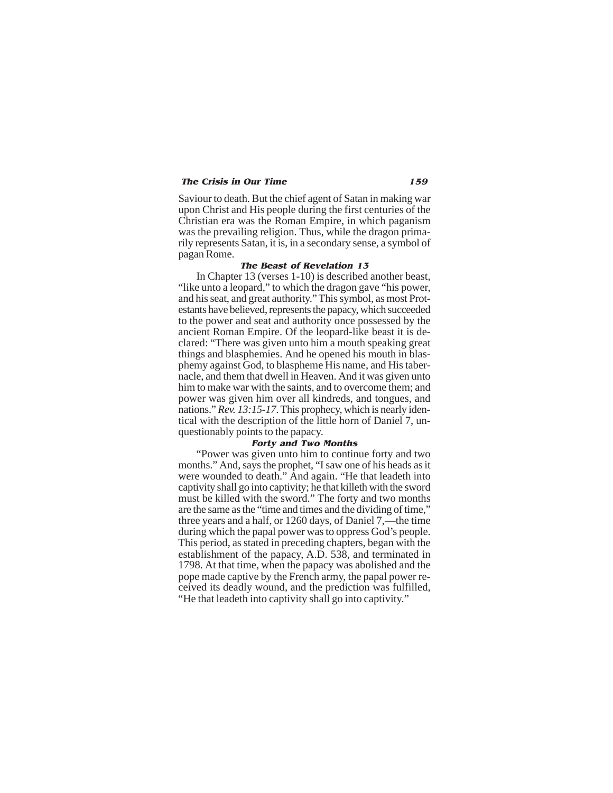Saviour to death. But the chief agent of Satan in making war upon Christ and His people during the first centuries of the Christian era was the Roman Empire, in which paganism was the prevailing religion. Thus, while the dragon primarily represents Satan, it is, in a secondary sense, a symbol of pagan Rome.

### **The Beast of Revelation 13**

In Chapter 13 (verses 1-10) is described another beast, "like unto a leopard," to which the dragon gave "his power, and his seat, and great authority." This symbol, as most Protestants have believed, represents the papacy, which succeeded to the power and seat and authority once possessed by the ancient Roman Empire. Of the leopard-like beast it is declared: "There was given unto him a mouth speaking great things and blasphemies. And he opened his mouth in blasphemy against God, to blaspheme His name, and His tabernacle, and them that dwell in Heaven. And it was given unto him to make war with the saints, and to overcome them; and power was given him over all kindreds, and tongues, and nations." *Rev. 13:15-17*. This prophecy, which is nearly identical with the description of the little horn of Daniel 7, unquestionably points to the papacy.

## **Forty and Two Months**

"Power was given unto him to continue forty and two months." And, says the prophet, "I saw one of his heads as it were wounded to death." And again. "He that leadeth into captivity shall go into captivity; he that killeth with the sword must be killed with the sword." The forty and two months are the same as the "time and times and the dividing of time," three years and a half, or 1260 days, of Daniel 7,—the time during which the papal power was to oppress God's people. This period, as stated in preceding chapters, began with the establishment of the papacy, A.D. 538, and terminated in 1798. At that time, when the papacy was abolished and the pope made captive by the French army, the papal power received its deadly wound, and the prediction was fulfilled, "He that leadeth into captivity shall go into captivity."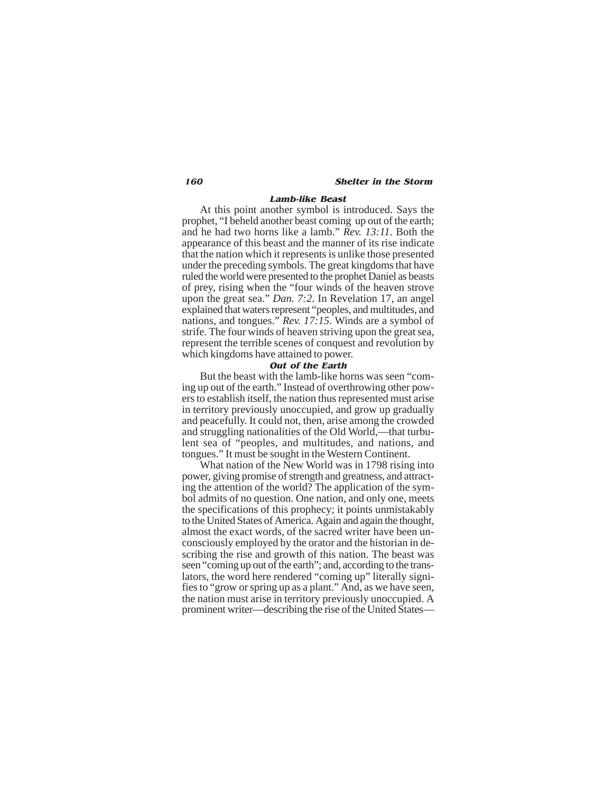#### **Lamb-like Beast**

At this point another symbol is introduced. Says the prophet, "I beheld another beast coming up out of the earth; and he had two horns like a lamb." *Rev. 13:11*. Both the appearance of this beast and the manner of its rise indicate that the nation which it represents is unlike those presented under the preceding symbols. The great kingdoms that have ruled the world were presented to the prophet Daniel as beasts of prey, rising when the "four winds of the heaven strove upon the great sea." *Dan. 7:2*. In Revelation 17, an angel explained that waters represent "peoples, and multitudes, and nations, and tongues." *Rev. 17:15*. Winds are a symbol of strife. The four winds of heaven striving upon the great sea, represent the terrible scenes of conquest and revolution by which kingdoms have attained to power.

# **Out of the Earth**

But the beast with the lamb-like horns was seen "coming up out of the earth." Instead of overthrowing other powers to establish itself, the nation thus represented must arise in territory previously unoccupied, and grow up gradually and peacefully. It could not, then, arise among the crowded and struggling nationalities of the Old World,—that turbulent sea of "peoples, and multitudes, and nations, and tongues." It must be sought in the Western Continent.

What nation of the New World was in 1798 rising into power, giving promise of strength and greatness, and attracting the attention of the world? The application of the symbol admits of no question. One nation, and only one, meets the specifications of this prophecy; it points unmistakably to the United States of America. Again and again the thought, almost the exact words, of the sacred writer have been unconsciously employed by the orator and the historian in describing the rise and growth of this nation. The beast was seen "coming up out of the earth"; and, according to the translators, the word here rendered "coming up" literally signifies to "grow or spring up as a plant." And, as we have seen, the nation must arise in territory previously unoccupied. A prominent writer—describing the rise of the United States—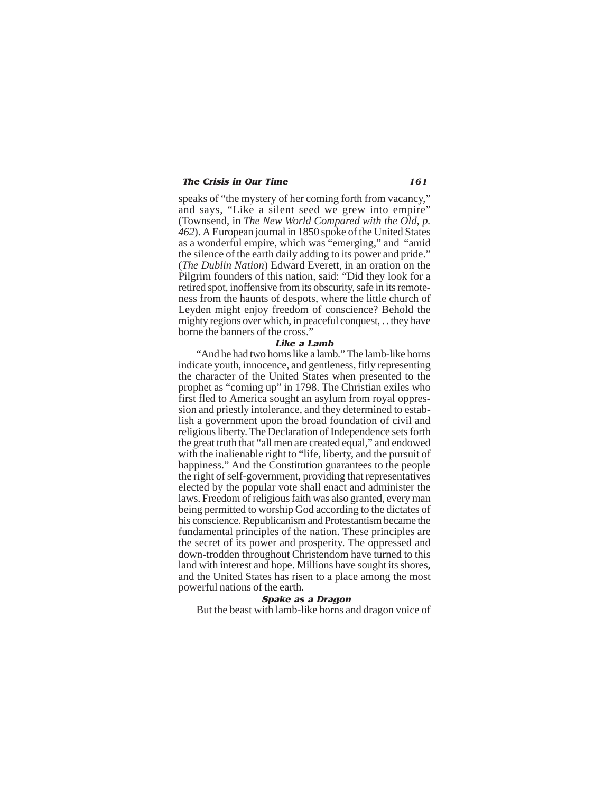speaks of "the mystery of her coming forth from vacancy," and says, "Like a silent seed we grew into empire" (Townsend, in *The New World Compared with the Old*, *p. 462*). A European journal in 1850 spoke of the United States as a wonderful empire, which was "emerging," and "amid the silence of the earth daily adding to its power and pride." (*The Dublin Nation*) Edward Everett, in an oration on the Pilgrim founders of this nation, said: "Did they look for a retired spot, inoffensive from its obscurity, safe in its remoteness from the haunts of despots, where the little church of Leyden might enjoy freedom of conscience? Behold the mighty regions over which, in peaceful conquest, . . they have borne the banners of the cross."

#### **Like a Lamb**

"And he had two horns like a lamb." The lamb-like horns indicate youth, innocence, and gentleness, fitly representing the character of the United States when presented to the prophet as "coming up" in 1798. The Christian exiles who first fled to America sought an asylum from royal oppression and priestly intolerance, and they determined to establish a government upon the broad foundation of civil and religious liberty. The Declaration of Independence sets forth the great truth that "all men are created equal," and endowed with the inalienable right to "life, liberty, and the pursuit of happiness." And the Constitution guarantees to the people the right of self-government, providing that representatives elected by the popular vote shall enact and administer the laws. Freedom of religious faith was also granted, every man being permitted to worship God according to the dictates of his conscience. Republicanism and Protestantism became the fundamental principles of the nation. These principles are the secret of its power and prosperity. The oppressed and down-trodden throughout Christendom have turned to this land with interest and hope. Millions have sought its shores, and the United States has risen to a place among the most powerful nations of the earth.

#### **Spake as a Dragon**

But the beast with lamb-like horns and dragon voice of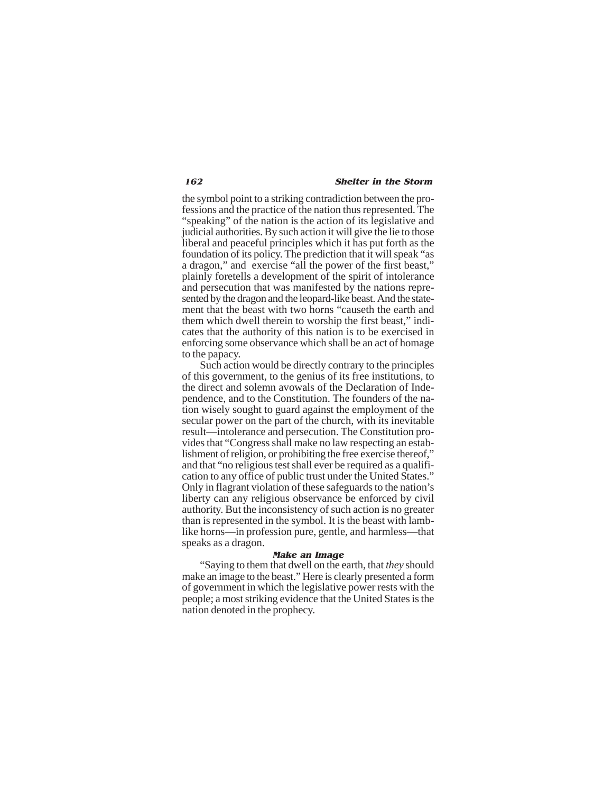the symbol point to a striking contradiction between the professions and the practice of the nation thus represented. The "speaking" of the nation is the action of its legislative and judicial authorities. By such action it will give the lie to those liberal and peaceful principles which it has put forth as the foundation of its policy. The prediction that it will speak "as a dragon," and exercise "all the power of the first beast," plainly foretells a development of the spirit of intolerance and persecution that was manifested by the nations represented by the dragon and the leopard-like beast. And the statement that the beast with two horns "causeth the earth and them which dwell therein to worship the first beast," indicates that the authority of this nation is to be exercised in enforcing some observance which shall be an act of homage to the papacy.

Such action would be directly contrary to the principles of this government, to the genius of its free institutions, to the direct and solemn avowals of the Declaration of Independence, and to the Constitution. The founders of the nation wisely sought to guard against the employment of the secular power on the part of the church, with its inevitable result—intolerance and persecution. The Constitution provides that "Congress shall make no law respecting an establishment of religion, or prohibiting the free exercise thereof," and that "no religious test shall ever be required as a qualification to any office of public trust under the United States." Only in flagrant violation of these safeguards to the nation's liberty can any religious observance be enforced by civil authority. But the inconsistency of such action is no greater than is represented in the symbol. It is the beast with lamblike horns—in profession pure, gentle, and harmless—that speaks as a dragon.

### **Make an Image**

"Saying to them that dwell on the earth, that *they* should make an image to the beast." Here is clearly presented a form of government in which the legislative power rests with the people; a most striking evidence that the United States is the nation denoted in the prophecy.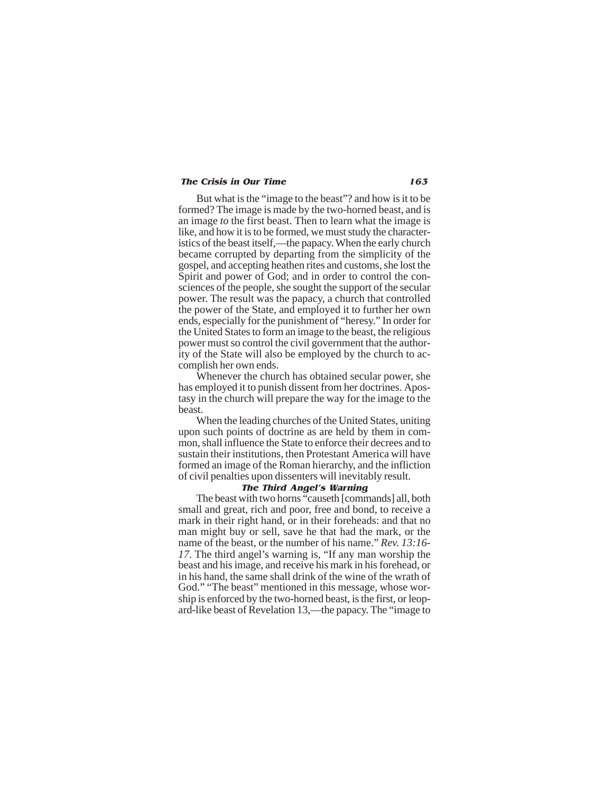#### **The Crisis in Our Time**

But what is the "image to the beast"? and how is it to be formed? The image is made by the two-horned beast, and is an image *to* the first beast. Then to learn what the image is like, and how it is to be formed, we must study the characteristics of the beast itself,—the papacy. When the early church became corrupted by departing from the simplicity of the gospel, and accepting heathen rites and customs, she lost the Spirit and power of God; and in order to control the consciences of the people, she sought the support of the secular power. The result was the papacy, a church that controlled the power of the State, and employed it to further her own ends, especially for the punishment of "heresy." In order for the United States to form an image to the beast, the religious power must so control the civil government that the authority of the State will also be employed by the church to accomplish her own ends.

Whenever the church has obtained secular power, she has employed it to punish dissent from her doctrines. Apostasy in the church will prepare the way for the image to the beast.

When the leading churches of the United States, uniting upon such points of doctrine as are held by them in common, shall influence the State to enforce their decrees and to sustain their institutions, then Protestant America will have formed an image of the Roman hierarchy, and the infliction of civil penalties upon dissenters will inevitably result.

# **The Third Angel's Warning**

The beast with two horns "causeth [commands] all, both small and great, rich and poor, free and bond, to receive a mark in their right hand, or in their foreheads: and that no man might buy or sell, save he that had the mark, or the name of the beast, or the number of his name." *Rev. 13:16- 17*. The third angel's warning is, "If any man worship the beast and his image, and receive his mark in his forehead, or in his hand, the same shall drink of the wine of the wrath of God." "The beast" mentioned in this message, whose worship is enforced by the two-horned beast, is the first, or leopard-like beast of Revelation 13,—the papacy. The "image to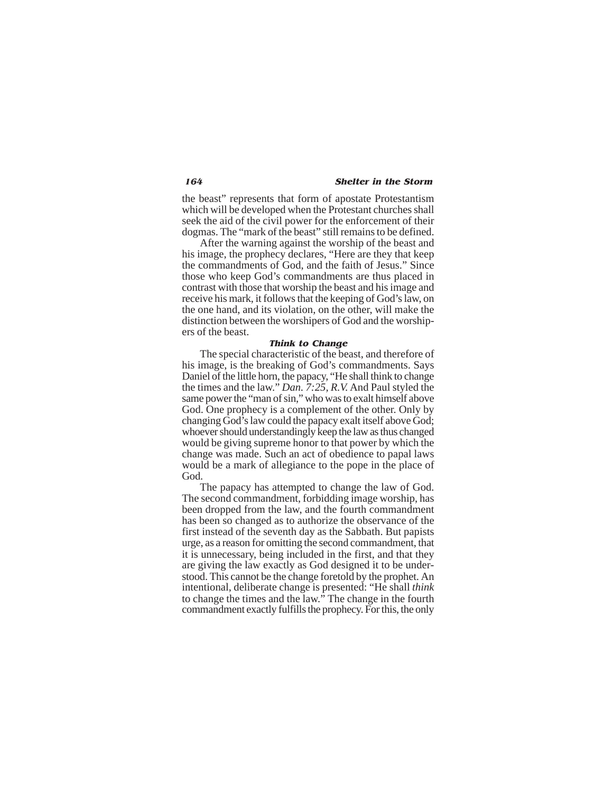the beast" represents that form of apostate Protestantism which will be developed when the Protestant churches shall seek the aid of the civil power for the enforcement of their dogmas. The "mark of the beast" still remains to be defined.

After the warning against the worship of the beast and his image, the prophecy declares, "Here are they that keep the commandments of God, and the faith of Jesus." Since those who keep God's commandments are thus placed in contrast with those that worship the beast and his image and receive his mark, it follows that the keeping of God's law, on the one hand, and its violation, on the other, will make the distinction between the worshipers of God and the worshipers of the beast.

#### **Think to Change**

The special characteristic of the beast, and therefore of his image, is the breaking of God's commandments. Says Daniel of the little horn, the papacy, "He shall think to change the times and the law." *Dan. 7:25, R.V.* And Paul styled the same power the "man of sin," who was to exalt himself above God. One prophecy is a complement of the other. Only by changing God's law could the papacy exalt itself above God; whoever should understandingly keep the law as thus changed would be giving supreme honor to that power by which the change was made. Such an act of obedience to papal laws would be a mark of allegiance to the pope in the place of God.

The papacy has attempted to change the law of God. The second commandment, forbidding image worship, has been dropped from the law, and the fourth commandment has been so changed as to authorize the observance of the first instead of the seventh day as the Sabbath. But papists urge, as a reason for omitting the second commandment, that it is unnecessary, being included in the first, and that they are giving the law exactly as God designed it to be understood. This cannot be the change foretold by the prophet. An intentional, deliberate change is presented: "He shall *think* to change the times and the law." The change in the fourth commandment exactly fulfills the prophecy. For this, the only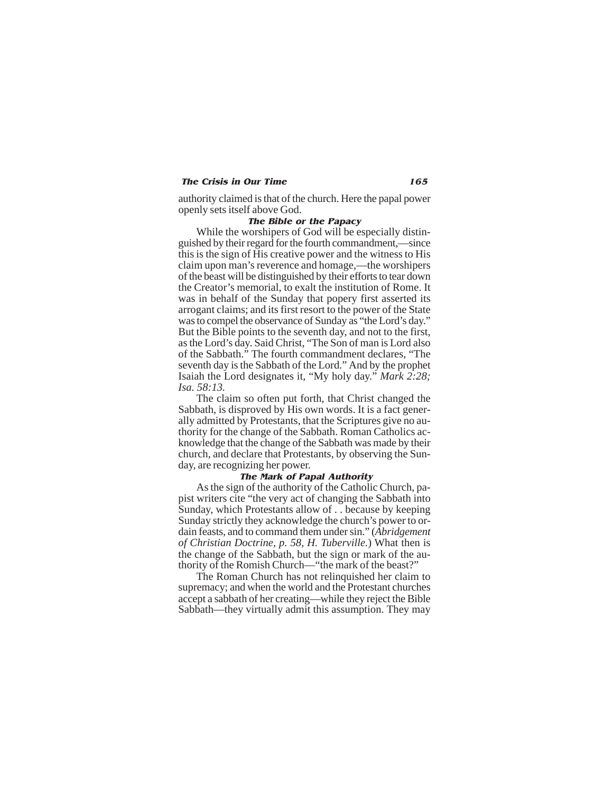### **The Crisis in Our Time**

authority claimed is that of the church. Here the papal power openly sets itself above God.

### **The Bible or the Papacy**

While the worshipers of God will be especially distinguished by their regard for the fourth commandment,—since this is the sign of His creative power and the witness to His claim upon man's reverence and homage,—the worshipers of the beast will be distinguished by their efforts to tear down the Creator's memorial, to exalt the institution of Rome. It was in behalf of the Sunday that popery first asserted its arrogant claims; and its first resort to the power of the State was to compel the observance of Sunday as "the Lord's day." But the Bible points to the seventh day, and not to the first, as the Lord's day. Said Christ, "The Son of man is Lord also of the Sabbath." The fourth commandment declares, "The seventh day is the Sabbath of the Lord." And by the prophet Isaiah the Lord designates it, "My holy day." *Mark 2:28; Isa. 58:13.*

The claim so often put forth, that Christ changed the Sabbath, is disproved by His own words. It is a fact generally admitted by Protestants, that the Scriptures give no authority for the change of the Sabbath. Roman Catholics acknowledge that the change of the Sabbath was made by their church, and declare that Protestants, by observing the Sunday, are recognizing her power.

# **The Mark of Papal Authority**

As the sign of the authority of the Catholic Church, papist writers cite "the very act of changing the Sabbath into Sunday, which Protestants allow of . . because by keeping Sunday strictly they acknowledge the church's power to ordain feasts, and to command them under sin." (*Abridgement of Christian Doctrine, p. 58, H. Tuberville.*) What then is the change of the Sabbath, but the sign or mark of the authority of the Romish Church—"the mark of the beast?"

The Roman Church has not relinquished her claim to supremacy; and when the world and the Protestant churches accept a sabbath of her creating—while they reject the Bible Sabbath—they virtually admit this assumption. They may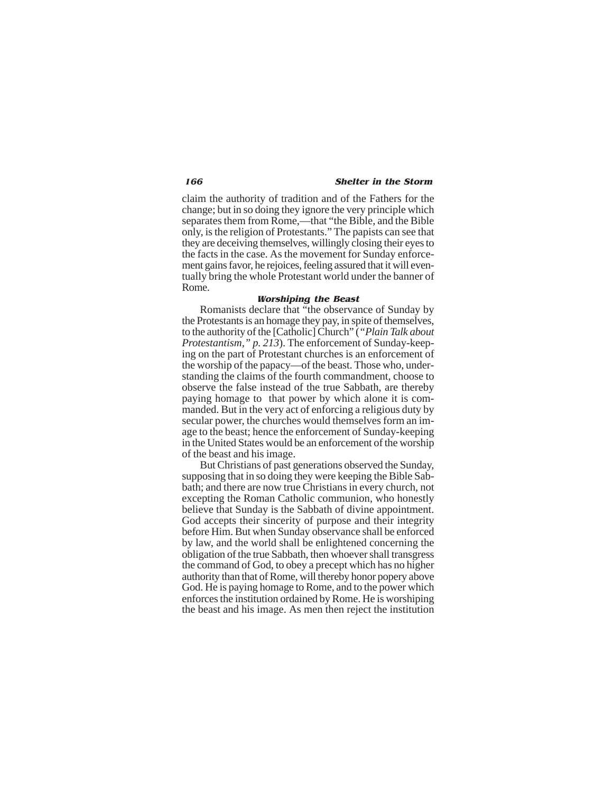claim the authority of tradition and of the Fathers for the change; but in so doing they ignore the very principle which separates them from Rome,—that "the Bible, and the Bible only, is the religion of Protestants." The papists can see that they are deceiving themselves, willingly closing their eyes to the facts in the case. As the movement for Sunday enforcement gains favor, he rejoices, feeling assured that it will eventually bring the whole Protestant world under the banner of Rome.

## **Worshiping the Beast**

Romanists declare that "the observance of Sunday by the Protestants is an homage they pay, in spite of themselves, to the authority of the [Catholic] Church" (*"Plain Talk about Protestantism," p. 213*). The enforcement of Sunday-keeping on the part of Protestant churches is an enforcement of the worship of the papacy—of the beast. Those who, understanding the claims of the fourth commandment, choose to observe the false instead of the true Sabbath, are thereby paying homage to that power by which alone it is commanded. But in the very act of enforcing a religious duty by secular power, the churches would themselves form an image to the beast; hence the enforcement of Sunday-keeping in the United States would be an enforcement of the worship of the beast and his image.

But Christians of past generations observed the Sunday, supposing that in so doing they were keeping the Bible Sabbath; and there are now true Christians in every church, not excepting the Roman Catholic communion, who honestly believe that Sunday is the Sabbath of divine appointment. God accepts their sincerity of purpose and their integrity before Him. But when Sunday observance shall be enforced by law, and the world shall be enlightened concerning the obligation of the true Sabbath, then whoever shall transgress the command of God, to obey a precept which has no higher authority than that of Rome, will thereby honor popery above God. He is paying homage to Rome, and to the power which enforces the institution ordained by Rome. He is worshiping the beast and his image. As men then reject the institution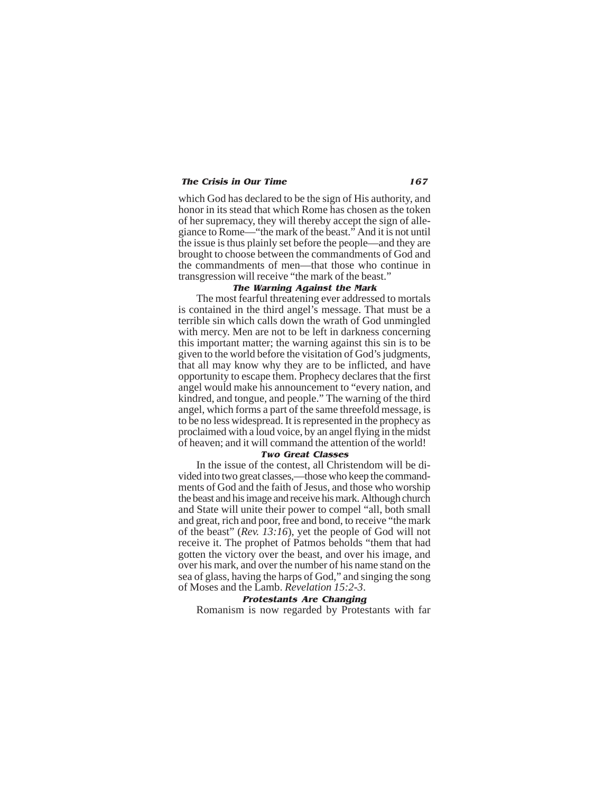### **The Crisis in Our Time**

which God has declared to be the sign of His authority, and honor in its stead that which Rome has chosen as the token of her supremacy, they will thereby accept the sign of allegiance to Rome—"the mark of the beast." And it is not until the issue is thus plainly set before the people—and they are brought to choose between the commandments of God and the commandments of men—that those who continue in transgression will receive "the mark of the beast."

## **The Warning Against the Mark**

The most fearful threatening ever addressed to mortals is contained in the third angel's message. That must be a terrible sin which calls down the wrath of God unmingled with mercy. Men are not to be left in darkness concerning this important matter; the warning against this sin is to be given to the world before the visitation of God's judgments, that all may know why they are to be inflicted, and have opportunity to escape them. Prophecy declares that the first angel would make his announcement to "every nation, and kindred, and tongue, and people." The warning of the third angel, which forms a part of the same threefold message, is to be no less widespread. It is represented in the prophecy as proclaimed with a loud voice, by an angel flying in the midst of heaven; and it will command the attention of the world!

#### **Two Great Classes**

In the issue of the contest, all Christendom will be divided into two great classes,—those who keep the commandments of God and the faith of Jesus, and those who worship the beast and his image and receive his mark. Although church and State will unite their power to compel "all, both small and great, rich and poor, free and bond, to receive "the mark of the beast" (*Rev. 13:16*), yet the people of God will not receive it. The prophet of Patmos beholds "them that had gotten the victory over the beast, and over his image, and over his mark, and over the number of his name stand on the sea of glass, having the harps of God," and singing the song of Moses and the Lamb. *Revelation 15:2-3*.

## **Protestants Are Changing**

Romanism is now regarded by Protestants with far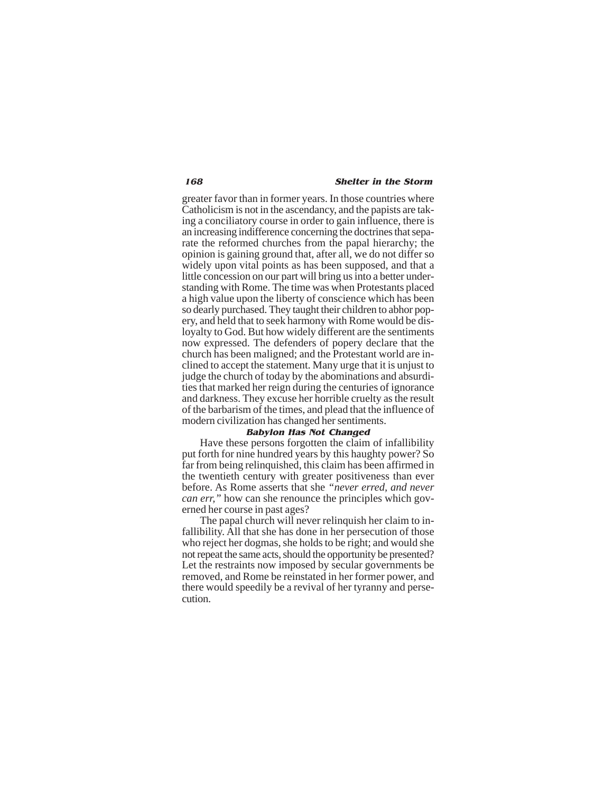greater favor than in former years. In those countries where Catholicism is not in the ascendancy, and the papists are taking a conciliatory course in order to gain influence, there is an increasing indifference concerning the doctrines that separate the reformed churches from the papal hierarchy; the opinion is gaining ground that, after all, we do not differ so widely upon vital points as has been supposed, and that a little concession on our part will bring us into a better understanding with Rome. The time was when Protestants placed a high value upon the liberty of conscience which has been so dearly purchased. They taught their children to abhor popery, and held that to seek harmony with Rome would be disloyalty to God. But how widely different are the sentiments now expressed. The defenders of popery declare that the church has been maligned; and the Protestant world are inclined to accept the statement. Many urge that it is unjust to judge the church of today by the abominations and absurdities that marked her reign during the centuries of ignorance and darkness. They excuse her horrible cruelty as the result of the barbarism of the times, and plead that the influence of modern civilization has changed her sentiments.

### **Babylon Has Not Changed**

Have these persons forgotten the claim of infallibility put forth for nine hundred years by this haughty power? So far from being relinquished, this claim has been affirmed in the twentieth century with greater positiveness than ever before. As Rome asserts that she *"never erred, and never can err,"* how can she renounce the principles which governed her course in past ages?

The papal church will never relinquish her claim to infallibility. All that she has done in her persecution of those who reject her dogmas, she holds to be right; and would she not repeat the same acts, should the opportunity be presented? Let the restraints now imposed by secular governments be removed, and Rome be reinstated in her former power, and there would speedily be a revival of her tyranny and persecution.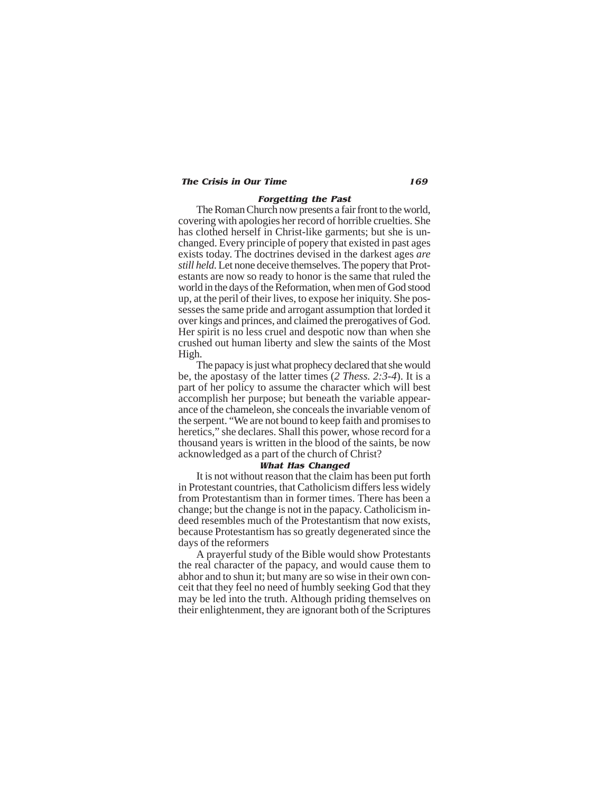### **Forgetting the Past**

The Roman Church now presents a fair front to the world, covering with apologies her record of horrible cruelties. She has clothed herself in Christ-like garments; but she is unchanged. Every principle of popery that existed in past ages exists today. The doctrines devised in the darkest ages *are still held*. Let none deceive themselves. The popery that Protestants are now so ready to honor is the same that ruled the world in the days of the Reformation, when men of God stood up, at the peril of their lives, to expose her iniquity. She possesses the same pride and arrogant assumption that lorded it over kings and princes, and claimed the prerogatives of God. Her spirit is no less cruel and despotic now than when she crushed out human liberty and slew the saints of the Most High.

The papacy is just what prophecy declared that she would be, the apostasy of the latter times (*2 Thess. 2:3-4*). It is a part of her policy to assume the character which will best accomplish her purpose; but beneath the variable appearance of the chameleon, she conceals the invariable venom of the serpent. "We are not bound to keep faith and promises to heretics," she declares. Shall this power, whose record for a thousand years is written in the blood of the saints, be now acknowledged as a part of the church of Christ?

#### **What Has Changed**

It is not without reason that the claim has been put forth in Protestant countries, that Catholicism differs less widely from Protestantism than in former times. There has been a change; but the change is not in the papacy. Catholicism indeed resembles much of the Protestantism that now exists, because Protestantism has so greatly degenerated since the days of the reformers

A prayerful study of the Bible would show Protestants the real character of the papacy, and would cause them to abhor and to shun it; but many are so wise in their own conceit that they feel no need of humbly seeking God that they may be led into the truth. Although priding themselves on their enlightenment, they are ignorant both of the Scriptures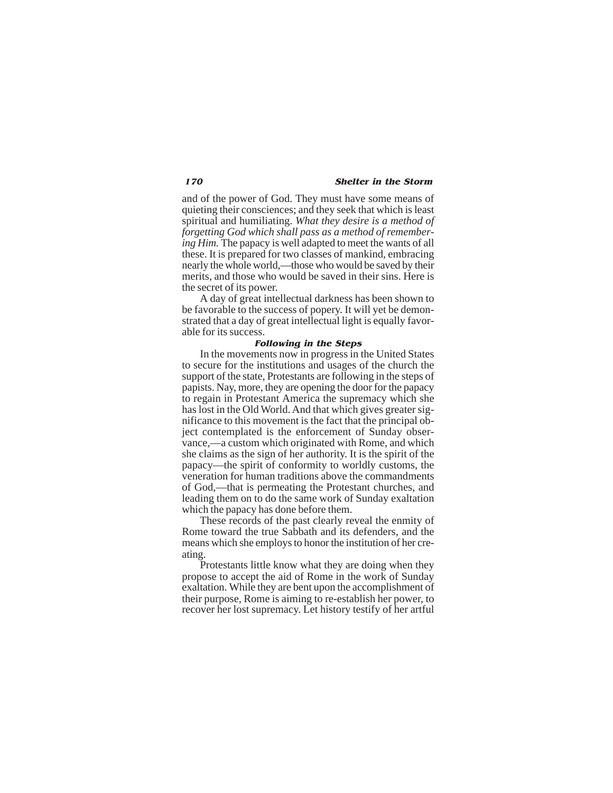and of the power of God. They must have some means of quieting their consciences; and they seek that which is least spiritual and humiliating. *What they desire is a method of forgetting God which shall pass as a method of remembering Him.* The papacy is well adapted to meet the wants of all these. It is prepared for two classes of mankind, embracing nearly the whole world,—those who would be saved by their merits, and those who would be saved in their sins. Here is the secret of its power.

A day of great intellectual darkness has been shown to be favorable to the success of popery. It will yet be demonstrated that a day of great intellectual light is equally favorable for its success.

# **Following in the Steps**

In the movements now in progress in the United States to secure for the institutions and usages of the church the support of the state, Protestants are following in the steps of papists. Nay, more, they are opening the door for the papacy to regain in Protestant America the supremacy which she has lost in the Old World. And that which gives greater significance to this movement is the fact that the principal object contemplated is the enforcement of Sunday observance,—a custom which originated with Rome, and which she claims as the sign of her authority. It is the spirit of the papacy—the spirit of conformity to worldly customs, the veneration for human traditions above the commandments of God,—that is permeating the Protestant churches, and leading them on to do the same work of Sunday exaltation which the papacy has done before them.

These records of the past clearly reveal the enmity of Rome toward the true Sabbath and its defenders, and the means which she employs to honor the institution of her creating.

Protestants little know what they are doing when they propose to accept the aid of Rome in the work of Sunday exaltation. While they are bent upon the accomplishment of their purpose, Rome is aiming to re-establish her power, to recover her lost supremacy. Let history testify of her artful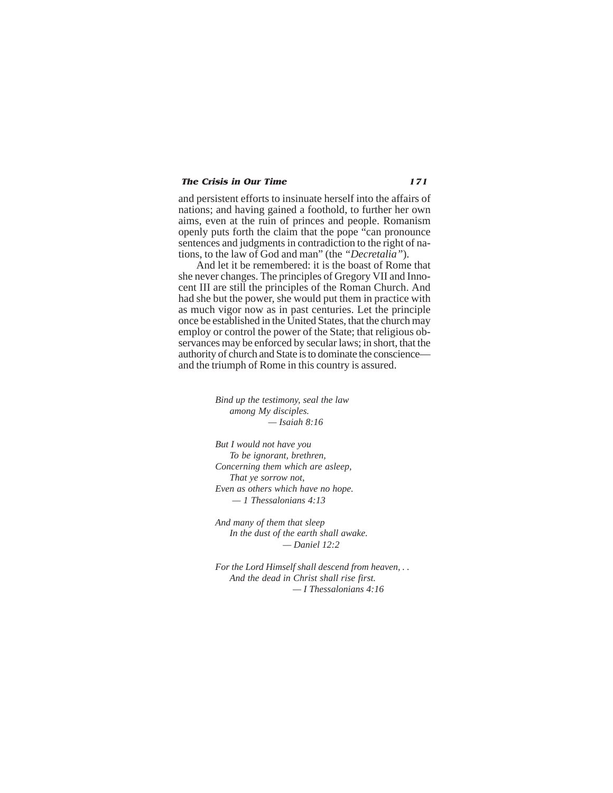### **The Crisis in Our Time**

and persistent efforts to insinuate herself into the affairs of nations; and having gained a foothold, to further her own aims, even at the ruin of princes and people. Romanism openly puts forth the claim that the pope "can pronounce sentences and judgments in contradiction to the right of nations, to the law of God and man" (the *"Decretalia"*).

And let it be remembered: it is the boast of Rome that she never changes. The principles of Gregory VII and Innocent III are still the principles of the Roman Church. And had she but the power, she would put them in practice with as much vigor now as in past centuries. Let the principle once be established in the United States, that the church may employ or control the power of the State; that religious observances may be enforced by secular laws; in short, that the authority of church and State is to dominate the conscience and the triumph of Rome in this country is assured.

> *Bind up the testimony, seal the law among My disciples. — Isaiah 8:16*

*But I would not have you To be ignorant, brethren, Concerning them which are asleep, That ye sorrow not, Even as others which have no hope. — 1 Thessalonians 4:13*

*And many of them that sleep In the dust of the earth shall awake. — Daniel 12:2*

*For the Lord Himself shall descend from heaven, . . And the dead in Christ shall rise first. — I Thessalonians 4:16*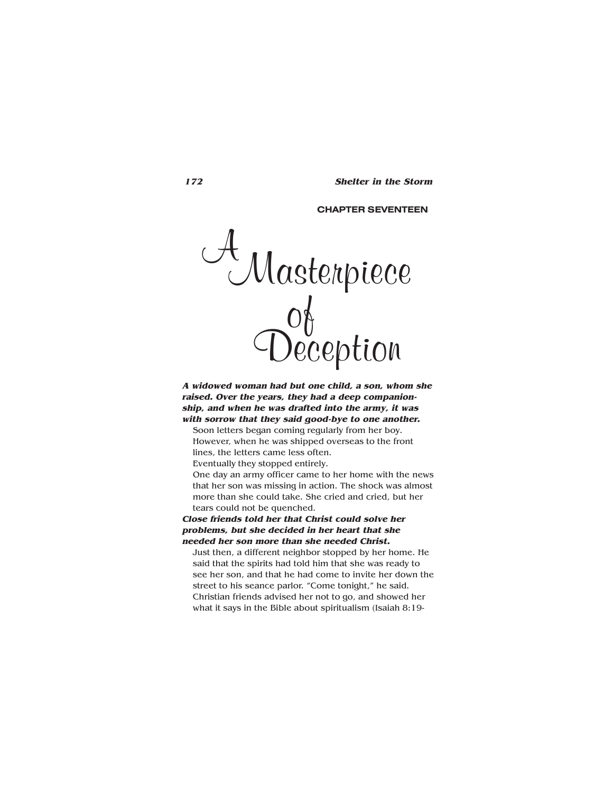#### **CHAPTER SEVENTEEN**



### **A widowed woman had but one child, a son, whom she raised. Over the years, they had a deep companionship, and when he was drafted into the army, it was with sorrow that they said good-bye to one another.**

Soon letters began coming regularly from her boy. However, when he was shipped overseas to the front lines, the letters came less often.

Eventually they stopped entirely.

One day an army officer came to her home with the news that her son was missing in action. The shock was almost more than she could take. She cried and cried, but her tears could not be quenched.

### **Close friends told her that Christ could solve her problems, but she decided in her heart that she needed her son more than she needed Christ.**

Just then, a different neighbor stopped by her home. He said that the spirits had told him that she was ready to see her son, and that he had come to invite her down the street to his seance parlor. "Come tonight," he said. Christian friends advised her not to go, and showed her what it says in the Bible about spiritualism (Isaiah 8:19-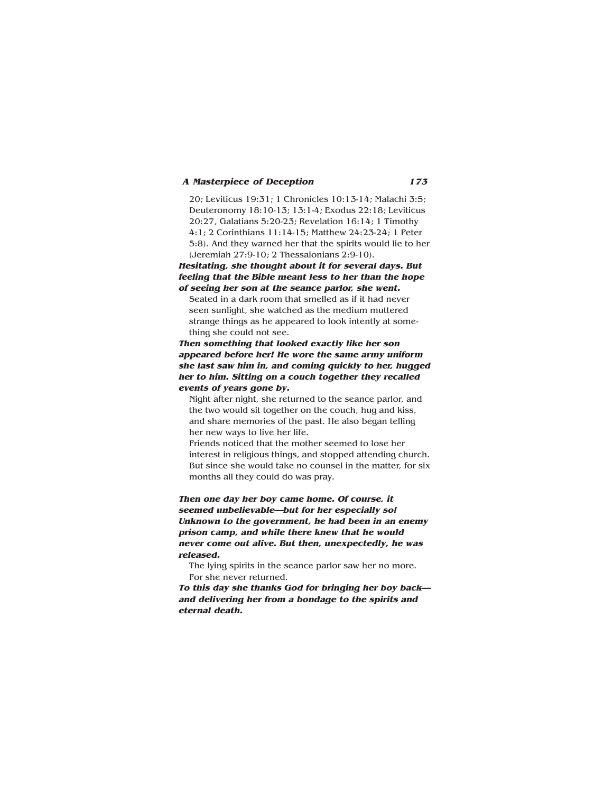#### **A Masterpiece of Deception**

20; Leviticus 19:31; 1 Chronicles 10:13-14; Malachi 3:5; Deuteronomy 18:10-13; 13:1-4; Exodus 22:18; Leviticus 20:27, Galatians 5:20-23; Revelation 16:14; 1 Timothy 4:1; 2 Corinthians 11:14-15; Matthew 24:23-24; 1 Peter 5:8). And they warned her that the spirits would lie to her (Jeremiah 27:9-10; 2 Thessalonians 2:9-10).

### **Hesitating, she thought about it for several days. But feeling that the Bible meant less to her than the hope of seeing her son at the seance parlor, she went.**

Seated in a dark room that smelled as if it had never seen sunlight, she watched as the medium muttered strange things as he appeared to look intently at something she could not see.

**Then something that looked exactly like her son appeared before her! He wore the same army uniform she last saw him in, and coming quickly to her, hugged her to him. Sitting on a couch together they recalled events of years gone by.**

- Night after night, she returned to the seance parlor, and the two would sit together on the couch, hug and kiss, and share memories of the past. He also began telling her new ways to live her life.
- Friends noticed that the mother seemed to lose her interest in religious things, and stopped attending church. But since she would take no counsel in the matter, for six months all they could do was pray.

**Then one day her boy came home. Of course, it seemed unbelievable—but for her especially so! Unknown to the government, he had been in an enemy prison camp, and while there knew that he would never come out alive. But then, unexpectedly, he was released.**

The lying spirits in the seance parlor saw her no more. For she never returned.

**To this day she thanks God for bringing her boy back and delivering her from a bondage to the spirits and eternal death.**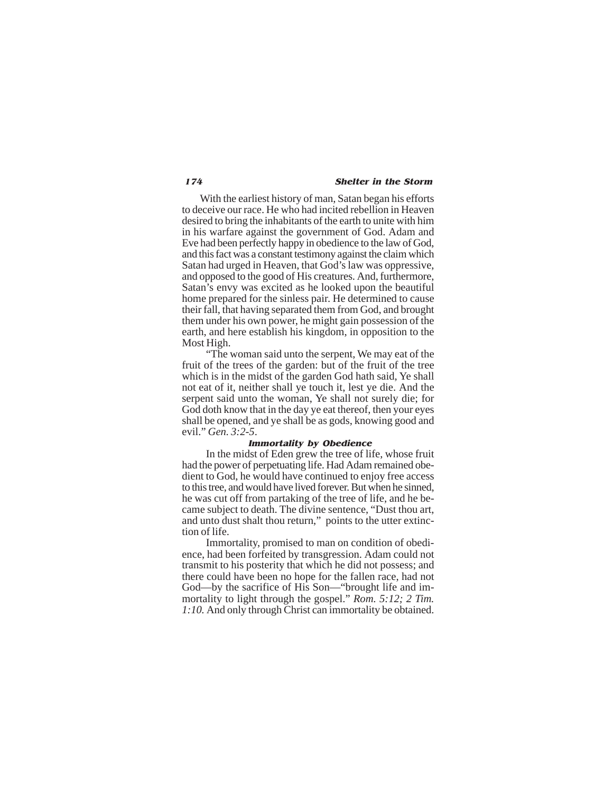With the earliest history of man, Satan began his efforts to deceive our race. He who had incited rebellion in Heaven desired to bring the inhabitants of the earth to unite with him in his warfare against the government of God. Adam and Eve had been perfectly happy in obedience to the law of God, and this fact was a constant testimony against the claim which Satan had urged in Heaven, that God's law was oppressive, and opposed to the good of His creatures. And, furthermore, Satan's envy was excited as he looked upon the beautiful home prepared for the sinless pair. He determined to cause their fall, that having separated them from God, and brought them under his own power, he might gain possession of the earth, and here establish his kingdom, in opposition to the Most High.

"The woman said unto the serpent, We may eat of the fruit of the trees of the garden: but of the fruit of the tree which is in the midst of the garden God hath said, Ye shall not eat of it, neither shall ye touch it, lest ye die. And the serpent said unto the woman, Ye shall not surely die; for God doth know that in the day ye eat thereof, then your eyes shall be opened, and ye shall be as gods, knowing good and evil." *Gen. 3:2-5*.

### **Immortality by Obedience**

In the midst of Eden grew the tree of life, whose fruit had the power of perpetuating life. Had Adam remained obedient to God, he would have continued to enjoy free access to this tree, and would have lived forever. But when he sinned, he was cut off from partaking of the tree of life, and he became subject to death. The divine sentence, "Dust thou art, and unto dust shalt thou return," points to the utter extinction of life.

Immortality, promised to man on condition of obedience, had been forfeited by transgression. Adam could not transmit to his posterity that which he did not possess; and there could have been no hope for the fallen race, had not God—by the sacrifice of His Son—"brought life and immortality to light through the gospel." *Rom. 5:12; 2 Tim. 1:10.* And only through Christ can immortality be obtained.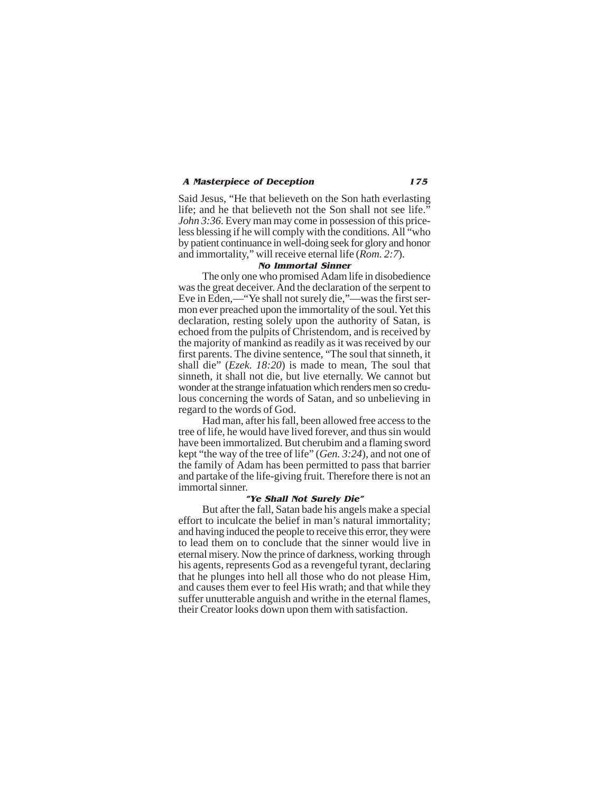Said Jesus, "He that believeth on the Son hath everlasting life; and he that believeth not the Son shall not see life." *John 3:36*. Every man may come in possession of this priceless blessing if he will comply with the conditions. All "who by patient continuance in well-doing seek for glory and honor and immortality," will receive eternal life (*Rom. 2:7*).

### **No Immortal Sinner**

The only one who promised Adam life in disobedience was the great deceiver. And the declaration of the serpent to Eve in Eden,—"Ye shall not surely die,"—was the first sermon ever preached upon the immortality of the soul. Yet this declaration, resting solely upon the authority of Satan, is echoed from the pulpits of Christendom, and is received by the majority of mankind as readily as it was received by our first parents. The divine sentence, "The soul that sinneth, it shall die" (*Ezek. 18:20*) is made to mean, The soul that sinneth, it shall not die, but live eternally. We cannot but wonder at the strange infatuation which renders men so credulous concerning the words of Satan, and so unbelieving in regard to the words of God.

Had man, after his fall, been allowed free access to the tree of life, he would have lived forever, and thus sin would have been immortalized. But cherubim and a flaming sword kept "the way of the tree of life" (*Gen. 3:24*), and not one of the family of Adam has been permitted to pass that barrier and partake of the life-giving fruit. Therefore there is not an immortal sinner.

## **"Ye Shall Not Surely Die"**

But after the fall, Satan bade his angels make a special effort to inculcate the belief in man's natural immortality; and having induced the people to receive this error, they were to lead them on to conclude that the sinner would live in eternal misery. Now the prince of darkness, working through his agents, represents God as a revengeful tyrant, declaring that he plunges into hell all those who do not please Him, and causes them ever to feel His wrath; and that while they suffer unutterable anguish and writhe in the eternal flames, their Creator looks down upon them with satisfaction.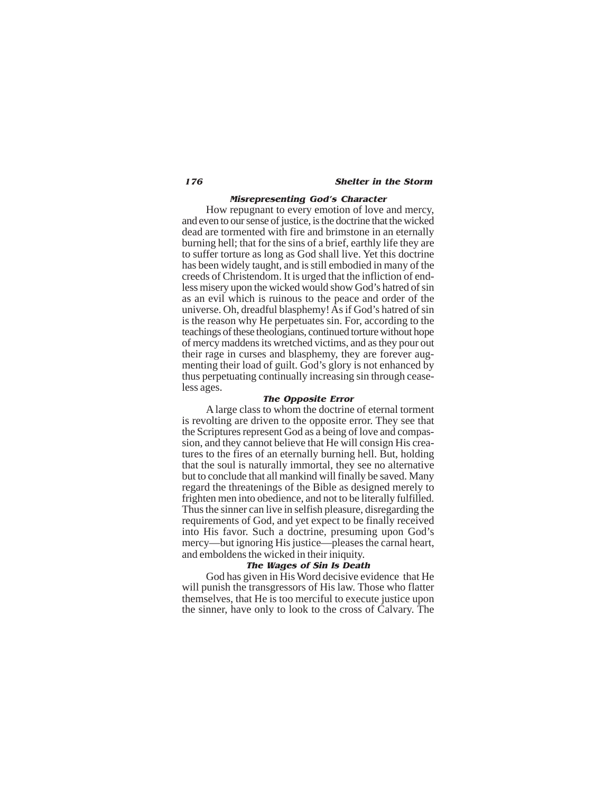#### **Misrepresenting God's Character**

How repugnant to every emotion of love and mercy, and even to our sense of justice, is the doctrine that the wicked dead are tormented with fire and brimstone in an eternally burning hell; that for the sins of a brief, earthly life they are to suffer torture as long as God shall live. Yet this doctrine has been widely taught, and is still embodied in many of the creeds of Christendom. It is urged that the infliction of endless misery upon the wicked would show God's hatred of sin as an evil which is ruinous to the peace and order of the universe. Oh, dreadful blasphemy! As if God's hatred of sin is the reason why He perpetuates sin. For, according to the teachings of these theologians, continued torture without hope of mercy maddens its wretched victims, and as they pour out their rage in curses and blasphemy, they are forever augmenting their load of guilt. God's glory is not enhanced by thus perpetuating continually increasing sin through ceaseless ages.

### **The Opposite Error**

A large class to whom the doctrine of eternal torment is revolting are driven to the opposite error. They see that the Scriptures represent God as a being of love and compassion, and they cannot believe that He will consign His creatures to the fires of an eternally burning hell. But, holding that the soul is naturally immortal, they see no alternative but to conclude that all mankind will finally be saved. Many regard the threatenings of the Bible as designed merely to frighten men into obedience, and not to be literally fulfilled. Thus the sinner can live in selfish pleasure, disregarding the requirements of God, and yet expect to be finally received into His favor. Such a doctrine, presuming upon God's mercy—but ignoring His justice—pleases the carnal heart, and emboldens the wicked in their iniquity.

## **The Wages of Sin Is Death**

God has given in His Word decisive evidence that He will punish the transgressors of His law. Those who flatter themselves, that He is too merciful to execute justice upon the sinner, have only to look to the cross of Calvary. The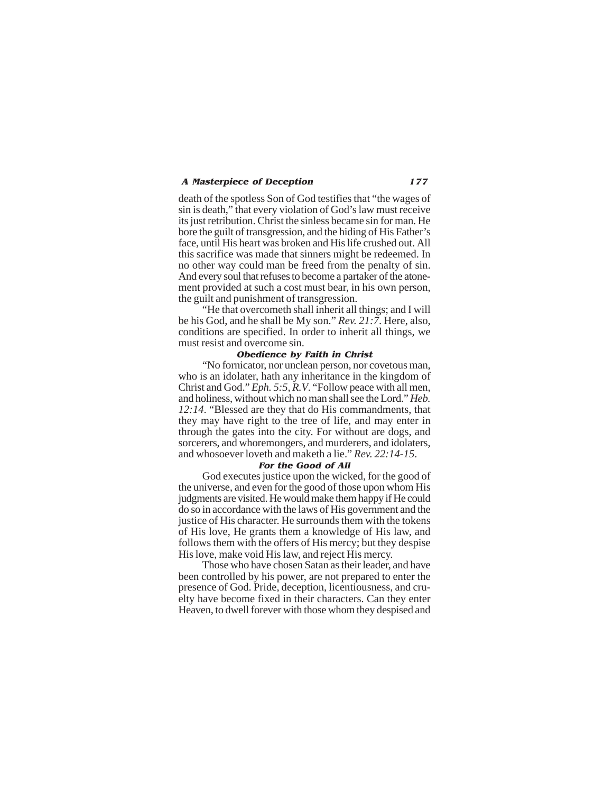### **A Masterpiece of Deception**

death of the spotless Son of God testifies that "the wages of sin is death," that every violation of God's law must receive its just retribution. Christ the sinless became sin for man. He bore the guilt of transgression, and the hiding of His Father's face, until His heart was broken and His life crushed out. All this sacrifice was made that sinners might be redeemed. In no other way could man be freed from the penalty of sin. And every soul that refuses to become a partaker of the atonement provided at such a cost must bear, in his own person, the guilt and punishment of transgression.

"He that overcometh shall inherit all things; and I will be his God, and he shall be My son." *Rev. 21:7*. Here, also, conditions are specified. In order to inherit all things, we must resist and overcome sin.

### **Obedience by Faith in Christ**

"No fornicator, nor unclean person, nor covetous man, who is an idolater, hath any inheritance in the kingdom of Christ and God." *Eph. 5:5, R.V*. "Follow peace with all men, and holiness, without which no man shall see the Lord." *Heb. 12:14*. "Blessed are they that do His commandments, that they may have right to the tree of life, and may enter in through the gates into the city. For without are dogs, and sorcerers, and whoremongers, and murderers, and idolaters, and whosoever loveth and maketh a lie." *Rev. 22:14-15*.

#### **For the Good of All**

God executes justice upon the wicked, for the good of the universe, and even for the good of those upon whom His judgments are visited. He would make them happy if He could do so in accordance with the laws of His government and the justice of His character. He surrounds them with the tokens of His love, He grants them a knowledge of His law, and follows them with the offers of His mercy; but they despise His love, make void His law, and reject His mercy.

Those who have chosen Satan as their leader, and have been controlled by his power, are not prepared to enter the presence of God. Pride, deception, licentiousness, and cruelty have become fixed in their characters. Can they enter Heaven, to dwell forever with those whom they despised and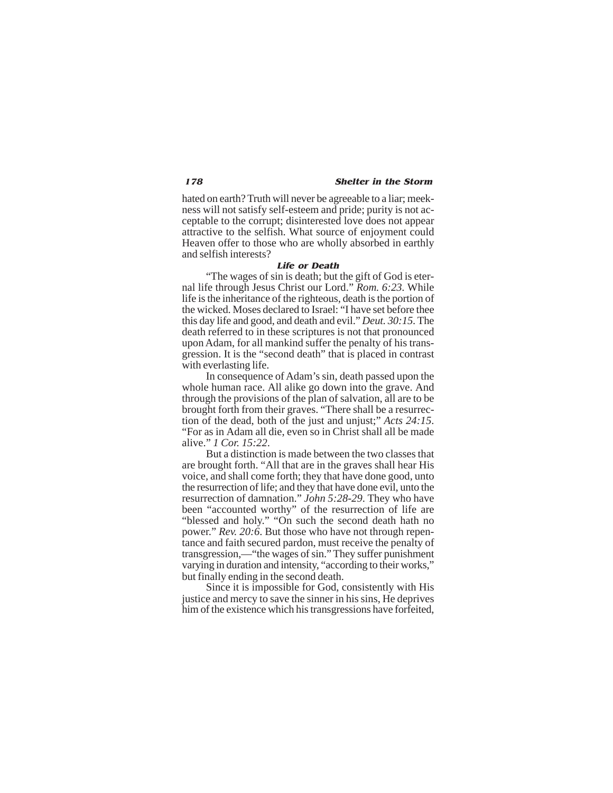hated on earth? Truth will never be agreeable to a liar; meekness will not satisfy self-esteem and pride; purity is not acceptable to the corrupt; disinterested love does not appear attractive to the selfish. What source of enjoyment could Heaven offer to those who are wholly absorbed in earthly and selfish interests?

### **Life or Death**

"The wages of sin is death; but the gift of God is eternal life through Jesus Christ our Lord." *Rom. 6:23*. While life is the inheritance of the righteous, death is the portion of the wicked. Moses declared to Israel: "I have set before thee this day life and good, and death and evil." *Deut. 30:15*. The death referred to in these scriptures is not that pronounced upon Adam, for all mankind suffer the penalty of his transgression. It is the "second death" that is placed in contrast with everlasting life.

In consequence of Adam's sin, death passed upon the whole human race. All alike go down into the grave. And through the provisions of the plan of salvation, all are to be brought forth from their graves. "There shall be a resurrection of the dead, both of the just and unjust;" *Acts 24:15*. "For as in Adam all die, even so in Christ shall all be made alive." *1 Cor. 15:22*.

But a distinction is made between the two classes that are brought forth. "All that are in the graves shall hear His voice, and shall come forth; they that have done good, unto the resurrection of life; and they that have done evil, unto the resurrection of damnation." *John 5:28-29*. They who have been "accounted worthy" of the resurrection of life are "blessed and holy." "On such the second death hath no power." *Rev. 20:6*. But those who have not through repentance and faith secured pardon, must receive the penalty of transgression,—"the wages of sin." They suffer punishment varying in duration and intensity, "according to their works," but finally ending in the second death.

Since it is impossible for God, consistently with His justice and mercy to save the sinner in his sins, He deprives him of the existence which his transgressions have forfeited,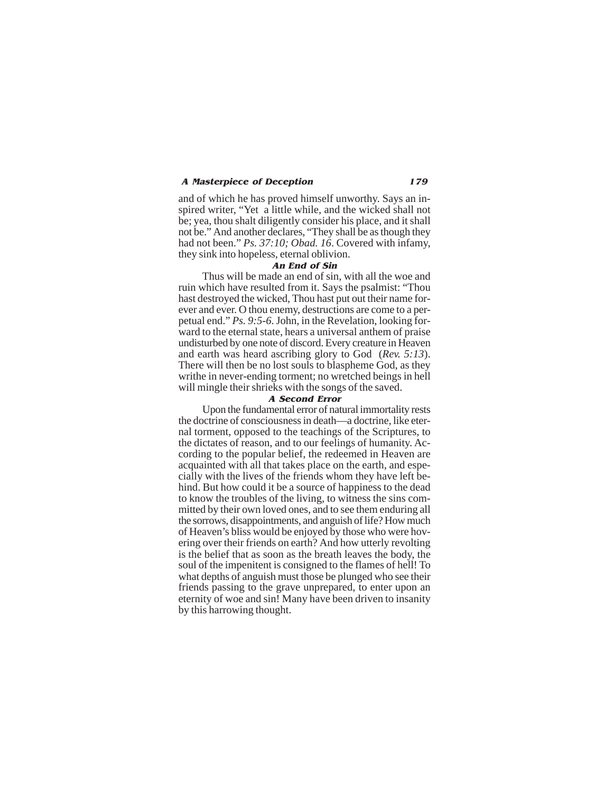and of which he has proved himself unworthy. Says an inspired writer, "Yet a little while, and the wicked shall not be; yea, thou shalt diligently consider his place, and it shall not be." And another declares, "They shall be as though they had not been." *Ps. 37:10; Obad. 16*. Covered with infamy, they sink into hopeless, eternal oblivion.

### **An End of Sin**

Thus will be made an end of sin, with all the woe and ruin which have resulted from it. Says the psalmist: "Thou hast destroyed the wicked, Thou hast put out their name forever and ever. O thou enemy, destructions are come to a perpetual end." *Ps. 9:5-6*. John, in the Revelation, looking forward to the eternal state, hears a universal anthem of praise undisturbed by one note of discord. Every creature in Heaven and earth was heard ascribing glory to God (*Rev. 5:13*). There will then be no lost souls to blaspheme God, as they writhe in never-ending torment; no wretched beings in hell will mingle their shrieks with the songs of the saved.

## **A Second Error**

Upon the fundamental error of natural immortality rests the doctrine of consciousness in death—a doctrine, like eternal torment, opposed to the teachings of the Scriptures, to the dictates of reason, and to our feelings of humanity. According to the popular belief, the redeemed in Heaven are acquainted with all that takes place on the earth, and especially with the lives of the friends whom they have left behind. But how could it be a source of happiness to the dead to know the troubles of the living, to witness the sins committed by their own loved ones, and to see them enduring all the sorrows, disappointments, and anguish of life? How much of Heaven's bliss would be enjoyed by those who were hovering over their friends on earth? And how utterly revolting is the belief that as soon as the breath leaves the body, the soul of the impenitent is consigned to the flames of hell! To what depths of anguish must those be plunged who see their friends passing to the grave unprepared, to enter upon an eternity of woe and sin! Many have been driven to insanity by this harrowing thought.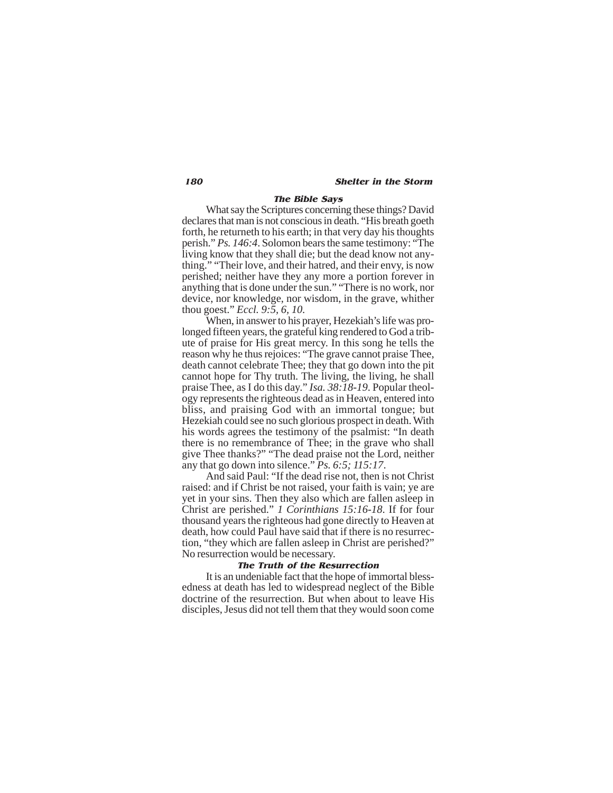#### **The Bible Says**

What say the Scriptures concerning these things? David declares that man is not conscious in death. "His breath goeth forth, he returneth to his earth; in that very day his thoughts perish." *Ps. 146:4*. Solomon bears the same testimony: "The living know that they shall die; but the dead know not anything." "Their love, and their hatred, and their envy, is now perished; neither have they any more a portion forever in anything that is done under the sun." "There is no work, nor device, nor knowledge, nor wisdom, in the grave, whither thou goest." *Eccl. 9:5, 6, 10.*

When, in answer to his prayer, Hezekiah's life was prolonged fifteen years, the grateful king rendered to God a tribute of praise for His great mercy. In this song he tells the reason why he thus rejoices: "The grave cannot praise Thee, death cannot celebrate Thee; they that go down into the pit cannot hope for Thy truth. The living, the living, he shall praise Thee, as I do this day." *Isa. 38:18-19*. Popular theology represents the righteous dead as in Heaven, entered into bliss, and praising God with an immortal tongue; but Hezekiah could see no such glorious prospect in death. With his words agrees the testimony of the psalmist: "In death there is no remembrance of Thee; in the grave who shall give Thee thanks?" "The dead praise not the Lord, neither any that go down into silence." *Ps. 6:5; 115:17*.

And said Paul: "If the dead rise not, then is not Christ raised: and if Christ be not raised, your faith is vain; ye are yet in your sins. Then they also which are fallen asleep in Christ are perished." *1 Corinthians 15:16-18*. If for four thousand years the righteous had gone directly to Heaven at death, how could Paul have said that if there is no resurrection, "they which are fallen asleep in Christ are perished?" No resurrection would be necessary.

# **The Truth of the Resurrection**

It is an undeniable fact that the hope of immortal blessedness at death has led to widespread neglect of the Bible doctrine of the resurrection. But when about to leave His disciples, Jesus did not tell them that they would soon come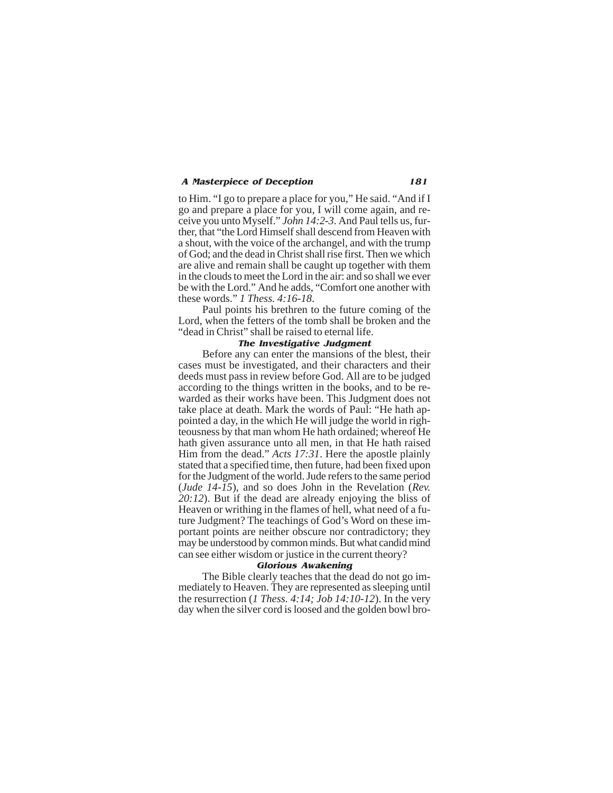to Him. "I go to prepare a place for you," He said. "And if I go and prepare a place for you, I will come again, and receive you unto Myself." *John 14:2-3*. And Paul tells us, further, that "the Lord Himself shall descend from Heaven with a shout, with the voice of the archangel, and with the trump of God; and the dead in Christ shall rise first. Then we which are alive and remain shall be caught up together with them in the clouds to meet the Lord in the air: and so shall we ever be with the Lord." And he adds, "Comfort one another with these words." *1 Thess. 4:16-18*.

Paul points his brethren to the future coming of the Lord, when the fetters of the tomb shall be broken and the "dead in Christ" shall be raised to eternal life.

# **The Investigative Judgment**

Before any can enter the mansions of the blest, their cases must be investigated, and their characters and their deeds must pass in review before God. All are to be judged according to the things written in the books, and to be rewarded as their works have been. This Judgment does not take place at death. Mark the words of Paul: "He hath appointed a day, in the which He will judge the world in righteousness by that man whom He hath ordained; whereof He hath given assurance unto all men, in that He hath raised Him from the dead." *Acts 17:31*. Here the apostle plainly stated that a specified time, then future, had been fixed upon for the Judgment of the world. Jude refers to the same period (*Jude 14-15*), and so does John in the Revelation (*Rev. 20:12*). But if the dead are already enjoying the bliss of Heaven or writhing in the flames of hell, what need of a future Judgment? The teachings of God's Word on these important points are neither obscure nor contradictory; they may be understood by common minds. But what candid mind can see either wisdom or justice in the current theory?

# **Glorious Awakening**

The Bible clearly teaches that the dead do not go immediately to Heaven. They are represented as sleeping until the resurrection (*1 Thess. 4:14:*  $\overline{J}$ *ob 14:10-12*). In the very day when the silver cord is loosed and the golden bowl bro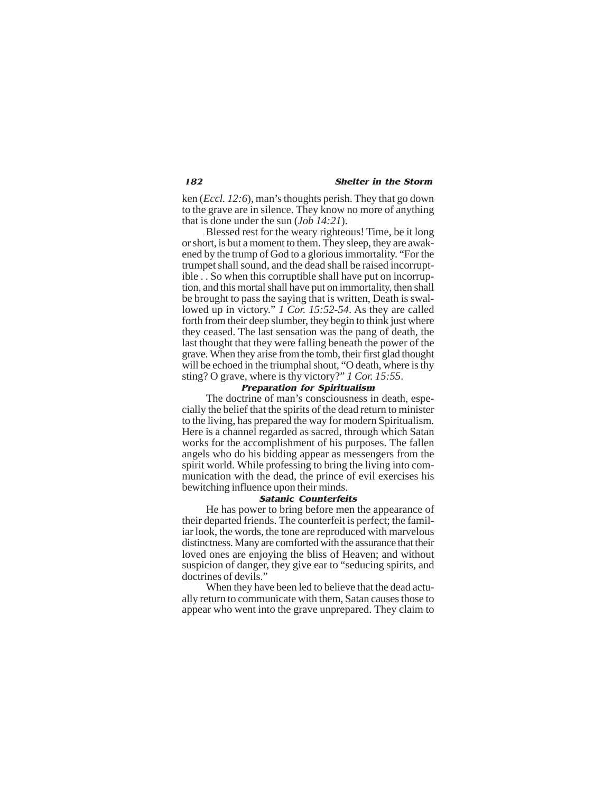ken (*Eccl. 12:6*), man's thoughts perish. They that go down to the grave are in silence. They know no more of anything that is done under the sun (*Job 14:21*).

Blessed rest for the weary righteous! Time, be it long or short, is but a moment to them. They sleep, they are awakened by the trump of God to a glorious immortality. "For the trumpet shall sound, and the dead shall be raised incorruptible . . So when this corruptible shall have put on incorruption, and this mortal shall have put on immortality, then shall be brought to pass the saying that is written, Death is swallowed up in victory." *1 Cor. 15:52-54*. As they are called forth from their deep slumber, they begin to think just where they ceased. The last sensation was the pang of death, the last thought that they were falling beneath the power of the grave. When they arise from the tomb, their first glad thought will be echoed in the triumphal shout, "O death, where is thy sting? O grave, where is thy victory?" *1 Cor. 15:55*.

# **Preparation for Spiritualism**

The doctrine of man's consciousness in death, especially the belief that the spirits of the dead return to minister to the living, has prepared the way for modern Spiritualism. Here is a channel regarded as sacred, through which Satan works for the accomplishment of his purposes. The fallen angels who do his bidding appear as messengers from the spirit world. While professing to bring the living into communication with the dead, the prince of evil exercises his bewitching influence upon their minds.

## **Satanic Counterfeits**

He has power to bring before men the appearance of their departed friends. The counterfeit is perfect; the familiar look, the words, the tone are reproduced with marvelous distinctness. Many are comforted with the assurance that their loved ones are enjoying the bliss of Heaven; and without suspicion of danger, they give ear to "seducing spirits, and doctrines of devils."

When they have been led to believe that the dead actually return to communicate with them, Satan causes those to appear who went into the grave unprepared. They claim to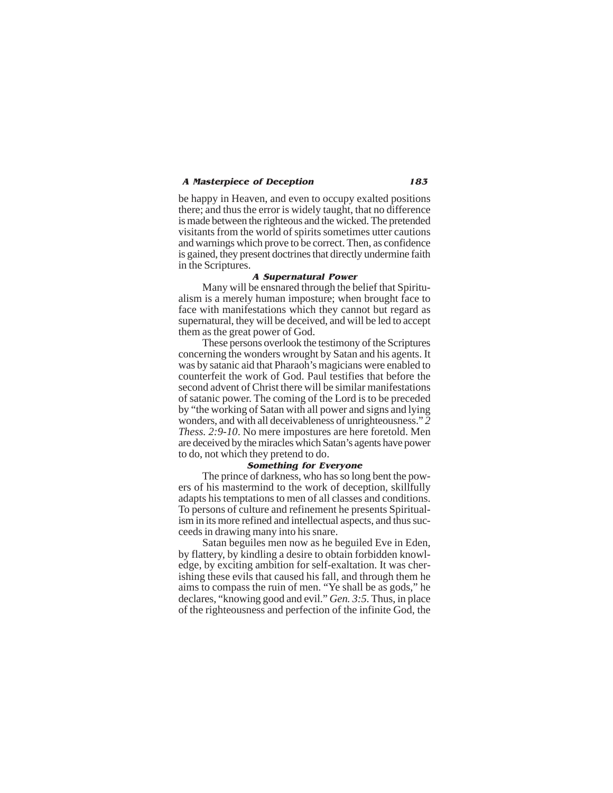# **A Masterpiece of Deception**

be happy in Heaven, and even to occupy exalted positions there; and thus the error is widely taught, that no difference is made between the righteous and the wicked. The pretended visitants from the world of spirits sometimes utter cautions and warnings which prove to be correct. Then, as confidence is gained, they present doctrines that directly undermine faith in the Scriptures.

# **A Supernatural Power**

Many will be ensnared through the belief that Spiritualism is a merely human imposture; when brought face to face with manifestations which they cannot but regard as supernatural, they will be deceived, and will be led to accept them as the great power of God.

These persons overlook the testimony of the Scriptures concerning the wonders wrought by Satan and his agents. It was by satanic aid that Pharaoh's magicians were enabled to counterfeit the work of God. Paul testifies that before the second advent of Christ there will be similar manifestations of satanic power. The coming of the Lord is to be preceded by "the working of Satan with all power and signs and lying wonders, and with all deceivableness of unrighteousness." *2 Thess. 2:9-10*. No mere impostures are here foretold. Men are deceived by the miracles which Satan's agents have power to do, not which they pretend to do.

# **Something for Everyone**

The prince of darkness, who has so long bent the powers of his mastermind to the work of deception, skillfully adapts his temptations to men of all classes and conditions. To persons of culture and refinement he presents Spiritualism in its more refined and intellectual aspects, and thus succeeds in drawing many into his snare.

Satan beguiles men now as he beguiled Eve in Eden, by flattery, by kindling a desire to obtain forbidden knowledge, by exciting ambition for self-exaltation. It was cherishing these evils that caused his fall, and through them he aims to compass the ruin of men. "Ye shall be as gods," he declares, "knowing good and evil." *Gen. 3:5*. Thus, in place of the righteousness and perfection of the infinite God, the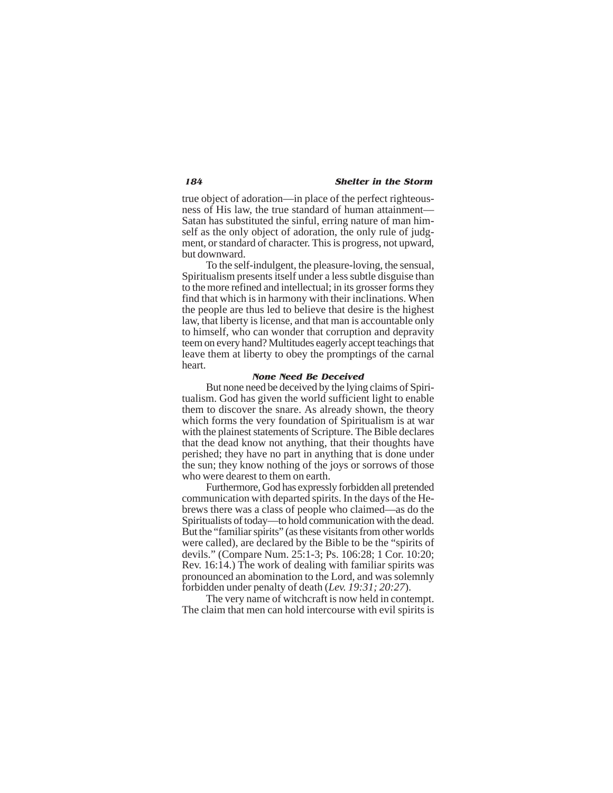true object of adoration—in place of the perfect righteousness of His law, the true standard of human attainment— Satan has substituted the sinful, erring nature of man himself as the only object of adoration, the only rule of judgment, or standard of character. This is progress, not upward, but downward.

To the self-indulgent, the pleasure-loving, the sensual, Spiritualism presents itself under a less subtle disguise than to the more refined and intellectual; in its grosser forms they find that which is in harmony with their inclinations. When the people are thus led to believe that desire is the highest law, that liberty is license, and that man is accountable only to himself, who can wonder that corruption and depravity teem on every hand? Multitudes eagerly accept teachings that leave them at liberty to obey the promptings of the carnal heart.

## **None Need Be Deceived**

But none need be deceived by the lying claims of Spiritualism. God has given the world sufficient light to enable them to discover the snare. As already shown, the theory which forms the very foundation of Spiritualism is at war with the plainest statements of Scripture. The Bible declares that the dead know not anything, that their thoughts have perished; they have no part in anything that is done under the sun; they know nothing of the joys or sorrows of those who were dearest to them on earth.

Furthermore, God has expressly forbidden all pretended communication with departed spirits. In the days of the Hebrews there was a class of people who claimed—as do the Spiritualists of today—to hold communication with the dead. But the "familiar spirits" (as these visitants from other worlds were called), are declared by the Bible to be the "spirits of devils." (Compare Num. 25:1-3; Ps. 106:28; 1 Cor. 10:20; Rev. 16:14.) The work of dealing with familiar spirits was pronounced an abomination to the Lord, and was solemnly forbidden under penalty of death (*Lev. 19:31; 20:27*).

The very name of witchcraft is now held in contempt. The claim that men can hold intercourse with evil spirits is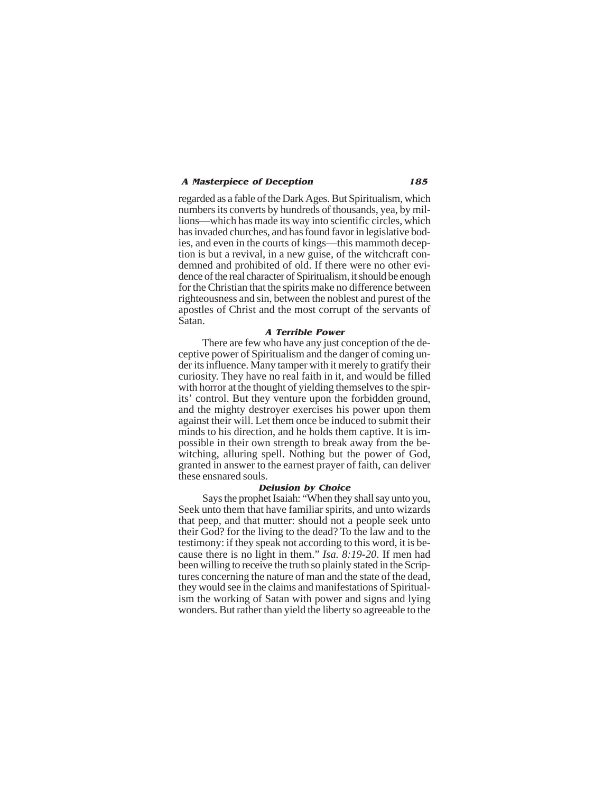regarded as a fable of the Dark Ages. But Spiritualism, which numbers its converts by hundreds of thousands, yea, by millions—which has made its way into scientific circles, which has invaded churches, and has found favor in legislative bodies, and even in the courts of kings—this mammoth deception is but a revival, in a new guise, of the witchcraft condemned and prohibited of old. If there were no other evidence of the real character of Spiritualism, it should be enough for the Christian that the spirits make no difference between righteousness and sin, between the noblest and purest of the apostles of Christ and the most corrupt of the servants of Satan.

## **A Terrible Power**

There are few who have any just conception of the deceptive power of Spiritualism and the danger of coming under its influence. Many tamper with it merely to gratify their curiosity. They have no real faith in it, and would be filled with horror at the thought of yielding themselves to the spirits' control. But they venture upon the forbidden ground, and the mighty destroyer exercises his power upon them against their will. Let them once be induced to submit their minds to his direction, and he holds them captive. It is impossible in their own strength to break away from the bewitching, alluring spell. Nothing but the power of God, granted in answer to the earnest prayer of faith, can deliver these ensnared souls.

# **Delusion by Choice**

Says the prophet Isaiah: "When they shall say unto you, Seek unto them that have familiar spirits, and unto wizards that peep, and that mutter: should not a people seek unto their God? for the living to the dead? To the law and to the testimony: if they speak not according to this word, it is because there is no light in them." *Isa. 8:19-20*. If men had been willing to receive the truth so plainly stated in the Scriptures concerning the nature of man and the state of the dead, they would see in the claims and manifestations of Spiritualism the working of Satan with power and signs and lying wonders. But rather than yield the liberty so agreeable to the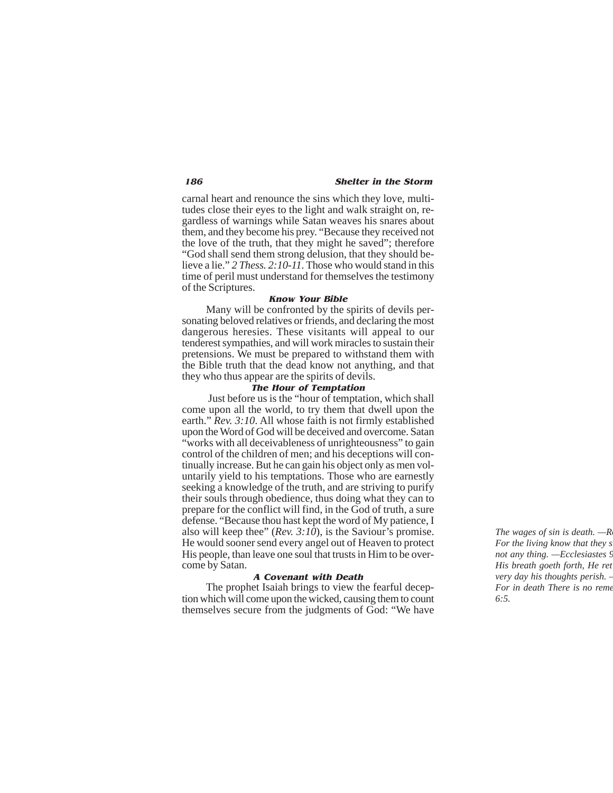carnal heart and renounce the sins which they love, multitudes close their eyes to the light and walk straight on, regardless of warnings while Satan weaves his snares about them, and they become his prey. "Because they received not the love of the truth, that they might he saved"; therefore "God shall send them strong delusion, that they should believe a lie." *2 Thess. 2:10-11*. Those who would stand in this time of peril must understand for themselves the testimony of the Scriptures.

# **Know Your Bible**

Many will be confronted by the spirits of devils personating beloved relatives or friends, and declaring the most dangerous heresies. These visitants will appeal to our tenderest sympathies, and will work miracles to sustain their pretensions. We must be prepared to withstand them with the Bible truth that the dead know not anything, and that they who thus appear are the spirits of devils.

# **The Hour of Temptation**

 Just before us is the "hour of temptation, which shall come upon all the world, to try them that dwell upon the earth." *Rev. 3:10*. All whose faith is not firmly established upon the Word of God will be deceived and overcome. Satan "works with all deceivableness of unrighteousness" to gain control of the children of men; and his deceptions will continually increase. But he can gain his object only as men voluntarily yield to his temptations. Those who are earnestly seeking a knowledge of the truth, and are striving to purify their souls through obedience, thus doing what they can to prepare for the conflict will find, in the God of truth, a sure defense. "Because thou hast kept the word of My patience, I also will keep thee" (*Rev. 3:10*), is the Saviour's promise. He would sooner send every angel out of Heaven to protect His people, than leave one soul that trusts in Him to be overcome by Satan.

#### **A Covenant with Death**

The prophet Isaiah brings to view the fearful deception which will come upon the wicked, causing them to count themselves secure from the judgments of God: "We have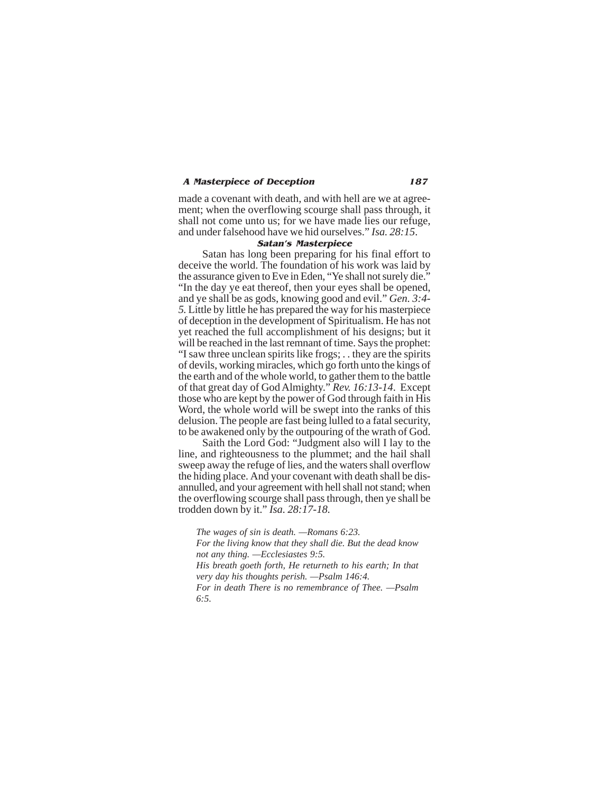# **A Masterpiece of Deception**

made a covenant with death, and with hell are we at agreement; when the overflowing scourge shall pass through, it shall not come unto us; for we have made lies our refuge, and under falsehood have we hid ourselves." *Isa. 28:15*.

# **Satan's Masterpiece**

Satan has long been preparing for his final effort to deceive the world. The foundation of his work was laid by the assurance given to Eve in Eden, "Ye shall not surely die." "In the day ye eat thereof, then your eyes shall be opened, and ye shall be as gods, knowing good and evil." *Gen. 3:4- 5.* Little by little he has prepared the way for his masterpiece of deception in the development of Spiritualism. He has not yet reached the full accomplishment of his designs; but it will be reached in the last remnant of time. Says the prophet: "I saw three unclean spirits like frogs; . . they are the spirits of devils, working miracles, which go forth unto the kings of the earth and of the whole world, to gather them to the battle of that great day of God Almighty." *Rev. 16:13-14*. Except those who are kept by the power of God through faith in His Word, the whole world will be swept into the ranks of this delusion. The people are fast being lulled to a fatal security, to be awakened only by the outpouring of the wrath of God.

Saith the Lord God: "Judgment also will I lay to the line, and righteousness to the plummet; and the hail shall sweep away the refuge of lies, and the waters shall overflow the hiding place. And your covenant with death shall be disannulled, and your agreement with hell shall not stand; when the overflowing scourge shall pass through, then ye shall be trodden down by it." *Isa. 28:17-18.*

*The wages of sin is death. —Romans 6:23. For the living know that they shall die. But the dead know not any thing. —Ecclesiastes 9:5. His breath goeth forth, He returneth to his earth; In that very day his thoughts perish. —Psalm 146:4. For in death There is no remembrance of Thee. —Psalm 6:5.*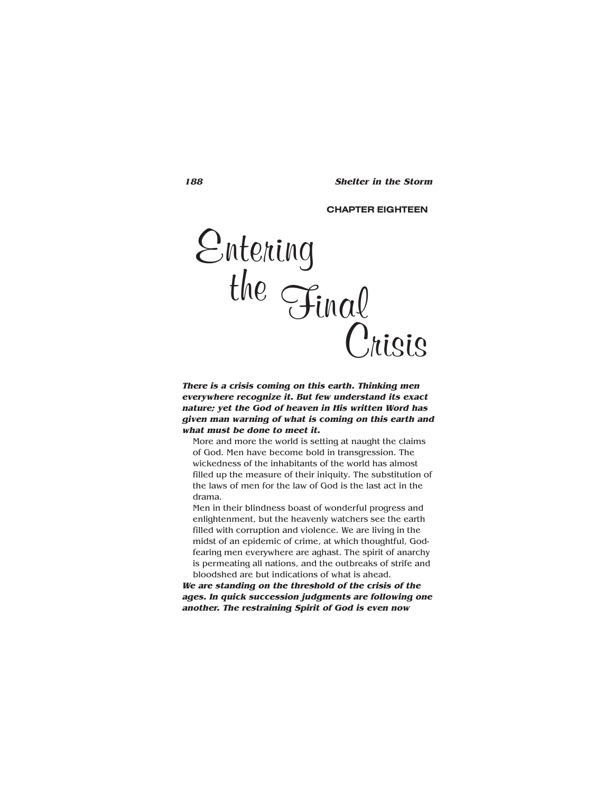#### **CHAPTER EIGHTEEN**



**There is a crisis coming on this earth. Thinking men everywhere recognize it. But few understand its exact nature; yet the God of heaven in His written Word has given man warning of what is coming on this earth and what must be done to meet it.**

More and more the world is setting at naught the claims of God. Men have become bold in transgression. The wickedness of the inhabitants of the world has almost filled up the measure of their iniquity. The substitution of the laws of men for the law of God is the last act in the drama.

Men in their blindness boast of wonderful progress and enlightenment, but the heavenly watchers see the earth filled with corruption and violence. We are living in the midst of an epidemic of crime, at which thoughtful, Godfearing men everywhere are aghast. The spirit of anarchy is permeating all nations, and the outbreaks of strife and bloodshed are but indications of what is ahead.

**We are standing on the threshold of the crisis of the ages. In quick succession judgments are following one another. The restraining Spirit of God is even now**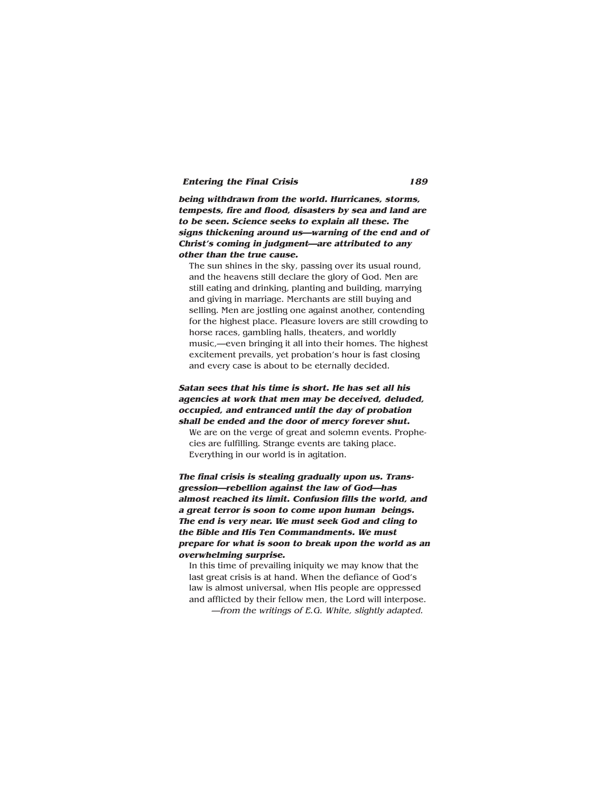**being withdrawn from the world. Hurricanes, storms, tempests, fire and flood, disasters by sea and land are to be seen. Science seeks to explain all these. The signs thickening around us—warning of the end and of Christ's coming in judgment—are attributed to any other than the true cause.**

The sun shines in the sky, passing over its usual round, and the heavens still declare the glory of God. Men are still eating and drinking, planting and building, marrying and giving in marriage. Merchants are still buying and selling. Men are jostling one against another, contending for the highest place. Pleasure lovers are still crowding to horse races, gambling halls, theaters, and worldly music,—even bringing it all into their homes. The highest excitement prevails, yet probation's hour is fast closing and every case is about to be eternally decided.

# **Satan sees that his time is short. He has set all his agencies at work that men may be deceived, deluded, occupied, and entranced until the day of probation shall be ended and the door of mercy forever shut.**

We are on the verge of great and solemn events. Prophecies are fulfilling. Strange events are taking place. Everything in our world is in agitation.

**The final crisis is stealing gradually upon us. Transgression—rebellion against the law of God—has almost reached its limit. Confusion fills the world, and a great terror is soon to come upon human beings. The end is very near. We must seek God and cling to the Bible and His Ten Commandments. We must prepare for what is soon to break upon the world as an overwhelming surprise.**

In this time of prevailing iniquity we may know that the last great crisis is at hand. When the defiance of God's law is almost universal, when His people are oppressed and afflicted by their fellow men, the Lord will interpose. —from the writings of E.G. White, slightly adapted.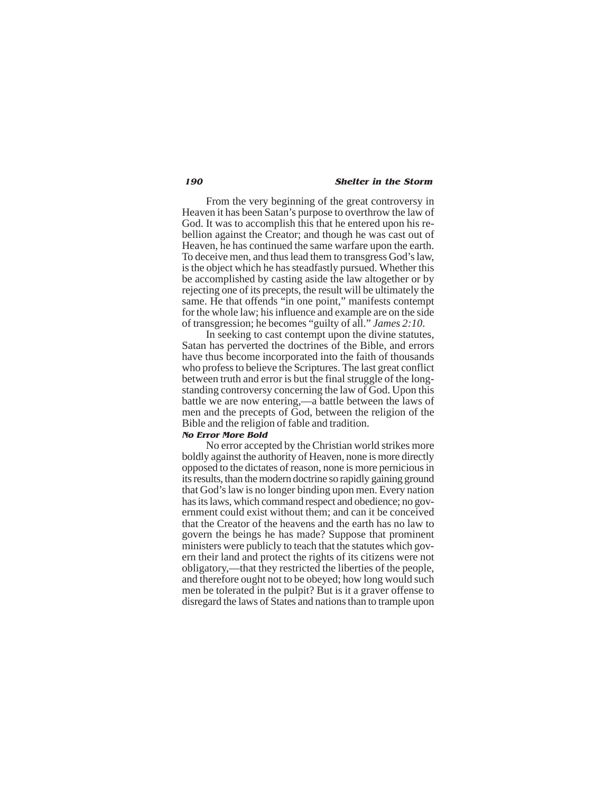From the very beginning of the great controversy in Heaven it has been Satan's purpose to overthrow the law of God. It was to accomplish this that he entered upon his rebellion against the Creator; and though he was cast out of Heaven, he has continued the same warfare upon the earth. To deceive men, and thus lead them to transgress God's law, is the object which he has steadfastly pursued. Whether this be accomplished by casting aside the law altogether or by rejecting one of its precepts, the result will be ultimately the same. He that offends "in one point," manifests contempt for the whole law; his influence and example are on the side of transgression; he becomes "guilty of all." *James 2:10*.

In seeking to cast contempt upon the divine statutes, Satan has perverted the doctrines of the Bible, and errors have thus become incorporated into the faith of thousands who profess to believe the Scriptures. The last great conflict between truth and error is but the final struggle of the longstanding controversy concerning the law of God. Upon this battle we are now entering,—a battle between the laws of men and the precepts of God, between the religion of the Bible and the religion of fable and tradition.

# **No Error More Bold**

No error accepted by the Christian world strikes more boldly against the authority of Heaven, none is more directly opposed to the dictates of reason, none is more pernicious in its results, than the modern doctrine so rapidly gaining ground that God's law is no longer binding upon men. Every nation has its laws, which command respect and obedience; no government could exist without them; and can it be conceived that the Creator of the heavens and the earth has no law to govern the beings he has made? Suppose that prominent ministers were publicly to teach that the statutes which govern their land and protect the rights of its citizens were not obligatory,—that they restricted the liberties of the people, and therefore ought not to be obeyed; how long would such men be tolerated in the pulpit? But is it a graver offense to disregard the laws of States and nations than to trample upon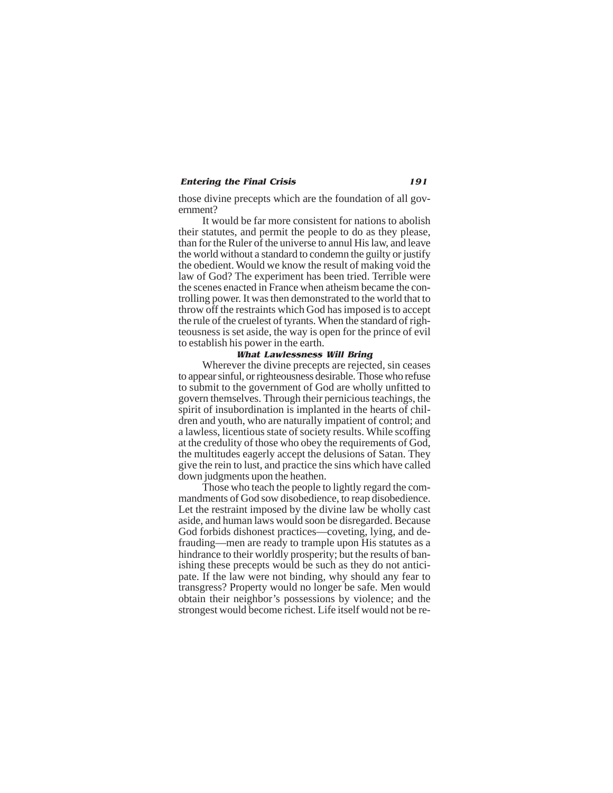# **Entering the Final Crisis**

those divine precepts which are the foundation of all government?

It would be far more consistent for nations to abolish their statutes, and permit the people to do as they please, than for the Ruler of the universe to annul His law, and leave the world without a standard to condemn the guilty or justify the obedient. Would we know the result of making void the law of God? The experiment has been tried. Terrible were the scenes enacted in France when atheism became the controlling power. It was then demonstrated to the world that to throw off the restraints which God has imposed is to accept the rule of the cruelest of tyrants. When the standard of righteousness is set aside, the way is open for the prince of evil to establish his power in the earth.

# **What Lawlessness Will Bring**

Wherever the divine precepts are rejected, sin ceases to appear sinful, or righteousness desirable. Those who refuse to submit to the government of God are wholly unfitted to govern themselves. Through their pernicious teachings, the spirit of insubordination is implanted in the hearts of children and youth, who are naturally impatient of control; and a lawless, licentious state of society results. While scoffing at the credulity of those who obey the requirements of God, the multitudes eagerly accept the delusions of Satan. They give the rein to lust, and practice the sins which have called down judgments upon the heathen.

Those who teach the people to lightly regard the commandments of God sow disobedience, to reap disobedience. Let the restraint imposed by the divine law be wholly cast aside, and human laws would soon be disregarded. Because God forbids dishonest practices—coveting, lying, and defrauding—men are ready to trample upon His statutes as a hindrance to their worldly prosperity; but the results of banishing these precepts would be such as they do not anticipate. If the law were not binding, why should any fear to transgress? Property would no longer be safe. Men would obtain their neighbor's possessions by violence; and the strongest would become richest. Life itself would not be re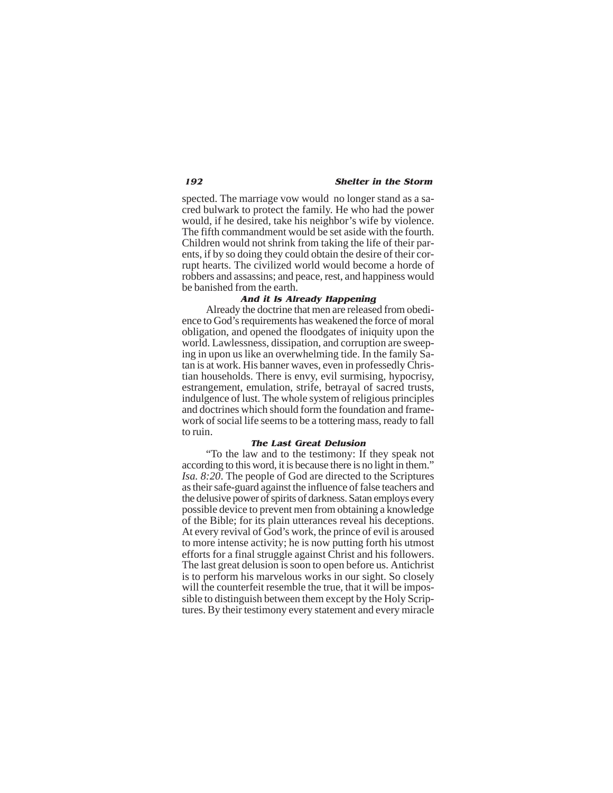spected. The marriage vow would no longer stand as a sacred bulwark to protect the family. He who had the power would, if he desired, take his neighbor's wife by violence. The fifth commandment would be set aside with the fourth. Children would not shrink from taking the life of their parents, if by so doing they could obtain the desire of their corrupt hearts. The civilized world would become a horde of robbers and assassins; and peace, rest, and happiness would be banished from the earth.

# **And it Is Already Happening**

Already the doctrine that men are released from obedience to God's requirements has weakened the force of moral obligation, and opened the floodgates of iniquity upon the world. Lawlessness, dissipation, and corruption are sweeping in upon us like an overwhelming tide. In the family  $\overline{Sa}$ tan is at work. His banner waves, even in professedly Christian households. There is envy, evil surmising, hypocrisy, estrangement, emulation, strife, betrayal of sacred trusts, indulgence of lust. The whole system of religious principles and doctrines which should form the foundation and framework of social life seems to be a tottering mass, ready to fall to ruin.

#### **The Last Great Delusion**

"To the law and to the testimony: If they speak not according to this word, it is because there is no light in them." *Isa. 8:20*. The people of God are directed to the Scriptures as their safe-guard against the influence of false teachers and the delusive power of spirits of darkness. Satan employs every possible device to prevent men from obtaining a knowledge of the Bible; for its plain utterances reveal his deceptions. At every revival of God's work, the prince of evil is aroused to more intense activity; he is now putting forth his utmost efforts for a final struggle against Christ and his followers. The last great delusion is soon to open before us. Antichrist is to perform his marvelous works in our sight. So closely will the counterfeit resemble the true, that it will be impossible to distinguish between them except by the Holy Scriptures. By their testimony every statement and every miracle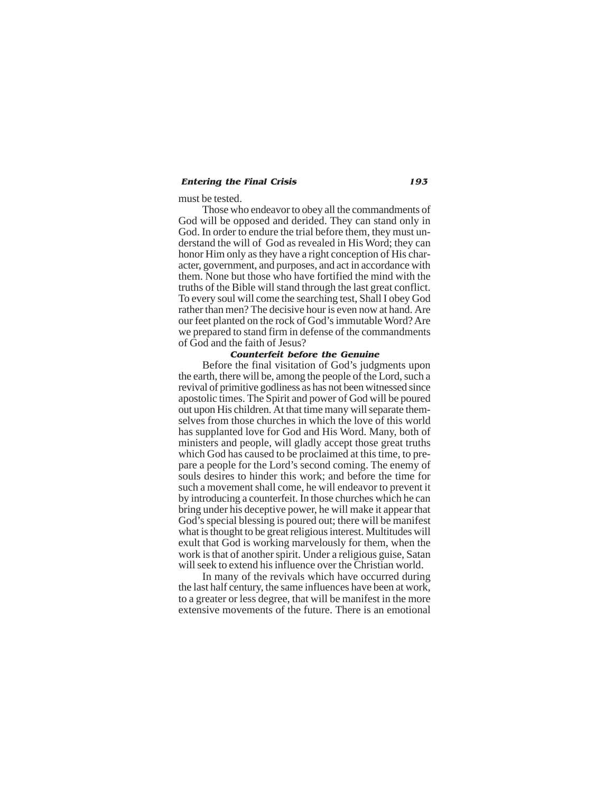must be tested.

Those who endeavor to obey all the commandments of God will be opposed and derided. They can stand only in God. In order to endure the trial before them, they must understand the will of God as revealed in His Word; they can honor Him only as they have a right conception of His character, government, and purposes, and act in accordance with them. None but those who have fortified the mind with the truths of the Bible will stand through the last great conflict. To every soul will come the searching test, Shall I obey God rather than men? The decisive hour is even now at hand. Are our feet planted on the rock of God's immutable Word? Are we prepared to stand firm in defense of the commandments of God and the faith of Jesus?

# **Counterfeit before the Genuine**

Before the final visitation of God's judgments upon the earth, there will be, among the people of the Lord, such a revival of primitive godliness as has not been witnessed since apostolic times. The Spirit and power of God will be poured out upon His children. At that time many will separate themselves from those churches in which the love of this world has supplanted love for God and His Word. Many, both of ministers and people, will gladly accept those great truths which God has caused to be proclaimed at this time, to prepare a people for the Lord's second coming. The enemy of souls desires to hinder this work; and before the time for such a movement shall come, he will endeavor to prevent it by introducing a counterfeit. In those churches which he can bring under his deceptive power, he will make it appear that God's special blessing is poured out; there will be manifest what is thought to be great religious interest. Multitudes will exult that God is working marvelously for them, when the work is that of another spirit. Under a religious guise, Satan will seek to extend his influence over the Christian world.

In many of the revivals which have occurred during the last half century, the same influences have been at work, to a greater or less degree, that will be manifest in the more extensive movements of the future. There is an emotional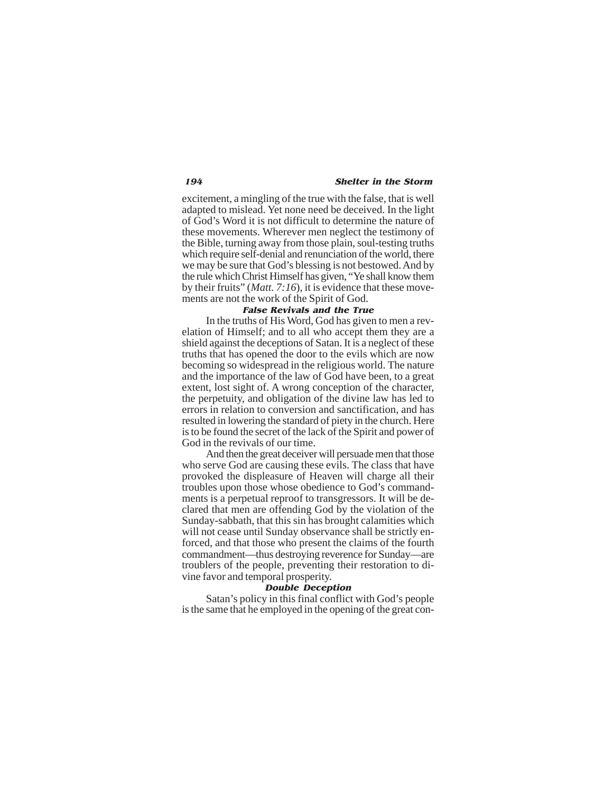excitement, a mingling of the true with the false, that is well adapted to mislead. Yet none need be deceived. In the light of God's Word it is not difficult to determine the nature of these movements. Wherever men neglect the testimony of the Bible, turning away from those plain, soul-testing truths which require self-denial and renunciation of the world, there we may be sure that God's blessing is not bestowed. And by the rule which Christ Himself has given, "Ye shall know them by their fruits" (*Matt. 7:16*), it is evidence that these movements are not the work of the Spirit of God.

# **False Revivals and the True**

In the truths of His Word, God has given to men a revelation of Himself; and to all who accept them they are a shield against the deceptions of Satan. It is a neglect of these truths that has opened the door to the evils which are now becoming so widespread in the religious world. The nature and the importance of the law of God have been, to a great extent, lost sight of. A wrong conception of the character, the perpetuity, and obligation of the divine law has led to errors in relation to conversion and sanctification, and has resulted in lowering the standard of piety in the church. Here is to be found the secret of the lack of the Spirit and power of God in the revivals of our time.

And then the great deceiver will persuade men that those who serve God are causing these evils. The class that have provoked the displeasure of Heaven will charge all their troubles upon those whose obedience to God's commandments is a perpetual reproof to transgressors. It will be declared that men are offending God by the violation of the Sunday-sabbath, that this sin has brought calamities which will not cease until Sunday observance shall be strictly enforced, and that those who present the claims of the fourth commandment—thus destroying reverence for Sunday—are troublers of the people, preventing their restoration to divine favor and temporal prosperity.

# **Double Deception**

Satan's policy in this final conflict with God's people is the same that he employed in the opening of the great con-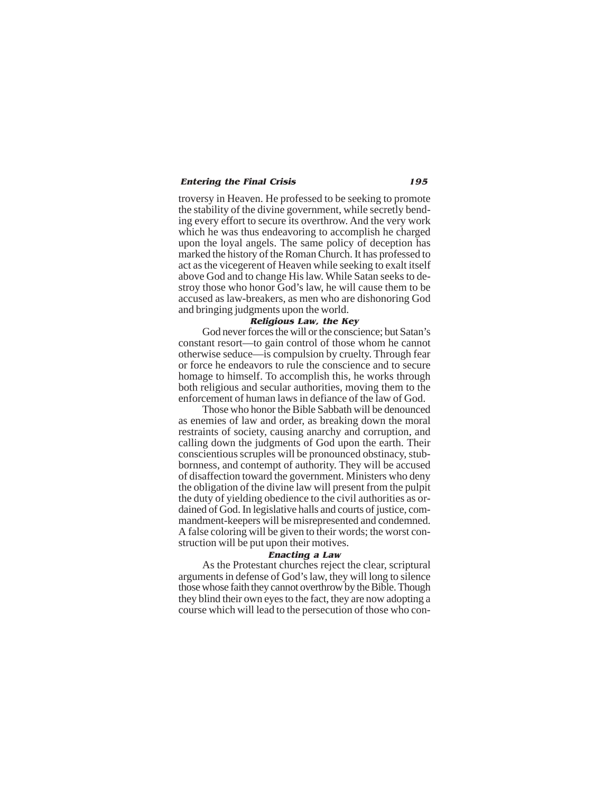# **Entering the Final Crisis**

troversy in Heaven. He professed to be seeking to promote the stability of the divine government, while secretly bending every effort to secure its overthrow. And the very work which he was thus endeavoring to accomplish he charged upon the loyal angels. The same policy of deception has marked the history of the Roman Church. It has professed to act as the vicegerent of Heaven while seeking to exalt itself above God and to change His law. While Satan seeks to destroy those who honor God's law, he will cause them to be accused as law-breakers, as men who are dishonoring God and bringing judgments upon the world.

# **Religious Law, the Key**

God never forces the will or the conscience; but Satan's constant resort—to gain control of those whom he cannot otherwise seduce—is compulsion by cruelty. Through fear or force he endeavors to rule the conscience and to secure homage to himself. To accomplish this, he works through both religious and secular authorities, moving them to the enforcement of human laws in defiance of the law of God.

Those who honor the Bible Sabbath will be denounced as enemies of law and order, as breaking down the moral restraints of society, causing anarchy and corruption, and calling down the judgments of God upon the earth. Their conscientious scruples will be pronounced obstinacy, stubbornness, and contempt of authority. They will be accused of disaffection toward the government. Ministers who deny the obligation of the divine law will present from the pulpit the duty of yielding obedience to the civil authorities as ordained of God. In legislative halls and courts of justice, commandment-keepers will be misrepresented and condemned. A false coloring will be given to their words; the worst construction will be put upon their motives.

# **Enacting a Law**

As the Protestant churches reject the clear, scriptural arguments in defense of God's law, they will long to silence those whose faith they cannot overthrow by the Bible. Though they blind their own eyes to the fact, they are now adopting a course which will lead to the persecution of those who con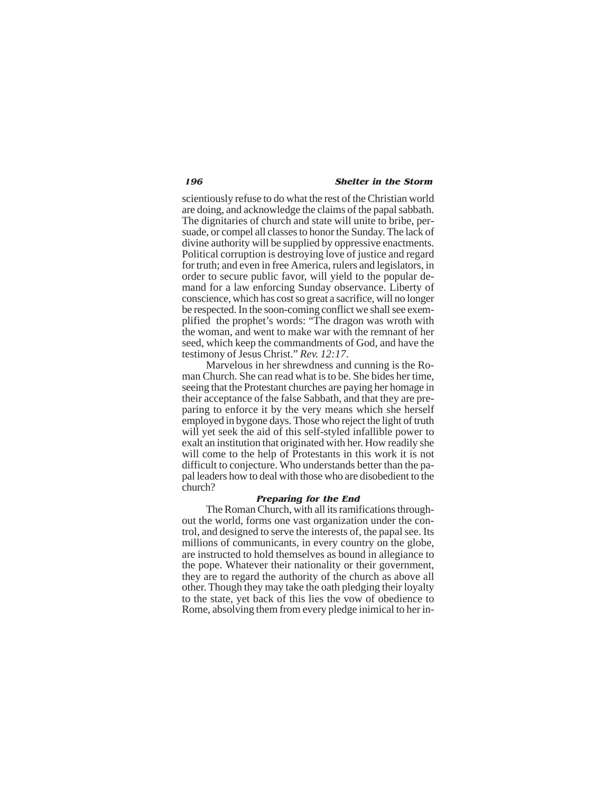scientiously refuse to do what the rest of the Christian world are doing, and acknowledge the claims of the papal sabbath. The dignitaries of church and state will unite to bribe, persuade, or compel all classes to honor the Sunday. The lack of divine authority will be supplied by oppressive enactments. Political corruption is destroying love of justice and regard for truth; and even in free America, rulers and legislators, in order to secure public favor, will yield to the popular demand for a law enforcing Sunday observance. Liberty of conscience, which has cost so great a sacrifice, will no longer be respected. In the soon-coming conflict we shall see exemplified the prophet's words: "The dragon was wroth with the woman, and went to make war with the remnant of her seed, which keep the commandments of God, and have the testimony of Jesus Christ." *Rev. 12:17*.

Marvelous in her shrewdness and cunning is the Roman Church. She can read what is to be. She bides her time, seeing that the Protestant churches are paying her homage in their acceptance of the false Sabbath, and that they are preparing to enforce it by the very means which she herself employed in bygone days. Those who reject the light of truth will yet seek the aid of this self-styled infallible power to exalt an institution that originated with her. How readily she will come to the help of Protestants in this work it is not difficult to conjecture. Who understands better than the papal leaders how to deal with those who are disobedient to the church?

# **Preparing for the End**

The Roman Church, with all its ramifications throughout the world, forms one vast organization under the control, and designed to serve the interests of, the papal see. Its millions of communicants, in every country on the globe, are instructed to hold themselves as bound in allegiance to the pope. Whatever their nationality or their government, they are to regard the authority of the church as above all other. Though they may take the oath pledging their loyalty to the state, yet back of this lies the vow of obedience to Rome, absolving them from every pledge inimical to her in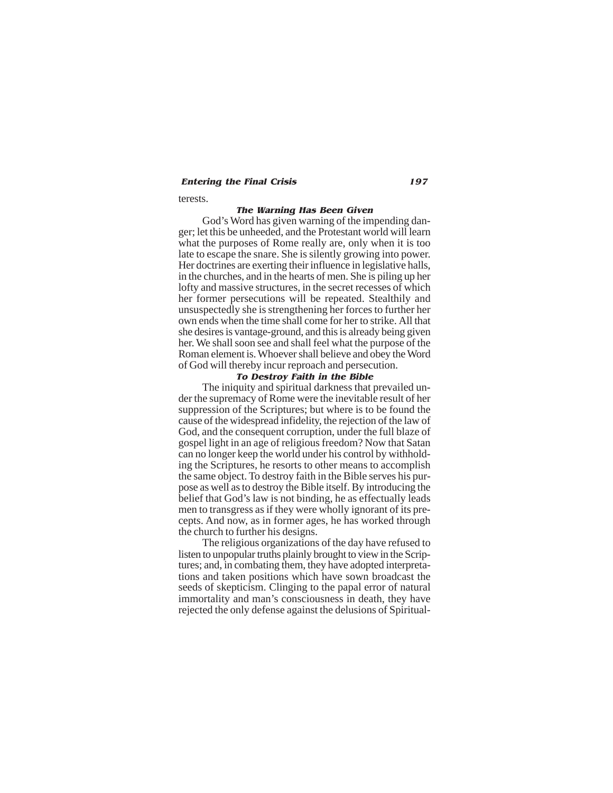terests.

#### **The Warning Has Been Given**

God's Word has given warning of the impending danger; let this be unheeded, and the Protestant world will learn what the purposes of Rome really are, only when it is too late to escape the snare. She is silently growing into power. Her doctrines are exerting their influence in legislative halls, in the churches, and in the hearts of men. She is piling up her lofty and massive structures, in the secret recesses of which her former persecutions will be repeated. Stealthily and unsuspectedly she is strengthening her forces to further her own ends when the time shall come for her to strike. All that she desires is vantage-ground, and this is already being given her. We shall soon see and shall feel what the purpose of the Roman element is. Whoever shall believe and obey the Word of God will thereby incur reproach and persecution.

# **To Destroy Faith in the Bible**

The iniquity and spiritual darkness that prevailed under the supremacy of Rome were the inevitable result of her suppression of the Scriptures; but where is to be found the cause of the widespread infidelity, the rejection of the law of God, and the consequent corruption, under the full blaze of gospel light in an age of religious freedom? Now that Satan can no longer keep the world under his control by withholding the Scriptures, he resorts to other means to accomplish the same object. To destroy faith in the Bible serves his purpose as well as to destroy the Bible itself. By introducing the belief that God's law is not binding, he as effectually leads men to transgress as if they were wholly ignorant of its precepts. And now, as in former ages, he has worked through the church to further his designs.

The religious organizations of the day have refused to listen to unpopular truths plainly brought to view in the Scriptures; and, in combating them, they have adopted interpretations and taken positions which have sown broadcast the seeds of skepticism. Clinging to the papal error of natural immortality and man's consciousness in death, they have rejected the only defense against the delusions of Spiritual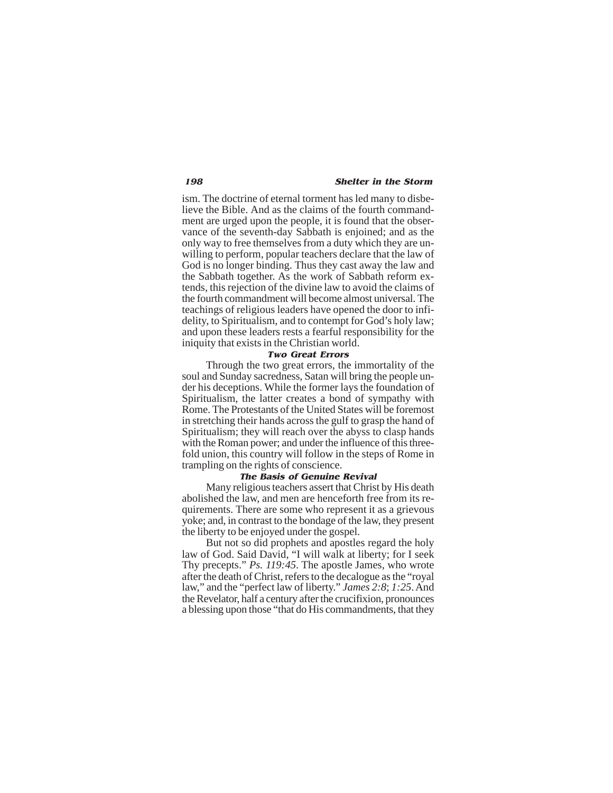ism. The doctrine of eternal torment has led many to disbelieve the Bible. And as the claims of the fourth commandment are urged upon the people, it is found that the observance of the seventh-day Sabbath is enjoined; and as the only way to free themselves from a duty which they are unwilling to perform, popular teachers declare that the law of God is no longer binding. Thus they cast away the law and the Sabbath together. As the work of Sabbath reform extends, this rejection of the divine law to avoid the claims of the fourth commandment will become almost universal. The teachings of religious leaders have opened the door to infidelity, to Spiritualism, and to contempt for God's holy law; and upon these leaders rests a fearful responsibility for the iniquity that exists in the Christian world.

## **Two Great Errors**

Through the two great errors, the immortality of the soul and Sunday sacredness, Satan will bring the people under his deceptions. While the former lays the foundation of Spiritualism, the latter creates a bond of sympathy with Rome. The Protestants of the United States will be foremost in stretching their hands across the gulf to grasp the hand of Spiritualism; they will reach over the abyss to clasp hands with the Roman power; and under the influence of this threefold union, this country will follow in the steps of Rome in trampling on the rights of conscience.

# **The Basis of Genuine Revival**

Many religious teachers assert that Christ by His death abolished the law, and men are henceforth free from its requirements. There are some who represent it as a grievous yoke; and, in contrast to the bondage of the law, they present the liberty to be enjoyed under the gospel.

But not so did prophets and apostles regard the holy law of God. Said David, "I will walk at liberty; for I seek Thy precepts." *Ps. 119:45*. The apostle James, who wrote after the death of Christ, refers to the decalogue as the "royal law," and the "perfect law of liberty." *James 2:8*; *1:25*. And the Revelator, half a century after the crucifixion, pronounces a blessing upon those "that do His commandments, that they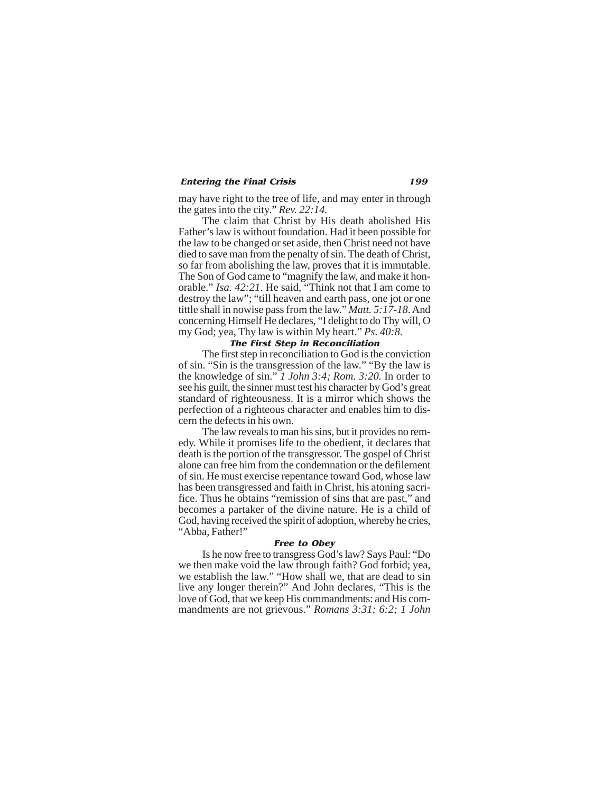may have right to the tree of life, and may enter in through the gates into the city." *Rev. 22:14.*

The claim that Christ by His death abolished His Father's law is without foundation. Had it been possible for the law to be changed or set aside, then Christ need not have died to save man from the penalty of sin. The death of Christ, so far from abolishing the law, proves that it is immutable. The Son of God came to "magnify the law, and make it honorable." *Isa. 42:21*. He said, "Think not that I am come to destroy the law"; "till heaven and earth pass, one jot or one tittle shall in nowise pass from the law." *Matt. 5:17-18*. And concerning Himself He declares, "I delight to do Thy will, O my God; yea, Thy law is within My heart." *Ps. 40:8*.

# **The First Step in Reconciliation**

The first step in reconciliation to God is the conviction of sin. "Sin is the transgression of the law." "By the law is the knowledge of sin." *1 John 3:4; Rom. 3:20.* In order to see his guilt, the sinner must test his character by God's great standard of righteousness. It is a mirror which shows the perfection of a righteous character and enables him to discern the defects in his own.

The law reveals to man his sins, but it provides no remedy. While it promises life to the obedient, it declares that death is the portion of the transgressor. The gospel of Christ alone can free him from the condemnation or the defilement of sin. He must exercise repentance toward God, whose law has been transgressed and faith in Christ, his atoning sacrifice. Thus he obtains "remission of sins that are past," and becomes a partaker of the divine nature. He is a child of God, having received the spirit of adoption, whereby he cries, "Abba, Father!"

## **Free to Obey**

Is he now free to transgress God's law? Says Paul: "Do we then make void the law through faith? God forbid; yea, we establish the law." "How shall we, that are dead to sin live any longer therein?" And John declares, "This is the love of God, that we keep His commandments: and His commandments are not grievous." *Romans 3:31; 6:2; 1 John*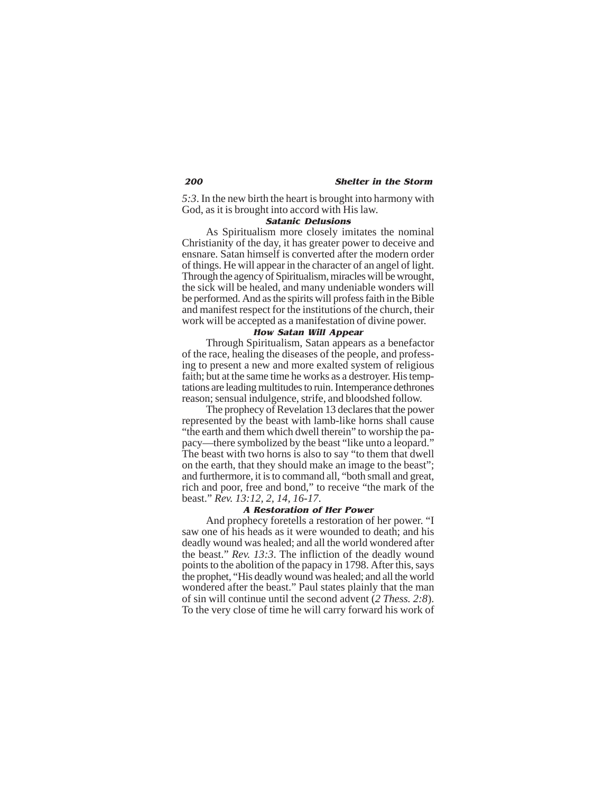*5:3*. In the new birth the heart is brought into harmony with God, as it is brought into accord with His law.

# **Satanic Delusions**

As Spiritualism more closely imitates the nominal Christianity of the day, it has greater power to deceive and ensnare. Satan himself is converted after the modern order of things. He will appear in the character of an angel of light. Through the agency of Spiritualism, miracles will be wrought, the sick will be healed, and many undeniable wonders will be performed. And as the spirits will profess faith in the Bible and manifest respect for the institutions of the church, their work will be accepted as a manifestation of divine power.

# **How Satan Will Appear**

Through Spiritualism, Satan appears as a benefactor of the race, healing the diseases of the people, and professing to present a new and more exalted system of religious faith; but at the same time he works as a destroyer. His temptations are leading multitudes to ruin. Intemperance dethrones reason; sensual indulgence, strife, and bloodshed follow.

The prophecy of Revelation 13 declares that the power represented by the beast with lamb-like horns shall cause "the earth and them which dwell therein" to worship the papacy—there symbolized by the beast "like unto a leopard." The beast with two horns is also to say "to them that dwell on the earth, that they should make an image to the beast"; and furthermore, it is to command all, "both small and great, rich and poor, free and bond," to receive "the mark of the beast." *Rev. 13:12, 2, 14, 16-17*.

# **A Restoration of Her Power**

And prophecy foretells a restoration of her power. "I saw one of his heads as it were wounded to death; and his deadly wound was healed; and all the world wondered after the beast." *Rev. 13:3*. The infliction of the deadly wound points to the abolition of the papacy in 1798. After this, says the prophet, "His deadly wound was healed; and all the world wondered after the beast." Paul states plainly that the man of sin will continue until the second advent (*2 Thess. 2:8*). To the very close of time he will carry forward his work of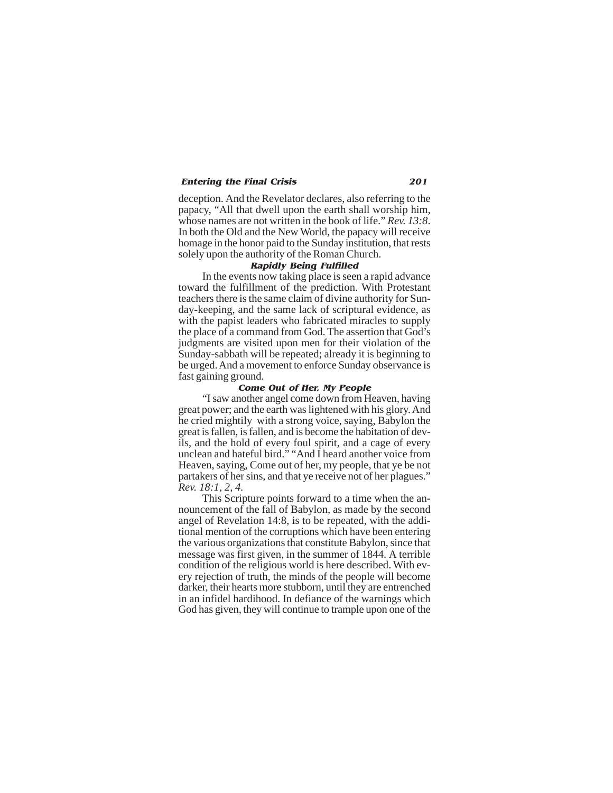# **Entering the Final Crisis**

deception. And the Revelator declares, also referring to the papacy, "All that dwell upon the earth shall worship him, whose names are not written in the book of life." *Rev. 13:8*. In both the Old and the New World, the papacy will receive homage in the honor paid to the Sunday institution, that rests solely upon the authority of the Roman Church.

# **Rapidly Being Fulfilled**

In the events now taking place is seen a rapid advance toward the fulfillment of the prediction. With Protestant teachers there is the same claim of divine authority for Sunday-keeping, and the same lack of scriptural evidence, as with the papist leaders who fabricated miracles to supply the place of a command from God. The assertion that God's judgments are visited upon men for their violation of the Sunday-sabbath will be repeated; already it is beginning to be urged. And a movement to enforce Sunday observance is fast gaining ground.

# **Come Out of Her, My People**

"I saw another angel come down from Heaven, having great power; and the earth was lightened with his glory. And he cried mightily with a strong voice, saying, Babylon the great is fallen, is fallen, and is become the habitation of devils, and the hold of every foul spirit, and a cage of every unclean and hateful bird." "And I heard another voice from Heaven, saying, Come out of her, my people, that ye be not partakers of her sins, and that ye receive not of her plagues." *Rev. 18:1, 2, 4.*

This Scripture points forward to a time when the announcement of the fall of Babylon, as made by the second angel of Revelation 14:8, is to be repeated, with the additional mention of the corruptions which have been entering the various organizations that constitute Babylon, since that message was first given, in the summer of 1844. A terrible condition of the religious world is here described. With every rejection of truth, the minds of the people will become darker, their hearts more stubborn, until they are entrenched in an infidel hardihood. In defiance of the warnings which God has given, they will continue to trample upon one of the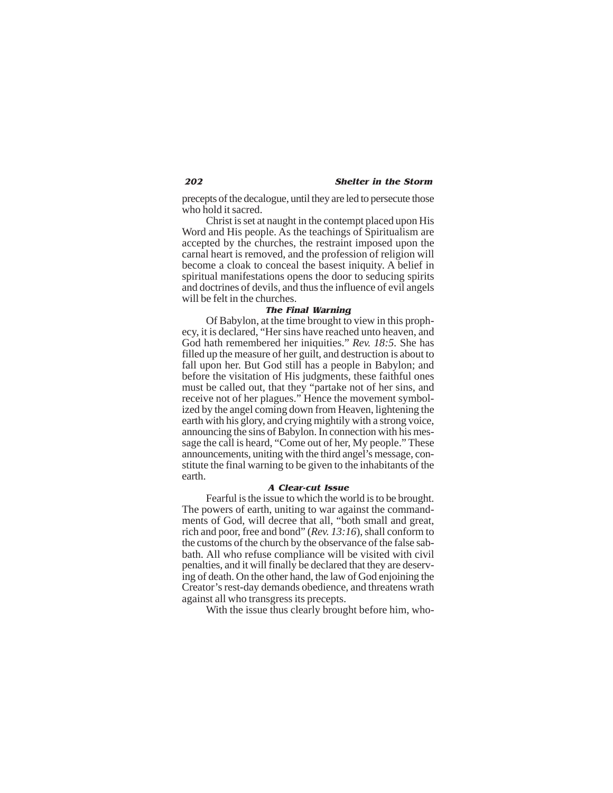precepts of the decalogue, until they are led to persecute those who hold it sacred.

Christ is set at naught in the contempt placed upon His Word and His people. As the teachings of Spiritualism are accepted by the churches, the restraint imposed upon the carnal heart is removed, and the profession of religion will become a cloak to conceal the basest iniquity. A belief in spiritual manifestations opens the door to seducing spirits and doctrines of devils, and thus the influence of evil angels will be felt in the churches.

# **The Final Warning**

Of Babylon, at the time brought to view in this prophecy, it is declared, "Her sins have reached unto heaven, and God hath remembered her iniquities." *Rev. 18:5.* She has filled up the measure of her guilt, and destruction is about to fall upon her. But God still has a people in Babylon; and before the visitation of His judgments, these faithful ones must be called out, that they "partake not of her sins, and receive not of her plagues." Hence the movement symbolized by the angel coming down from Heaven, lightening the earth with his glory, and crying mightily with a strong voice, announcing the sins of Babylon. In connection with his message the call is heard, "Come out of her, My people." These announcements, uniting with the third angel's message, constitute the final warning to be given to the inhabitants of the earth.

## **A Clear-cut Issue**

Fearful is the issue to which the world is to be brought. The powers of earth, uniting to war against the commandments of God, will decree that all, "both small and great, rich and poor, free and bond" (*Rev. 13:16*), shall conform to the customs of the church by the observance of the false sabbath. All who refuse compliance will be visited with civil penalties, and it will finally be declared that they are deserving of death. On the other hand, the law of God enjoining the Creator's rest-day demands obedience, and threatens wrath against all who transgress its precepts.

With the issue thus clearly brought before him, who-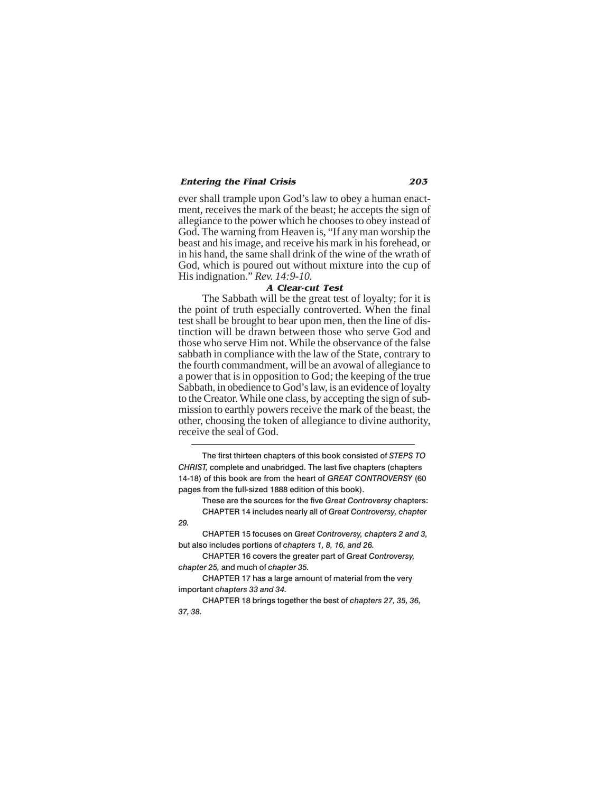# **Entering the Final Crisis**

ever shall trample upon God's law to obey a human enactment, receives the mark of the beast; he accepts the sign of allegiance to the power which he chooses to obey instead of God. The warning from Heaven is, "If any man worship the beast and his image, and receive his mark in his forehead, or in his hand, the same shall drink of the wine of the wrath of God, which is poured out without mixture into the cup of His indignation." *Rev. 14:9-10.*

# **A Clear-cut Test**

The Sabbath will be the great test of loyalty; for it is the point of truth especially controverted. When the final test shall be brought to bear upon men, then the line of distinction will be drawn between those who serve God and those who serve Him not. While the observance of the false sabbath in compliance with the law of the State, contrary to the fourth commandment, will be an avowal of allegiance to a power that is in opposition to God; the keeping of the true Sabbath, in obedience to God's law, is an evidence of loyalty to the Creator. While one class, by accepting the sign of submission to earthly powers receive the mark of the beast, the other, choosing the token of allegiance to divine authority, receive the seal of God.

The first thirteen chapters of this book consisted of *STEPS TO CHRIST,* complete and unabridged. The last five chapters (chapters 14-18) of this book are from the heart of *GREAT CONTROVERSY* (60 pages from the full-sized 1888 edition of this book).

These are the sources for the five *Great Controversy* chapters: CHAPTER 14 includes nearly all of *Great Controversy, chapter*

*29.*

CHAPTER 15 focuses on *Great Controversy, chapters 2 and 3,* but also includes portions of *chapters 1, 8, 16, and 26.*

CHAPTER 16 covers the greater part of *Great Controversy, chapter 25,* and much of *chapter 35.*

CHAPTER 17 has a large amount of material from the very important *chapters 33 and 34.*

CHAPTER 18 brings together the best of *chapters 27, 35, 36, 37, 38.*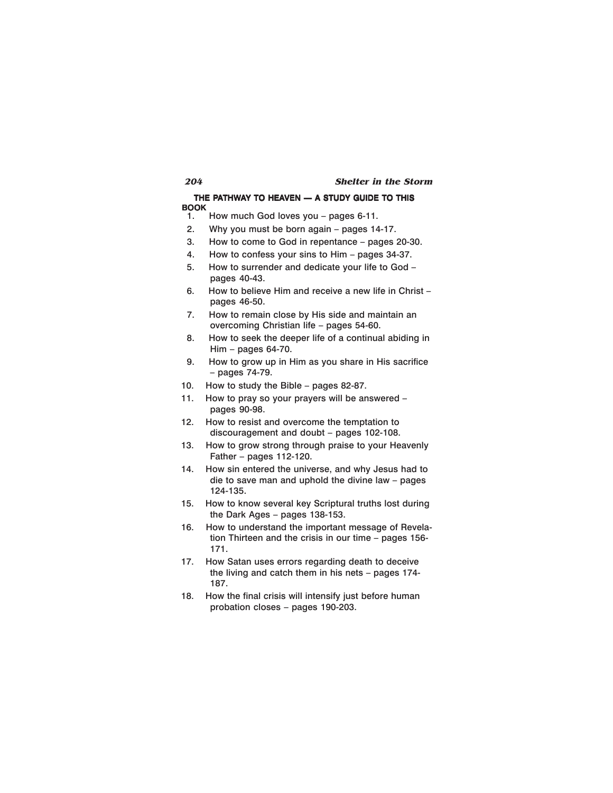# THE PATHWAY TO HEAVEN — A STUDY GUIDE TO THIS **BOOK**

- 1. How much God loves you pages 6-11.
- 2. Why you must be born again pages 14-17.
- 3. How to come to God in repentance pages 20-30.
- 4. How to confess your sins to Him pages 34-37.
- 5. How to surrender and dedicate your life to God pages 40-43.
- 6. How to believe Him and receive a new life in Christ pages 46-50.
- 7. How to remain close by His side and maintain an overcoming Christian life – pages 54-60.
- 8. How to seek the deeper life of a continual abiding in Him – pages 64-70.
- 9. How to grow up in Him as you share in His sacrifice – pages 74-79.
- 10. How to study the Bible pages 82-87.
- 11. How to pray so your prayers will be answered pages 90-98.
- 12. How to resist and overcome the temptation to discouragement and doubt – pages 102-108.
- 13. How to grow strong through praise to your Heavenly Father – pages 112-120.
- 14. How sin entered the universe, and why Jesus had to die to save man and uphold the divine law – pages 124-135.
- 15. How to know several key Scriptural truths lost during the Dark Ages – pages 138-153.
- 16. How to understand the important message of Revelation Thirteen and the crisis in our time – pages 156- 171.
- 17. How Satan uses errors regarding death to deceive the living and catch them in his nets – pages 174- 187.
- 18. How the final crisis will intensify just before human probation closes – pages 190-203.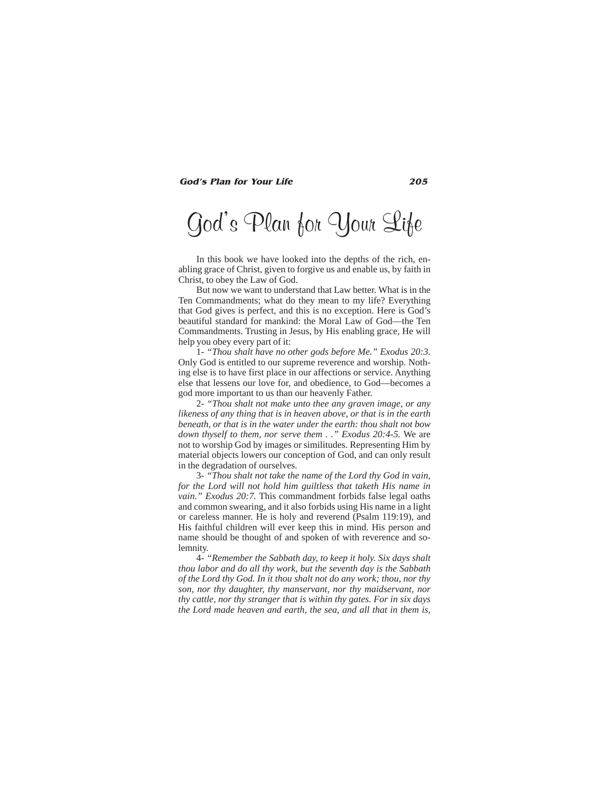# **God's Plan for Your Life**

In this book we have looked into the depths of the rich, enabling grace of Christ, given to forgive us and enable us, by faith in Christ, to obey the Law of God.

But now we want to understand that Law better. What is in the Ten Commandments; what do they mean to my life? Everything that God gives is perfect, and this is no exception. Here is God's beautiful standard for mankind: the Moral Law of God—the Ten Commandments. Trusting in Jesus, by His enabling grace, He will help you obey every part of it:

1- *"Thou shalt have no other gods before Me." Exodus 20:3.* Only God is entitled to our supreme reverence and worship. Nothing else is to have first place in our affections or service. Anything else that lessens our love for, and obedience, to God—becomes a god more important to us than our heavenly Father.

2- *"Thou shalt not make unto thee any graven image, or any likeness of any thing that is in heaven above, or that is in the earth beneath, or that is in the water under the earth: thou shalt not bow down thyself to them, nor serve them . ." Exodus 20:4-5.* We are not to worship God by images or similitudes. Representing Him by material objects lowers our conception of God, and can only result in the degradation of ourselves.

3- *"Thou shalt not take the name of the Lord thy God in vain, for the Lord will not hold him guiltless that taketh His name in vain." Exodus 20:7.* This commandment forbids false legal oaths and common swearing, and it also forbids using His name in a light or careless manner. He is holy and reverend (Psalm 119:19), and His faithful children will ever keep this in mind. His person and name should be thought of and spoken of with reverence and solemnity.

4- *"Remember the Sabbath day, to keep it holy. Six days shalt thou labor and do all thy work, but the seventh day is the Sabbath of the Lord thy God. In it thou shalt not do any work; thou, nor thy son, nor thy daughter, thy manservant, nor thy maidservant, nor thy cattle, nor thy stranger that is within thy gates. For in six days the Lord made heaven and earth, the sea, and all that in them is,*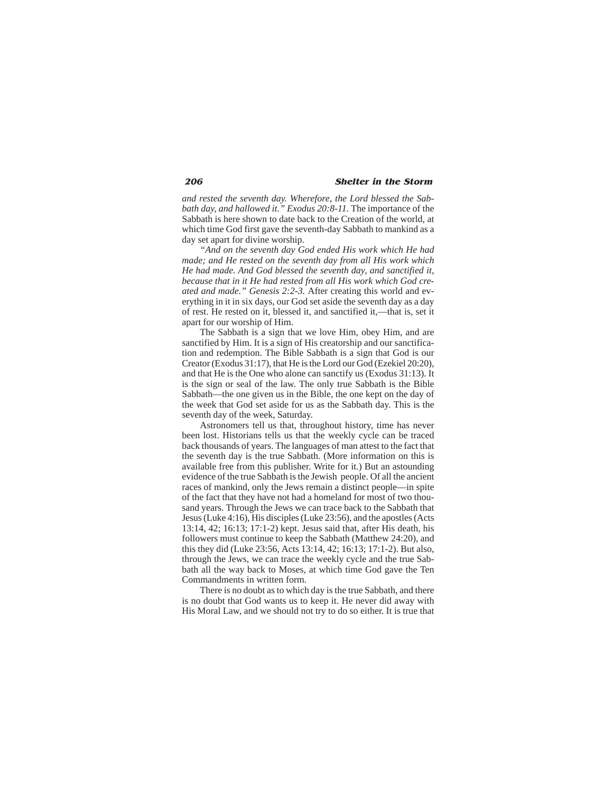*and rested the seventh day. Wherefore, the Lord blessed the Sabbath day, and hallowed it." Exodus 20:8-11.* The importance of the Sabbath is here shown to date back to the Creation of the world, at which time God first gave the seventh-day Sabbath to mankind as a day set apart for divine worship.

*"And on the seventh day God ended His work which He had made; and He rested on the seventh day from all His work which He had made. And God blessed the seventh day, and sanctified it, because that in it He had rested from all His work which God created and made." Genesis 2:2-3.* After creating this world and everything in it in six days, our God set aside the seventh day as a day of rest. He rested on it, blessed it, and sanctified it,—that is, set it apart for our worship of Him.

The Sabbath is a sign that we love Him, obey Him, and are sanctified by Him. It is a sign of His creatorship and our sanctification and redemption. The Bible Sabbath is a sign that God is our Creator (Exodus 31:17), that He is the Lord our God (Ezekiel 20:20), and that He is the One who alone can sanctify us (Exodus 31:13). It is the sign or seal of the law. The only true Sabbath is the Bible Sabbath—the one given us in the Bible, the one kept on the day of the week that God set aside for us as the Sabbath day. This is the seventh day of the week, Saturday.

Astronomers tell us that, throughout history, time has never been lost. Historians tells us that the weekly cycle can be traced back thousands of years. The languages of man attest to the fact that the seventh day is the true Sabbath. (More information on this is available free from this publisher. Write for it.) But an astounding evidence of the true Sabbath is the Jewish people. Of all the ancient races of mankind, only the Jews remain a distinct people—in spite of the fact that they have not had a homeland for most of two thousand years. Through the Jews we can trace back to the Sabbath that Jesus (Luke 4:16), His disciples (Luke 23:56), and the apostles (Acts 13:14, 42; 16:13; 17:1-2) kept. Jesus said that, after His death, his followers must continue to keep the Sabbath (Matthew 24:20), and this they did (Luke 23:56, Acts 13:14, 42; 16:13; 17:1-2). But also, through the Jews, we can trace the weekly cycle and the true Sabbath all the way back to Moses, at which time God gave the Ten Commandments in written form.

There is no doubt as to which day is the true Sabbath, and there is no doubt that God wants us to keep it. He never did away with His Moral Law, and we should not try to do so either. It is true that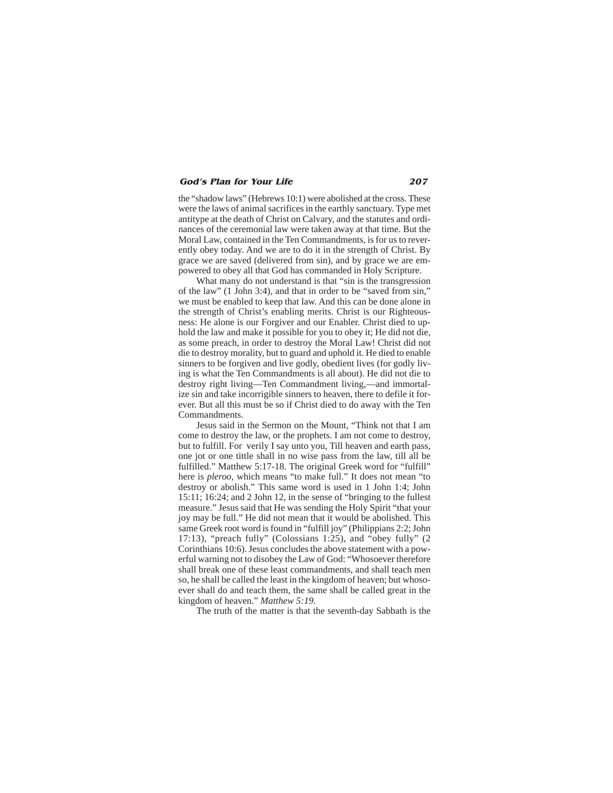#### **God's Plan for Your Life**

the "shadow laws" (Hebrews 10:1) were abolished at the cross. These were the laws of animal sacrifices in the earthly sanctuary. Type met antitype at the death of Christ on Calvary, and the statutes and ordinances of the ceremonial law were taken away at that time. But the Moral Law, contained in the Ten Commandments, is for us to reverently obey today. And we are to do it in the strength of Christ. By grace we are saved (delivered from sin), and by grace we are empowered to obey all that God has commanded in Holy Scripture.

What many do not understand is that "sin is the transgression of the law" (1 John 3:4), and that in order to be "saved from sin," we must be enabled to keep that law. And this can be done alone in the strength of Christ's enabling merits. Christ is our Righteousness: He alone is our Forgiver and our Enabler. Christ died to uphold the law and make it possible for you to obey it; He did not die, as some preach, in order to destroy the Moral Law! Christ did not die to destroy morality, but to guard and uphold it. He died to enable sinners to be forgiven and live godly, obedient lives (for godly living is what the Ten Commandments is all about). He did not die to destroy right living—Ten Commandment living,—and immortalize sin and take incorrigible sinners to heaven, there to defile it forever. But all this must be so if Christ died to do away with the Ten Commandments.

Jesus said in the Sermon on the Mount, "Think not that I am come to destroy the law, or the prophets. I am not come to destroy, but to fulfill. For verily I say unto you, Till heaven and earth pass, one jot or one tittle shall in no wise pass from the law, till all be fulfilled." Matthew 5:17-18. The original Greek word for "fulfill" here is *pleroo*, which means "to make full." It does not mean "to destroy or abolish." This same word is used in 1 John 1:4; John 15:11; 16:24; and 2 John 12, in the sense of "bringing to the fullest measure." Jesus said that He was sending the Holy Spirit "that your joy may be full." He did not mean that it would be abolished. This same Greek root word is found in "fulfill joy" (Philippians 2:2; John 17:13), "preach fully" (Colossians 1:25), and "obey fully" (2 Corinthians 10:6). Jesus concludes the above statement with a powerful warning not to disobey the Law of God: "Whosoever therefore shall break one of these least commandments, and shall teach men so, he shall be called the least in the kingdom of heaven; but whosoever shall do and teach them, the same shall be called great in the kingdom of heaven." *Matthew 5:19.*

The truth of the matter is that the seventh-day Sabbath is the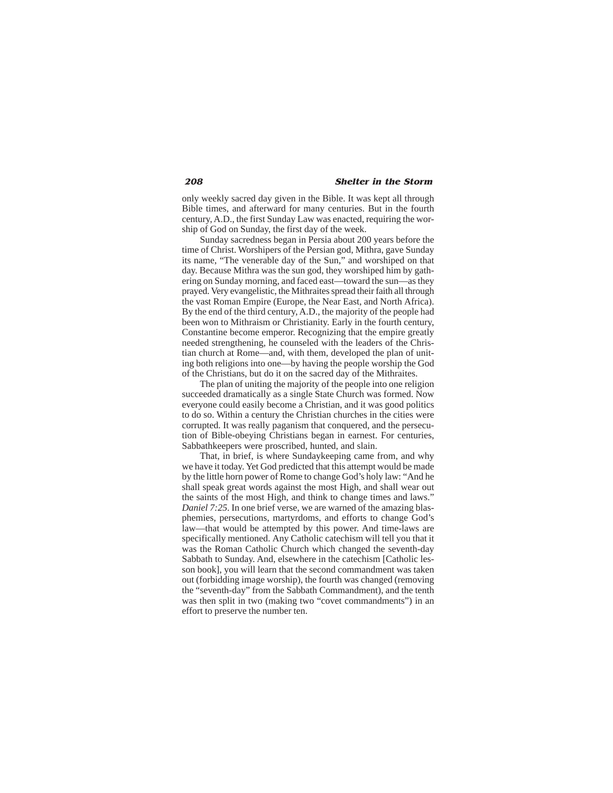only weekly sacred day given in the Bible. It was kept all through Bible times, and afterward for many centuries. But in the fourth century, A.D., the first Sunday Law was enacted, requiring the worship of God on Sunday, the first day of the week.

Sunday sacredness began in Persia about 200 years before the time of Christ. Worshipers of the Persian god, Mithra, gave Sunday its name, "The venerable day of the Sun," and worshiped on that day. Because Mithra was the sun god, they worshiped him by gathering on Sunday morning, and faced east—toward the sun—as they prayed. Very evangelistic, the Mithraites spread their faith all through the vast Roman Empire (Europe, the Near East, and North Africa). By the end of the third century, A.D., the majority of the people had been won to Mithraism or Christianity. Early in the fourth century, Constantine become emperor. Recognizing that the empire greatly needed strengthening, he counseled with the leaders of the Christian church at Rome—and, with them, developed the plan of uniting both religions into one—by having the people worship the God of the Christians, but do it on the sacred day of the Mithraites.

The plan of uniting the majority of the people into one religion succeeded dramatically as a single State Church was formed. Now everyone could easily become a Christian, and it was good politics to do so. Within a century the Christian churches in the cities were corrupted. It was really paganism that conquered, and the persecution of Bible-obeying Christians began in earnest. For centuries, Sabbathkeepers were proscribed, hunted, and slain.

That, in brief, is where Sundaykeeping came from, and why we have it today. Yet God predicted that this attempt would be made by the little horn power of Rome to change God's holy law: "And he shall speak great words against the most High, and shall wear out the saints of the most High, and think to change times and laws." *Daniel 7:25*. In one brief verse, we are warned of the amazing blasphemies, persecutions, martyrdoms, and efforts to change God's law—that would be attempted by this power. And time-laws are specifically mentioned. Any Catholic catechism will tell you that it was the Roman Catholic Church which changed the seventh-day Sabbath to Sunday. And, elsewhere in the catechism [Catholic lesson book], you will learn that the second commandment was taken out (forbidding image worship), the fourth was changed (removing the "seventh-day" from the Sabbath Commandment), and the tenth was then split in two (making two "covet commandments") in an effort to preserve the number ten.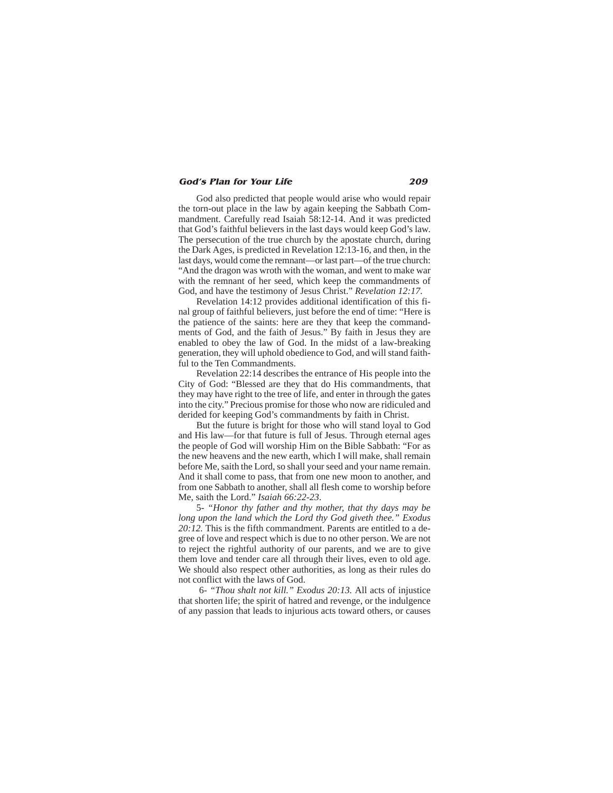#### **God's Plan for Your Life**

God also predicted that people would arise who would repair the torn-out place in the law by again keeping the Sabbath Commandment. Carefully read Isaiah 58:12-14. And it was predicted that God's faithful believers in the last days would keep God's law. The persecution of the true church by the apostate church, during the Dark Ages, is predicted in Revelation 12:13-16, and then, in the last days, would come the remnant—or last part—of the true church: "And the dragon was wroth with the woman, and went to make war with the remnant of her seed, which keep the commandments of God, and have the testimony of Jesus Christ." *Revelation 12:17*.

Revelation 14:12 provides additional identification of this final group of faithful believers, just before the end of time: "Here is the patience of the saints: here are they that keep the commandments of God, and the faith of Jesus." By faith in Jesus they are enabled to obey the law of God. In the midst of a law-breaking generation, they will uphold obedience to God, and will stand faithful to the Ten Commandments.

Revelation 22:14 describes the entrance of His people into the City of God: "Blessed are they that do His commandments, that they may have right to the tree of life, and enter in through the gates into the city." Precious promise for those who now are ridiculed and derided for keeping God's commandments by faith in Christ.

But the future is bright for those who will stand loyal to God and His law—for that future is full of Jesus. Through eternal ages the people of God will worship Him on the Bible Sabbath: "For as the new heavens and the new earth, which I will make, shall remain before Me, saith the Lord, so shall your seed and your name remain. And it shall come to pass, that from one new moon to another, and from one Sabbath to another, shall all flesh come to worship before Me, saith the Lord." *Isaiah 66:22-23*.

5- *"Honor thy father and thy mother, that thy days may be long upon the land which the Lord thy God giveth thee." Exodus 20:12.* This is the fifth commandment. Parents are entitled to a degree of love and respect which is due to no other person. We are not to reject the rightful authority of our parents, and we are to give them love and tender care all through their lives, even to old age. We should also respect other authorities, as long as their rules do not conflict with the laws of God.

 6- *"Thou shalt not kill." Exodus 20:13.* All acts of injustice that shorten life; the spirit of hatred and revenge, or the indulgence of any passion that leads to injurious acts toward others, or causes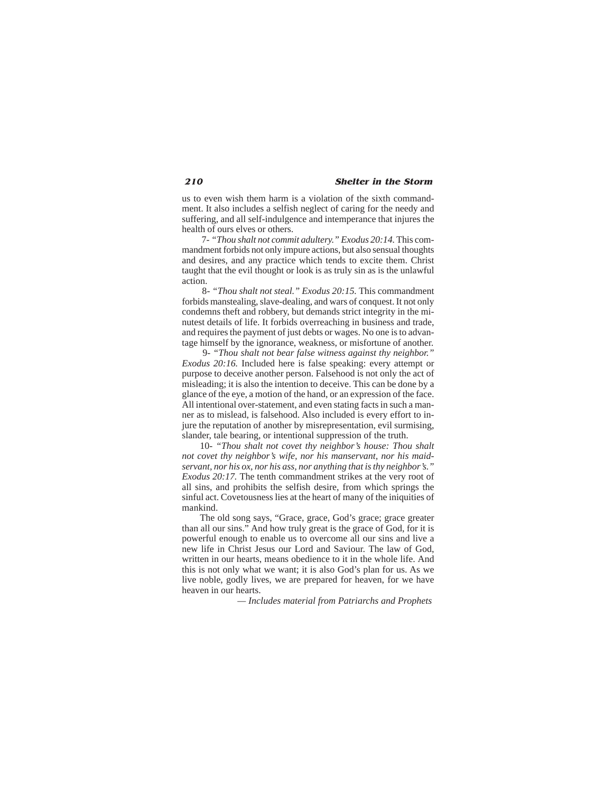us to even wish them harm is a violation of the sixth commandment. It also includes a selfish neglect of caring for the needy and suffering, and all self-indulgence and intemperance that injures the health of ours elves or others.

 7- *"Thou shalt not commit adultery." Exodus 20:14.* This commandment forbids not only impure actions, but also sensual thoughts and desires, and any practice which tends to excite them. Christ taught that the evil thought or look is as truly sin as is the unlawful action.

 8- *"Thou shalt not steal." Exodus 20:15.* This commandment forbids manstealing, slave-dealing, and wars of conquest. It not only condemns theft and robbery, but demands strict integrity in the minutest details of life. It forbids overreaching in business and trade, and requires the payment of just debts or wages. No one is to advantage himself by the ignorance, weakness, or misfortune of another.

 9- *"Thou shalt not bear false witness against thy neighbor." Exodus 20:16.* Included here is false speaking: every attempt or purpose to deceive another person. Falsehood is not only the act of misleading; it is also the intention to deceive. This can be done by a glance of the eye, a motion of the hand, or an expression of the face. All intentional over-statement, and even stating facts in such a manner as to mislead, is falsehood. Also included is every effort to injure the reputation of another by misrepresentation, evil surmising, slander, tale bearing, or intentional suppression of the truth.

10- *"Thou shalt not covet thy neighbor's house: Thou shalt not covet thy neighbor's wife, nor his manservant, nor his maidservant, nor his ox, nor his ass, nor anything that is thy neighbor's." Exodus 20:17.* The tenth commandment strikes at the very root of all sins, and prohibits the selfish desire, from which springs the sinful act. Covetousness lies at the heart of many of the iniquities of mankind.

The old song says, "Grace, grace, God's grace; grace greater than all our sins." And how truly great is the grace of God, for it is powerful enough to enable us to overcome all our sins and live a new life in Christ Jesus our Lord and Saviour. The law of God, written in our hearts, means obedience to it in the whole life. And this is not only what we want; it is also God's plan for us. As we live noble, godly lives, we are prepared for heaven, for we have heaven in our hearts.

 *— Includes material from Patriarchs and Prophets*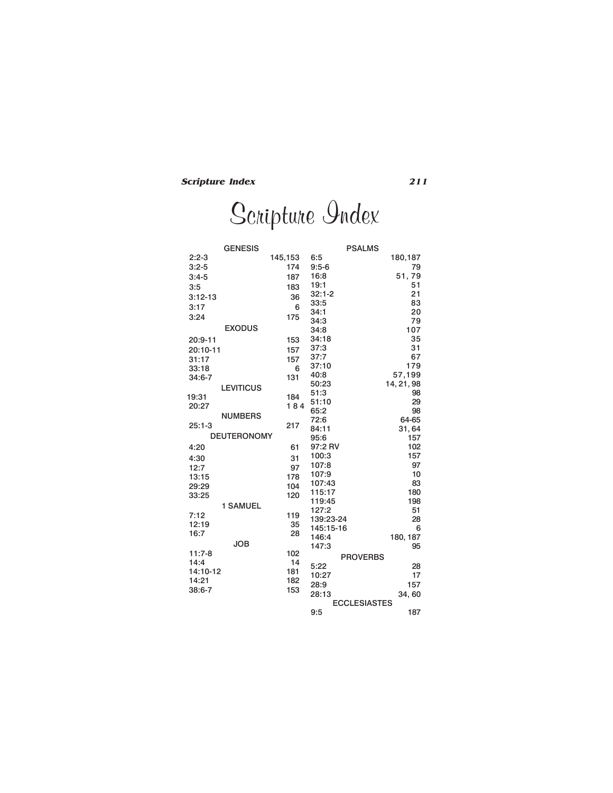Scripture Index

|            | <b>GENESIS</b>     |         |                | <b>PSALMS</b>       |                |
|------------|--------------------|---------|----------------|---------------------|----------------|
| $2:2-3$    |                    | 145,153 | 6:5            |                     | 180,187        |
| $3:2 - 5$  |                    | 174     | $9:5-6$        |                     | 79             |
| $3:4-5$    |                    | 187     | 16:8           |                     | 51,79          |
| 3:5        |                    | 183     | 19:1           |                     | 51             |
| $3:12-13$  |                    | 36      | $32:1 - 2$     |                     | 21             |
|            |                    |         | 33:5           |                     | 83             |
| 3:17       |                    | 6       | 34:1           |                     | 20             |
| 3:24       |                    | 175     | 34:3           |                     | 79             |
|            | <b>EXODUS</b>      |         | 34:8           |                     | 107            |
| 20:9-11    |                    | 153     | 34:18          |                     | 35             |
| 20:10-11   |                    | 157     | 37:3           |                     | 31             |
| 31:17      |                    | 157     | 37:7           |                     | 67             |
| 33:18      |                    | 6       | 37:10          |                     | 179            |
| $34:6 - 7$ |                    | 131     | 40:8           |                     | 57,199         |
|            | <b>LEVITICUS</b>   |         | 50:23          |                     | 14, 21, 98     |
| 19:31      |                    | 184     | 51:3           |                     | 98             |
| 20:27      |                    | 184     | 51:10          |                     | 29             |
|            | <b>NUMBERS</b>     |         | 65:2           |                     | 98             |
| $25:1-3$   |                    | 217     | 72:6           |                     | 64-65          |
|            |                    |         | 84:11          |                     | 31,64          |
|            | <b>DEUTERONOMY</b> |         | 95:6           |                     | 157            |
| 4:20       |                    | 61      | 97:2 RV        |                     | 102            |
| 4:30       |                    | 31      | 100:3          |                     | 157            |
| 12:7       |                    | 97      | 107:8          |                     | 97             |
| 13:15      |                    | 178     | 107:9          |                     | 10             |
| 29:29      |                    | 104     | 107:43         |                     | 83             |
| 33:25      |                    | 120     | 115:17         |                     | 180            |
|            | <b>1 SAMUEL</b>    |         | 119:45         |                     | 198            |
| 7:12       |                    | 119     | 127:2          |                     | 51             |
| 12:19      |                    | 35      | 139:23-24      |                     | 28             |
| 16:7       |                    | 28      | 145:15-16      |                     | 6              |
|            | <b>JOB</b>         |         | 146:4<br>147:3 |                     | 180, 187<br>95 |
| $11:7-8$   |                    | 102     |                |                     |                |
| 14:4       |                    | 14      |                | <b>PROVERBS</b>     |                |
| 14:10-12   |                    | 181     | 5:22           |                     | 28             |
| 14:21      |                    | 182     | 10:27          |                     | 17             |
| $38:6 - 7$ |                    | 153     | 28:9           |                     | 157            |
|            |                    |         | 28:13          |                     | 34,60          |
|            |                    |         |                | <b>ECCLESIASTES</b> |                |
|            |                    |         | 9:5            |                     | 187            |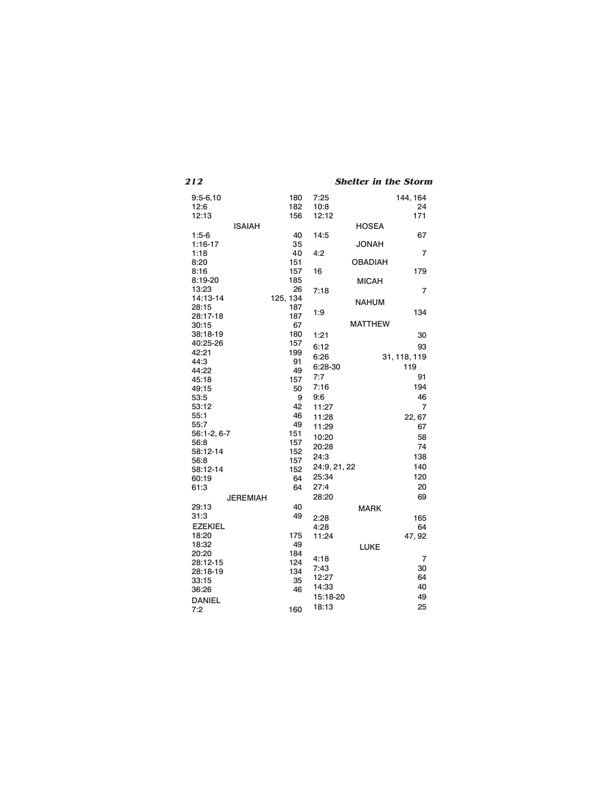| $9:5-6,10$     |                 | 180      | 7:25         |                | 144, 164     |
|----------------|-----------------|----------|--------------|----------------|--------------|
| 12:6           |                 | 182      | 10:8         |                | 24           |
| 12:13          |                 | 156      | 12:12        |                | 171          |
|                | ISAIAH          |          |              | HOSEA          |              |
| $1:5-6$        |                 | 40       | 14:5         |                | 67           |
| 1:16-17        |                 | 35       |              | JONAH          |              |
| 1:18           |                 | 40       | 4:2          |                | 7            |
| 8:20           |                 | 151      |              | <b>OBADIAH</b> |              |
| 8:16           |                 | 157      | 16           |                | 179          |
| 8:19-20        |                 | 185      |              | <b>MICAH</b>   |              |
| 13:23          |                 | 26       | 7:18         |                | 7            |
| 14:13-14       |                 | 125, 134 |              | <b>NAHUM</b>   |              |
| 28:15          |                 | 187      |              |                |              |
| 28:17-18       |                 | 187      | 1:9          |                | 134          |
| 30:15          |                 | 67       |              | <b>MATTHEW</b> |              |
| 38:18-19       |                 | 180      | 1:21         |                | 30           |
| 40:25-26       |                 | 157      |              |                |              |
| 42:21          |                 | 199      | 6:12         |                | 93           |
| 44:3           |                 | 91       | 6:26         |                | 31, 118, 119 |
| 44:22          |                 | 49       | 6:28-30      |                | 119          |
| 45:18          |                 | 157      | 7:7          |                | 91           |
| 49:15          |                 | 50       | 7:16         |                | 194          |
| 53:5           |                 | 9        | 9:6          |                | 46           |
| 53:12          |                 | 42       | 11:27        |                | 7            |
| 55:1           |                 | 46       | 11:28        |                | 22, 67       |
| 55:7           |                 | 49       | 11:29        |                | 67           |
| 56:1-2, 6-7    |                 | 151      |              |                | 58           |
| 56:8           |                 | 157      | 10:20        |                |              |
| 58:12-14       |                 | 152      | 20:28        |                | 74           |
| 56:8           |                 | 157      | 24:3         |                | 138          |
| 58:12-14       |                 | 152      | 24:9, 21, 22 |                | 140          |
| 60:19          |                 | 64       | 25:34        |                | 120          |
| 61:3           |                 | 64       | 27:4         |                | 20           |
|                | <b>JEREMIAH</b> |          | 28:20        |                | 69           |
| 29:13          |                 | 40       |              | MARK           |              |
| 31:3           |                 | 49       | 2:28         |                | 165          |
| <b>EZEKIEL</b> |                 |          | 4:28         |                | 64           |
| 18:20          |                 | 175      | 11:24        |                | 47, 92       |
| 18:32          |                 | 49       |              |                |              |
| 20:20          |                 | 184      |              | LUKE           |              |
| 28:12-15       |                 | 124      | 4:18         |                | 7            |
| 28:18-19       |                 | 134      | 7:43         |                | 30           |
| 33:15          |                 | 35       | 12:27        |                | 64           |
| 36:26          |                 | 46       | 14:33        |                | 40           |
|                |                 |          | 15:18-20     |                | 49           |
| <b>DANIEL</b>  |                 |          | 18:13        |                | 25           |
| 7:2            |                 | 160      |              |                |              |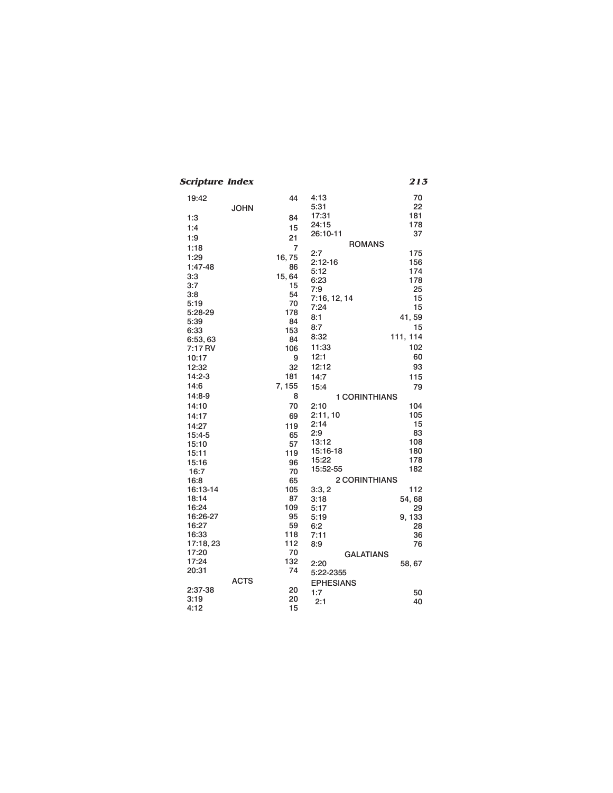# **Scripture Index**

| 19:42           |             | 44             | 4:13             | 70                   |
|-----------------|-------------|----------------|------------------|----------------------|
|                 | <b>JOHN</b> |                | 5:31             | 22                   |
| 1:3             |             | 84             | 17:31            | 181                  |
| 1:4             |             | 15             | 24:15            | 178                  |
| 1:9             |             | 21             | 26:10-11         | 37                   |
| 1:18            |             | $\overline{7}$ |                  | <b>ROMANS</b>        |
| 1:29            |             | 16, 75         | 2:7              | 175                  |
|                 |             |                | $2:12-16$        | 156                  |
| $1:47-48$       |             | 86             | 5:12             | 174                  |
| 3:3             |             | 15,64          | 6:23             | 178                  |
| 3:7             |             | 15             | 7:9              | 25                   |
| 3:8             |             | 54             | 7:16, 12, 14     | 15                   |
| 5:19            |             | 70             | 7:24             | 15                   |
| 5:28-29<br>5:39 |             | 178<br>84      | 8:1              | 41,59                |
| 6:33            |             | 153            | 8:7              | 15                   |
| 6:53, 63        |             | 84             | 8:32             | 111, 114             |
| 7:17 RV         |             | 106            | 11:33            | 102                  |
| 10:17           |             | 9              | 12:1             | 60                   |
| 12:32           |             | 32             | 12:12            | 93                   |
| $14:2 - 3$      |             | 181            |                  |                      |
| 14:6            |             | 7, 155         | 14:7             | 115                  |
|                 |             |                | 15:4             | 79                   |
| 14:8-9          |             | 8              |                  | 1 CORINTHIANS        |
| 14:10           |             | 70             | 2:10             | 104                  |
| 14:17           |             | 69             | 2:11,10          | 105                  |
| 14:27           |             | 119            | 2:14             | 15                   |
| 15:4-5          |             | 65             | 2:9              | 83                   |
| 15:10           |             | 57             | 13:12            | 108                  |
| 15:11           |             | 119            | 15:16-18         | 180                  |
| 15:16           |             | 96             | 15:22            | 178                  |
| 16:7            |             | 70             | 15:52-55         | 182                  |
| 16:8            |             | 65             |                  | <b>2 CORINTHIANS</b> |
| 16:13-14        |             | 105            | 3:3,2            | 112                  |
| 18:14           |             | 87             | 3:18             | 54,68                |
| 16:24           |             | 109            | 5:17             | 29                   |
| 16:26-27        |             | 95             | 5:19             | 9, 133               |
| 16:27           |             | 59             | 6:2              | 28                   |
| 16:33           |             | 118            | 7:11             | 36                   |
| 17:18, 23       |             | 112            | 8:9              | 76                   |
| 17:20           |             | 70             |                  | <b>GALATIANS</b>     |
| 17:24           |             | 132            | 2:20             | 58, 67               |
| 20:31           |             | 74             | 5:22-2355        |                      |
|                 | ACTS        |                | <b>EPHESIANS</b> |                      |
| 2:37-38         |             | 20             | 1:7              | 50                   |
| 3:19            |             | 20             | 2:1              | 40                   |
| 4:12            |             | 15             |                  |                      |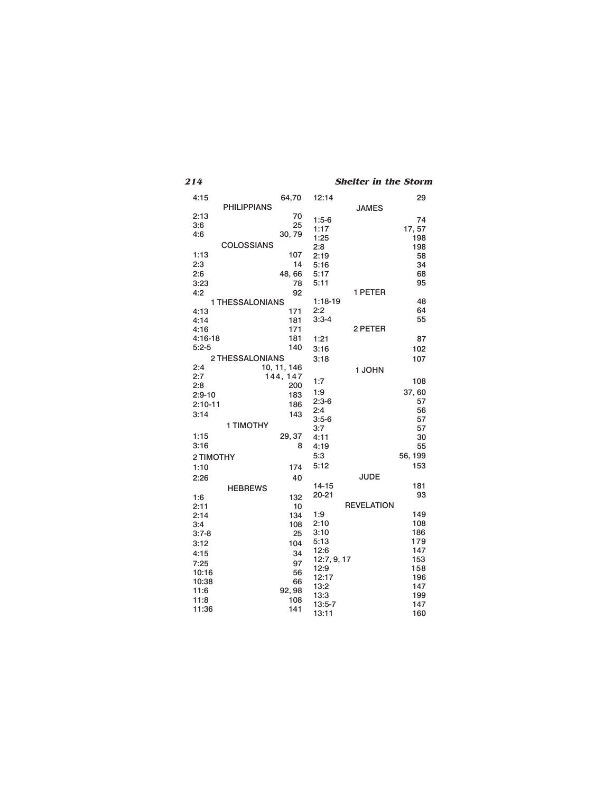| 4:15                   | 64,70        | 12:14       |                   | 29        |
|------------------------|--------------|-------------|-------------------|-----------|
| <b>PHILIPPIANS</b>     |              |             | <b>JAMES</b>      |           |
| 2:13                   | 70           | $1:5-6$     |                   | 74        |
| 3:6                    | 25           | 1:17        |                   | 17,57     |
| 4:6                    | 30, 79       | 1:25        |                   |           |
| <b>COLOSSIANS</b>      |              | 2:8         |                   | 198       |
| 1:13                   | 107          | 2:19        |                   | 198<br>58 |
| 2:3                    | 14           |             |                   |           |
|                        |              | 5:16        |                   | 34<br>68  |
| 2:6                    | 48, 66       | 5:17        |                   |           |
| 3:23                   | 78           | 5:11        |                   | 95        |
| 4:2                    | 92           |             | 1 PETER           |           |
| <b>1 THESSALONIANS</b> |              | $1:18-19$   |                   | 48        |
| 4:13                   | 171          | 2:2         |                   | 64        |
| 4:14                   | 181          | $3:3 - 4$   |                   | 55        |
| 4:16                   | 171          |             | 2 PETER           |           |
| 4:16-18                | 181          | 1:21        |                   | 87        |
| $5:2-5$                | 140          | 3:16        |                   | 102       |
| <b>2 THESSALONIANS</b> |              | 3:18        |                   | 107       |
| 2:4<br>10, 11, 146     |              |             | 1 JOHN            |           |
| 2:7<br>144, 147        |              | 1:7         |                   | 108       |
| 2:8                    | 200          |             |                   |           |
| $2:9 - 10$             | 183          | 1:9         |                   | 37,60     |
| $2:10-11$              | 186          | $2:3-6$     |                   | 57        |
| 3:14                   | 143          | 2:4         |                   | 56        |
| <b>1 TIMOTHY</b>       |              | $3:5-6$     |                   | 57        |
|                        |              | 3:7         |                   | 57        |
| 1:15                   | 29, 37       | 4:11        |                   | 30        |
| 3:16                   | 8            | 4:19        |                   | 55        |
| 2 TIMOTHY              |              | 5:3         |                   | 56, 199   |
| 1:10                   | 174          | 5:12        |                   | 153       |
| 2:26                   | 40           |             | <b>JUDE</b>       |           |
| <b>HEBREWS</b>         |              | 14-15       |                   | 181       |
| 1:6                    | 132          | $20 - 21$   |                   | 93        |
| 2:11                   | 10           |             | <b>REVELATION</b> |           |
| 2:14                   | 134          | 1:9         |                   | 149       |
| 3:4                    | 108          | 2:10        |                   | 108       |
| $3:7 - 8$              | 25           | 3:10        |                   | 186       |
| 3:12                   | 104          | 5:13        |                   | 179       |
| 4:15                   | 34           | 12:6        |                   | 147       |
| 7:25                   |              | 12:7, 9, 17 |                   | 153       |
|                        | 97           | 12:9        |                   | 158       |
| 10:16                  | 56           | 12:17       |                   | 196       |
| 10:38<br>11:6          | 66<br>92, 98 | 13:2        |                   | 147       |
|                        |              | 13:3        |                   | 199       |
| 11:8<br>11:36          | 108<br>141   | $13:5 - 7$  |                   | 147       |
|                        |              | 13:11       |                   | 160       |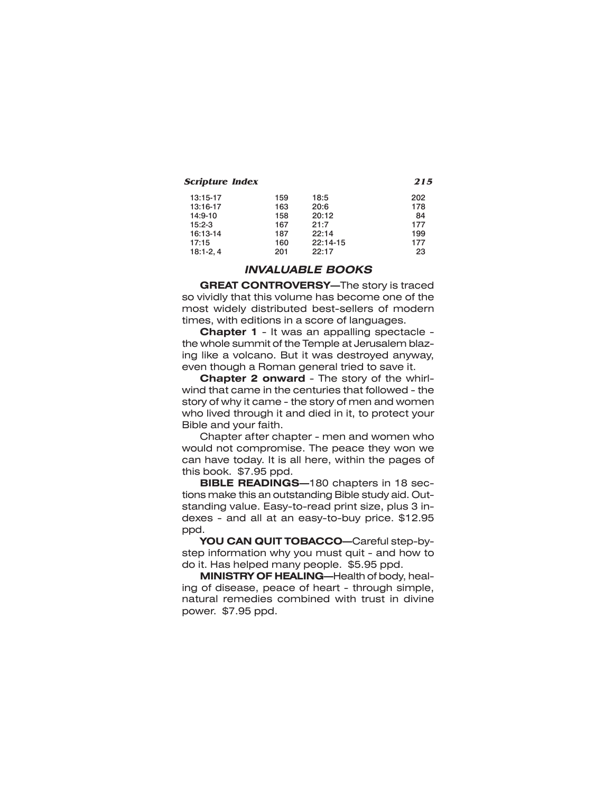| 13:15-17     | 159 | 18:5         | 202 |
|--------------|-----|--------------|-----|
| 13:16-17     | 163 | 20:6         | 178 |
| $14:9 - 10$  | 158 | 20:12        | 84  |
| $15:2-3$     | 167 | 21:7         | 177 |
| 16:13-14     | 187 | 22:14        | 199 |
| 17:15        | 160 | $22:14 - 15$ | 177 |
| $18:1 - 2.4$ | 201 | 22:17        | 23  |

# **INVALUABLE BOOKS**

**GREAT CONTROVERSY—**The story is traced so vividly that this volume has become one of the most widely distributed best-sellers of modern times, with editions in a score of languages.

**Chapter 1** - It was an appalling spectacle the whole summit of the Temple at Jerusalem blazing like a volcano. But it was destroyed anyway, even though a Roman general tried to save it.

**Chapter 2 onward** - The story of the whirlwind that came in the centuries that followed - the story of why it came - the story of men and women who lived through it and died in it, to protect your Bible and your faith.

Chapter after chapter - men and women who would not compromise. The peace they won we can have today. It is all here, within the pages of this book. \$7.95 ppd.

**BIBLE READINGS—**180 chapters in 18 sections make this an outstanding Bible study aid. Outstanding value. Easy-to-read print size, plus 3 indexes - and all at an easy-to-buy price. \$12.95 ppd.

**YOU CAN QUIT TOBACCO—**Careful step-bystep information why you must quit - and how to do it. Has helped many people. \$5.95 ppd.

**MINISTRY OF HEALING—**Health of body, healing of disease, peace of heart - through simple, natural remedies combined with trust in divine power. \$7.95 ppd.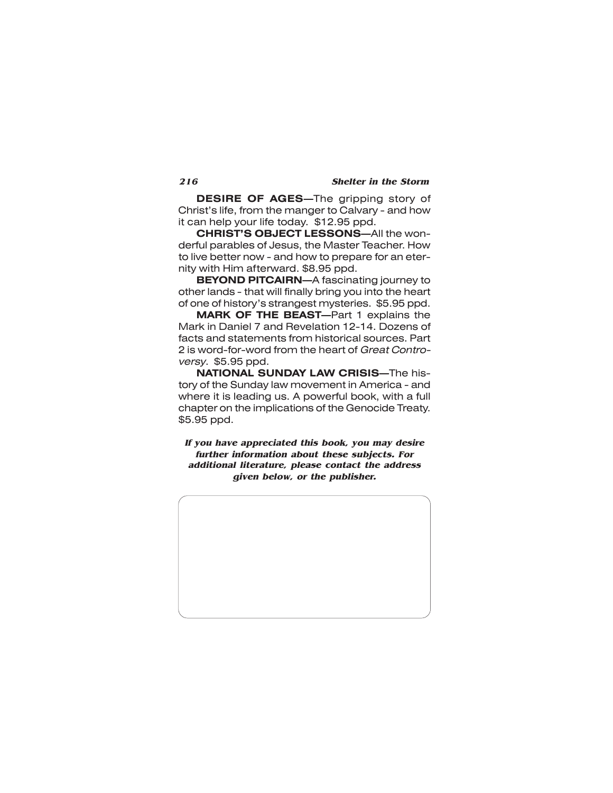**DESIRE OF AGES—**The gripping story of Christ's life, from the manger to Calvary - and how it can help your life today. \$12.95 ppd.

**CHRIST'S OBJECT LESSONS—**All the wonderful parables of Jesus, the Master Teacher. How to live better now - and how to prepare for an eternity with Him afterward. \$8.95 ppd.

**BEYOND PITCAIRN—**A fascinating journey to other lands - that will finally bring you into the heart of one of history's strangest mysteries. \$5.95 ppd.

**MARK OF THE BEAST—**Part 1 explains the Mark in Daniel 7 and Revelation 12-14. Dozens of facts and statements from historical sources. Part 2 is word-for-word from the heart of Great Controversy. \$5.95 ppd.

**NATIONAL SUNDAY LAW CRISIS—**The history of the Sunday law movement in America - and where it is leading us. A powerful book, with a full chapter on the implications of the Genocide Treaty. \$5.95 ppd.

**If you have appreciated this book, you may desire further information about these subjects. For additional literature, please contact the address given below, or the publisher.**